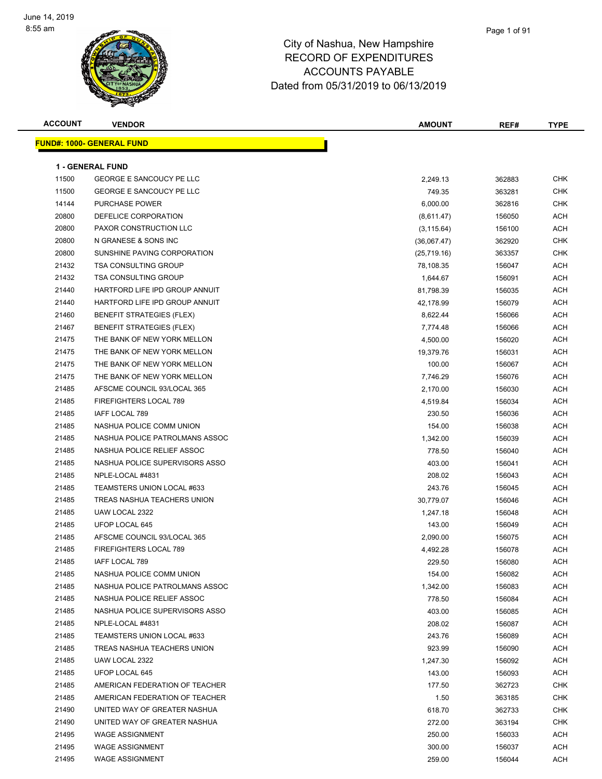

| <b>ACCOUNT</b> | <b>VENDOR</b>                     | <b>AMOUNT</b> | REF#   | <b>TYPE</b> |
|----------------|-----------------------------------|---------------|--------|-------------|
|                | <u> FUND#: 1000- GENERAL FUND</u> |               |        |             |
|                |                                   |               |        |             |
|                | <b>1 - GENERAL FUND</b>           |               |        |             |
| 11500          | GEORGE E SANCOUCY PE LLC          | 2,249.13      | 362883 | <b>CHK</b>  |
| 11500          | GEORGE E SANCOUCY PE LLC          | 749.35        | 363281 | CHK         |
| 14144          | PURCHASE POWER                    | 6,000.00      | 362816 | <b>CHK</b>  |
| 20800          | DEFELICE CORPORATION              | (8,611.47)    | 156050 | ACH         |
| 20800          | PAXOR CONSTRUCTION LLC            | (3, 115.64)   | 156100 | <b>ACH</b>  |
| 20800          | N GRANESE & SONS INC              | (36,067.47)   | 362920 | <b>CHK</b>  |
| 20800          | SUNSHINE PAVING CORPORATION       | (25,719.16)   | 363357 | <b>CHK</b>  |
| 21432          | <b>TSA CONSULTING GROUP</b>       | 78,108.35     | 156047 | <b>ACH</b>  |
| 21432          | <b>TSA CONSULTING GROUP</b>       | 1,644.67      | 156091 | ACH         |
| 21440          | HARTFORD LIFE IPD GROUP ANNUIT    | 81,798.39     | 156035 | ACH         |
| 21440          | HARTFORD LIFE IPD GROUP ANNUIT    | 42,178.99     | 156079 | ACH         |
| 21460          | <b>BENEFIT STRATEGIES (FLEX)</b>  | 8,622.44      | 156066 | <b>ACH</b>  |
| 21467          | <b>BENEFIT STRATEGIES (FLEX)</b>  | 7,774.48      | 156066 | <b>ACH</b>  |
| 21475          | THE BANK OF NEW YORK MELLON       | 4,500.00      | 156020 | <b>ACH</b>  |
| 21475          | THE BANK OF NEW YORK MELLON       | 19,379.76     | 156031 | <b>ACH</b>  |
| 21475          | THE BANK OF NEW YORK MELLON       | 100.00        | 156067 | <b>ACH</b>  |
| 21475          | THE BANK OF NEW YORK MELLON       | 7,746.29      | 156076 | <b>ACH</b>  |
| 21485          | AFSCME COUNCIL 93/LOCAL 365       | 2,170.00      | 156030 | ACH         |
| 21485          | FIREFIGHTERS LOCAL 789            | 4,519.84      | 156034 | <b>ACH</b>  |
| 21485          | IAFF LOCAL 789                    | 230.50        | 156036 | ACH         |
| 21485          | NASHUA POLICE COMM UNION          | 154.00        | 156038 | ACH         |
| 21485          | NASHUA POLICE PATROLMANS ASSOC    | 1,342.00      | 156039 | ACH         |
| 21485          | NASHUA POLICE RELIEF ASSOC        | 778.50        | 156040 | ACH         |
| 21485          | NASHUA POLICE SUPERVISORS ASSO    | 403.00        | 156041 | <b>ACH</b>  |
| 21485          | NPLE-LOCAL #4831                  | 208.02        | 156043 | <b>ACH</b>  |
| 21485          | TEAMSTERS UNION LOCAL #633        | 243.76        | 156045 | ACH         |
| 21485          | TREAS NASHUA TEACHERS UNION       | 30,779.07     | 156046 | <b>ACH</b>  |
| 21485          | UAW LOCAL 2322                    | 1,247.18      | 156048 | <b>ACH</b>  |
| 21485          | UFOP LOCAL 645                    | 143.00        | 156049 | ACH         |
| 21485          | AFSCME COUNCIL 93/LOCAL 365       | 2,090.00      | 156075 | <b>ACH</b>  |
| 21485          | FIREFIGHTERS LOCAL 789            | 4,492.28      | 156078 | <b>ACH</b>  |
| 21485          | IAFF LOCAL 789                    | 229.50        | 156080 | <b>ACH</b>  |
| 21485          | NASHUA POLICE COMM UNION          | 154.00        | 156082 | ACH         |
| 21485          | NASHUA POLICE PATROLMANS ASSOC    | 1,342.00      | 156083 | ACH         |
| 21485          | NASHUA POLICE RELIEF ASSOC        | 778.50        | 156084 | <b>ACH</b>  |
| 21485          | NASHUA POLICE SUPERVISORS ASSO    | 403.00        | 156085 | <b>ACH</b>  |
| 21485          | NPLE-LOCAL #4831                  | 208.02        | 156087 | <b>ACH</b>  |
| 21485          | TEAMSTERS UNION LOCAL #633        | 243.76        | 156089 | ACH         |
| 21485          | TREAS NASHUA TEACHERS UNION       | 923.99        | 156090 | <b>ACH</b>  |
| 21485          | UAW LOCAL 2322                    | 1,247.30      | 156092 | ACH         |
| 21485          | UFOP LOCAL 645                    | 143.00        | 156093 | <b>ACH</b>  |
| 21485          | AMERICAN FEDERATION OF TEACHER    | 177.50        | 362723 | <b>CHK</b>  |
| 21485          | AMERICAN FEDERATION OF TEACHER    | 1.50          | 363185 | CHK         |
| 21490          | UNITED WAY OF GREATER NASHUA      | 618.70        | 362733 | <b>CHK</b>  |
| 21490          | UNITED WAY OF GREATER NASHUA      | 272.00        | 363194 | <b>CHK</b>  |
| 21495          | <b>WAGE ASSIGNMENT</b>            | 250.00        | 156033 | <b>ACH</b>  |
| 21495          | <b>WAGE ASSIGNMENT</b>            | 300.00        | 156037 | <b>ACH</b>  |
| 21495          | <b>WAGE ASSIGNMENT</b>            | 259.00        | 156044 | ACH         |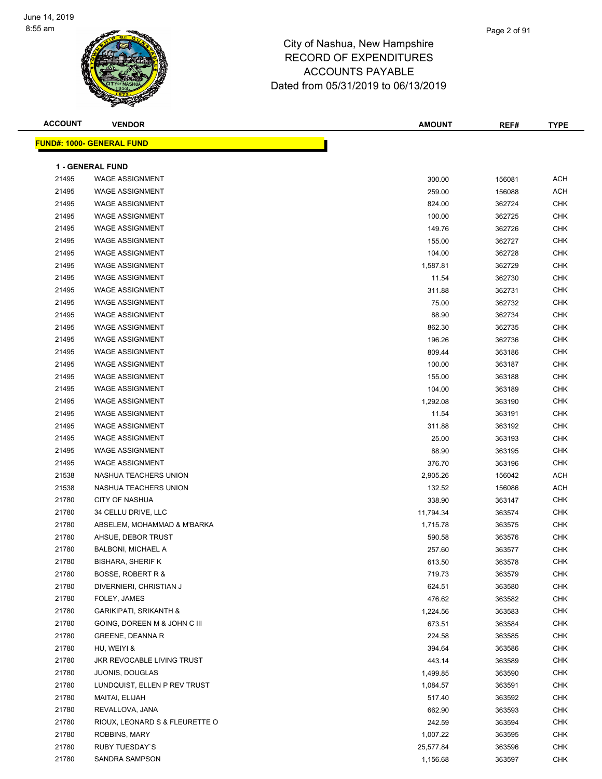

| <b>ACCOUNT</b> | <b>VENDOR</b>                                    | <b>AMOUNT</b>    | REF#             | <b>TYPE</b>       |
|----------------|--------------------------------------------------|------------------|------------------|-------------------|
|                | <b>FUND#: 1000- GENERAL FUND</b>                 |                  |                  |                   |
|                |                                                  |                  |                  |                   |
|                | <b>1 - GENERAL FUND</b>                          |                  |                  |                   |
| 21495          | <b>WAGE ASSIGNMENT</b>                           | 300.00           | 156081           | <b>ACH</b>        |
| 21495          | <b>WAGE ASSIGNMENT</b>                           | 259.00           | 156088           | <b>ACH</b>        |
| 21495          | <b>WAGE ASSIGNMENT</b>                           | 824.00           | 362724           | <b>CHK</b>        |
| 21495          | <b>WAGE ASSIGNMENT</b><br><b>WAGE ASSIGNMENT</b> | 100.00           | 362725           | <b>CHK</b>        |
| 21495          | <b>WAGE ASSIGNMENT</b>                           | 149.76           | 362726           | <b>CHK</b>        |
| 21495<br>21495 | <b>WAGE ASSIGNMENT</b>                           | 155.00<br>104.00 | 362727           | CHK<br><b>CHK</b> |
|                | <b>WAGE ASSIGNMENT</b>                           |                  | 362728           | <b>CHK</b>        |
| 21495<br>21495 | <b>WAGE ASSIGNMENT</b>                           | 1,587.81         | 362729           | <b>CHK</b>        |
| 21495          | <b>WAGE ASSIGNMENT</b>                           | 11.54            | 362730           | <b>CHK</b>        |
| 21495          | <b>WAGE ASSIGNMENT</b>                           | 311.88<br>75.00  | 362731           | CHK               |
| 21495          | <b>WAGE ASSIGNMENT</b>                           | 88.90            | 362732<br>362734 | <b>CHK</b>        |
| 21495          | <b>WAGE ASSIGNMENT</b>                           |                  |                  | <b>CHK</b>        |
| 21495          | <b>WAGE ASSIGNMENT</b>                           | 862.30<br>196.26 | 362735<br>362736 | <b>CHK</b>        |
| 21495          | <b>WAGE ASSIGNMENT</b>                           |                  |                  | <b>CHK</b>        |
| 21495          | <b>WAGE ASSIGNMENT</b>                           | 809.44<br>100.00 | 363186           | CHK               |
| 21495          | <b>WAGE ASSIGNMENT</b>                           | 155.00           | 363187<br>363188 | CHK               |
| 21495          | <b>WAGE ASSIGNMENT</b>                           | 104.00           | 363189           | <b>CHK</b>        |
| 21495          | <b>WAGE ASSIGNMENT</b>                           | 1,292.08         | 363190           | CHK               |
| 21495          | <b>WAGE ASSIGNMENT</b>                           | 11.54            | 363191           | <b>CHK</b>        |
| 21495          | <b>WAGE ASSIGNMENT</b>                           | 311.88           | 363192           | <b>CHK</b>        |
| 21495          | <b>WAGE ASSIGNMENT</b>                           | 25.00            | 363193           | <b>CHK</b>        |
| 21495          | <b>WAGE ASSIGNMENT</b>                           | 88.90            | 363195           | <b>CHK</b>        |
| 21495          | <b>WAGE ASSIGNMENT</b>                           | 376.70           | 363196           | <b>CHK</b>        |
| 21538          | NASHUA TEACHERS UNION                            | 2,905.26         | 156042           | <b>ACH</b>        |
| 21538          | NASHUA TEACHERS UNION                            | 132.52           | 156086           | <b>ACH</b>        |
| 21780          | <b>CITY OF NASHUA</b>                            | 338.90           | 363147           | CHK               |
| 21780          | 34 CELLU DRIVE, LLC                              | 11,794.34        | 363574           | CHK               |
| 21780          | ABSELEM, MOHAMMAD & M'BARKA                      | 1,715.78         | 363575           | <b>CHK</b>        |
| 21780          | AHSUE, DEBOR TRUST                               | 590.58           | 363576           | <b>CHK</b>        |
| 21780          | BALBONI, MICHAEL A                               | 257.60           | 363577           | <b>CHK</b>        |
| 21780          | <b>BISHARA, SHERIF K</b>                         | 613.50           | 363578           | <b>CHK</b>        |
| 21780          | <b>BOSSE, ROBERT R &amp;</b>                     | 719.73           | 363579           | <b>CHK</b>        |
| 21780          | DIVERNIERI, CHRISTIAN J                          | 624.51           | 363580           | <b>CHK</b>        |
| 21780          | FOLEY, JAMES                                     | 476.62           | 363582           | <b>CHK</b>        |
| 21780          | <b>GARIKIPATI, SRIKANTH &amp;</b>                | 1,224.56         | 363583           | <b>CHK</b>        |
| 21780          | GOING, DOREEN M & JOHN C III                     | 673.51           | 363584           | <b>CHK</b>        |
| 21780          | <b>GREENE, DEANNA R</b>                          | 224.58           | 363585           | CHK               |
| 21780          | HU, WEIYI &                                      | 394.64           | 363586           | CHK               |
| 21780          | JKR REVOCABLE LIVING TRUST                       | 443.14           | 363589           | CHK               |
| 21780          | <b>JUONIS, DOUGLAS</b>                           | 1,499.85         | 363590           | CHK               |
| 21780          | LUNDQUIST, ELLEN P REV TRUST                     | 1,084.57         | 363591           | <b>CHK</b>        |
| 21780          | MAITAI, ELIJAH                                   | 517.40           | 363592           | <b>CHK</b>        |
| 21780          | REVALLOVA, JANA                                  | 662.90           | 363593           | CHK               |
| 21780          | RIOUX, LEONARD S & FLEURETTE O                   | 242.59           | 363594           | CHK               |
| 21780          | ROBBINS, MARY                                    | 1,007.22         | 363595           | CHK               |
| 21780          | RUBY TUESDAY'S                                   | 25,577.84        | 363596           | CHK               |
| 21780          | SANDRA SAMPSON                                   | 1,156.68         | 363597           | <b>CHK</b>        |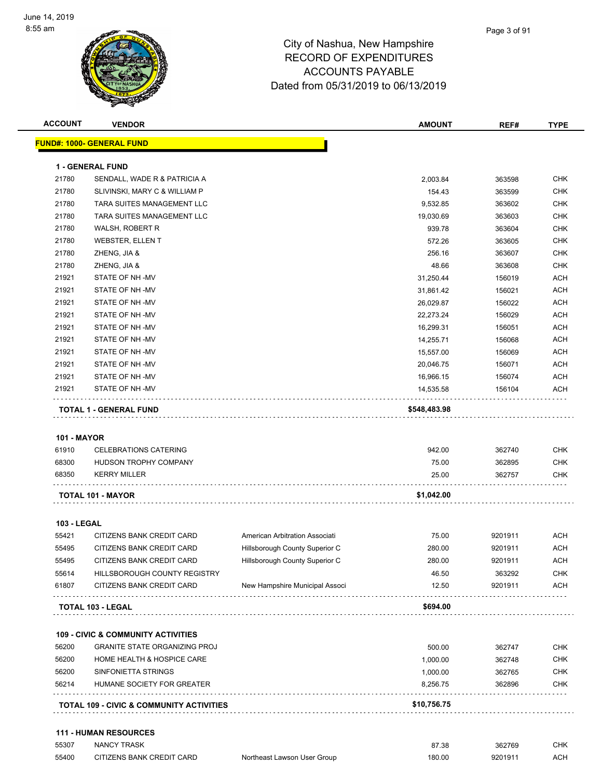

| <b>ACCOUNT</b>              | <b>VENDOR</b>                                       |                                | <b>AMOUNT</b> | REF#    | <b>TYPE</b> |
|-----------------------------|-----------------------------------------------------|--------------------------------|---------------|---------|-------------|
|                             | <b>FUND#: 1000- GENERAL FUND</b>                    |                                |               |         |             |
|                             | <b>1 - GENERAL FUND</b>                             |                                |               |         |             |
| 21780                       | SENDALL, WADE R & PATRICIA A                        |                                | 2,003.84      | 363598  | <b>CHK</b>  |
| 21780                       | SLIVINSKI, MARY C & WILLIAM P                       |                                | 154.43        | 363599  | <b>CHK</b>  |
| 21780                       | TARA SUITES MANAGEMENT LLC                          |                                | 9,532.85      | 363602  | <b>CHK</b>  |
| 21780                       | TARA SUITES MANAGEMENT LLC                          |                                | 19,030.69     | 363603  | <b>CHK</b>  |
| 21780                       | WALSH, ROBERT R                                     |                                | 939.78        | 363604  | <b>CHK</b>  |
| 21780                       | <b>WEBSTER, ELLEN T</b>                             |                                | 572.26        | 363605  | <b>CHK</b>  |
| 21780                       | ZHENG, JIA &                                        |                                | 256.16        | 363607  | <b>CHK</b>  |
| 21780                       | ZHENG, JIA &                                        |                                | 48.66         | 363608  | <b>CHK</b>  |
| 21921                       | STATE OF NH -MV                                     |                                | 31,250.44     | 156019  | <b>ACH</b>  |
| 21921                       | STATE OF NH-MV                                      |                                | 31,861.42     | 156021  | <b>ACH</b>  |
| 21921                       | STATE OF NH-MV                                      |                                | 26,029.87     | 156022  | <b>ACH</b>  |
| 21921                       | STATE OF NH-MV                                      |                                | 22,273.24     | 156029  | <b>ACH</b>  |
| 21921                       | STATE OF NH-MV                                      |                                | 16,299.31     | 156051  | <b>ACH</b>  |
| 21921                       | STATE OF NH-MV                                      |                                | 14,255.71     | 156068  | <b>ACH</b>  |
| 21921                       | STATE OF NH-MV                                      |                                | 15,557.00     | 156069  | <b>ACH</b>  |
| 21921                       | <b>STATE OF NH-MV</b>                               |                                | 20,046.75     | 156071  | ACH         |
| 21921                       | STATE OF NH-MV                                      |                                | 16,966.15     | 156074  | <b>ACH</b>  |
| 21921                       | STATE OF NH -MV                                     |                                | 14,535.58     | 156104  | <b>ACH</b>  |
|                             |                                                     |                                |               |         |             |
| <b>101 - MAYOR</b><br>61910 | <b>CELEBRATIONS CATERING</b>                        |                                | 942.00        | 362740  | <b>CHK</b>  |
| 68300                       | HUDSON TROPHY COMPANY                               |                                | 75.00         | 362895  | <b>CHK</b>  |
| 68350                       | <b>KERRY MILLER</b>                                 |                                | 25.00         | 362757  | CHK         |
|                             | <b>TOTAL 101 - MAYOR</b>                            |                                | \$1,042.00    |         |             |
| <b>103 - LEGAL</b>          |                                                     |                                |               |         |             |
| 55421                       | CITIZENS BANK CREDIT CARD                           | American Arbitration Associati | 75.00         | 9201911 | ACH         |
| 55495                       | CITIZENS BANK CREDIT CARD                           | Hillsborough County Superior C | 280.00        | 9201911 | ACH         |
| 55495                       | CITIZENS BANK CREDIT CARD                           | Hillsborough County Superior C | 280.00        | 9201911 | ACH         |
| 55614                       | HILLSBOROUGH COUNTY REGISTRY                        |                                | 46.50         | 363292  | <b>CHK</b>  |
| 61807                       | CITIZENS BANK CREDIT CARD                           | New Hampshire Municipal Associ | 12.50         | 9201911 | <b>ACH</b>  |
|                             | <b>TOTAL 103 - LEGAL</b>                            |                                | \$694.00      |         |             |
|                             |                                                     |                                |               |         |             |
|                             | <b>109 - CIVIC &amp; COMMUNITY ACTIVITIES</b>       |                                |               |         |             |
| 56200                       | <b>GRANITE STATE ORGANIZING PROJ</b>                |                                | 500.00        | 362747  | CHK         |
| 56200                       | HOME HEALTH & HOSPICE CARE                          |                                | 1,000.00      | 362748  | CHK         |
| 56200                       | SINFONIETTA STRINGS                                 |                                | 1,000.00      | 362765  | <b>CHK</b>  |
| 56214                       | HUMANE SOCIETY FOR GREATER                          |                                | 8,256.75      | 362896  | <b>CHK</b>  |
|                             | <b>TOTAL 109 - CIVIC &amp; COMMUNITY ACTIVITIES</b> |                                | \$10,756.75   |         |             |
|                             | <b>111 - HUMAN RESOURCES</b>                        |                                |               |         |             |
| 55307                       | <b>NANCY TRASK</b>                                  |                                | 87.38         | 362769  | CHK         |

| ວວວບກ | INAINU I TRAON            |                             | 87.J8  | 302709  | ∪⊓n |
|-------|---------------------------|-----------------------------|--------|---------|-----|
| 55400 | CITIZENS BANK CREDIT CARD | Northeast Lawson User Group | 180.00 | 9201911 | ACH |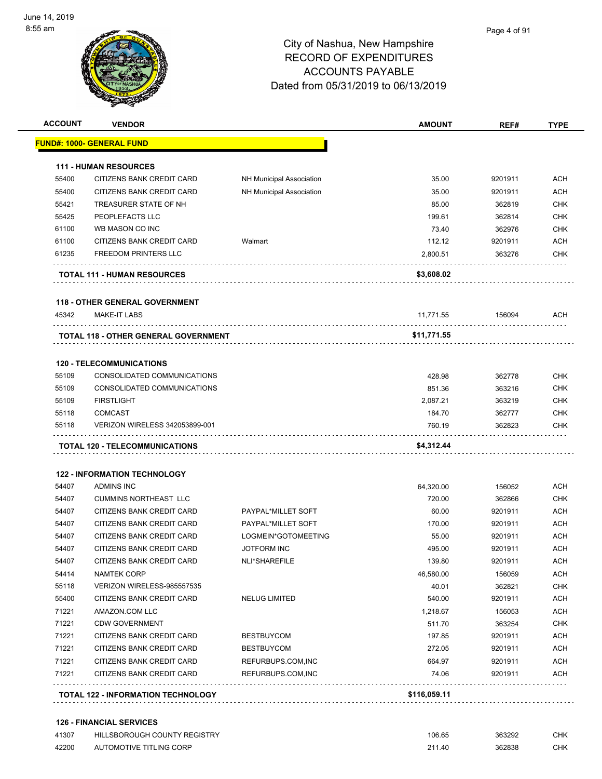

| <b>ACCOUNT</b> | <b>VENDOR</b>                               |                                 | <b>AMOUNT</b> | REF#    | <b>TYPE</b> |
|----------------|---------------------------------------------|---------------------------------|---------------|---------|-------------|
|                | <u> FUND#: 1000- GENERAL FUND</u>           |                                 |               |         |             |
|                | <b>111 - HUMAN RESOURCES</b>                |                                 |               |         |             |
| 55400          | CITIZENS BANK CREDIT CARD                   | NH Municipal Association        | 35.00         | 9201911 | ACH         |
| 55400          | CITIZENS BANK CREDIT CARD                   | <b>NH Municipal Association</b> | 35.00         | 9201911 | <b>ACH</b>  |
| 55421          | TREASURER STATE OF NH                       |                                 | 85.00         | 362819  | CHK         |
| 55425          | PEOPLEFACTS LLC                             |                                 | 199.61        | 362814  | <b>CHK</b>  |
| 61100          | WB MASON CO INC                             |                                 | 73.40         | 362976  | <b>CHK</b>  |
| 61100          | CITIZENS BANK CREDIT CARD                   | Walmart                         | 112.12        | 9201911 | <b>ACH</b>  |
| 61235          | <b>FREEDOM PRINTERS LLC</b>                 |                                 | 2,800.51      | 363276  | <b>CHK</b>  |
|                | <b>TOTAL 111 - HUMAN RESOURCES</b>          |                                 | \$3,608.02    |         |             |
|                | <b>118 - OTHER GENERAL GOVERNMENT</b>       |                                 |               |         |             |
| 45342          | <b>MAKE-IT LABS</b>                         |                                 | 11,771.55     | 156094  | ACH         |
|                | <b>TOTAL 118 - OTHER GENERAL GOVERNMENT</b> |                                 | \$11,771.55   |         |             |
|                | <b>120 - TELECOMMUNICATIONS</b>             |                                 |               |         |             |
| 55109          | CONSOLIDATED COMMUNICATIONS                 |                                 | 428.98        | 362778  | <b>CHK</b>  |
| 55109          | CONSOLIDATED COMMUNICATIONS                 |                                 | 851.36        | 363216  | CHK         |
| 55109          | <b>FIRSTLIGHT</b>                           |                                 | 2,087.21      | 363219  | <b>CHK</b>  |
| 55118          | <b>COMCAST</b>                              |                                 | 184.70        | 362777  | <b>CHK</b>  |
| 55118          | <b>VERIZON WIRELESS 342053899-001</b>       |                                 | 760.19        | 362823  | CHK         |
|                | TOTAL 120 - TELECOMMUNICATIONS              |                                 | \$4,312.44    |         |             |
|                | <b>122 - INFORMATION TECHNOLOGY</b>         |                                 |               |         |             |
| 54407          | <b>ADMINS INC</b>                           |                                 | 64,320.00     | 156052  | <b>ACH</b>  |
| 54407          | <b>CUMMINS NORTHEAST LLC</b>                |                                 | 720.00        | 362866  | <b>CHK</b>  |
| 54407          | CITIZENS BANK CREDIT CARD                   | PAYPAL*MILLET SOFT              | 60.00         | 9201911 | ACH         |
| 54407          | CITIZENS BANK CREDIT CARD                   | PAYPAL*MILLET SOFT              | 170.00        | 9201911 | <b>ACH</b>  |
| 54407          | CITIZENS BANK CREDIT CARD                   | LOGMEIN*GOTOMEETING             | 55.00         | 9201911 | ACH         |
| 54407          | CITIZENS BANK CREDIT CARD                   | <b>JOTFORM INC</b>              | 495.00        | 9201911 | <b>ACH</b>  |
| 54407          | CITIZENS BANK CREDIT CARD                   | NLI*SHAREFILE                   | 139.80        | 9201911 | <b>ACH</b>  |
| 54414          | NAMTEK CORP                                 |                                 | 46,580.00     | 156059  | ACH         |
| 55118          | VERIZON WIRELESS-985557535                  |                                 | 40.01         | 362821  | CHK         |
| 55400          | CITIZENS BANK CREDIT CARD                   | NELUG LIMITED                   | 540.00        | 9201911 | ACH         |
| 71221          | AMAZON.COM LLC                              |                                 | 1,218.67      | 156053  | ACH         |
| 71221          | <b>CDW GOVERNMENT</b>                       |                                 | 511.70        | 363254  | CHK         |
| 71221          | CITIZENS BANK CREDIT CARD                   | <b>BESTBUYCOM</b>               | 197.85        | 9201911 | ACH         |
| 71221          | CITIZENS BANK CREDIT CARD                   | <b>BESTBUYCOM</b>               | 272.05        | 9201911 | <b>ACH</b>  |
| 71221          | CITIZENS BANK CREDIT CARD                   | REFURBUPS.COM, INC              | 664.97        | 9201911 | <b>ACH</b>  |
| 71221          | CITIZENS BANK CREDIT CARD                   | REFURBUPS.COM, INC              | 74.06         | 9201911 | <b>ACH</b>  |
|                | <b>TOTAL 122 - INFORMATION TECHNOLOGY</b>   |                                 | \$116,059.11  |         |             |

#### **126 - FINANCIAL SERVICES**

| 41307 | HILLSBOROUGH COUNTY REGISTRY | 106.65 | 363292 | СНК |
|-------|------------------------------|--------|--------|-----|
| 42200 | AUTOMOTIVE TITLING CORP      | 211.40 | 362838 | СНК |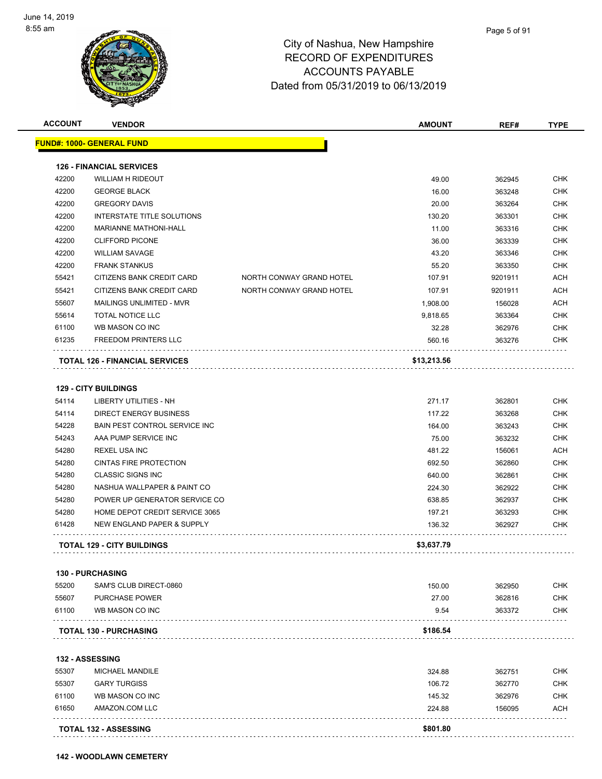

| <b>ACCOUNT</b> | <b>VENDOR</b>                         |                          | <b>AMOUNT</b> | REF#    | <b>TYPE</b> |
|----------------|---------------------------------------|--------------------------|---------------|---------|-------------|
|                | <u> FUND#: 1000- GENERAL FUND</u>     |                          |               |         |             |
|                | <b>126 - FINANCIAL SERVICES</b>       |                          |               |         |             |
| 42200          | <b>WILLIAM H RIDEOUT</b>              |                          | 49.00         | 362945  | <b>CHK</b>  |
| 42200          | <b>GEORGE BLACK</b>                   |                          | 16.00         | 363248  | <b>CHK</b>  |
| 42200          | <b>GREGORY DAVIS</b>                  |                          | 20.00         | 363264  | CHK         |
| 42200          | INTERSTATE TITLE SOLUTIONS            |                          | 130.20        | 363301  | <b>CHK</b>  |
| 42200          | <b>MARIANNE MATHONI-HALL</b>          |                          | 11.00         | 363316  | <b>CHK</b>  |
| 42200          | <b>CLIFFORD PICONE</b>                |                          | 36.00         | 363339  | <b>CHK</b>  |
| 42200          | <b>WILLIAM SAVAGE</b>                 |                          | 43.20         | 363346  | <b>CHK</b>  |
| 42200          | <b>FRANK STANKUS</b>                  |                          | 55.20         | 363350  | <b>CHK</b>  |
| 55421          | CITIZENS BANK CREDIT CARD             | NORTH CONWAY GRAND HOTEL | 107.91        | 9201911 | <b>ACH</b>  |
| 55421          | CITIZENS BANK CREDIT CARD             | NORTH CONWAY GRAND HOTEL | 107.91        | 9201911 | <b>ACH</b>  |
| 55607          | MAILINGS UNLIMITED - MVR              |                          | 1,908.00      | 156028  | <b>ACH</b>  |
| 55614          | <b>TOTAL NOTICE LLC</b>               |                          | 9,818.65      | 363364  | <b>CHK</b>  |
| 61100          | WB MASON CO INC                       |                          | 32.28         | 362976  | CHK         |
| 61235          | <b>FREEDOM PRINTERS LLC</b>           |                          | 560.16        | 363276  | CHK         |
|                | <b>TOTAL 126 - FINANCIAL SERVICES</b> |                          | \$13,213.56   |         |             |
|                |                                       |                          |               |         |             |
|                | <b>129 - CITY BUILDINGS</b>           |                          |               |         |             |
| 54114          | <b>LIBERTY UTILITIES - NH</b>         |                          | 271.17        | 362801  | <b>CHK</b>  |
| 54114          | <b>DIRECT ENERGY BUSINESS</b>         |                          | 117.22        | 363268  | <b>CHK</b>  |
| 54228          | BAIN PEST CONTROL SERVICE INC         |                          | 164.00        | 363243  | <b>CHK</b>  |
| 54243          | AAA PUMP SERVICE INC                  |                          | 75.00         | 363232  | CHK         |
| 54280          | <b>REXEL USA INC</b>                  |                          | 481.22        | 156061  | <b>ACH</b>  |
| 54280          | <b>CINTAS FIRE PROTECTION</b>         |                          | 692.50        | 362860  | <b>CHK</b>  |
| 54280          | <b>CLASSIC SIGNS INC</b>              |                          | 640.00        | 362861  | <b>CHK</b>  |
| 54280          | NASHUA WALLPAPER & PAINT CO           |                          | 224.30        | 362922  | <b>CHK</b>  |
| 54280          | POWER UP GENERATOR SERVICE CO         |                          | 638.85        | 362937  | CHK         |
| 54280          | HOME DEPOT CREDIT SERVICE 3065        |                          | 197.21        | 363293  | CHK         |
| 61428          | <b>NEW ENGLAND PAPER &amp; SUPPLY</b> |                          | 136.32        | 362927  | CHK         |
|                | <b>TOTAL 129 - CITY BUILDINGS</b>     |                          | \$3,637.79    |         |             |
|                | <b>130 - PURCHASING</b>               |                          |               |         |             |
| 55200          | SAM'S CLUB DIRECT-0860                |                          | 150.00        | 362950  | CHK         |
| 55607          | <b>PURCHASE POWER</b>                 |                          | 27.00         | 362816  | CHK         |
| 61100          | WB MASON CO INC                       |                          | 9.54          | 363372  | CHK         |
|                | <b>TOTAL 130 - PURCHASING</b>         |                          | \$186.54      |         |             |
|                | <b>132 - ASSESSING</b>                |                          |               |         |             |
| 55307          | <b>MICHAEL MANDILE</b>                |                          | 324.88        | 362751  | CHK         |
| 55307          | <b>GARY TURGISS</b>                   |                          | 106.72        | 362770  | CHK         |
| 61100          | WB MASON CO INC                       |                          | 145.32        | 362976  | CHK         |
| 61650          | AMAZON.COM LLC                        |                          | 224.88        | 156095  | ACH         |
|                |                                       |                          |               |         |             |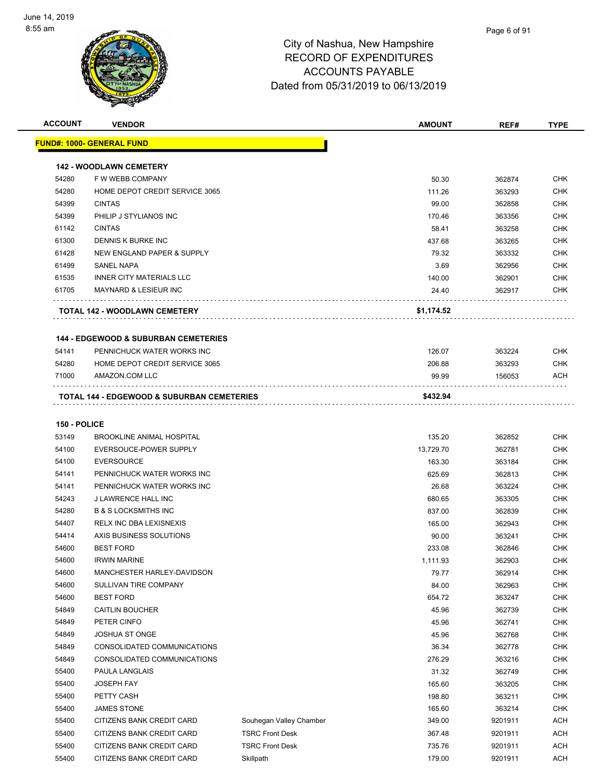

| <b>ACCOUNT</b>      | <b>VENDOR</b>                                         |                         | <b>AMOUNT</b>  | REF#             | <b>TYPE</b>              |
|---------------------|-------------------------------------------------------|-------------------------|----------------|------------------|--------------------------|
|                     | <u> FUND#: 1000- GENERAL FUND</u>                     |                         |                |                  |                          |
|                     | <b>142 - WOODLAWN CEMETERY</b>                        |                         |                |                  |                          |
| 54280               | F W WEBB COMPANY                                      |                         | 50.30          | 362874           | CHK                      |
| 54280               | HOME DEPOT CREDIT SERVICE 3065                        |                         | 111.26         | 363293           | <b>CHK</b>               |
| 54399               | <b>CINTAS</b>                                         |                         | 99.00          | 362858           | <b>CHK</b>               |
| 54399               | PHILIP J STYLIANOS INC                                |                         | 170.46         | 363356           | <b>CHK</b>               |
| 61142               | <b>CINTAS</b>                                         |                         | 58.41          | 363258           | <b>CHK</b>               |
| 61300               | DENNIS K BURKE INC                                    |                         | 437.68         | 363265           | <b>CHK</b>               |
| 61428               | NEW ENGLAND PAPER & SUPPLY                            |                         | 79.32          | 363332           | <b>CHK</b>               |
| 61499               | <b>SANEL NAPA</b>                                     |                         | 3.69           | 362956           | <b>CHK</b>               |
| 61535               | <b>INNER CITY MATERIALS LLC</b>                       |                         | 140.00         | 362901           | <b>CHK</b>               |
| 61705               | <b>MAYNARD &amp; LESIEUR INC</b>                      |                         | 24.40          | 362917           | <b>CHK</b>               |
|                     | TOTAL 142 - WOODLAWN CEMETERY                         |                         | \$1,174.52     |                  |                          |
|                     |                                                       |                         |                |                  |                          |
|                     | <b>144 - EDGEWOOD &amp; SUBURBAN CEMETERIES</b>       |                         |                |                  |                          |
| 54141               | PENNICHUCK WATER WORKS INC                            |                         | 126.07         | 363224           | <b>CHK</b>               |
| 54280               | HOME DEPOT CREDIT SERVICE 3065                        |                         | 206.88         | 363293           | <b>CHK</b>               |
| 71000               | AMAZON.COM LLC                                        |                         | 99.99          | 156053           | <b>ACH</b>               |
|                     | <b>TOTAL 144 - EDGEWOOD &amp; SUBURBAN CEMETERIES</b> |                         | \$432.94       |                  |                          |
|                     |                                                       |                         |                |                  |                          |
| <b>150 - POLICE</b> |                                                       |                         |                |                  |                          |
| 53149               | <b>BROOKLINE ANIMAL HOSPITAL</b>                      |                         | 135.20         | 362852           | <b>CHK</b>               |
| 54100               | EVERSOUCE-POWER SUPPLY                                |                         | 13,729.70      | 362781           | <b>CHK</b>               |
| 54100               | <b>EVERSOURCE</b>                                     |                         | 163.30         | 363184           | <b>CHK</b>               |
| 54141               | PENNICHUCK WATER WORKS INC                            |                         | 625.69         | 362813           | <b>CHK</b>               |
| 54141               | PENNICHUCK WATER WORKS INC                            |                         | 26.68          | 363224           | CHK                      |
| 54243               | J LAWRENCE HALL INC                                   |                         | 680.65         | 363305           | <b>CHK</b>               |
| 54280               | <b>B &amp; S LOCKSMITHS INC</b>                       |                         | 837.00         | 362839           | <b>CHK</b>               |
| 54407               | <b>RELX INC DBA LEXISNEXIS</b>                        |                         | 165.00         | 362943           | <b>CHK</b>               |
| 54414               | AXIS BUSINESS SOLUTIONS                               |                         | 90.00          | 363241           | <b>CHK</b>               |
| 54600               | <b>BEST FORD</b>                                      |                         | 233.08         | 362846           | CHK                      |
| 54600               | <b>IRWIN MARINE</b>                                   |                         | 1,111.93       | 362903           | <b>CHK</b>               |
| 54600               | MANCHESTER HARLEY-DAVIDSON                            |                         | 79.77          | 362914           | <b>CHK</b>               |
| 54600               | SULLIVAN TIRE COMPANY                                 |                         | 84.00          | 362963           | <b>CHK</b>               |
| 54600               | <b>BEST FORD</b>                                      |                         | 654.72         | 363247           | <b>CHK</b>               |
| 54849               | <b>CAITLIN BOUCHER</b>                                |                         | 45.96          | 362739           | <b>CHK</b>               |
| 54849<br>54849      | PETER CINFO<br><b>JOSHUA ST ONGE</b>                  |                         | 45.96<br>45.96 | 362741<br>362768 | <b>CHK</b><br><b>CHK</b> |
| 54849               | CONSOLIDATED COMMUNICATIONS                           |                         | 36.34          |                  | <b>CHK</b>               |
| 54849               | CONSOLIDATED COMMUNICATIONS                           |                         | 276.29         | 362778<br>363216 | <b>CHK</b>               |
| 55400               | PAULA LANGLAIS                                        |                         | 31.32          | 362749           | <b>CHK</b>               |
| 55400               | <b>JOSEPH FAY</b>                                     |                         | 165.60         | 363205           | <b>CHK</b>               |
| 55400               | PETTY CASH                                            |                         | 198.80         | 363211           | <b>CHK</b>               |
| 55400               | <b>JAMES STONE</b>                                    |                         | 165.60         | 363214           | <b>CHK</b>               |
| 55400               | CITIZENS BANK CREDIT CARD                             | Souhegan Valley Chamber | 349.00         | 9201911          | <b>ACH</b>               |
| 55400               | CITIZENS BANK CREDIT CARD                             | <b>TSRC Front Desk</b>  | 367.48         | 9201911          | <b>ACH</b>               |
| 55400               | CITIZENS BANK CREDIT CARD                             | <b>TSRC Front Desk</b>  | 735.76         | 9201911          | <b>ACH</b>               |
| 55400               | CITIZENS BANK CREDIT CARD                             | Skillpath               | 179.00         | 9201911          | <b>ACH</b>               |
|                     |                                                       |                         |                |                  |                          |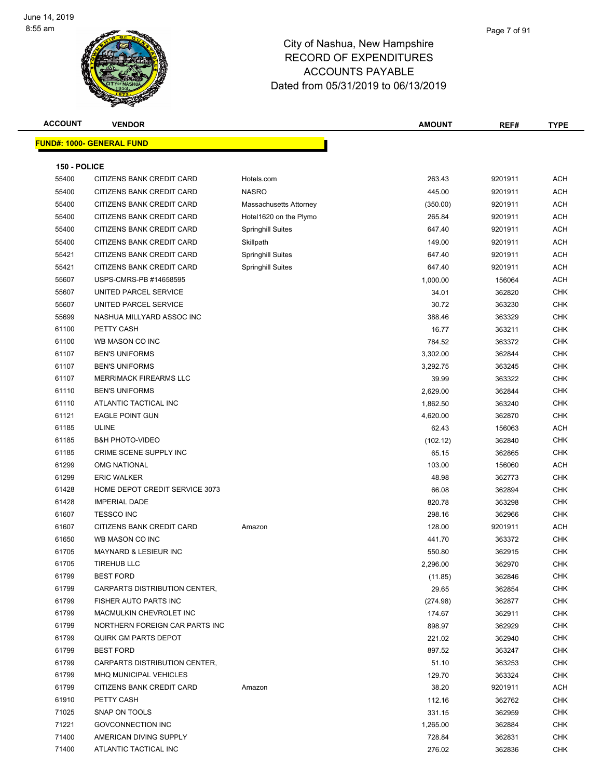

| <b>ACCOUNT</b> | <b>VENDOR</b>                    |                          | <b>AMOUNT</b> | REF#    | <b>TYPE</b> |
|----------------|----------------------------------|--------------------------|---------------|---------|-------------|
|                | <b>FUND#: 1000- GENERAL FUND</b> |                          |               |         |             |
|                |                                  |                          |               |         |             |
| 150 - POLICE   |                                  |                          |               |         |             |
| 55400          | CITIZENS BANK CREDIT CARD        | Hotels.com               | 263.43        | 9201911 | <b>ACH</b>  |
| 55400          | <b>CITIZENS BANK CREDIT CARD</b> | <b>NASRO</b>             | 445.00        | 9201911 | <b>ACH</b>  |
| 55400          | CITIZENS BANK CREDIT CARD        | Massachusetts Attorney   | (350.00)      | 9201911 | <b>ACH</b>  |
| 55400          | CITIZENS BANK CREDIT CARD        | Hotel1620 on the Plymo   | 265.84        | 9201911 | <b>ACH</b>  |
| 55400          | CITIZENS BANK CREDIT CARD        | <b>Springhill Suites</b> | 647.40        | 9201911 | <b>ACH</b>  |
| 55400          | <b>CITIZENS BANK CREDIT CARD</b> | Skillpath                | 149.00        | 9201911 | <b>ACH</b>  |
| 55421          | CITIZENS BANK CREDIT CARD        | <b>Springhill Suites</b> | 647.40        | 9201911 | <b>ACH</b>  |
| 55421          | CITIZENS BANK CREDIT CARD        | <b>Springhill Suites</b> | 647.40        | 9201911 | <b>ACH</b>  |
| 55607          | USPS-CMRS-PB #14658595           |                          | 1,000.00      | 156064  | <b>ACH</b>  |
| 55607          | UNITED PARCEL SERVICE            |                          | 34.01         | 362820  | CHK         |
| 55607          | UNITED PARCEL SERVICE            |                          | 30.72         | 363230  | CHK         |
| 55699          | NASHUA MILLYARD ASSOC INC        |                          | 388.46        | 363329  | <b>CHK</b>  |
| 61100          | PETTY CASH                       |                          | 16.77         | 363211  | <b>CHK</b>  |
| 61100          | WB MASON CO INC                  |                          | 784.52        | 363372  | <b>CHK</b>  |
| 61107          | <b>BEN'S UNIFORMS</b>            |                          | 3,302.00      | 362844  | <b>CHK</b>  |
| 61107          | <b>BEN'S UNIFORMS</b>            |                          | 3,292.75      | 363245  | <b>CHK</b>  |
| 61107          | <b>MERRIMACK FIREARMS LLC</b>    |                          | 39.99         | 363322  | <b>CHK</b>  |
| 61110          | <b>BEN'S UNIFORMS</b>            |                          | 2,629.00      | 362844  | <b>CHK</b>  |
| 61110          | ATLANTIC TACTICAL INC            |                          | 1,862.50      | 363240  | <b>CHK</b>  |
| 61121          | <b>EAGLE POINT GUN</b>           |                          | 4,620.00      | 362870  | <b>CHK</b>  |
| 61185          | <b>ULINE</b>                     |                          | 62.43         | 156063  | <b>ACH</b>  |
| 61185          | <b>B&amp;H PHOTO-VIDEO</b>       |                          | (102.12)      | 362840  | <b>CHK</b>  |
| 61185          | CRIME SCENE SUPPLY INC           |                          | 65.15         | 362865  | <b>CHK</b>  |
| 61299          | <b>OMG NATIONAL</b>              |                          | 103.00        | 156060  | <b>ACH</b>  |
| 61299          | <b>ERIC WALKER</b>               |                          | 48.98         | 362773  | <b>CHK</b>  |
| 61428          | HOME DEPOT CREDIT SERVICE 3073   |                          | 66.08         | 362894  | <b>CHK</b>  |
| 61428          | <b>IMPERIAL DADE</b>             |                          | 820.78        | 363298  | <b>CHK</b>  |
| 61607          | <b>TESSCO INC</b>                |                          | 298.16        | 362966  | <b>CHK</b>  |
| 61607          | CITIZENS BANK CREDIT CARD        | Amazon                   | 128.00        | 9201911 | <b>ACH</b>  |
| 61650          | WB MASON CO INC                  |                          | 441.70        | 363372  | <b>CHK</b>  |
| 61705          | <b>MAYNARD &amp; LESIEUR INC</b> |                          | 550.80        | 362915  | <b>CHK</b>  |
| 61705          | <b>TIREHUB LLC</b>               |                          | 2,296.00      | 362970  | CHK         |
| 61799          | <b>BEST FORD</b>                 |                          | (11.85)       | 362846  | <b>CHK</b>  |
| 61799          | CARPARTS DISTRIBUTION CENTER,    |                          | 29.65         | 362854  | <b>CHK</b>  |
| 61799          | FISHER AUTO PARTS INC            |                          | (274.98)      | 362877  | <b>CHK</b>  |
| 61799          | MACMULKIN CHEVROLET INC          |                          | 174.67        | 362911  | <b>CHK</b>  |
| 61799          | NORTHERN FOREIGN CAR PARTS INC   |                          | 898.97        | 362929  | <b>CHK</b>  |
| 61799          | QUIRK GM PARTS DEPOT             |                          | 221.02        | 362940  | <b>CHK</b>  |
| 61799          | <b>BEST FORD</b>                 |                          | 897.52        | 363247  | <b>CHK</b>  |
| 61799          | CARPARTS DISTRIBUTION CENTER,    |                          | 51.10         | 363253  | <b>CHK</b>  |
| 61799          | MHQ MUNICIPAL VEHICLES           |                          | 129.70        | 363324  | <b>CHK</b>  |
| 61799          | CITIZENS BANK CREDIT CARD        | Amazon                   | 38.20         | 9201911 | <b>ACH</b>  |
| 61910          | PETTY CASH                       |                          | 112.16        | 362762  | <b>CHK</b>  |
| 71025          | SNAP ON TOOLS                    |                          | 331.15        | 362959  | <b>CHK</b>  |
| 71221          | <b>GOVCONNECTION INC</b>         |                          | 1,265.00      | 362884  | <b>CHK</b>  |
| 71400          | AMERICAN DIVING SUPPLY           |                          | 728.84        | 362831  | <b>CHK</b>  |
| 71400          | ATLANTIC TACTICAL INC            |                          | 276.02        | 362836  | <b>CHK</b>  |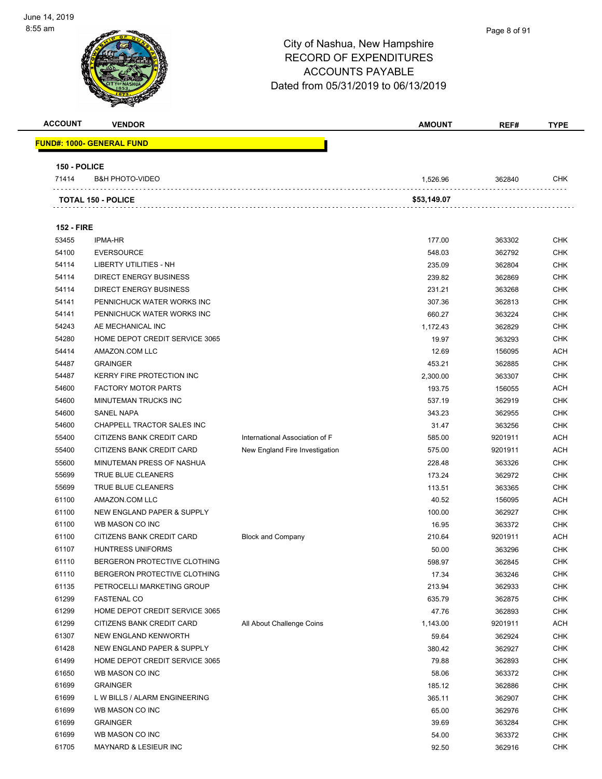

#### Page 8 of 91

| <b>ACCOUNT</b>    | <b>VENDOR</b>                                               |                                | <b>AMOUNT</b>    | REF#             | <b>TYPE</b>              |
|-------------------|-------------------------------------------------------------|--------------------------------|------------------|------------------|--------------------------|
|                   | <b>FUND#: 1000- GENERAL FUND</b>                            |                                |                  |                  |                          |
|                   |                                                             |                                |                  |                  |                          |
| 150 - POLICE      |                                                             |                                |                  |                  |                          |
| 71414             | <b>B&amp;H PHOTO-VIDEO</b>                                  |                                | 1,526.96         | 362840           | CHK                      |
|                   |                                                             |                                |                  |                  |                          |
|                   | <b>TOTAL 150 - POLICE</b>                                   |                                | \$53,149.07      |                  |                          |
|                   |                                                             |                                |                  |                  |                          |
| <b>152 - FIRE</b> |                                                             |                                |                  |                  |                          |
| 53455             | <b>IPMA-HR</b>                                              |                                | 177.00           | 363302           | <b>CHK</b>               |
| 54100             | <b>EVERSOURCE</b>                                           |                                | 548.03           | 362792           | <b>CHK</b>               |
| 54114             | LIBERTY UTILITIES - NH                                      |                                | 235.09           | 362804           | <b>CHK</b>               |
| 54114             | <b>DIRECT ENERGY BUSINESS</b>                               |                                | 239.82           | 362869           | <b>CHK</b>               |
| 54114<br>54141    | <b>DIRECT ENERGY BUSINESS</b><br>PENNICHUCK WATER WORKS INC |                                | 231.21           | 363268           | <b>CHK</b>               |
| 54141             | PENNICHUCK WATER WORKS INC                                  |                                | 307.36<br>660.27 | 362813           | <b>CHK</b><br><b>CHK</b> |
| 54243             | AE MECHANICAL INC                                           |                                | 1,172.43         | 363224<br>362829 | <b>CHK</b>               |
| 54280             | HOME DEPOT CREDIT SERVICE 3065                              |                                | 19.97            | 363293           | <b>CHK</b>               |
| 54414             | AMAZON.COM LLC                                              |                                | 12.69            | 156095           | <b>ACH</b>               |
| 54487             | <b>GRAINGER</b>                                             |                                | 453.21           | 362885           | <b>CHK</b>               |
| 54487             | KERRY FIRE PROTECTION INC                                   |                                | 2,300.00         | 363307           | <b>CHK</b>               |
| 54600             | <b>FACTORY MOTOR PARTS</b>                                  |                                | 193.75           | 156055           | <b>ACH</b>               |
| 54600             | <b>MINUTEMAN TRUCKS INC</b>                                 |                                | 537.19           | 362919           | <b>CHK</b>               |
| 54600             | <b>SANEL NAPA</b>                                           |                                | 343.23           | 362955           | <b>CHK</b>               |
| 54600             | CHAPPELL TRACTOR SALES INC                                  |                                | 31.47            | 363256           | <b>CHK</b>               |
| 55400             | CITIZENS BANK CREDIT CARD                                   | International Association of F | 585.00           | 9201911          | <b>ACH</b>               |
| 55400             | CITIZENS BANK CREDIT CARD                                   | New England Fire Investigation | 575.00           | 9201911          | <b>ACH</b>               |
| 55600             | MINUTEMAN PRESS OF NASHUA                                   |                                | 228.48           | 363326           | <b>CHK</b>               |
| 55699             | TRUE BLUE CLEANERS                                          |                                | 173.24           | 362972           | <b>CHK</b>               |
| 55699             | TRUE BLUE CLEANERS                                          |                                | 113.51           | 363365           | <b>CHK</b>               |
| 61100             | AMAZON.COM LLC                                              |                                | 40.52            | 156095           | <b>ACH</b>               |
| 61100             | NEW ENGLAND PAPER & SUPPLY                                  |                                | 100.00           | 362927           | <b>CHK</b>               |
| 61100             | WB MASON CO INC                                             |                                | 16.95            | 363372           | <b>CHK</b>               |
| 61100             | CITIZENS BANK CREDIT CARD                                   | <b>Block and Company</b>       | 210.64           | 9201911          | <b>ACH</b>               |
| 61107             | <b>HUNTRESS UNIFORMS</b>                                    |                                | 50.00            | 363296           | <b>CHK</b>               |
| 61110             | BERGERON PROTECTIVE CLOTHING                                |                                | 598.97           | 362845           | CHK                      |
| 61110             | BERGERON PROTECTIVE CLOTHING                                |                                | 17.34            | 363246           | <b>CHK</b>               |
| 61135             | PETROCELLI MARKETING GROUP                                  |                                | 213.94           | 362933           | <b>CHK</b>               |
| 61299             | <b>FASTENAL CO</b>                                          |                                | 635.79           | 362875           | <b>CHK</b>               |
| 61299             | HOME DEPOT CREDIT SERVICE 3065                              |                                | 47.76            | 362893           | <b>CHK</b>               |
| 61299             | CITIZENS BANK CREDIT CARD                                   | All About Challenge Coins      | 1,143.00         | 9201911          | <b>ACH</b>               |
| 61307             | NEW ENGLAND KENWORTH                                        |                                | 59.64            | 362924           | <b>CHK</b>               |
| 61428             | NEW ENGLAND PAPER & SUPPLY                                  |                                | 380.42           | 362927           | <b>CHK</b>               |
| 61499             | HOME DEPOT CREDIT SERVICE 3065                              |                                | 79.88            | 362893           | <b>CHK</b>               |
| 61650             | WB MASON CO INC                                             |                                | 58.06            | 363372           | <b>CHK</b>               |
| 61699             | <b>GRAINGER</b>                                             |                                | 185.12           | 362886           | <b>CHK</b>               |
| 61699             | L W BILLS / ALARM ENGINEERING                               |                                | 365.11           | 362907           | <b>CHK</b>               |
| 61699             | WB MASON CO INC                                             |                                | 65.00            | 362976           | <b>CHK</b>               |
| 61699             | <b>GRAINGER</b>                                             |                                | 39.69            | 363284           | <b>CHK</b>               |
| 61699             | WB MASON CO INC                                             |                                | 54.00            | 363372           | <b>CHK</b>               |
| 61705             | MAYNARD & LESIEUR INC                                       |                                | 92.50            | 362916           | <b>CHK</b>               |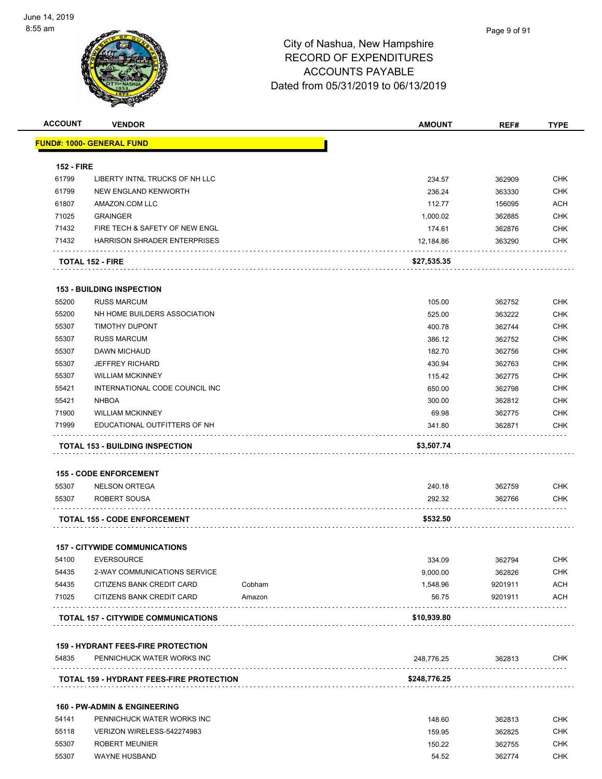

| <b>ACCOUNT</b>    | <b>VENDOR</b>                                                         |        | <b>AMOUNT</b> | REF#    | <b>TYPE</b> |
|-------------------|-----------------------------------------------------------------------|--------|---------------|---------|-------------|
|                   | <b>FUND#: 1000- GENERAL FUND</b>                                      |        |               |         |             |
|                   |                                                                       |        |               |         |             |
| <b>152 - FIRE</b> |                                                                       |        |               |         |             |
| 61799             | LIBERTY INTNL TRUCKS OF NH LLC                                        |        | 234.57        | 362909  | <b>CHK</b>  |
| 61799             | NEW ENGLAND KENWORTH                                                  |        | 236.24        | 363330  | <b>CHK</b>  |
| 61807             | AMAZON.COM LLC                                                        |        | 112.77        | 156095  | <b>ACH</b>  |
| 71025             | <b>GRAINGER</b>                                                       |        | 1,000.02      | 362885  | <b>CHK</b>  |
| 71432             | FIRE TECH & SAFETY OF NEW ENGL                                        |        | 174.61        | 362876  | <b>CHK</b>  |
| 71432             | <b>HARRISON SHRADER ENTERPRISES</b>                                   |        | 12,184.86     | 363290  | <b>CHK</b>  |
|                   | <b>TOTAL 152 - FIRE</b>                                               |        | \$27,535.35   |         |             |
|                   | <b>153 - BUILDING INSPECTION</b>                                      |        |               |         |             |
| 55200             | <b>RUSS MARCUM</b>                                                    |        | 105.00        | 362752  | <b>CHK</b>  |
| 55200             | NH HOME BUILDERS ASSOCIATION                                          |        | 525.00        | 363222  | <b>CHK</b>  |
| 55307             | <b>TIMOTHY DUPONT</b>                                                 |        | 400.78        | 362744  | <b>CHK</b>  |
| 55307             | <b>RUSS MARCUM</b>                                                    |        | 386.12        | 362752  | <b>CHK</b>  |
| 55307             | DAWN MICHAUD                                                          |        |               |         | <b>CHK</b>  |
|                   |                                                                       |        | 182.70        | 362756  |             |
| 55307             | <b>JEFFREY RICHARD</b>                                                |        | 430.94        | 362763  | <b>CHK</b>  |
| 55307             | <b>WILLIAM MCKINNEY</b>                                               |        | 115.42        | 362775  | <b>CHK</b>  |
| 55421             | INTERNATIONAL CODE COUNCIL INC                                        |        | 650.00        | 362798  | <b>CHK</b>  |
| 55421             | <b>NHBOA</b>                                                          |        | 300.00        | 362812  | <b>CHK</b>  |
| 71900             | <b>WILLIAM MCKINNEY</b>                                               |        | 69.98         | 362775  | <b>CHK</b>  |
| 71999             | EDUCATIONAL OUTFITTERS OF NH                                          |        | 341.80        | 362871  | CHK         |
|                   | <b>TOTAL 153 - BUILDING INSPECTION</b>                                |        | \$3,507.74    |         |             |
|                   | <b>155 - CODE ENFORCEMENT</b>                                         |        |               |         |             |
| 55307             | <b>NELSON ORTEGA</b>                                                  |        | 240.18        | 362759  | <b>CHK</b>  |
| 55307             | <b>ROBERT SOUSA</b>                                                   |        | 292.32        | 362766  | <b>CHK</b>  |
|                   |                                                                       |        |               |         |             |
|                   | <b>TOTAL 155 - CODE ENFORCEMENT</b>                                   |        | \$532.50      |         |             |
|                   | <b>157 - CITYWIDE COMMUNICATIONS</b>                                  |        |               |         |             |
| 54100             | <b>EVERSOURCE</b>                                                     |        | 334.09        | 362794  | <b>CHK</b>  |
| 54435             | 2-WAY COMMUNICATIONS SERVICE                                          |        | 9,000.00      | 362826  | <b>CHK</b>  |
| 54435             | CITIZENS BANK CREDIT CARD                                             | Cobham | 1,548.96      | 9201911 | <b>ACH</b>  |
| 71025             | CITIZENS BANK CREDIT CARD                                             | Amazon | 56.75         | 9201911 | <b>ACH</b>  |
|                   | TOTAL 157 - CITYWIDE COMMUNICATIONS                                   |        | \$10,939.80   |         |             |
|                   | <b>159 - HYDRANT FEES-FIRE PROTECTION</b>                             |        |               |         |             |
| 54835             | PENNICHUCK WATER WORKS INC                                            |        | 248,776.25    | 362813  | <b>CHK</b>  |
|                   | <b>TOTAL 159 - HYDRANT FEES-FIRE PROTECTION</b>                       |        | \$248,776.25  |         |             |
|                   |                                                                       |        |               |         |             |
| 54141             | <b>160 - PW-ADMIN &amp; ENGINEERING</b><br>PENNICHUCK WATER WORKS INC |        | 148.60        | 362813  | <b>CHK</b>  |
|                   |                                                                       |        |               |         |             |
| 55118             | VERIZON WIRELESS-542274983                                            |        | 159.95        | 362825  | <b>CHK</b>  |
| 55307             | <b>ROBERT MEUNIER</b>                                                 |        | 150.22        | 362755  | <b>CHK</b>  |
| 55307             | <b>WAYNE HUSBAND</b>                                                  |        | 54.52         | 362774  | <b>CHK</b>  |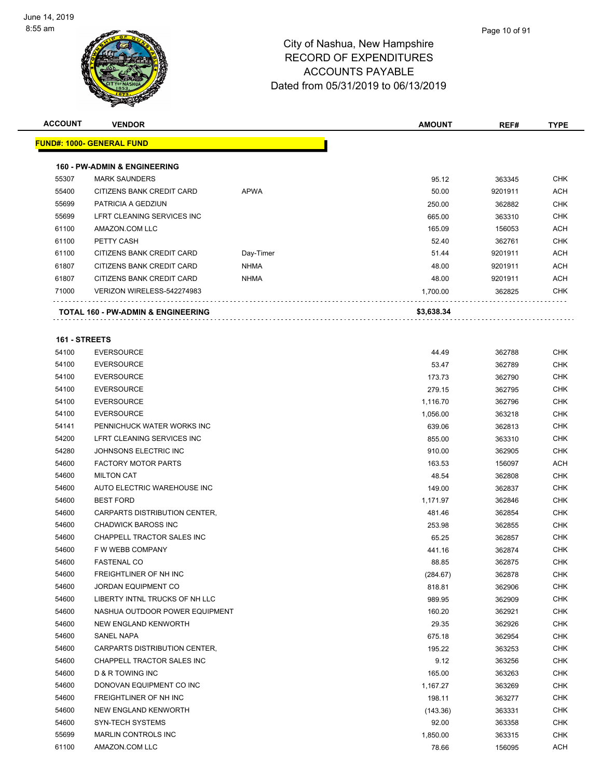

| <b>ACCOUNT</b>         | <b>VENDOR</b>                                 |             | <b>AMOUNT</b>      | REF#             | <b>TYPE</b> |
|------------------------|-----------------------------------------------|-------------|--------------------|------------------|-------------|
|                        | <u> FUND#: 1000- GENERAL FUND</u>             |             |                    |                  |             |
|                        |                                               |             |                    |                  |             |
|                        | <b>160 - PW-ADMIN &amp; ENGINEERING</b>       |             |                    |                  |             |
| 55307                  | <b>MARK SAUNDERS</b>                          |             | 95.12              | 363345           | <b>CHK</b>  |
| 55400                  | CITIZENS BANK CREDIT CARD                     | <b>APWA</b> | 50.00              | 9201911          | <b>ACH</b>  |
| 55699                  | PATRICIA A GEDZIUN                            |             | 250.00             | 362882           | <b>CHK</b>  |
| 55699                  | LFRT CLEANING SERVICES INC                    |             | 665.00             | 363310           | <b>CHK</b>  |
| 61100                  | AMAZON.COM LLC                                |             | 165.09             | 156053           | <b>ACH</b>  |
| 61100                  | PETTY CASH                                    |             | 52.40              | 362761           | <b>CHK</b>  |
| 61100                  | CITIZENS BANK CREDIT CARD                     | Day-Timer   | 51.44              | 9201911          | <b>ACH</b>  |
| 61807                  | CITIZENS BANK CREDIT CARD                     | <b>NHMA</b> | 48.00              | 9201911          | <b>ACH</b>  |
| 61807                  | CITIZENS BANK CREDIT CARD                     | <b>NHMA</b> | 48.00              | 9201911          | <b>ACH</b>  |
| 71000                  | VERIZON WIRELESS-542274983                    |             | 1,700.00           | 362825           | <b>CHK</b>  |
|                        | <b>TOTAL 160 - PW-ADMIN &amp; ENGINEERING</b> |             | \$3,638.34         |                  |             |
|                        |                                               |             |                    |                  |             |
| 161 - STREETS<br>54100 | <b>EVERSOURCE</b>                             |             | 44.49              |                  | <b>CHK</b>  |
| 54100                  | <b>EVERSOURCE</b>                             |             | 53.47              | 362788<br>362789 | <b>CHK</b>  |
| 54100                  | <b>EVERSOURCE</b>                             |             | 173.73             |                  | <b>CHK</b>  |
| 54100                  | <b>EVERSOURCE</b>                             |             | 279.15             | 362790<br>362795 | <b>CHK</b>  |
| 54100                  | <b>EVERSOURCE</b>                             |             |                    |                  | <b>CHK</b>  |
| 54100                  | <b>EVERSOURCE</b>                             |             | 1,116.70           | 362796           | <b>CHK</b>  |
| 54141                  | PENNICHUCK WATER WORKS INC                    |             | 1,056.00<br>639.06 | 363218<br>362813 | <b>CHK</b>  |
| 54200                  | LFRT CLEANING SERVICES INC                    |             | 855.00             |                  | <b>CHK</b>  |
| 54280                  | JOHNSONS ELECTRIC INC                         |             | 910.00             | 363310<br>362905 | <b>CHK</b>  |
| 54600                  | <b>FACTORY MOTOR PARTS</b>                    |             | 163.53             | 156097           | <b>ACH</b>  |
| 54600                  | <b>MILTON CAT</b>                             |             | 48.54              | 362808           | <b>CHK</b>  |
| 54600                  | AUTO ELECTRIC WAREHOUSE INC                   |             | 149.00             | 362837           | <b>CHK</b>  |
| 54600                  | <b>BEST FORD</b>                              |             | 1,171.97           | 362846           | <b>CHK</b>  |
| 54600                  | CARPARTS DISTRIBUTION CENTER,                 |             | 481.46             | 362854           | <b>CHK</b>  |
| 54600                  | <b>CHADWICK BAROSS INC</b>                    |             | 253.98             | 362855           | <b>CHK</b>  |
| 54600                  | CHAPPELL TRACTOR SALES INC                    |             | 65.25              | 362857           | <b>CHK</b>  |
| 54600                  | F W WEBB COMPANY                              |             | 441.16             | 362874           | <b>CHK</b>  |
| 54600                  | FASTENAL CO                                   |             | 88.85              | 362875           | <b>CHK</b>  |
| 54600                  | FREIGHTLINER OF NH INC                        |             | (284.67)           | 362878           | <b>CHK</b>  |
| 54600                  | <b>JORDAN EQUIPMENT CO</b>                    |             | 818.81             | 362906           | <b>CHK</b>  |
| 54600                  | LIBERTY INTNL TRUCKS OF NH LLC                |             | 989.95             | 362909           | <b>CHK</b>  |
| 54600                  | NASHUA OUTDOOR POWER EQUIPMENT                |             | 160.20             | 362921           | <b>CHK</b>  |
| 54600                  | NEW ENGLAND KENWORTH                          |             | 29.35              | 362926           | <b>CHK</b>  |
| 54600                  | SANEL NAPA                                    |             | 675.18             | 362954           | <b>CHK</b>  |
| 54600                  | CARPARTS DISTRIBUTION CENTER,                 |             | 195.22             | 363253           | <b>CHK</b>  |
| 54600                  | CHAPPELL TRACTOR SALES INC                    |             | 9.12               | 363256           | <b>CHK</b>  |
| 54600                  | D & R TOWING INC                              |             | 165.00             | 363263           | <b>CHK</b>  |
| 54600                  | DONOVAN EQUIPMENT CO INC                      |             | 1,167.27           | 363269           | <b>CHK</b>  |
| 54600                  | FREIGHTLINER OF NH INC                        |             | 198.11             | 363277           | <b>CHK</b>  |
| 54600                  | NEW ENGLAND KENWORTH                          |             | (143.36)           | 363331           | <b>CHK</b>  |
| 54600                  | <b>SYN-TECH SYSTEMS</b>                       |             | 92.00              | 363358           | <b>CHK</b>  |
| 55699                  | <b>MARLIN CONTROLS INC</b>                    |             | 1,850.00           | 363315           | <b>CHK</b>  |
| 61100                  | AMAZON.COM LLC                                |             | 78.66              | 156095           | <b>ACH</b>  |
|                        |                                               |             |                    |                  |             |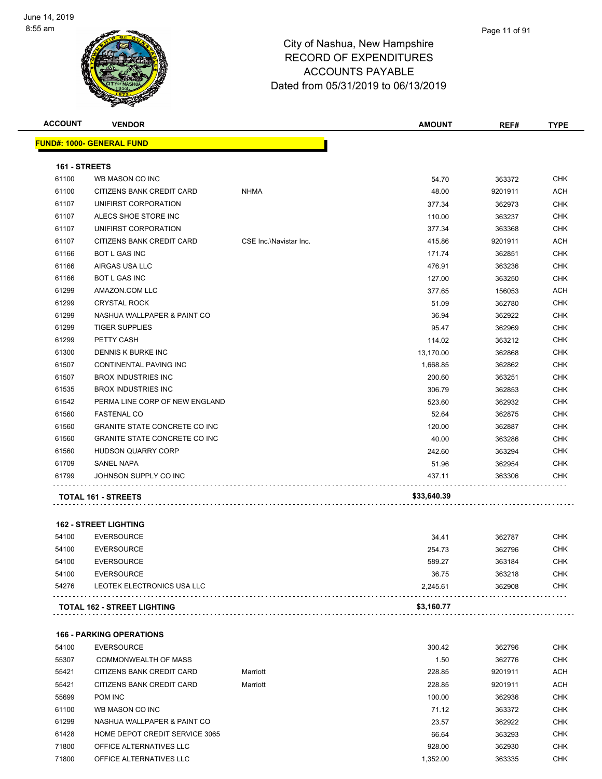

| <b>ACCOUNT</b> | <b>VENDOR</b>                        |                        | <b>AMOUNT</b> | REF#    | <b>TYPE</b> |
|----------------|--------------------------------------|------------------------|---------------|---------|-------------|
|                | <b>FUND#: 1000- GENERAL FUND</b>     |                        |               |         |             |
| 161 - STREETS  |                                      |                        |               |         |             |
| 61100          | WB MASON CO INC                      |                        | 54.70         | 363372  | <b>CHK</b>  |
| 61100          | CITIZENS BANK CREDIT CARD            | <b>NHMA</b>            | 48.00         | 9201911 | <b>ACH</b>  |
| 61107          | UNIFIRST CORPORATION                 |                        | 377.34        | 362973  | <b>CHK</b>  |
| 61107          | ALECS SHOE STORE INC                 |                        | 110.00        | 363237  | <b>CHK</b>  |
| 61107          | UNIFIRST CORPORATION                 |                        | 377.34        | 363368  | <b>CHK</b>  |
| 61107          | CITIZENS BANK CREDIT CARD            | CSE Inc.\Navistar Inc. | 415.86        | 9201911 | <b>ACH</b>  |
| 61166          | <b>BOT L GAS INC</b>                 |                        | 171.74        | 362851  | <b>CHK</b>  |
| 61166          | AIRGAS USA LLC                       |                        | 476.91        | 363236  | <b>CHK</b>  |
| 61166          | <b>BOT L GAS INC</b>                 |                        | 127.00        | 363250  | <b>CHK</b>  |
| 61299          | AMAZON.COM LLC                       |                        | 377.65        | 156053  | <b>ACH</b>  |
| 61299          | <b>CRYSTAL ROCK</b>                  |                        | 51.09         | 362780  | <b>CHK</b>  |
| 61299          | NASHUA WALLPAPER & PAINT CO          |                        | 36.94         | 362922  | <b>CHK</b>  |
| 61299          | <b>TIGER SUPPLIES</b>                |                        | 95.47         | 362969  | <b>CHK</b>  |
| 61299          | PETTY CASH                           |                        | 114.02        | 363212  | <b>CHK</b>  |
| 61300          | DENNIS K BURKE INC                   |                        | 13,170.00     | 362868  | <b>CHK</b>  |
| 61507          | CONTINENTAL PAVING INC               |                        | 1,668.85      | 362862  | <b>CHK</b>  |
| 61507          | <b>BROX INDUSTRIES INC</b>           |                        | 200.60        | 363251  | <b>CHK</b>  |
| 61535          | <b>BROX INDUSTRIES INC</b>           |                        | 306.79        | 362853  | <b>CHK</b>  |
| 61542          | PERMA LINE CORP OF NEW ENGLAND       |                        | 523.60        | 362932  | <b>CHK</b>  |
| 61560          | <b>FASTENAL CO</b>                   |                        | 52.64         | 362875  | <b>CHK</b>  |
| 61560          | <b>GRANITE STATE CONCRETE CO INC</b> |                        | 120.00        | 362887  | <b>CHK</b>  |
| 61560          | <b>GRANITE STATE CONCRETE CO INC</b> |                        | 40.00         | 363286  | <b>CHK</b>  |
| 61560          | <b>HUDSON QUARRY CORP</b>            |                        | 242.60        | 363294  | <b>CHK</b>  |
| 61709          | <b>SANEL NAPA</b>                    |                        | 51.96         | 362954  | <b>CHK</b>  |
| 61799          | JOHNSON SUPPLY CO INC                |                        | 437.11        | 363306  | <b>CHK</b>  |
|                | <b>TOTAL 161 - STREETS</b>           |                        | \$33,640.39   |         |             |
|                |                                      |                        |               |         |             |
|                | <b>162 - STREET LIGHTING</b>         |                        |               |         |             |
| 54100          | <b>EVERSOURCE</b>                    |                        | 34.41         | 362787  | <b>CHK</b>  |
| 54100          | <b>EVERSOURCE</b>                    |                        | 254.73        | 362796  | <b>CHK</b>  |
| 54100          | <b>EVERSOURCE</b>                    |                        | 589.27        | 363184  | <b>CHK</b>  |
| 54100          | <b>EVERSOURCE</b>                    |                        | 36.75         | 363218  | <b>CHK</b>  |

| . 162 - STREET LIGHTING<br>TOTAL | \$3.160.77 |
|----------------------------------|------------|
|                                  |            |

|       | <b>166 - PARKING OPERATIONS</b> |          |          |         |            |  |
|-------|---------------------------------|----------|----------|---------|------------|--|
| 54100 | <b>EVERSOURCE</b>               |          | 300.42   | 362796  | <b>CHK</b> |  |
| 55307 | COMMONWEALTH OF MASS            |          | 1.50     | 362776  | <b>CHK</b> |  |
| 55421 | CITIZENS BANK CREDIT CARD       | Marriott | 228.85   | 9201911 | <b>ACH</b> |  |
| 55421 | CITIZENS BANK CREDIT CARD       | Marriott | 228.85   | 9201911 | <b>ACH</b> |  |
| 55699 | POM INC                         |          | 100.00   | 362936  | <b>CHK</b> |  |
| 61100 | WB MASON CO INC                 |          | 71.12    | 363372  | <b>CHK</b> |  |
| 61299 | NASHUA WALLPAPER & PAINT CO     |          | 23.57    | 362922  | <b>CHK</b> |  |
| 61428 | HOME DEPOT CREDIT SERVICE 3065  |          | 66.64    | 363293  | <b>CHK</b> |  |
| 71800 | OFFICE ALTERNATIVES LLC         |          | 928.00   | 362930  | <b>CHK</b> |  |
| 71800 | OFFICE ALTERNATIVES LLC         |          | 1.352.00 | 363335  | <b>CHK</b> |  |

LEOTEK ELECTRONICS USA LLC 2,245.61 362908 CHK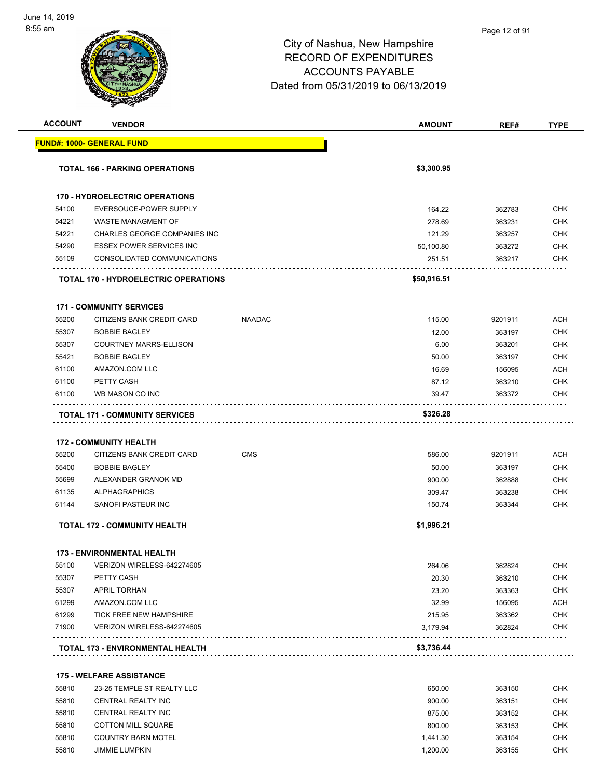

|                | <b>VENDOR</b>                                      |               | <b>AMOUNT</b>        | REF#             | <b>TYPE</b>                                                                                                                                                                                                           |
|----------------|----------------------------------------------------|---------------|----------------------|------------------|-----------------------------------------------------------------------------------------------------------------------------------------------------------------------------------------------------------------------|
|                | <u> FUND#: 1000- GENERAL FUND</u>                  |               |                      |                  |                                                                                                                                                                                                                       |
|                | <b>TOTAL 166 - PARKING OPERATIONS</b>              |               | \$3,300.95           |                  |                                                                                                                                                                                                                       |
|                |                                                    |               |                      |                  |                                                                                                                                                                                                                       |
|                | <b>170 - HYDROELECTRIC OPERATIONS</b>              |               |                      |                  |                                                                                                                                                                                                                       |
| 54100          | EVERSOUCE-POWER SUPPLY                             |               | 164.22               | 362783           | <b>CHK</b>                                                                                                                                                                                                            |
| 54221          | WASTE MANAGMENT OF                                 |               | 278.69               | 363231           | <b>CHK</b>                                                                                                                                                                                                            |
| 54221          | CHARLES GEORGE COMPANIES INC                       |               | 121.29               | 363257           | <b>CHK</b>                                                                                                                                                                                                            |
| 54290          | <b>ESSEX POWER SERVICES INC</b>                    |               | 50,100.80            | 363272           | CHK                                                                                                                                                                                                                   |
| 55109          | CONSOLIDATED COMMUNICATIONS                        |               | 251.51               | 363217           | CHK                                                                                                                                                                                                                   |
|                | <b>TOTAL 170 - HYDROELECTRIC OPERATIONS</b>        |               | \$50,916.51          |                  |                                                                                                                                                                                                                       |
|                | <b>171 - COMMUNITY SERVICES</b>                    |               |                      |                  |                                                                                                                                                                                                                       |
| 55200          | CITIZENS BANK CREDIT CARD                          | <b>NAADAC</b> | 115.00               | 9201911          | <b>ACH</b>                                                                                                                                                                                                            |
| 55307          | <b>BOBBIE BAGLEY</b>                               |               | 12.00                | 363197           | <b>CHK</b>                                                                                                                                                                                                            |
| 55307          | <b>COURTNEY MARRS-ELLISON</b>                      |               | 6.00                 | 363201           | <b>CHK</b>                                                                                                                                                                                                            |
| 55421          | <b>BOBBIE BAGLEY</b>                               |               | 50.00                | 363197           | <b>CHK</b>                                                                                                                                                                                                            |
| 61100          | AMAZON.COM LLC                                     |               | 16.69                | 156095           | <b>ACH</b>                                                                                                                                                                                                            |
| 61100          | PETTY CASH                                         |               | 87.12                | 363210           | <b>CHK</b>                                                                                                                                                                                                            |
| 61100          | WB MASON CO INC                                    |               | 39.47                | 363372           | <b>CHK</b>                                                                                                                                                                                                            |
|                | <b>TOTAL 171 - COMMUNITY SERVICES</b>              |               | \$326.28             |                  |                                                                                                                                                                                                                       |
|                |                                                    |               |                      |                  |                                                                                                                                                                                                                       |
|                |                                                    |               |                      |                  |                                                                                                                                                                                                                       |
|                | <b>172 - COMMUNITY HEALTH</b>                      |               |                      |                  |                                                                                                                                                                                                                       |
| 55200          | CITIZENS BANK CREDIT CARD                          | <b>CMS</b>    | 586.00               | 9201911          |                                                                                                                                                                                                                       |
| 55400          | <b>BOBBIE BAGLEY</b>                               |               | 50.00                | 363197           |                                                                                                                                                                                                                       |
| 55699          | ALEXANDER GRANOK MD                                |               | 900.00               | 362888           |                                                                                                                                                                                                                       |
| 61135          | <b>ALPHAGRAPHICS</b>                               |               | 309.47               | 363238           |                                                                                                                                                                                                                       |
| 61144          | SANOFI PASTEUR INC                                 |               | 150.74               | 363344           |                                                                                                                                                                                                                       |
|                | <b>TOTAL 172 - COMMUNITY HEALTH</b>                |               | \$1,996.21           |                  |                                                                                                                                                                                                                       |
|                | <b>173 - ENVIRONMENTAL HEALTH</b>                  |               |                      |                  |                                                                                                                                                                                                                       |
| 55100          | VERIZON WIRELESS-642274605                         |               | 264.06               | 362824           |                                                                                                                                                                                                                       |
| 55307          | PETTY CASH                                         |               | 20.30                | 363210           |                                                                                                                                                                                                                       |
| 55307          | <b>APRIL TORHAN</b>                                |               | 23.20                | 363363           |                                                                                                                                                                                                                       |
| 61299          | AMAZON.COM LLC                                     |               | 32.99                | 156095           |                                                                                                                                                                                                                       |
| 61299          | TICK FREE NEW HAMPSHIRE                            |               | 215.95               | 363362           |                                                                                                                                                                                                                       |
| 71900          | VERIZON WIRELESS-642274605                         |               | 3,179.94             | 362824           |                                                                                                                                                                                                                       |
|                | TOTAL 173 - ENVIRONMENTAL HEALTH                   |               | \$3,736.44           |                  |                                                                                                                                                                                                                       |
|                |                                                    |               |                      |                  |                                                                                                                                                                                                                       |
|                | <b>175 - WELFARE ASSISTANCE</b>                    |               |                      |                  |                                                                                                                                                                                                                       |
| 55810          | 23-25 TEMPLE ST REALTY LLC                         |               | 650.00               | 363150           |                                                                                                                                                                                                                       |
| 55810          | CENTRAL REALTY INC                                 |               | 900.00               | 363151           |                                                                                                                                                                                                                       |
| 55810          | CENTRAL REALTY INC                                 |               | 875.00               | 363152           |                                                                                                                                                                                                                       |
| 55810          | <b>COTTON MILL SQUARE</b>                          |               | 800.00               | 363153           |                                                                                                                                                                                                                       |
| 55810<br>55810 | <b>COUNTRY BARN MOTEL</b><br><b>JIMMIE LUMPKIN</b> |               | 1,441.30<br>1,200.00 | 363154<br>363155 | <b>ACH</b><br><b>CHK</b><br><b>CHK</b><br>CHK<br>CHK<br>CHK<br><b>CHK</b><br><b>CHK</b><br><b>ACH</b><br><b>CHK</b><br><b>CHK</b><br><b>CHK</b><br><b>CHK</b><br><b>CHK</b><br><b>CHK</b><br><b>CHK</b><br><b>CHK</b> |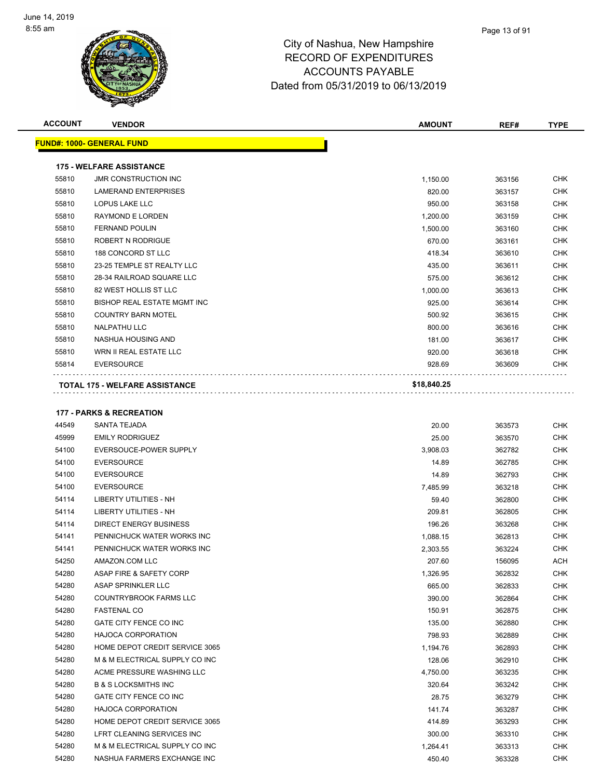

| <b>ACCOUNT</b> | <b>VENDOR</b>                                    | <b>AMOUNT</b>      | REF#             | <b>TYPE</b>              |
|----------------|--------------------------------------------------|--------------------|------------------|--------------------------|
|                | <u> FUND#: 1000- GENERAL FUND</u>                |                    |                  |                          |
|                | <b>175 - WELFARE ASSISTANCE</b>                  |                    |                  |                          |
| 55810          | <b>JMR CONSTRUCTION INC</b>                      | 1,150.00           | 363156           | <b>CHK</b>               |
| 55810          | <b>LAMERAND ENTERPRISES</b>                      | 820.00             | 363157           | CHK                      |
| 55810          | LOPUS LAKE LLC                                   | 950.00             | 363158           | CHK                      |
| 55810          | RAYMOND E LORDEN                                 | 1,200.00           | 363159           | CHK                      |
| 55810          | <b>FERNAND POULIN</b>                            | 1,500.00           | 363160           | <b>CHK</b>               |
| 55810          | ROBERT N RODRIGUE                                | 670.00             | 363161           | <b>CHK</b>               |
| 55810          | 188 CONCORD ST LLC                               | 418.34             | 363610           | <b>CHK</b>               |
| 55810          | 23-25 TEMPLE ST REALTY LLC                       | 435.00             | 363611           | <b>CHK</b>               |
| 55810          | 28-34 RAILROAD SQUARE LLC                        | 575.00             | 363612           | <b>CHK</b>               |
| 55810          | 82 WEST HOLLIS ST LLC                            | 1,000.00           | 363613           | <b>CHK</b>               |
| 55810          | <b>BISHOP REAL ESTATE MGMT INC</b>               | 925.00             | 363614           | <b>CHK</b>               |
| 55810          | <b>COUNTRY BARN MOTEL</b>                        | 500.92             | 363615           | <b>CHK</b>               |
| 55810          | NALPATHU LLC                                     | 800.00             | 363616           | <b>CHK</b>               |
| 55810          | NASHUA HOUSING AND                               | 181.00             | 363617           | <b>CHK</b>               |
| 55810          | WRN II REAL ESTATE LLC                           | 920.00             | 363618           | <b>CHK</b>               |
| 55814          | <b>EVERSOURCE</b>                                | 928.69             | 363609           | CHK                      |
|                | <b>TOTAL 175 - WELFARE ASSISTANCE</b>            | \$18,840.25        |                  |                          |
|                |                                                  |                    |                  |                          |
|                | <b>177 - PARKS &amp; RECREATION</b>              |                    |                  |                          |
| 44549          | SANTA TEJADA                                     | 20.00              | 363573           | <b>CHK</b>               |
| 45999          | <b>EMILY RODRIGUEZ</b>                           | 25.00              | 363570           | CHK                      |
| 54100          | EVERSOUCE-POWER SUPPLY                           | 3,908.03           | 362782           | CHK                      |
| 54100          | <b>EVERSOURCE</b>                                | 14.89              | 362785           | CHK                      |
| 54100          | <b>EVERSOURCE</b>                                | 14.89              | 362793           | CHK                      |
| 54100          | <b>EVERSOURCE</b>                                | 7,485.99           | 363218           | <b>CHK</b><br><b>CHK</b> |
| 54114<br>54114 | LIBERTY UTILITIES - NH<br>LIBERTY UTILITIES - NH | 59.40              | 362800           | <b>CHK</b>               |
| 54114          | <b>DIRECT ENERGY BUSINESS</b>                    | 209.81             | 362805           | <b>CHK</b>               |
| 54141          | PENNICHUCK WATER WORKS INC                       | 196.26<br>1,088.15 | 363268<br>362813 | <b>CHK</b>               |
| 54141          | PENNICHUCK WATER WORKS INC                       | 2,303.55           | 363224           | <b>CHK</b>               |
| 54250          | AMAZON.COM LLC                                   | 207.60             | 156095           | <b>ACH</b>               |
| 54280          | ASAP FIRE & SAFETY CORP                          | 1,326.95           | 362832           | CHK                      |
| 54280          | ASAP SPRINKLER LLC                               | 665.00             | 362833           | CHK                      |
| 54280          | <b>COUNTRYBROOK FARMS LLC</b>                    | 390.00             | 362864           | CHK                      |
| 54280          | <b>FASTENAL CO</b>                               | 150.91             | 362875           | CHK                      |
| 54280          | GATE CITY FENCE CO INC                           | 135.00             | 362880           | CHK                      |
| 54280          | <b>HAJOCA CORPORATION</b>                        | 798.93             | 362889           | CHK                      |
| 54280          | HOME DEPOT CREDIT SERVICE 3065                   | 1,194.76           | 362893           | <b>CHK</b>               |
| 54280          | M & M ELECTRICAL SUPPLY CO INC                   | 128.06             | 362910           | <b>CHK</b>               |
| 54280          | ACME PRESSURE WASHING LLC                        | 4,750.00           | 363235           | CHK                      |
| 54280          | <b>B &amp; S LOCKSMITHS INC</b>                  | 320.64             | 363242           | <b>CHK</b>               |
| 54280          | GATE CITY FENCE CO INC                           | 28.75              | 363279           | CHK                      |
| 54280          | HAJOCA CORPORATION                               | 141.74             | 363287           | CHK                      |
| 54280          | HOME DEPOT CREDIT SERVICE 3065                   | 414.89             | 363293           | CHK                      |
| 54280          | LFRT CLEANING SERVICES INC                       | 300.00             | 363310           | CHK                      |
| 54280          | M & M ELECTRICAL SUPPLY CO INC                   | 1,264.41           | 363313           | CHK                      |
| 54280          | NASHUA FARMERS EXCHANGE INC                      | 450.40             | 363328           | <b>CHK</b>               |
|                |                                                  |                    |                  |                          |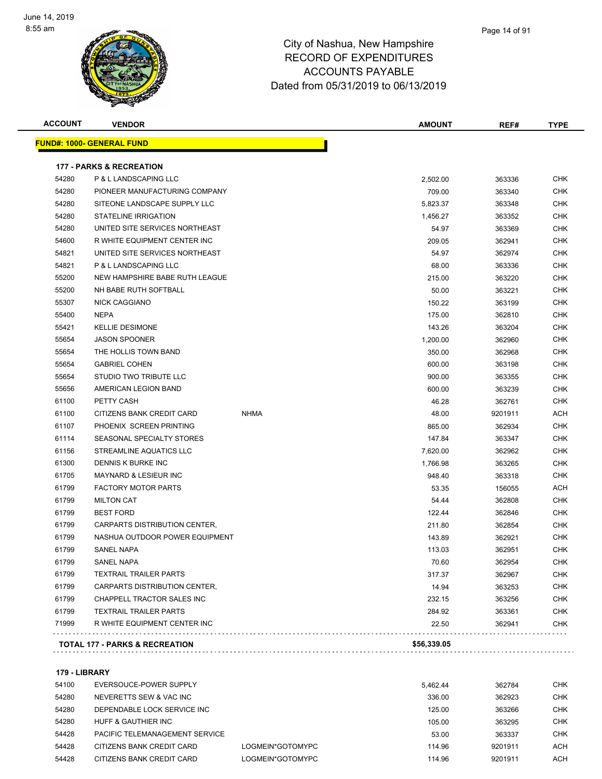

| <b>ACCOUNT</b> | <b>VENDOR</b>                       |             | <b>AMOUNT</b> | REF#    | <b>TYPE</b> |
|----------------|-------------------------------------|-------------|---------------|---------|-------------|
|                | <u> FUND#: 1000- GENERAL FUND</u>   |             |               |         |             |
|                | <b>177 - PARKS &amp; RECREATION</b> |             |               |         |             |
| 54280          | P & L LANDSCAPING LLC               |             | 2,502.00      | 363336  | CHK         |
| 54280          | PIONEER MANUFACTURING COMPANY       |             | 709.00        | 363340  | <b>CHK</b>  |
| 54280          | SITEONE LANDSCAPE SUPPLY LLC        |             | 5,823.37      | 363348  | <b>CHK</b>  |
| 54280          | <b>STATELINE IRRIGATION</b>         |             | 1,456.27      | 363352  | CHK         |
| 54280          | UNITED SITE SERVICES NORTHEAST      |             | 54.97         | 363369  | <b>CHK</b>  |
| 54600          | R WHITE EQUIPMENT CENTER INC        |             | 209.05        | 362941  | <b>CHK</b>  |
| 54821          | UNITED SITE SERVICES NORTHEAST      |             | 54.97         | 362974  | CHK         |
| 54821          | P & L LANDSCAPING LLC               |             | 68.00         | 363336  | <b>CHK</b>  |
| 55200          | NEW HAMPSHIRE BABE RUTH LEAGUE      |             | 215.00        | 363220  | <b>CHK</b>  |
| 55200          | NH BABE RUTH SOFTBALL               |             | 50.00         | 363221  | CHK         |
| 55307          | <b>NICK CAGGIANO</b>                |             | 150.22        | 363199  | CHK         |
| 55400          | <b>NEPA</b>                         |             | 175.00        | 362810  | CHK         |
| 55421          | <b>KELLIE DESIMONE</b>              |             | 143.26        | 363204  | <b>CHK</b>  |
| 55654          | <b>JASON SPOONER</b>                |             | 1,200.00      | 362960  | <b>CHK</b>  |
| 55654          | THE HOLLIS TOWN BAND                |             | 350.00        | 362968  | <b>CHK</b>  |
| 55654          | <b>GABRIEL COHEN</b>                |             | 600.00        | 363198  | <b>CHK</b>  |
| 55654          | STUDIO TWO TRIBUTE LLC              |             | 900.00        | 363355  | <b>CHK</b>  |
| 55656          | AMERICAN LEGION BAND                |             | 600.00        | 363239  | CHK         |
| 61100          | PETTY CASH                          |             | 46.28         | 362761  | CHK         |
| 61100          | CITIZENS BANK CREDIT CARD           | <b>NHMA</b> | 48.00         | 9201911 | ACH         |
| 61107          | PHOENIX SCREEN PRINTING             |             | 865.00        | 362934  | CHK         |
| 61114          | SEASONAL SPECIALTY STORES           |             | 147.84        | 363347  | CHK         |
| 61156          | STREAMLINE AQUATICS LLC             |             | 7,620.00      | 362962  | CHK         |
| 61300          | DENNIS K BURKE INC                  |             | 1,766.98      | 363265  | CHK         |
| 61705          | <b>MAYNARD &amp; LESIEUR INC</b>    |             | 948.40        | 363318  | CHK         |
| 61799          | <b>FACTORY MOTOR PARTS</b>          |             | 53.35         | 156055  | ACH         |
| 61799          | <b>MILTON CAT</b>                   |             | 54.44         | 362808  | <b>CHK</b>  |
| 61799          | <b>BEST FORD</b>                    |             | 122.44        | 362846  | CHK         |
| 61799          | CARPARTS DISTRIBUTION CENTER,       |             | 211.80        | 362854  | <b>CHK</b>  |
| 61799          | NASHUA OUTDOOR POWER EQUIPMENT      |             | 143.89        | 362921  | <b>CHK</b>  |
| 61799          | <b>SANEL NAPA</b>                   |             | 113.03        | 362951  | <b>CHK</b>  |
| 61799          | SANEL NAPA                          |             | 70.60         | 362954  | <b>CHK</b>  |
| 61799          | <b>TEXTRAIL TRAILER PARTS</b>       |             | 317.37        | 362967  | CHK         |
| 61799          | CARPARTS DISTRIBUTION CENTER,       |             | 14.94         | 363253  | CHK         |
| 61799          | CHAPPELL TRACTOR SALES INC          |             | 232.15        | 363256  | <b>CHK</b>  |
| 61799          | <b>TEXTRAIL TRAILER PARTS</b>       |             | 284.92        | 363361  | <b>CHK</b>  |
| 71999          | R WHITE EQUIPMENT CENTER INC        |             | 22.50         | 362941  | <b>CHK</b>  |

**179 - LIBRARY**

| 54100 | EVERSOUCE-POWER SUPPLY         |                  | 5.462.44 | 362784  | <b>CHK</b> |
|-------|--------------------------------|------------------|----------|---------|------------|
|       |                                |                  |          |         |            |
| 54280 | NEVERETTS SEW & VAC INC        |                  | 336.00   | 362923  | снк        |
| 54280 | DEPENDABLE LOCK SERVICE INC    |                  | 125.00   | 363266  | CHK        |
| 54280 | HUFF & GAUTHIER INC            |                  | 105.00   | 363295  | <b>CHK</b> |
| 54428 | PACIFIC TELEMANAGEMENT SERVICE |                  | 53.00    | 363337  | CHK        |
| 54428 | CITIZENS BANK CREDIT CARD      | LOGMEIN*GOTOMYPC | 114.96   | 9201911 | ACH        |
| 54428 | CITIZENS BANK CREDIT CARD      | LOGMEIN*GOTOMYPC | 114.96   | 9201911 | ACH        |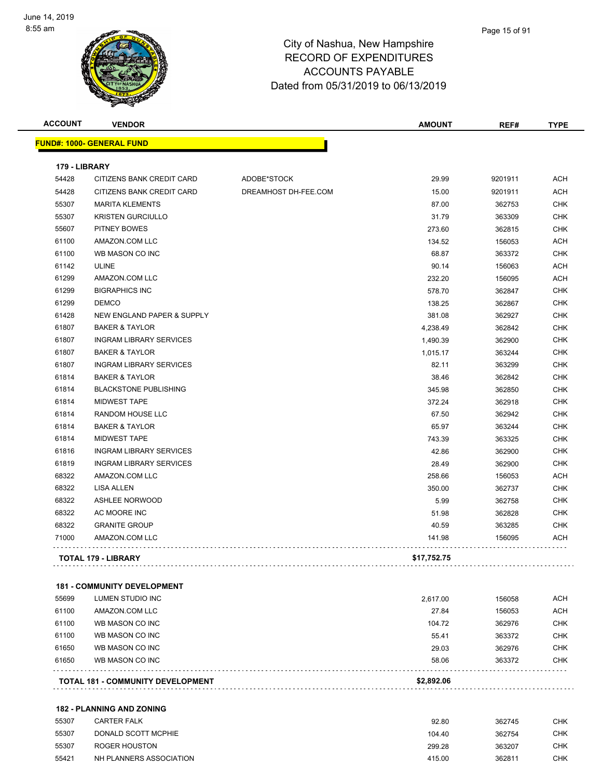

| <b>ACCOUNT</b> | <b>VENDOR</b>                    |                      | <b>AMOUNT</b> | REF#    | <b>TYPE</b> |
|----------------|----------------------------------|----------------------|---------------|---------|-------------|
|                | <b>FUND#: 1000- GENERAL FUND</b> |                      |               |         |             |
| 179 - LIBRARY  |                                  |                      |               |         |             |
| 54428          | CITIZENS BANK CREDIT CARD        | ADOBE*STOCK          | 29.99         | 9201911 | <b>ACH</b>  |
| 54428          | CITIZENS BANK CREDIT CARD        | DREAMHOST DH-FEE.COM | 15.00         | 9201911 | ACH         |
| 55307          | <b>MARITA KLEMENTS</b>           |                      | 87.00         | 362753  | <b>CHK</b>  |
| 55307          | <b>KRISTEN GURCIULLO</b>         |                      | 31.79         | 363309  | <b>CHK</b>  |
| 55607          | PITNEY BOWES                     |                      | 273.60        | 362815  | <b>CHK</b>  |
| 61100          | AMAZON.COM LLC                   |                      | 134.52        | 156053  | <b>ACH</b>  |
| 61100          | WB MASON CO INC                  |                      | 68.87         | 363372  | <b>CHK</b>  |
| 61142          | <b>ULINE</b>                     |                      | 90.14         | 156063  | <b>ACH</b>  |
| 61299          | AMAZON.COM LLC                   |                      | 232.20        | 156095  | <b>ACH</b>  |
| 61299          | <b>BIGRAPHICS INC</b>            |                      | 578.70        | 362847  | <b>CHK</b>  |
| 61299          | <b>DEMCO</b>                     |                      | 138.25        | 362867  | <b>CHK</b>  |
| 61428          | NEW ENGLAND PAPER & SUPPLY       |                      | 381.08        | 362927  | <b>CHK</b>  |
| 61807          | <b>BAKER &amp; TAYLOR</b>        |                      | 4,238.49      | 362842  | <b>CHK</b>  |
| 61807          | <b>INGRAM LIBRARY SERVICES</b>   |                      | 1,490.39      | 362900  | <b>CHK</b>  |
| 61807          | <b>BAKER &amp; TAYLOR</b>        |                      | 1,015.17      | 363244  | <b>CHK</b>  |
| 61807          | <b>INGRAM LIBRARY SERVICES</b>   |                      | 82.11         | 363299  | <b>CHK</b>  |
| 61814          | <b>BAKER &amp; TAYLOR</b>        |                      | 38.46         | 362842  | <b>CHK</b>  |
| 61814          | <b>BLACKSTONE PUBLISHING</b>     |                      | 345.98        | 362850  | <b>CHK</b>  |
| 61814          | <b>MIDWEST TAPE</b>              |                      | 372.24        | 362918  | <b>CHK</b>  |
| 61814          | RANDOM HOUSE LLC                 |                      | 67.50         | 362942  | <b>CHK</b>  |
| 61814          | <b>BAKER &amp; TAYLOR</b>        |                      | 65.97         | 363244  | <b>CHK</b>  |
| 61814          | <b>MIDWEST TAPE</b>              |                      | 743.39        | 363325  | <b>CHK</b>  |
| 61816          | <b>INGRAM LIBRARY SERVICES</b>   |                      | 42.86         | 362900  | <b>CHK</b>  |
| 61819          | <b>INGRAM LIBRARY SERVICES</b>   |                      | 28.49         | 362900  | CHK         |
| 68322          | AMAZON.COM LLC                   |                      | 258.66        | 156053  | <b>ACH</b>  |
| 68322          | LISA ALLEN                       |                      | 350.00        | 362737  | <b>CHK</b>  |
| 68322          | <b>ASHLEE NORWOOD</b>            |                      | 5.99          | 362758  | <b>CHK</b>  |
| 68322          | AC MOORE INC                     |                      | 51.98         | 362828  | CHK         |
| 68322          | <b>GRANITE GROUP</b>             |                      | 40.59         | 363285  | <b>CHK</b>  |
| 71000          | AMAZON.COM LLC                   |                      | 141.98        | 156095  | ACH         |
|                | <b>TOTAL 179 - LIBRARY</b>       |                      | \$17,752.75   |         |             |

#### **181 - COMMUNITY DEVELOPMENT**

|       | <b>TOTAL 181 - COMMUNITY DEVELOPMENT</b> | \$2.892.06 |        |            |
|-------|------------------------------------------|------------|--------|------------|
| 61650 | WB MASON CO INC                          | 58.06      | 363372 | <b>CHK</b> |
| 61650 | WB MASON CO INC                          | 29.03      | 362976 | <b>CHK</b> |
| 61100 | WB MASON CO INC                          | 55.41      | 363372 | <b>CHK</b> |
| 61100 | WB MASON CO INC                          | 104.72     | 362976 | <b>CHK</b> |
| 61100 | AMAZON.COM LLC                           | 27.84      | 156053 | <b>ACH</b> |
| 55699 | LUMEN STUDIO INC                         | 2.617.00   | 156058 | <b>ACH</b> |

#### **182 - PLANNING AND ZONING**

| 55307 | <b>CARTER FALK</b>      | 92.80  | 362745 | СНК |
|-------|-------------------------|--------|--------|-----|
| 55307 | DONALD SCOTT MCPHIE     | 104.40 | 362754 | снк |
| 55307 | ROGER HOUSTON           | 299.28 | 363207 | СНК |
| 55421 | NH PLANNERS ASSOCIATION | 415.00 | 362811 | СНК |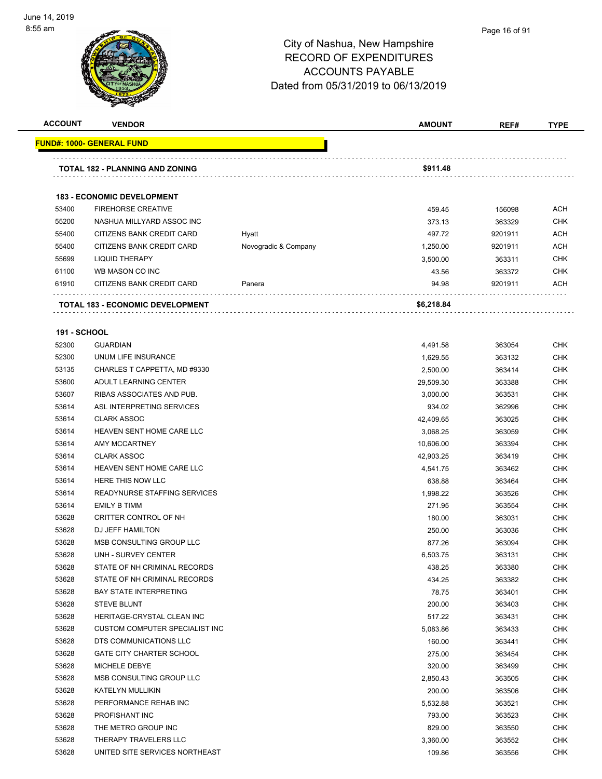

#### Page 16 of 91

| <b>ACCOUNT</b>      | <b>VENDOR</b>                           |                      | <b>AMOUNT</b> | REF#    | TYPE       |
|---------------------|-----------------------------------------|----------------------|---------------|---------|------------|
|                     | <u> FUND#: 1000- GENERAL FUND</u>       |                      |               |         |            |
|                     |                                         |                      |               |         |            |
|                     | TOTAL 182 - PLANNING AND ZONING         |                      | \$911.48      |         |            |
|                     |                                         |                      |               |         |            |
|                     | <b>183 - ECONOMIC DEVELOPMENT</b>       |                      |               |         |            |
| 53400               | <b>FIREHORSE CREATIVE</b>               |                      | 459.45        | 156098  | <b>ACH</b> |
| 55200               | NASHUA MILLYARD ASSOC INC               |                      | 373.13        | 363329  | <b>CHK</b> |
| 55400               | CITIZENS BANK CREDIT CARD               | Hyatt                | 497.72        | 9201911 | <b>ACH</b> |
| 55400               | CITIZENS BANK CREDIT CARD               | Novogradic & Company | 1,250.00      | 9201911 | <b>ACH</b> |
| 55699               | <b>LIQUID THERAPY</b>                   |                      | 3,500.00      | 363311  | CHK        |
| 61100               | WB MASON CO INC                         |                      | 43.56         | 363372  | <b>CHK</b> |
| 61910               | CITIZENS BANK CREDIT CARD               | Panera               | 94.98         | 9201911 | <b>ACH</b> |
|                     | <b>TOTAL 183 - ECONOMIC DEVELOPMENT</b> |                      | \$6,218.84    |         |            |
| <b>191 - SCHOOL</b> |                                         |                      |               |         |            |
| 52300               | <b>GUARDIAN</b>                         |                      | 4,491.58      | 363054  | <b>CHK</b> |
| 52300               | UNUM LIFE INSURANCE                     |                      | 1,629.55      | 363132  | <b>CHK</b> |
| 53135               | CHARLES T CAPPETTA, MD #9330            |                      | 2,500.00      | 363414  | <b>CHK</b> |
| 53600               | ADULT LEARNING CENTER                   |                      | 29,509.30     | 363388  | <b>CHK</b> |
| 53607               | RIBAS ASSOCIATES AND PUB.               |                      | 3,000.00      | 363531  | <b>CHK</b> |
| 53614               | ASL INTERPRETING SERVICES               |                      | 934.02        | 362996  | <b>CHK</b> |
| 53614               | <b>CLARK ASSOC</b>                      |                      | 42,409.65     | 363025  | <b>CHK</b> |
| 53614               | HEAVEN SENT HOME CARE LLC               |                      | 3,068.25      | 363059  | <b>CHK</b> |
| 53614               | AMY MCCARTNEY                           |                      | 10,606.00     | 363394  | <b>CHK</b> |
| 53614               | <b>CLARK ASSOC</b>                      |                      | 42,903.25     | 363419  | <b>CHK</b> |
| 53614               | HEAVEN SENT HOME CARE LLC               |                      | 4,541.75      | 363462  | <b>CHK</b> |
| 53614               | HERE THIS NOW LLC                       |                      | 638.88        | 363464  | <b>CHK</b> |
| 53614               | READYNURSE STAFFING SERVICES            |                      | 1,998.22      | 363526  | <b>CHK</b> |
| 53614               | <b>EMILY B TIMM</b>                     |                      | 271.95        | 363554  | <b>CHK</b> |
| 53628               | CRITTER CONTROL OF NH                   |                      | 180.00        | 363031  | <b>CHK</b> |
| 53628               | DJ JEFF HAMILTON                        |                      | 250.00        | 363036  | CHK        |
| 53628               | MSB CONSULTING GROUP LLC                |                      | 877.26        | 363094  | CHK        |
| 53628               | UNH - SURVEY CENTER                     |                      | 6,503.75      | 363131  | <b>CHK</b> |
| 53628               | STATE OF NH CRIMINAL RECORDS            |                      | 438.25        | 363380  | <b>CHK</b> |
| 53628               | STATE OF NH CRIMINAL RECORDS            |                      | 434.25        | 363382  | <b>CHK</b> |
| 53628               | <b>BAY STATE INTERPRETING</b>           |                      | 78.75         | 363401  | <b>CHK</b> |
| 53628               | <b>STEVE BLUNT</b>                      |                      | 200.00        | 363403  | <b>CHK</b> |
| 53628               | HERITAGE-CRYSTAL CLEAN INC              |                      | 517.22        | 363431  | <b>CHK</b> |
| 53628               | CUSTOM COMPUTER SPECIALIST INC          |                      | 5,083.86      | 363433  | <b>CHK</b> |
| 53628               | DTS COMMUNICATIONS LLC                  |                      | 160.00        | 363441  | <b>CHK</b> |
| 53628               | <b>GATE CITY CHARTER SCHOOL</b>         |                      | 275.00        | 363454  | <b>CHK</b> |
| 53628               | MICHELE DEBYE                           |                      | 320.00        | 363499  | <b>CHK</b> |
| 53628               | MSB CONSULTING GROUP LLC                |                      | 2,850.43      | 363505  | <b>CHK</b> |
| 53628               | KATELYN MULLIKIN                        |                      | 200.00        | 363506  | <b>CHK</b> |
| 53628               | PERFORMANCE REHAB INC                   |                      | 5,532.88      | 363521  | CHK        |
| 53628               | PROFISHANT INC                          |                      | 793.00        | 363523  | <b>CHK</b> |
| 53628               | THE METRO GROUP INC                     |                      | 829.00        | 363550  | <b>CHK</b> |
| 53628               | THERAPY TRAVELERS LLC                   |                      | 3,360.00      | 363552  | CHK        |
| 53628               | UNITED SITE SERVICES NORTHEAST          |                      | 109.86        | 363556  | <b>CHK</b> |
|                     |                                         |                      |               |         |            |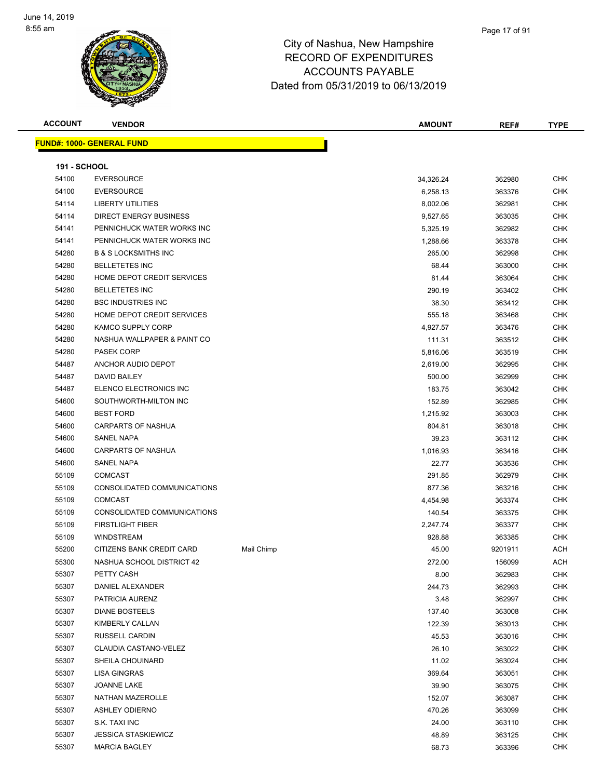

#### Page 17 of 91

### City of Nashua, New Hampshire RECORD OF EXPENDITURES ACCOUNTS PAYABLE Dated from 05/31/2019 to 06/13/2019

**ACCOUNT VENDOR AMOUNT REF# TYPE**

|                     | <b>FUND#: 1000- GENERAL FUND</b> |            |           |         |  |
|---------------------|----------------------------------|------------|-----------|---------|--|
| <b>191 - SCHOOL</b> |                                  |            |           |         |  |
| 54100               | <b>EVERSOURCE</b>                |            | 34,326.24 | 362980  |  |
| 54100               | <b>EVERSOURCE</b>                |            | 6,258.13  | 363376  |  |
| 54114               | <b>LIBERTY UTILITIES</b>         |            | 8,002.06  | 362981  |  |
| 54114               | <b>DIRECT ENERGY BUSINESS</b>    |            | 9,527.65  | 363035  |  |
| 54141               | PENNICHUCK WATER WORKS INC       |            | 5,325.19  | 362982  |  |
| 54141               | PENNICHUCK WATER WORKS INC       |            | 1,288.66  | 363378  |  |
| 54280               | <b>B &amp; S LOCKSMITHS INC</b>  |            | 265.00    | 362998  |  |
| 54280               | <b>BELLETETES INC</b>            |            | 68.44     | 363000  |  |
| 54280               | HOME DEPOT CREDIT SERVICES       |            | 81.44     | 363064  |  |
| 54280               | <b>BELLETETES INC</b>            |            | 290.19    | 363402  |  |
| 54280               | <b>BSC INDUSTRIES INC</b>        |            | 38.30     | 363412  |  |
| 54280               | HOME DEPOT CREDIT SERVICES       |            | 555.18    | 363468  |  |
| 54280               | KAMCO SUPPLY CORP                |            | 4,927.57  | 363476  |  |
| 54280               | NASHUA WALLPAPER & PAINT CO      |            | 111.31    | 363512  |  |
| 54280               | <b>PASEK CORP</b>                |            | 5,816.06  | 363519  |  |
| 54487               | ANCHOR AUDIO DEPOT               |            | 2,619.00  | 362995  |  |
| 54487               | <b>DAVID BAILEY</b>              |            | 500.00    | 362999  |  |
| 54487               | ELENCO ELECTRONICS INC           |            | 183.75    | 363042  |  |
| 54600               | SOUTHWORTH-MILTON INC            |            | 152.89    | 362985  |  |
| 54600               | <b>BEST FORD</b>                 |            | 1,215.92  | 363003  |  |
| 54600               | <b>CARPARTS OF NASHUA</b>        |            | 804.81    | 363018  |  |
| 54600               | SANEL NAPA                       |            | 39.23     | 363112  |  |
| 54600               | <b>CARPARTS OF NASHUA</b>        |            | 1,016.93  | 363416  |  |
| 54600               | SANEL NAPA                       |            | 22.77     | 363536  |  |
| 55109               | <b>COMCAST</b>                   |            | 291.85    | 362979  |  |
| 55109               | CONSOLIDATED COMMUNICATIONS      |            | 877.36    | 363216  |  |
| 55109               | <b>COMCAST</b>                   |            | 4,454.98  | 363374  |  |
| 55109               | CONSOLIDATED COMMUNICATIONS      |            | 140.54    | 363375  |  |
| 55109               | <b>FIRSTLIGHT FIBER</b>          |            | 2,247.74  | 363377  |  |
| 55109               | <b>WINDSTREAM</b>                |            | 928.88    | 363385  |  |
| 55200               | CITIZENS BANK CREDIT CARD        | Mail Chimp | 45.00     | 9201911 |  |
| 55300               | NASHUA SCHOOL DISTRICT 42        |            | 272.00    | 156099  |  |
| 55307               | PETTY CASH                       |            | 8.00      | 362983  |  |
| 55307               | DANIEL ALEXANDER                 |            | 244.73    | 362993  |  |
| 55307               | PATRICIA AURENZ                  |            | 3.48      | 362997  |  |
| 55307               | <b>DIANE BOSTEELS</b>            |            | 137.40    | 363008  |  |
| 55307               | KIMBERLY CALLAN                  |            | 122.39    | 363013  |  |
| 55307               | RUSSELL CARDIN                   |            | 45.53     | 363016  |  |
| 55307               | CLAUDIA CASTANO-VELEZ            |            | 26.10     | 363022  |  |
| 55307               | SHEILA CHOUINARD                 |            | 11.02     | 363024  |  |
| 55307               | LISA GINGRAS                     |            | 369.64    | 363051  |  |
| 55307               | JOANNE LAKE                      |            | 39.90     | 363075  |  |
| 55307               | NATHAN MAZEROLLE                 |            | 152.07    | 363087  |  |
| 55307               | <b>ASHLEY ODIERNO</b>            |            | 470.26    | 363099  |  |
| 55307               | S.K. TAXI INC                    |            | 24.00     | 363110  |  |
| 55307               | <b>JESSICA STASKIEWICZ</b>       |            | 48.89     | 363125  |  |
| 55307               | <b>MARCIA BAGLEY</b>             |            | 68.73     | 363396  |  |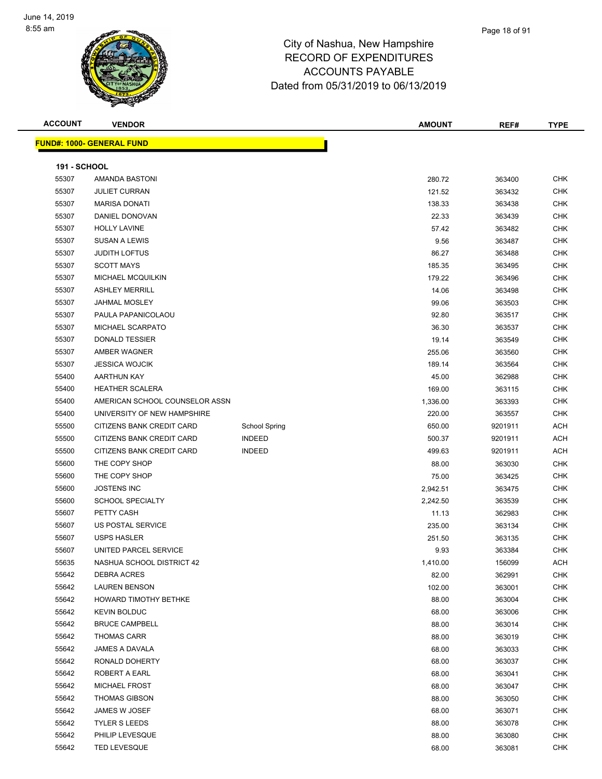

| <b>ACCOUNT</b>      | <b>VENDOR</b>                    |               |                      | <b>AMOUNT</b> | REF#    | <b>TYPE</b> |
|---------------------|----------------------------------|---------------|----------------------|---------------|---------|-------------|
|                     | <b>FUND#: 1000- GENERAL FUND</b> |               |                      |               |         |             |
|                     |                                  |               |                      |               |         |             |
| <b>191 - SCHOOL</b> |                                  |               |                      |               |         |             |
| 55307               | AMANDA BASTONI                   |               |                      | 280.72        | 363400  | <b>CHK</b>  |
| 55307               | <b>JULIET CURRAN</b>             |               |                      | 121.52        | 363432  | <b>CHK</b>  |
| 55307               | <b>MARISA DONATI</b>             |               |                      | 138.33        | 363438  | <b>CHK</b>  |
| 55307               | DANIEL DONOVAN                   |               |                      | 22.33         | 363439  | <b>CHK</b>  |
| 55307               | <b>HOLLY LAVINE</b>              |               |                      | 57.42         | 363482  | <b>CHK</b>  |
| 55307               | <b>SUSAN A LEWIS</b>             |               |                      | 9.56          | 363487  | <b>CHK</b>  |
| 55307               | <b>JUDITH LOFTUS</b>             |               |                      | 86.27         | 363488  | CHK         |
| 55307               | <b>SCOTT MAYS</b>                |               |                      | 185.35        | 363495  | CHK         |
| 55307               | MICHAEL MCQUILKIN                |               |                      | 179.22        | 363496  | <b>CHK</b>  |
| 55307               | <b>ASHLEY MERRILL</b>            |               |                      | 14.06         | 363498  | CHK         |
| 55307               | <b>JAHMAL MOSLEY</b>             |               |                      | 99.06         | 363503  | <b>CHK</b>  |
| 55307               | PAULA PAPANICOLAOU               |               |                      | 92.80         | 363517  | <b>CHK</b>  |
| 55307               | MICHAEL SCARPATO                 |               |                      | 36.30         | 363537  | CHK         |
| 55307               | <b>DONALD TESSIER</b>            |               |                      | 19.14         | 363549  | <b>CHK</b>  |
| 55307               | AMBER WAGNER                     |               |                      | 255.06        | 363560  | CHK         |
| 55307               | <b>JESSICA WOJCIK</b>            |               |                      | 189.14        | 363564  | <b>CHK</b>  |
| 55400               | AARTHUN KAY                      |               |                      | 45.00         | 362988  | CHK         |
| 55400               | <b>HEATHER SCALERA</b>           |               |                      | 169.00        | 363115  | CHK         |
| 55400               | AMERICAN SCHOOL COUNSELOR ASSN   |               |                      | 1,336.00      | 363393  | CHK         |
| 55400               | UNIVERSITY OF NEW HAMPSHIRE      |               |                      | 220.00        | 363557  | <b>CHK</b>  |
| 55500               | CITIZENS BANK CREDIT CARD        |               | <b>School Spring</b> | 650.00        | 9201911 | ACH         |
| 55500               | CITIZENS BANK CREDIT CARD        | <b>INDEED</b> |                      | 500.37        | 9201911 | ACH         |
| 55500               | CITIZENS BANK CREDIT CARD        | <b>INDEED</b> |                      | 499.63        | 9201911 | ACH         |
| 55600               | THE COPY SHOP                    |               |                      | 88.00         | 363030  | <b>CHK</b>  |
| 55600               | THE COPY SHOP                    |               |                      | 75.00         | 363425  | <b>CHK</b>  |
| 55600               | <b>JOSTENS INC</b>               |               |                      | 2,942.51      | 363475  | CHK         |
| 55600               | <b>SCHOOL SPECIALTY</b>          |               |                      | 2,242.50      | 363539  | CHK         |
| 55607               | PETTY CASH                       |               |                      | 11.13         | 362983  | CHK         |
| 55607               | US POSTAL SERVICE                |               |                      | 235.00        | 363134  | <b>CHK</b>  |
| 55607               | <b>USPS HASLER</b>               |               |                      | 251.50        | 363135  | <b>CHK</b>  |
| 55607               | UNITED PARCEL SERVICE            |               |                      | 9.93          | 363384  | <b>CHK</b>  |
| 55635               | NASHUA SCHOOL DISTRICT 42        |               |                      | 1,410.00      | 156099  | <b>ACH</b>  |
| 55642               | DEBRA ACRES                      |               |                      | 82.00         | 362991  | CHK         |
| 55642               | <b>LAUREN BENSON</b>             |               |                      | 102.00        | 363001  | <b>CHK</b>  |
| 55642               | HOWARD TIMOTHY BETHKE            |               |                      | 88.00         | 363004  | <b>CHK</b>  |
| 55642               | <b>KEVIN BOLDUC</b>              |               |                      | 68.00         | 363006  | <b>CHK</b>  |
| 55642               | <b>BRUCE CAMPBELL</b>            |               |                      | 88.00         | 363014  | <b>CHK</b>  |
| 55642               | <b>THOMAS CARR</b>               |               |                      | 88.00         | 363019  | CHK         |
| 55642               | JAMES A DAVALA                   |               |                      | 68.00         | 363033  | CHK         |
| 55642               | RONALD DOHERTY                   |               |                      | 68.00         | 363037  | <b>CHK</b>  |
| 55642               | ROBERT A EARL                    |               |                      | 68.00         | 363041  | <b>CHK</b>  |
| 55642               | <b>MICHAEL FROST</b>             |               |                      | 68.00         | 363047  | <b>CHK</b>  |
| 55642               | <b>THOMAS GIBSON</b>             |               |                      | 88.00         | 363050  | <b>CHK</b>  |
| 55642               | JAMES W JOSEF                    |               |                      | 68.00         | 363071  | <b>CHK</b>  |
| 55642               | <b>TYLER S LEEDS</b>             |               |                      | 88.00         | 363078  | <b>CHK</b>  |
| 55642               | PHILIP LEVESQUE                  |               |                      | 88.00         | 363080  | <b>CHK</b>  |
| 55642               | <b>TED LEVESQUE</b>              |               |                      | 68.00         | 363081  | <b>CHK</b>  |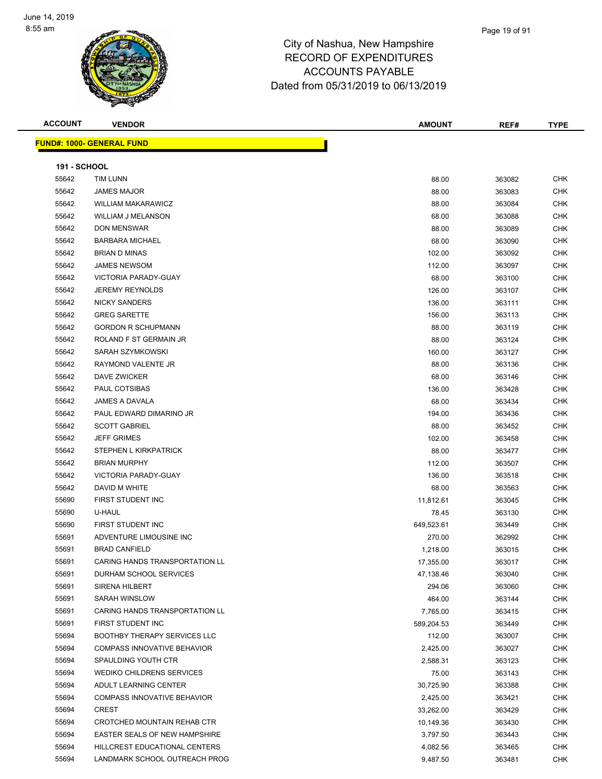

Page 19 of 91

**FUND#: 1000- GENERAL FUND**

| ACCOUNT             | <b>VENDOR</b>                       | <b>AMOUNT</b> | REF#   | <b>TYPE</b> |
|---------------------|-------------------------------------|---------------|--------|-------------|
|                     | <u> IND#: 1000- GENERAL FUND</u>    |               |        |             |
| <b>191 - SCHOOL</b> |                                     |               |        |             |
| 55642               | <b>TIM LUNN</b>                     | 88.00         | 363082 | <b>CHK</b>  |
| 55642               | <b>JAMES MAJOR</b>                  | 88.00         | 363083 | <b>CHK</b>  |
| 55642               | <b>WILLIAM MAKARAWICZ</b>           | 88.00         | 363084 | <b>CHK</b>  |
| 55642               | <b>WILLIAM J MELANSON</b>           | 68.00         | 363088 | <b>CHK</b>  |
| 55642               | <b>DON MENSWAR</b>                  | 88.00         | 363089 | <b>CHK</b>  |
| 55642               | <b>BARBARA MICHAEL</b>              | 68.00         | 363090 | <b>CHK</b>  |
| 55642               | <b>BRIAN D MINAS</b>                | 102.00        | 363092 | <b>CHK</b>  |
| 55642               | <b>JAMES NEWSOM</b>                 | 112.00        | 363097 | <b>CHK</b>  |
| 55642               | <b>VICTORIA PARADY-GUAY</b>         | 68.00         | 363100 | <b>CHK</b>  |
| 55642               | <b>JEREMY REYNOLDS</b>              | 126.00        | 363107 | <b>CHK</b>  |
| 55642               | <b>NICKY SANDERS</b>                | 136.00        | 363111 | <b>CHK</b>  |
| 55642               | <b>GREG SARETTE</b>                 | 156.00        | 363113 | <b>CHK</b>  |
| 55642               | <b>GORDON R SCHUPMANN</b>           | 88.00         | 363119 | <b>CHK</b>  |
| 55642               | ROLAND F ST GERMAIN JR              | 88.00         | 363124 | <b>CHK</b>  |
| 55642               | <b>SARAH SZYMKOWSKI</b>             | 160.00        | 363127 | <b>CHK</b>  |
| 55642               | RAYMOND VALENTE JR                  | 88.00         | 363136 | <b>CHK</b>  |
| 55642               | DAVE ZWICKER                        | 68.00         | 363146 | <b>CHK</b>  |
| 55642               | PAUL COTSIBAS                       | 136.00        | 363428 | <b>CHK</b>  |
| 55642               | JAMES A DAVALA                      | 68.00         | 363434 | <b>CHK</b>  |
| 55642               | PAUL EDWARD DIMARINO JR             | 194.00        | 363436 | <b>CHK</b>  |
| 55642               | <b>SCOTT GABRIEL</b>                | 88.00         | 363452 | <b>CHK</b>  |
| 55642               | <b>JEFF GRIMES</b>                  | 102.00        | 363458 | <b>CHK</b>  |
| 55642               | <b>STEPHEN L KIRKPATRICK</b>        | 88.00         | 363477 | <b>CHK</b>  |
| 55642               | <b>BRIAN MURPHY</b>                 | 112.00        | 363507 | <b>CHK</b>  |
| 55642               | <b>VICTORIA PARADY-GUAY</b>         | 136.00        | 363518 | <b>CHK</b>  |
| 55642               | DAVID M WHITE                       | 68.00         | 363563 | <b>CHK</b>  |
| 55690               | FIRST STUDENT INC                   | 11,812.61     | 363045 | <b>CHK</b>  |
| 55690               | U-HAUL                              | 78.45         | 363130 | <b>CHK</b>  |
| 55690               | FIRST STUDENT INC                   | 649,523.61    | 363449 | <b>CHK</b>  |
| 55691               | ADVENTURE LIMOUSINE INC             | 270.00        | 362992 | CHK         |
| 55691               | <b>BRAD CANFIELD</b>                | 1,218.00      | 363015 | <b>CHK</b>  |
| 55691               | CARING HANDS TRANSPORTATION LL      | 17,355.00     | 363017 | <b>CHK</b>  |
| 55691               | DURHAM SCHOOL SERVICES              | 47,138.46     | 363040 | <b>CHK</b>  |
| 55691               | <b>SIRENA HILBERT</b>               | 294.06        | 363060 | <b>CHK</b>  |
| 55691               | <b>SARAH WINSLOW</b>                | 464.00        | 363144 | <b>CHK</b>  |
| 55691               | CARING HANDS TRANSPORTATION LL      | 7,765.00      | 363415 | <b>CHK</b>  |
| 55691               | FIRST STUDENT INC                   | 589,204.53    | 363449 | <b>CHK</b>  |
| 55694               | <b>BOOTHBY THERAPY SERVICES LLC</b> | 112.00        | 363007 | <b>CHK</b>  |
| 55694               | <b>COMPASS INNOVATIVE BEHAVIOR</b>  | 2,425.00      | 363027 | <b>CHK</b>  |
| 55694               | SPAULDING YOUTH CTR                 | 2.588.31      | 363123 | <b>CHK</b>  |

 WEDIKO CHILDRENS SERVICES 75.00 363143 CHK ADULT LEARNING CENTER 30,725.90 363388 CHK COMPASS INNOVATIVE BEHAVIOR 2,425.00 363421 CHK CREST 33,262.00 363429 CHK CROTCHED MOUNTAIN REHAB CTR 10,149.36 363430 CHK EASTER SEALS OF NEW HAMPSHIRE 3,797.50 363443 CHK HILLCREST EDUCATIONAL CENTERS 4,082.56 363465 CHK LANDMARK SCHOOL OUTREACH PROG 9,487.50 363481 CHK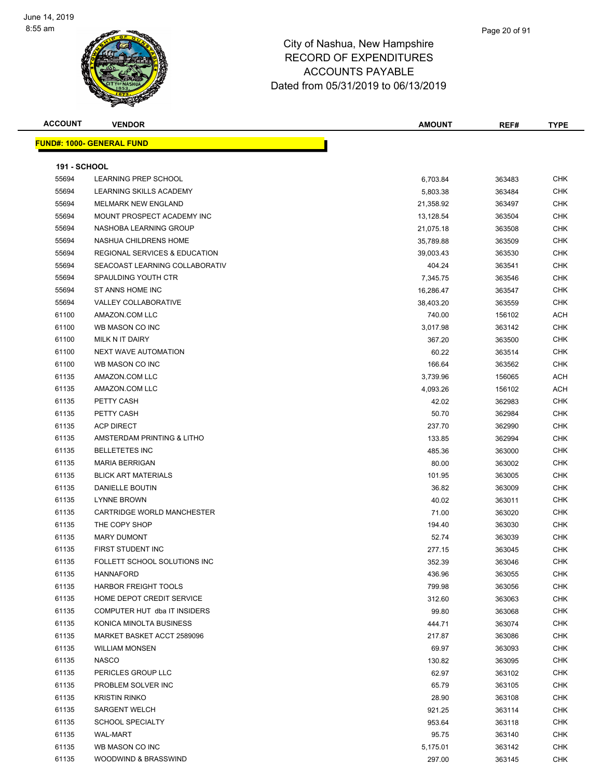

# City of Nashua, New Hampshire RECORD OF EXPENDITURES ACCOUNTS PAYABLE

Dated from 05/31/2019 to 06/13/2019

| <b>ACCOUNT</b>      | <b>VENDOR</b>                            | <b>AMOUNT</b> | REF#   | <b>TYPE</b> |
|---------------------|------------------------------------------|---------------|--------|-------------|
|                     | <b>FUND#: 1000- GENERAL FUND</b>         |               |        |             |
| <b>191 - SCHOOL</b> |                                          |               |        |             |
| 55694               | LEARNING PREP SCHOOL                     | 6,703.84      | 363483 | <b>CHK</b>  |
| 55694               | <b>LEARNING SKILLS ACADEMY</b>           | 5,803.38      | 363484 | <b>CHK</b>  |
| 55694               | <b>MELMARK NEW ENGLAND</b>               | 21,358.92     | 363497 | <b>CHK</b>  |
| 55694               | MOUNT PROSPECT ACADEMY INC               | 13,128.54     | 363504 | <b>CHK</b>  |
| 55694               | NASHOBA LEARNING GROUP                   | 21,075.18     | 363508 | <b>CHK</b>  |
| 55694               | NASHUA CHILDRENS HOME                    |               |        | <b>CHK</b>  |
| 55694               | <b>REGIONAL SERVICES &amp; EDUCATION</b> | 35,789.88     | 363509 | <b>CHK</b>  |
| 55694               | SEACOAST LEARNING COLLABORATIV           | 39,003.43     | 363530 | <b>CHK</b>  |
| 55694               | SPAULDING YOUTH CTR                      | 404.24        | 363541 |             |
|                     |                                          | 7,345.75      | 363546 | <b>CHK</b>  |
| 55694               | ST ANNS HOME INC                         | 16,286.47     | 363547 | <b>CHK</b>  |
| 55694               | VALLEY COLLABORATIVE                     | 38,403.20     | 363559 | <b>CHK</b>  |
| 61100               | AMAZON.COM LLC                           | 740.00        | 156102 | ACH         |
| 61100               | WB MASON CO INC                          | 3,017.98      | 363142 | CHK         |
| 61100               | MILK N IT DAIRY                          | 367.20        | 363500 | <b>CHK</b>  |
| 61100               | <b>NEXT WAVE AUTOMATION</b>              | 60.22         | 363514 | <b>CHK</b>  |
| 61100               | WB MASON CO INC                          | 166.64        | 363562 | <b>CHK</b>  |
| 61135               | AMAZON.COM LLC                           | 3,739.96      | 156065 | <b>ACH</b>  |
| 61135               | AMAZON.COM LLC                           | 4,093.26      | 156102 | ACH         |
| 61135               | PETTY CASH                               | 42.02         | 362983 | <b>CHK</b>  |
| 61135               | PETTY CASH                               | 50.70         | 362984 | <b>CHK</b>  |
| 61135               | <b>ACP DIRECT</b>                        | 237.70        | 362990 | <b>CHK</b>  |
| 61135               | AMSTERDAM PRINTING & LITHO               | 133.85        | 362994 | <b>CHK</b>  |
| 61135               | <b>BELLETETES INC</b>                    | 485.36        | 363000 | <b>CHK</b>  |
| 61135               | <b>MARIA BERRIGAN</b>                    | 80.00         | 363002 | <b>CHK</b>  |
| 61135               | <b>BLICK ART MATERIALS</b>               | 101.95        | 363005 | <b>CHK</b>  |
| 61135               | DANIELLE BOUTIN                          | 36.82         | 363009 | <b>CHK</b>  |
| 61135               | <b>LYNNE BROWN</b>                       | 40.02         | 363011 | <b>CHK</b>  |
| 61135               | <b>CARTRIDGE WORLD MANCHESTER</b>        | 71.00         | 363020 | <b>CHK</b>  |
| 61135               | THE COPY SHOP                            | 194.40        | 363030 | <b>CHK</b>  |
| 61135               | <b>MARY DUMONT</b>                       | 52.74         | 363039 | <b>CHK</b>  |
| 61135               | FIRST STUDENT INC                        | 277.15        | 363045 | <b>CHK</b>  |
| 61135               | FOLLETT SCHOOL SOLUTIONS INC             | 352.39        | 363046 | <b>CHK</b>  |
| 61135               | <b>HANNAFORD</b>                         | 436.96        | 363055 | <b>CHK</b>  |
| 61135               | <b>HARBOR FREIGHT TOOLS</b>              | 799.98        | 363056 | <b>CHK</b>  |
| 61135               | HOME DEPOT CREDIT SERVICE                | 312.60        | 363063 | <b>CHK</b>  |
| 61135               | COMPUTER HUT dba IT INSIDERS             | 99.80         | 363068 | <b>CHK</b>  |
| 61135               | KONICA MINOLTA BUSINESS                  | 444.71        | 363074 | <b>CHK</b>  |
| 61135               | MARKET BASKET ACCT 2589096               | 217.87        | 363086 | <b>CHK</b>  |
| 61135               | WILLIAM MONSEN                           | 69.97         | 363093 | <b>CHK</b>  |
| 61135               | <b>NASCO</b>                             | 130.82        | 363095 | <b>CHK</b>  |
| 61135               | PERICLES GROUP LLC                       | 62.97         | 363102 | <b>CHK</b>  |
| 61135               | PROBLEM SOLVER INC                       | 65.79         | 363105 | <b>CHK</b>  |
| 61135               | <b>KRISTIN RINKO</b>                     | 28.90         | 363108 | <b>CHK</b>  |
| 61135               | <b>SARGENT WELCH</b>                     | 921.25        | 363114 | <b>CHK</b>  |
| 61135               | <b>SCHOOL SPECIALTY</b>                  | 953.64        | 363118 | <b>CHK</b>  |
| 61135               | WAL-MART                                 | 95.75         | 363140 | <b>CHK</b>  |
| 61135               | WB MASON CO INC                          |               |        | <b>CHK</b>  |
|                     |                                          | 5,175.01      | 363142 |             |
| 61135               | WOODWIND & BRASSWIND                     | 297.00        | 363145 | <b>CHK</b>  |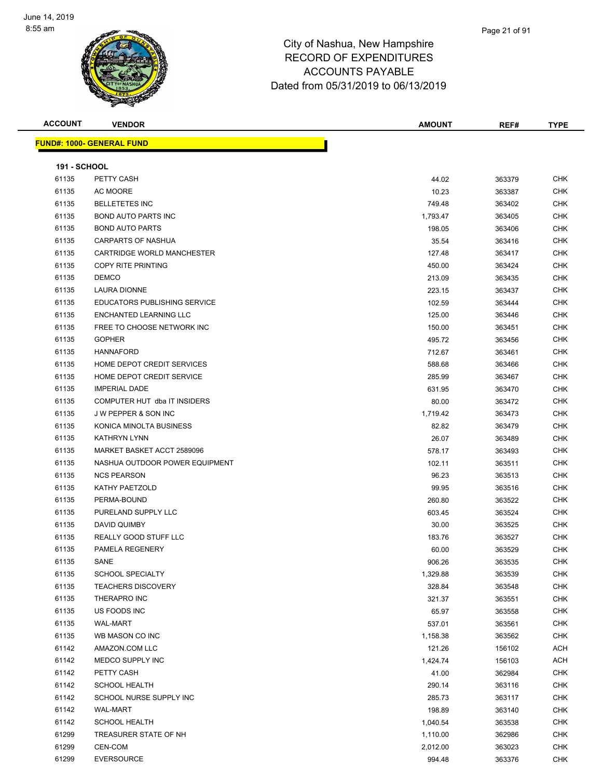

| <b>ACCOUNT</b>      | <b>VENDOR</b>                       | <b>AMOUNT</b> | REF#   | <b>TYPE</b> |
|---------------------|-------------------------------------|---------------|--------|-------------|
|                     | <b>FUND#: 1000- GENERAL FUND</b>    |               |        |             |
|                     |                                     |               |        |             |
| <b>191 - SCHOOL</b> |                                     |               |        |             |
| 61135               | PETTY CASH                          | 44.02         | 363379 | <b>CHK</b>  |
| 61135               | AC MOORE                            | 10.23         | 363387 | <b>CHK</b>  |
| 61135               | <b>BELLETETES INC</b>               | 749.48        | 363402 | <b>CHK</b>  |
| 61135               | <b>BOND AUTO PARTS INC</b>          | 1,793.47      | 363405 | <b>CHK</b>  |
| 61135               | <b>BOND AUTO PARTS</b>              | 198.05        | 363406 | <b>CHK</b>  |
| 61135               | <b>CARPARTS OF NASHUA</b>           | 35.54         | 363416 | <b>CHK</b>  |
| 61135               | CARTRIDGE WORLD MANCHESTER          | 127.48        | 363417 | <b>CHK</b>  |
| 61135               | COPY RITE PRINTING                  | 450.00        | 363424 | <b>CHK</b>  |
| 61135               | <b>DEMCO</b>                        | 213.09        | 363435 | <b>CHK</b>  |
| 61135               | LAURA DIONNE                        | 223.15        | 363437 | <b>CHK</b>  |
| 61135               | <b>EDUCATORS PUBLISHING SERVICE</b> | 102.59        | 363444 | <b>CHK</b>  |
| 61135               | ENCHANTED LEARNING LLC              | 125.00        | 363446 | <b>CHK</b>  |
| 61135               | FREE TO CHOOSE NETWORK INC          | 150.00        | 363451 | <b>CHK</b>  |
| 61135               | <b>GOPHER</b>                       | 495.72        | 363456 | <b>CHK</b>  |
| 61135               | <b>HANNAFORD</b>                    | 712.67        | 363461 | <b>CHK</b>  |
| 61135               | HOME DEPOT CREDIT SERVICES          | 588.68        | 363466 | <b>CHK</b>  |
| 61135               | HOME DEPOT CREDIT SERVICE           | 285.99        | 363467 | <b>CHK</b>  |
| 61135               | <b>IMPERIAL DADE</b>                | 631.95        | 363470 | <b>CHK</b>  |
| 61135               | COMPUTER HUT dba IT INSIDERS        | 80.00         | 363472 | <b>CHK</b>  |
| 61135               | <b>JW PEPPER &amp; SON INC</b>      | 1,719.42      | 363473 | CHK         |
| 61135               | KONICA MINOLTA BUSINESS             | 82.82         | 363479 | <b>CHK</b>  |
| 61135               | <b>KATHRYN LYNN</b>                 | 26.07         | 363489 | <b>CHK</b>  |
| 61135               | MARKET BASKET ACCT 2589096          | 578.17        | 363493 | <b>CHK</b>  |
| 61135               | NASHUA OUTDOOR POWER EQUIPMENT      | 102.11        | 363511 | <b>CHK</b>  |
| 61135               | <b>NCS PEARSON</b>                  | 96.23         | 363513 | <b>CHK</b>  |
| 61135               | KATHY PAETZOLD                      | 99.95         | 363516 | <b>CHK</b>  |
| 61135               | PERMA-BOUND                         | 260.80        | 363522 | <b>CHK</b>  |
| 61135               | PURELAND SUPPLY LLC                 | 603.45        | 363524 | <b>CHK</b>  |
| 61135               | DAVID QUIMBY                        | 30.00         | 363525 | <b>CHK</b>  |
| 61135               | REALLY GOOD STUFF LLC               | 183.76        | 363527 | <b>CHK</b>  |
| 61135               | PAMELA REGENERY                     | 60.00         | 363529 | <b>CHK</b>  |
| 61135               | SANE                                | 906.26        | 363535 | <b>CHK</b>  |
| 61135               | <b>SCHOOL SPECIALTY</b>             | 1,329.88      | 363539 | <b>CHK</b>  |
| 61135               | <b>TEACHERS DISCOVERY</b>           | 328.84        | 363548 | <b>CHK</b>  |
| 61135               | THERAPRO INC                        | 321.37        | 363551 | <b>CHK</b>  |
| 61135               | US FOODS INC                        | 65.97         | 363558 | <b>CHK</b>  |
| 61135               | WAL-MART                            | 537.01        | 363561 | <b>CHK</b>  |
| 61135               | WB MASON CO INC                     | 1,158.38      | 363562 | <b>CHK</b>  |
| 61142               | AMAZON.COM LLC                      | 121.26        | 156102 | <b>ACH</b>  |
| 61142               | MEDCO SUPPLY INC                    | 1,424.74      | 156103 | <b>ACH</b>  |
| 61142               | PETTY CASH                          | 41.00         | 362984 | <b>CHK</b>  |
| 61142               | <b>SCHOOL HEALTH</b>                | 290.14        | 363116 | <b>CHK</b>  |
| 61142               | SCHOOL NURSE SUPPLY INC             | 285.73        | 363117 | <b>CHK</b>  |
| 61142               | <b>WAL-MART</b>                     | 198.89        | 363140 | <b>CHK</b>  |
| 61142               | <b>SCHOOL HEALTH</b>                | 1,040.54      | 363538 | <b>CHK</b>  |
| 61299               | TREASURER STATE OF NH               | 1,110.00      | 362986 | <b>CHK</b>  |
| 61299               | CEN-COM                             | 2,012.00      | 363023 | <b>CHK</b>  |
| 61299               | <b>EVERSOURCE</b>                   | 994.48        | 363376 | <b>CHK</b>  |
|                     |                                     |               |        |             |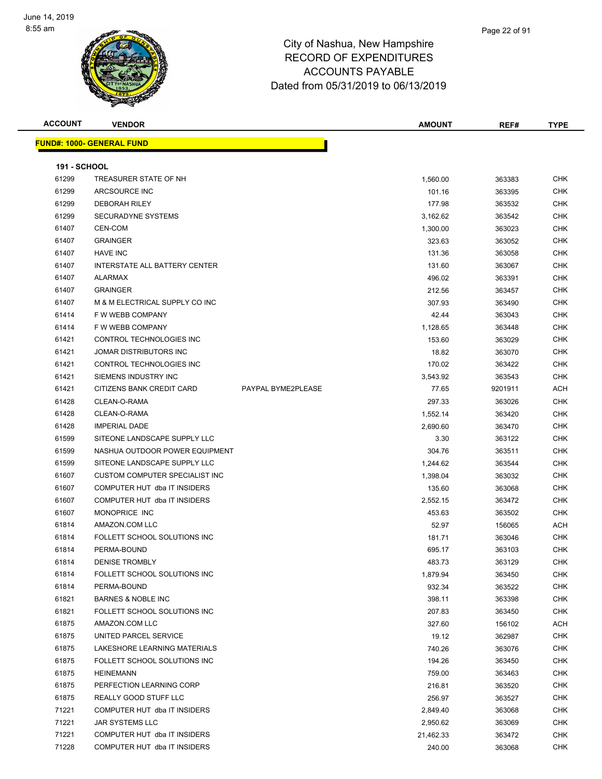

| <b>ACCOUNT</b>      | <b>VENDOR</b>                     |                    | <b>AMOUNT</b> | REF#    | <b>TYPE</b> |
|---------------------|-----------------------------------|--------------------|---------------|---------|-------------|
|                     | <u> FUND#: 1000- GENERAL FUND</u> |                    |               |         |             |
|                     |                                   |                    |               |         |             |
| <b>191 - SCHOOL</b> |                                   |                    |               |         |             |
| 61299               | TREASURER STATE OF NH             |                    | 1,560.00      | 363383  | CHK         |
| 61299               | ARCSOURCE INC                     |                    | 101.16        | 363395  | <b>CHK</b>  |
| 61299               | <b>DEBORAH RILEY</b>              |                    | 177.98        | 363532  | <b>CHK</b>  |
| 61299               | SECURADYNE SYSTEMS                |                    | 3,162.62      | 363542  | <b>CHK</b>  |
| 61407               | CEN-COM                           |                    | 1,300.00      | 363023  | <b>CHK</b>  |
| 61407               | <b>GRAINGER</b>                   |                    | 323.63        | 363052  | <b>CHK</b>  |
| 61407               | <b>HAVE INC</b>                   |                    | 131.36        | 363058  | <b>CHK</b>  |
| 61407               | INTERSTATE ALL BATTERY CENTER     |                    | 131.60        | 363067  | <b>CHK</b>  |
| 61407               | ALARMAX                           |                    | 496.02        | 363391  | <b>CHK</b>  |
| 61407               | <b>GRAINGER</b>                   |                    | 212.56        | 363457  | <b>CHK</b>  |
| 61407               | M & M ELECTRICAL SUPPLY CO INC    |                    | 307.93        | 363490  | <b>CHK</b>  |
| 61414               | F W WEBB COMPANY                  |                    | 42.44         | 363043  | <b>CHK</b>  |
| 61414               | F W WEBB COMPANY                  |                    | 1,128.65      | 363448  | <b>CHK</b>  |
| 61421               | CONTROL TECHNOLOGIES INC          |                    | 153.60        | 363029  | <b>CHK</b>  |
| 61421               | JOMAR DISTRIBUTORS INC            |                    | 18.82         | 363070  | <b>CHK</b>  |
| 61421               | CONTROL TECHNOLOGIES INC          |                    | 170.02        | 363422  | <b>CHK</b>  |
| 61421               | SIEMENS INDUSTRY INC              |                    | 3,543.92      | 363543  | <b>CHK</b>  |
| 61421               | CITIZENS BANK CREDIT CARD         | PAYPAL BYME2PLEASE | 77.65         | 9201911 | <b>ACH</b>  |
| 61428               | CLEAN-O-RAMA                      |                    | 297.33        | 363026  | <b>CHK</b>  |
| 61428               | CLEAN-O-RAMA                      |                    | 1,552.14      | 363420  | CHK         |
| 61428               | <b>IMPERIAL DADE</b>              |                    | 2,690.60      | 363470  | <b>CHK</b>  |
| 61599               | SITEONE LANDSCAPE SUPPLY LLC      |                    | 3.30          | 363122  | CHK         |
| 61599               | NASHUA OUTDOOR POWER EQUIPMENT    |                    | 304.76        | 363511  | <b>CHK</b>  |
| 61599               | SITEONE LANDSCAPE SUPPLY LLC      |                    | 1,244.62      | 363544  | <b>CHK</b>  |
| 61607               | CUSTOM COMPUTER SPECIALIST INC    |                    | 1,398.04      | 363032  | <b>CHK</b>  |
| 61607               | COMPUTER HUT dba IT INSIDERS      |                    | 135.60        | 363068  | <b>CHK</b>  |
| 61607               | COMPUTER HUT dba IT INSIDERS      |                    | 2,552.15      | 363472  | <b>CHK</b>  |
| 61607               | MONOPRICE INC                     |                    | 453.63        | 363502  | <b>CHK</b>  |
| 61814               | AMAZON.COM LLC                    |                    | 52.97         | 156065  | <b>ACH</b>  |
| 61814               | FOLLETT SCHOOL SOLUTIONS INC      |                    | 181.71        | 363046  | <b>CHK</b>  |
| 61814               | PERMA-BOUND                       |                    | 695.17        | 363103  | <b>CHK</b>  |
| 61814               | <b>DENISE TROMBLY</b>             |                    | 483.73        | 363129  | <b>CHK</b>  |
| 61814               | FOLLETT SCHOOL SOLUTIONS INC      |                    | 1,879.94      | 363450  | CHK         |
| 61814               | PERMA-BOUND                       |                    | 932.34        | 363522  | <b>CHK</b>  |
| 61821               | <b>BARNES &amp; NOBLE INC</b>     |                    | 398.11        | 363398  | <b>CHK</b>  |
| 61821               | FOLLETT SCHOOL SOLUTIONS INC      |                    | 207.83        | 363450  | <b>CHK</b>  |
| 61875               | AMAZON.COM LLC                    |                    | 327.60        | 156102  | ACH         |
| 61875               | UNITED PARCEL SERVICE             |                    | 19.12         | 362987  | <b>CHK</b>  |
| 61875               | LAKESHORE LEARNING MATERIALS      |                    | 740.26        | 363076  | <b>CHK</b>  |
| 61875               | FOLLETT SCHOOL SOLUTIONS INC      |                    | 194.26        | 363450  | <b>CHK</b>  |
| 61875               | <b>HEINEMANN</b>                  |                    | 759.00        | 363463  | <b>CHK</b>  |
| 61875               | PERFECTION LEARNING CORP          |                    | 216.81        | 363520  | <b>CHK</b>  |
| 61875               | REALLY GOOD STUFF LLC             |                    | 256.97        | 363527  | <b>CHK</b>  |
| 71221               | COMPUTER HUT dba IT INSIDERS      |                    | 2,849.40      | 363068  | <b>CHK</b>  |
| 71221               | JAR SYSTEMS LLC                   |                    | 2,950.62      | 363069  | <b>CHK</b>  |
| 71221               | COMPUTER HUT dba IT INSIDERS      |                    | 21,462.33     | 363472  | <b>CHK</b>  |
| 71228               | COMPUTER HUT dba IT INSIDERS      |                    | 240.00        | 363068  | <b>CHK</b>  |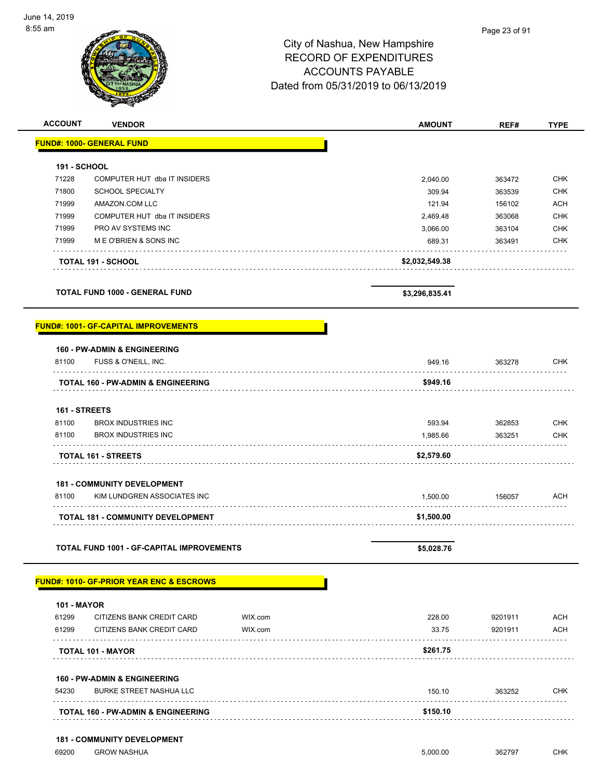| <b>ACCOUNT</b>      | <b>VENDOR</b>                                    |         | <b>AMOUNT</b>  | REF#    | <b>TYPE</b> |
|---------------------|--------------------------------------------------|---------|----------------|---------|-------------|
|                     | <b>FUND#: 1000- GENERAL FUND</b>                 |         |                |         |             |
| <b>191 - SCHOOL</b> |                                                  |         |                |         |             |
| 71228               | COMPUTER HUT dba IT INSIDERS                     |         | 2,040.00       | 363472  | <b>CHK</b>  |
| 71800               | <b>SCHOOL SPECIALTY</b>                          |         | 309.94         | 363539  | <b>CHK</b>  |
| 71999               | AMAZON.COM LLC                                   |         | 121.94         | 156102  | <b>ACH</b>  |
| 71999               | COMPUTER HUT dba IT INSIDERS                     |         | 2,469.48       | 363068  | <b>CHK</b>  |
| 71999               | PRO AV SYSTEMS INC                               |         | 3,066.00       | 363104  | <b>CHK</b>  |
| 71999               | M E O'BRIEN & SONS INC                           |         | 689.31         | 363491  | <b>CHK</b>  |
|                     | <b>TOTAL 191 - SCHOOL</b>                        |         | \$2,032,549.38 |         |             |
|                     | <b>TOTAL FUND 1000 - GENERAL FUND</b>            |         | \$3,296,835.41 |         |             |
|                     | <u> FUND#: 1001- GF-CAPITAL IMPROVEMENTS</u>     |         |                |         |             |
|                     | <b>160 - PW-ADMIN &amp; ENGINEERING</b>          |         |                |         |             |
| 81100               | FUSS & O'NEILL, INC.                             |         | 949.16         | 363278  | <b>CHK</b>  |
|                     | TOTAL 160 - PW-ADMIN & ENGINEERING               |         | \$949.16       |         |             |
| 161 - STREETS       |                                                  |         |                |         |             |
| 81100               | <b>BROX INDUSTRIES INC</b>                       |         | 593.94         | 362853  | <b>CHK</b>  |
| 81100               | <b>BROX INDUSTRIES INC</b>                       |         | 1,985.66       | 363251  | <b>CHK</b>  |
|                     | <b>TOTAL 161 - STREETS</b>                       |         | \$2,579.60     |         |             |
|                     | <b>181 - COMMUNITY DEVELOPMENT</b>               |         |                |         |             |
| 81100               | KIM LUNDGREN ASSOCIATES INC                      |         | 1,500.00       | 156057  | ACH         |
|                     | <b>TOTAL 181 - COMMUNITY DEVELOPMENT</b>         |         | \$1,500.00     |         |             |
|                     | <b>TOTAL FUND 1001 - GF-CAPITAL IMPROVEMENTS</b> |         | \$5,028.76     |         |             |
|                     | FUND#: 1010- GF-PRIOR YEAR ENC & ESCROWS         |         |                |         |             |
| <b>101 - MAYOR</b>  |                                                  |         |                |         |             |
| 61299               | CITIZENS BANK CREDIT CARD                        | WIX.com | 228.00         | 9201911 | <b>ACH</b>  |
| 61299               | CITIZENS BANK CREDIT CARD                        | WIX.com | 33.75          | 9201911 | ACH         |
|                     | <b>TOTAL 101 - MAYOR</b>                         |         | \$261.75       |         |             |
|                     | <b>160 - PW-ADMIN &amp; ENGINEERING</b>          |         |                |         |             |
| 54230               | <b>BURKE STREET NASHUA LLC</b>                   |         | 150.10         | 363252  | <b>CHK</b>  |
|                     | <b>TOTAL 160 - PW-ADMIN &amp; ENGINEERING</b>    |         | \$150.10       |         |             |
|                     | <b>181 - COMMUNITY DEVELOPMENT</b>               |         |                |         |             |
| 69200               | <b>GROW NASHUA</b>                               |         | 5,000.00       | 362797  | <b>CHK</b>  |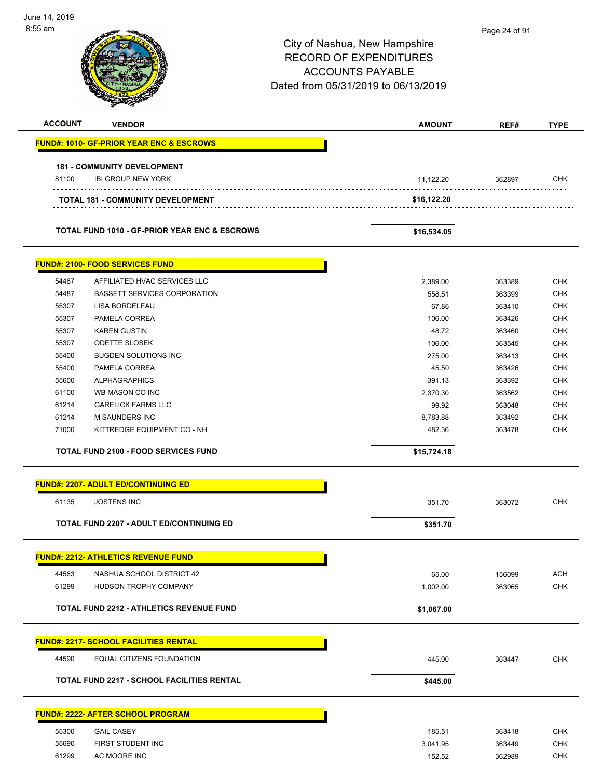| June 14, 2019  |                                                          |                                     |               |             |
|----------------|----------------------------------------------------------|-------------------------------------|---------------|-------------|
| 8:55 am        |                                                          |                                     | Page 24 of 91 |             |
|                |                                                          | City of Nashua, New Hampshire       |               |             |
|                |                                                          | <b>RECORD OF EXPENDITURES</b>       |               |             |
|                |                                                          | <b>ACCOUNTS PAYABLE</b>             |               |             |
|                |                                                          | Dated from 05/31/2019 to 06/13/2019 |               |             |
|                |                                                          |                                     |               |             |
| <b>ACCOUNT</b> | <b>VENDOR</b>                                            | <b>AMOUNT</b>                       | REF#          | <b>TYPE</b> |
|                |                                                          |                                     |               |             |
|                | <b>FUND#: 1010- GF-PRIOR YEAR ENC &amp; ESCROWS</b>      |                                     |               |             |
|                | <b>181 - COMMUNITY DEVELOPMENT</b>                       |                                     |               |             |
| 81100          | <b>IBI GROUP NEW YORK</b>                                | 11,122.20                           | 362897        | <b>CHK</b>  |
|                | <b>TOTAL 181 - COMMUNITY DEVELOPMENT</b>                 | \$16,122.20                         |               |             |
|                |                                                          |                                     |               |             |
|                | <b>TOTAL FUND 1010 - GF-PRIOR YEAR ENC &amp; ESCROWS</b> | \$16,534.05                         |               |             |
|                | <b>FUND#: 2100- FOOD SERVICES FUND</b>                   |                                     |               |             |
| 54487          | AFFILIATED HVAC SERVICES LLC                             | 2,389.00                            | 363389        | <b>CHK</b>  |
| 54487          | <b>BASSETT SERVICES CORPORATION</b>                      | 558.51                              | 363399        | <b>CHK</b>  |
| 55307          | LISA BORDELEAU                                           | 67.86                               | 363410        | <b>CHK</b>  |
| 55307          | PAMELA CORREA                                            | 106.00                              | 363426        | <b>CHK</b>  |
| 55307          | <b>KAREN GUSTIN</b>                                      | 48.72                               | 363460        | <b>CHK</b>  |
| 55307          | <b>ODETTE SLOSEK</b>                                     | 106.00                              | 363545        | <b>CHK</b>  |
| 55400          | <b>BUGDEN SOLUTIONS INC</b>                              | 275.00                              | 363413        | <b>CHK</b>  |
| 55400          | PAMELA CORREA                                            | 45.50                               | 363426        | <b>CHK</b>  |
| 55600          | <b>ALPHAGRAPHICS</b>                                     | 391.13                              | 363392        | <b>CHK</b>  |
| 61100          | WB MASON CO INC                                          | 2,370.30                            | 363562        | <b>CHK</b>  |
| 61214          | <b>GARELICK FARMS LLC</b>                                | 99.92                               | 363048        | <b>CHK</b>  |
| 61214          | M SAUNDERS INC                                           | 8,783.88                            | 363492        | <b>CHK</b>  |
| 71000          | KITTREDGE EQUIPMENT CO - NH                              | 482.36                              | 363478        | <b>CHK</b>  |
|                | TOTAL FUND 2100 - FOOD SERVICES FUND                     | \$15,724.18                         |               |             |
|                | <b>FUND#: 2207- ADULT ED/CONTINUING ED</b>               |                                     |               |             |
| 61135          | <b>JOSTENS INC</b>                                       |                                     | 363072        | <b>CHK</b>  |
|                |                                                          | 351.70                              |               |             |
|                | <b>TOTAL FUND 2207 - ADULT ED/CONTINUING ED</b>          | \$351.70                            |               |             |
|                | <b>FUND#: 2212- ATHLETICS REVENUE FUND</b>               |                                     |               |             |
| 44563          | NASHUA SCHOOL DISTRICT 42                                | 65.00                               | 156099        | <b>ACH</b>  |
| 61299          | HUDSON TROPHY COMPANY                                    | 1,002.00                            | 363065        | <b>CHK</b>  |
|                | <b>TOTAL FUND 2212 - ATHLETICS REVENUE FUND</b>          | \$1,067.00                          |               |             |
|                |                                                          |                                     |               |             |
|                | <b>FUND#: 2217- SCHOOL FACILITIES RENTAL</b>             |                                     |               |             |
| 44590          | EQUAL CITIZENS FOUNDATION                                | 445.00                              | 363447        | <b>CHK</b>  |
|                | <b>TOTAL FUND 2217 - SCHOOL FACILITIES RENTAL</b>        | \$445.00                            |               |             |
|                | <b>FUND#: 2222- AFTER SCHOOL PROGRAM</b>                 |                                     |               |             |
|                |                                                          |                                     |               |             |
| 55300          | <b>GAIL CASEY</b>                                        | 185.51                              | 363418        | <b>CHK</b>  |
| 55690          | FIRST STUDENT INC                                        | 3,041.95                            | 363449        | <b>CHK</b>  |
| 61299          | AC MOORE INC                                             | 152.52                              | 362989        | <b>CHK</b>  |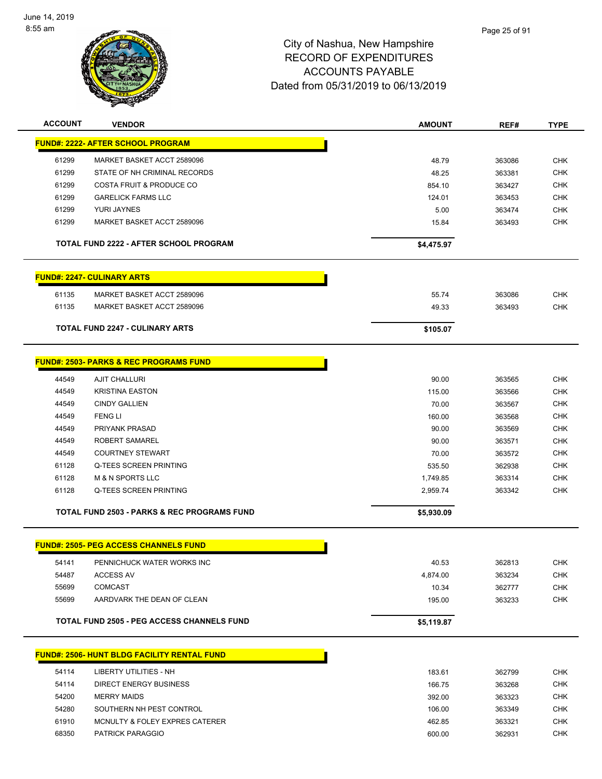

| <b>ACCOUNT</b> | <b>VENDOR</b>                                          | <b>AMOUNT</b> | REF#   | <b>TYPE</b> |
|----------------|--------------------------------------------------------|---------------|--------|-------------|
|                | <u> FUND#: 2222- AFTER SCHOOL PROGRAM</u>              |               |        |             |
| 61299          | MARKET BASKET ACCT 2589096                             | 48.79         | 363086 | <b>CHK</b>  |
| 61299          | STATE OF NH CRIMINAL RECORDS                           | 48.25         | 363381 | <b>CHK</b>  |
| 61299          | <b>COSTA FRUIT &amp; PRODUCE CO</b>                    | 854.10        | 363427 | CHK         |
| 61299          | <b>GARELICK FARMS LLC</b>                              | 124.01        | 363453 | <b>CHK</b>  |
| 61299          | YURI JAYNES                                            | 5.00          | 363474 | <b>CHK</b>  |
| 61299          | MARKET BASKET ACCT 2589096                             | 15.84         | 363493 | <b>CHK</b>  |
|                |                                                        |               |        |             |
|                | TOTAL FUND 2222 - AFTER SCHOOL PROGRAM                 | \$4,475.97    |        |             |
|                | <b>FUND#: 2247- CULINARY ARTS</b>                      |               |        |             |
|                |                                                        |               |        |             |
| 61135          | MARKET BASKET ACCT 2589096                             | 55.74         | 363086 | <b>CHK</b>  |
| 61135          | MARKET BASKET ACCT 2589096                             | 49.33         | 363493 | <b>CHK</b>  |
|                | <b>TOTAL FUND 2247 - CULINARY ARTS</b>                 | \$105.07      |        |             |
|                | <b>FUND#: 2503- PARKS &amp; REC PROGRAMS FUND</b>      |               |        |             |
|                |                                                        |               |        |             |
| 44549          | <b>AJIT CHALLURI</b>                                   | 90.00         | 363565 | <b>CHK</b>  |
| 44549          | <b>KRISTINA EASTON</b>                                 | 115.00        | 363566 | CHK         |
| 44549          | <b>CINDY GALLIEN</b>                                   | 70.00         | 363567 | CHK         |
| 44549          | <b>FENG LI</b>                                         | 160.00        | 363568 | <b>CHK</b>  |
| 44549          | PRIYANK PRASAD                                         | 90.00         | 363569 | <b>CHK</b>  |
| 44549          | ROBERT SAMAREL                                         | 90.00         | 363571 | <b>CHK</b>  |
| 44549          | <b>COURTNEY STEWART</b>                                | 70.00         | 363572 | <b>CHK</b>  |
| 61128          | Q-TEES SCREEN PRINTING                                 | 535.50        | 362938 | <b>CHK</b>  |
| 61128          | <b>M &amp; N SPORTS LLC</b>                            | 1,749.85      | 363314 | <b>CHK</b>  |
| 61128          | Q-TEES SCREEN PRINTING                                 | 2,959.74      | 363342 | <b>CHK</b>  |
|                | <b>TOTAL FUND 2503 - PARKS &amp; REC PROGRAMS FUND</b> | \$5,930.09    |        |             |
|                | <b>FUND#: 2505- PEG ACCESS CHANNELS FUND</b>           |               |        |             |
|                |                                                        |               |        |             |
| 54141          | PENNICHUCK WATER WORKS INC                             | 40.53         | 362813 | CHK         |
| 54487          | <b>ACCESS AV</b>                                       | 4,874.00      | 363234 | CHK         |
| 55699          | <b>COMCAST</b>                                         | 10.34         | 362777 | <b>CHK</b>  |
| 55699          | AARDVARK THE DEAN OF CLEAN                             | 195.00        | 363233 | <b>CHK</b>  |
|                | <b>TOTAL FUND 2505 - PEG ACCESS CHANNELS FUND</b>      | \$5,119.87    |        |             |
|                | <b>FUND#: 2506- HUNT BLDG FACILITY RENTAL FUND</b>     |               |        |             |
|                |                                                        |               |        |             |
| 54114          | LIBERTY UTILITIES - NH                                 | 183.61        | 362799 | <b>CHK</b>  |
| 54114          | <b>DIRECT ENERGY BUSINESS</b>                          | 166.75        | 363268 | <b>CHK</b>  |
| 54200          | <b>MERRY MAIDS</b>                                     | 392.00        | 363323 | <b>CHK</b>  |
| 54280          | SOUTHERN NH PEST CONTROL                               | 106.00        | 363349 | <b>CHK</b>  |
| 61910          | MCNULTY & FOLEY EXPRES CATERER                         | 462.85        | 363321 | <b>CHK</b>  |
| 68350          | PATRICK PARAGGIO                                       | 600.00        | 362931 | <b>CHK</b>  |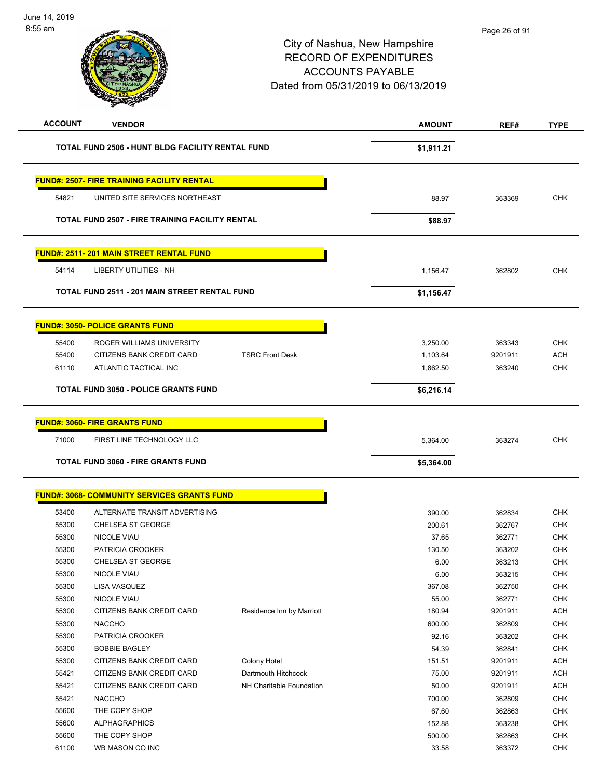| <b>ACCOUNT</b> | <b>VENDOR</b>                                          |                           | <b>AMOUNT</b> | REF#    | <b>TYPE</b> |
|----------------|--------------------------------------------------------|---------------------------|---------------|---------|-------------|
|                | TOTAL FUND 2506 - HUNT BLDG FACILITY RENTAL FUND       |                           | \$1,911.21    |         |             |
|                | <b>FUND#: 2507- FIRE TRAINING FACILITY RENTAL</b>      |                           |               |         |             |
| 54821          | UNITED SITE SERVICES NORTHEAST                         |                           | 88.97         | 363369  | <b>CHK</b>  |
|                | <b>TOTAL FUND 2507 - FIRE TRAINING FACILITY RENTAL</b> |                           | \$88.97       |         |             |
|                | <b>FUND#: 2511-201 MAIN STREET RENTAL FUND</b>         |                           |               |         |             |
| 54114          | <b>LIBERTY UTILITIES - NH</b>                          |                           | 1,156.47      | 362802  | CHK         |
|                | <b>TOTAL FUND 2511 - 201 MAIN STREET RENTAL FUND</b>   |                           | \$1,156.47    |         |             |
|                | <b>FUND#: 3050- POLICE GRANTS FUND</b>                 |                           |               |         |             |
| 55400          | ROGER WILLIAMS UNIVERSITY                              |                           | 3,250.00      | 363343  | <b>CHK</b>  |
| 55400          | CITIZENS BANK CREDIT CARD                              | <b>TSRC Front Desk</b>    | 1,103.64      | 9201911 | <b>ACH</b>  |
| 61110          | ATLANTIC TACTICAL INC                                  |                           | 1,862.50      | 363240  | <b>CHK</b>  |
|                | <b>TOTAL FUND 3050 - POLICE GRANTS FUND</b>            |                           | \$6,216.14    |         |             |
|                |                                                        |                           |               |         |             |
|                | <b>FUND#: 3060- FIRE GRANTS FUND</b>                   |                           |               |         |             |
| 71000          | FIRST LINE TECHNOLOGY LLC                              |                           | 5,364.00      | 363274  | <b>CHK</b>  |
|                | <b>TOTAL FUND 3060 - FIRE GRANTS FUND</b>              |                           | \$5,364.00    |         |             |
|                |                                                        |                           |               |         |             |
|                | <b>FUND#: 3068- COMMUNITY SERVICES GRANTS FUND</b>     |                           |               |         |             |
| 53400          | ALTERNATE TRANSIT ADVERTISING                          |                           | 390.00        | 362834  | <b>CHK</b>  |
| 55300          | <b>CHELSEA ST GEORGE</b>                               |                           | 200.61        | 362767  | <b>CHK</b>  |
| 55300          | <b>NICOLE VIAU</b>                                     |                           | 37.65         | 362771  | <b>CHK</b>  |
| 55300          | PATRICIA CROOKER                                       |                           | 130.50        | 363202  | <b>CHK</b>  |
| 55300          | CHELSEA ST GEORGE                                      |                           | 6.00          | 363213  | <b>CHK</b>  |
| 55300          | NICOLE VIAU                                            |                           | 6.00          | 363215  | <b>CHK</b>  |
| 55300          | LISA VASQUEZ                                           |                           | 367.08        | 362750  | CHK         |
| 55300          | NICOLE VIAU                                            |                           | 55.00         | 362771  | CHK         |
| 55300          | CITIZENS BANK CREDIT CARD                              | Residence Inn by Marriott | 180.94        | 9201911 | <b>ACH</b>  |
| 55300          | <b>NACCHO</b>                                          |                           | 600.00        | 362809  | CHK         |
| 55300          | PATRICIA CROOKER                                       |                           | 92.16         | 363202  | CHK         |
| 55300          | <b>BOBBIE BAGLEY</b>                                   |                           | 54.39         | 362841  | <b>CHK</b>  |
| 55300          | CITIZENS BANK CREDIT CARD                              | Colony Hotel              | 151.51        | 9201911 | <b>ACH</b>  |
| 55421          | CITIZENS BANK CREDIT CARD                              | Dartmouth Hitchcock       | 75.00         | 9201911 | <b>ACH</b>  |
| 55421          | CITIZENS BANK CREDIT CARD                              | NH Charitable Foundation  | 50.00         | 9201911 | <b>ACH</b>  |
| 55421          | <b>NACCHO</b>                                          |                           | 700.00        | 362809  | <b>CHK</b>  |
| 55600          | THE COPY SHOP                                          |                           | 67.60         | 362863  | CHK         |
| 55600          | <b>ALPHAGRAPHICS</b>                                   |                           | 152.88        | 363238  | CHK         |
| 55600          | THE COPY SHOP                                          |                           | 500.00        | 362863  | <b>CHK</b>  |
| 61100          | WB MASON CO INC                                        |                           | 33.58         | 363372  | <b>CHK</b>  |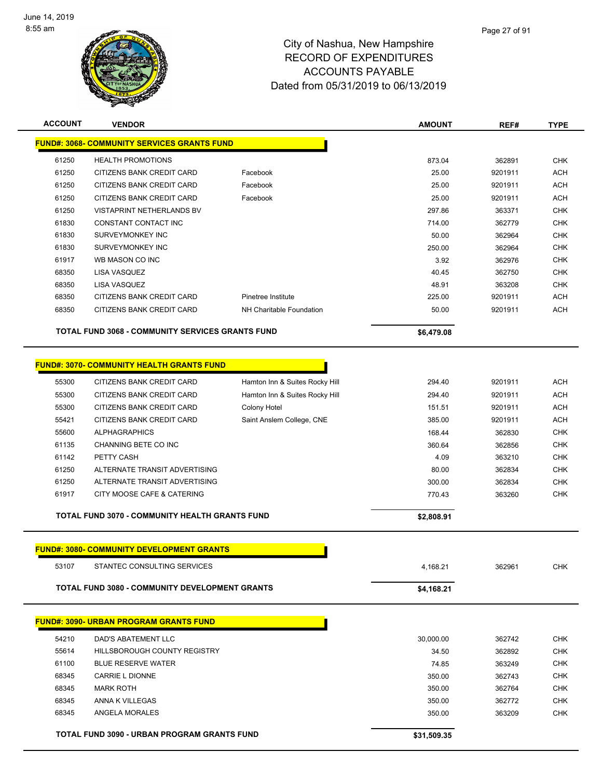

| <b>ACCOUNT</b> | <b>VENDOR</b>                                               |                                 | <b>AMOUNT</b> | REF#    | <b>TYPE</b>              |
|----------------|-------------------------------------------------------------|---------------------------------|---------------|---------|--------------------------|
|                | <b>FUND#: 3068- COMMUNITY SERVICES GRANTS FUND</b>          |                                 |               |         |                          |
| 61250          | <b>HEALTH PROMOTIONS</b>                                    |                                 | 873.04        | 362891  | <b>CHK</b>               |
| 61250          | CITIZENS BANK CREDIT CARD                                   | Facebook                        | 25.00         | 9201911 | <b>ACH</b>               |
| 61250          | CITIZENS BANK CREDIT CARD                                   | Facebook                        | 25.00         | 9201911 | ACH                      |
| 61250          | CITIZENS BANK CREDIT CARD                                   | Facebook                        | 25.00         | 9201911 | <b>ACH</b>               |
| 61250          | VISTAPRINT NETHERLANDS BV                                   |                                 | 297.86        | 363371  | <b>CHK</b>               |
| 61830          | CONSTANT CONTACT INC                                        |                                 | 714.00        | 362779  | <b>CHK</b>               |
| 61830          | SURVEYMONKEY INC                                            |                                 | 50.00         | 362964  | <b>CHK</b>               |
| 61830          | SURVEYMONKEY INC                                            |                                 | 250.00        | 362964  | <b>CHK</b>               |
| 61917          | WB MASON CO INC                                             |                                 | 3.92          | 362976  | <b>CHK</b>               |
| 68350          | LISA VASQUEZ                                                |                                 | 40.45         | 362750  | <b>CHK</b>               |
| 68350          | LISA VASQUEZ                                                |                                 | 48.91         | 363208  | <b>CHK</b>               |
| 68350          | CITIZENS BANK CREDIT CARD                                   | Pinetree Institute              | 225.00        | 9201911 | <b>ACH</b>               |
| 68350          | CITIZENS BANK CREDIT CARD                                   | <b>NH Charitable Foundation</b> | 50.00         | 9201911 | <b>ACH</b>               |
|                | TOTAL FUND 3068 - COMMUNITY SERVICES GRANTS FUND            |                                 | \$6,479.08    |         |                          |
|                |                                                             |                                 |               |         |                          |
|                | <u> FUND#: 3070- COMMUNITY HEALTH GRANTS FUND</u>           |                                 |               |         |                          |
| 55300          | CITIZENS BANK CREDIT CARD                                   | Hamton Inn & Suites Rocky Hill  | 294.40        | 9201911 | <b>ACH</b>               |
| 55300          | CITIZENS BANK CREDIT CARD                                   | Hamton Inn & Suites Rocky Hill  | 294.40        | 9201911 | <b>ACH</b>               |
| 55300          | CITIZENS BANK CREDIT CARD                                   | Colony Hotel                    | 151.51        | 9201911 | <b>ACH</b>               |
| 55421          | CITIZENS BANK CREDIT CARD                                   | Saint Anslem College, CNE       | 385.00        | 9201911 | <b>ACH</b>               |
| 55600          | <b>ALPHAGRAPHICS</b>                                        |                                 | 168.44        | 362830  | <b>CHK</b>               |
| 61135          | CHANNING BETE CO INC                                        |                                 | 360.64        | 362856  | <b>CHK</b>               |
| 61142          | PETTY CASH                                                  |                                 | 4.09          | 363210  | <b>CHK</b>               |
| 61250          | ALTERNATE TRANSIT ADVERTISING                               |                                 | 80.00         | 362834  | <b>CHK</b>               |
| 61250<br>61917 | ALTERNATE TRANSIT ADVERTISING<br>CITY MOOSE CAFE & CATERING |                                 | 300.00        | 362834  | <b>CHK</b><br><b>CHK</b> |
|                |                                                             |                                 | 770.43        | 363260  |                          |
|                | TOTAL FUND 3070 - COMMUNITY HEALTH GRANTS FUND              |                                 | \$2,808.91    |         |                          |
|                | <b>FUND#: 3080- COMMUNITY DEVELOPMENT GRANTS</b>            |                                 |               |         |                          |
| 53107          | STANTEC CONSULTING SERVICES                                 |                                 | 4,168.21      | 362961  | CHK                      |
|                | <b>TOTAL FUND 3080 - COMMUNITY DEVELOPMENT GRANTS</b>       |                                 | \$4,168.21    |         |                          |
|                |                                                             |                                 |               |         |                          |
|                | <u> FUND#: 3090- URBAN PROGRAM GRANTS FUND</u>              |                                 |               |         |                          |
| 54210          | DAD'S ABATEMENT LLC                                         |                                 | 30,000.00     | 362742  | <b>CHK</b>               |
| 55614          | HILLSBOROUGH COUNTY REGISTRY                                |                                 | 34.50         | 362892  | <b>CHK</b>               |
| 61100          | <b>BLUE RESERVE WATER</b>                                   |                                 | 74.85         | 363249  | <b>CHK</b>               |
| 68345          | CARRIE L DIONNE                                             |                                 | 350.00        | 362743  | <b>CHK</b>               |
| 68345          | <b>MARK ROTH</b>                                            |                                 | 350.00        | 362764  | <b>CHK</b>               |
| 68345          | ANNA K VILLEGAS                                             |                                 | 350.00        | 362772  | <b>CHK</b>               |
| 68345          | ANGELA MORALES                                              |                                 | 350.00        | 363209  | <b>CHK</b>               |
|                | TOTAL FUND 3090 - URBAN PROGRAM GRANTS FUND                 |                                 | \$31,509.35   |         |                          |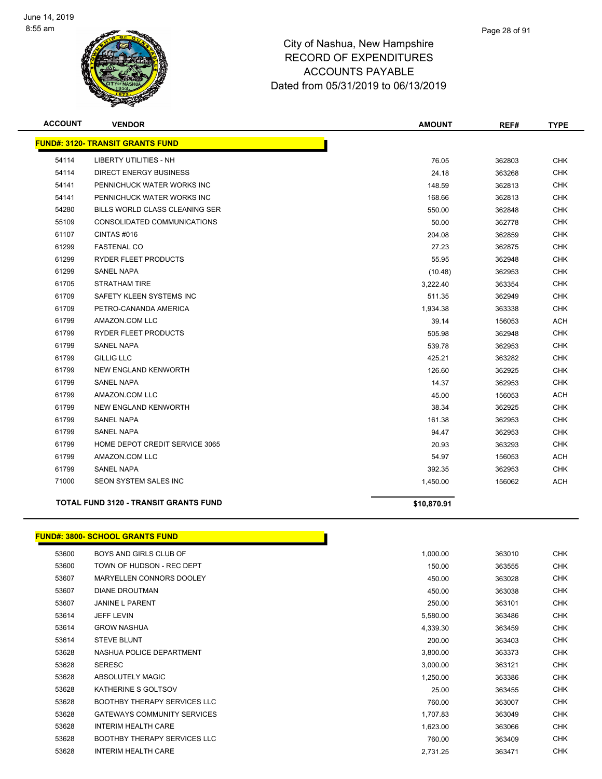

| <b>ACCOUNT</b> | <b>VENDOR</b>                                | <b>AMOUNT</b> | REF#   | <b>TYPE</b> |
|----------------|----------------------------------------------|---------------|--------|-------------|
|                | <b>FUND#: 3120- TRANSIT GRANTS FUND</b>      |               |        |             |
| 54114          | <b>LIBERTY UTILITIES - NH</b>                | 76.05         | 362803 | <b>CHK</b>  |
| 54114          | DIRECT ENERGY BUSINESS                       | 24.18         | 363268 | <b>CHK</b>  |
| 54141          | PENNICHUCK WATER WORKS INC                   | 148.59        | 362813 | <b>CHK</b>  |
| 54141          | PENNICHUCK WATER WORKS INC                   | 168.66        | 362813 | <b>CHK</b>  |
| 54280          | <b>BILLS WORLD CLASS CLEANING SER</b>        | 550.00        | 362848 | <b>CHK</b>  |
| 55109          | CONSOLIDATED COMMUNICATIONS                  | 50.00         | 362778 | <b>CHK</b>  |
| 61107          | CINTAS#016                                   | 204.08        | 362859 | <b>CHK</b>  |
| 61299          | <b>FASTENAL CO</b>                           | 27.23         | 362875 | <b>CHK</b>  |
| 61299          | RYDER FLEET PRODUCTS                         | 55.95         | 362948 | <b>CHK</b>  |
| 61299          | <b>SANEL NAPA</b>                            | (10.48)       | 362953 | <b>CHK</b>  |
| 61705          | <b>STRATHAM TIRE</b>                         | 3,222.40      | 363354 | <b>CHK</b>  |
| 61709          | SAFETY KLEEN SYSTEMS INC                     | 511.35        | 362949 | <b>CHK</b>  |
| 61709          | PETRO-CANANDA AMERICA                        | 1,934.38      | 363338 | <b>CHK</b>  |
| 61799          | AMAZON.COM LLC                               | 39.14         | 156053 | <b>ACH</b>  |
| 61799          | RYDER FLEET PRODUCTS                         | 505.98        | 362948 | <b>CHK</b>  |
| 61799          | <b>SANEL NAPA</b>                            | 539.78        | 362953 | <b>CHK</b>  |
| 61799          | <b>GILLIG LLC</b>                            | 425.21        | 363282 | <b>CHK</b>  |
| 61799          | NEW ENGLAND KENWORTH                         | 126.60        | 362925 | <b>CHK</b>  |
| 61799          | <b>SANEL NAPA</b>                            | 14.37         | 362953 | <b>CHK</b>  |
| 61799          | AMAZON.COM LLC                               | 45.00         | 156053 | <b>ACH</b>  |
| 61799          | <b>NEW ENGLAND KENWORTH</b>                  | 38.34         | 362925 | <b>CHK</b>  |
| 61799          | <b>SANEL NAPA</b>                            | 161.38        | 362953 | <b>CHK</b>  |
| 61799          | <b>SANEL NAPA</b>                            | 94.47         | 362953 | <b>CHK</b>  |
| 61799          | HOME DEPOT CREDIT SERVICE 3065               | 20.93         | 363293 | <b>CHK</b>  |
| 61799          | AMAZON.COM LLC                               | 54.97         | 156053 | <b>ACH</b>  |
| 61799          | <b>SANEL NAPA</b>                            | 392.35        | 362953 | <b>CHK</b>  |
| 71000          | <b>SEON SYSTEM SALES INC</b>                 | 1,450.00      | 156062 | <b>ACH</b>  |
|                | <b>TOTAL FUND 3120 - TRANSIT GRANTS FUND</b> | \$10,870.91   |        |             |

#### **FUND#: 3800- SCHOOL GRANTS FUND**

| 53600 | BOYS AND GIRLS CLUB OF              | 1,000.00 | 363010 | <b>CHK</b> |
|-------|-------------------------------------|----------|--------|------------|
| 53600 | TOWN OF HUDSON - REC DEPT           | 150.00   | 363555 | <b>CHK</b> |
| 53607 | MARYELLEN CONNORS DOOLEY            | 450.00   | 363028 | <b>CHK</b> |
| 53607 | <b>DIANE DROUTMAN</b>               | 450.00   | 363038 | <b>CHK</b> |
| 53607 | <b>JANINE L PARENT</b>              | 250.00   | 363101 | <b>CHK</b> |
| 53614 | <b>JEFF LEVIN</b>                   | 5,580.00 | 363486 | <b>CHK</b> |
| 53614 | <b>GROW NASHUA</b>                  | 4,339.30 | 363459 | <b>CHK</b> |
| 53614 | <b>STEVE BLUNT</b>                  | 200.00   | 363403 | <b>CHK</b> |
| 53628 | NASHUA POLICE DEPARTMENT            | 3,800.00 | 363373 | <b>CHK</b> |
| 53628 | <b>SERESC</b>                       | 3,000.00 | 363121 | <b>CHK</b> |
| 53628 | ABSOLUTELY MAGIC                    | 1,250.00 | 363386 | <b>CHK</b> |
| 53628 | KATHERINE S GOLTSOV                 | 25.00    | 363455 | <b>CHK</b> |
| 53628 | <b>BOOTHBY THERAPY SERVICES LLC</b> | 760.00   | 363007 | <b>CHK</b> |
| 53628 | <b>GATEWAYS COMMUNITY SERVICES</b>  | 1,707.83 | 363049 | <b>CHK</b> |
| 53628 | <b>INTERIM HEALTH CARE</b>          | 1,623.00 | 363066 | <b>CHK</b> |
| 53628 | <b>BOOTHBY THERAPY SERVICES LLC</b> | 760.00   | 363409 | <b>CHK</b> |
| 53628 | <b>INTERIM HEALTH CARE</b>          | 2,731.25 | 363471 | <b>CHK</b> |

Г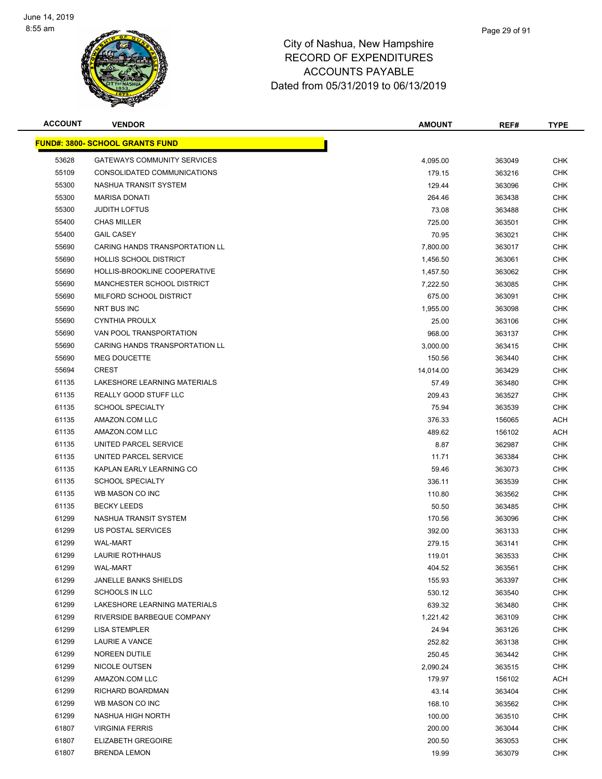

| <b>ACCOUNT</b> | <b>VENDOR</b>                          | <b>AMOUNT</b> | REF#   | <b>TYPE</b> |
|----------------|----------------------------------------|---------------|--------|-------------|
|                | <b>FUND#: 3800- SCHOOL GRANTS FUND</b> |               |        |             |
| 53628          | <b>GATEWAYS COMMUNITY SERVICES</b>     | 4,095.00      | 363049 | <b>CHK</b>  |
| 55109          | CONSOLIDATED COMMUNICATIONS            | 179.15        | 363216 | <b>CHK</b>  |
| 55300          | NASHUA TRANSIT SYSTEM                  | 129.44        | 363096 | <b>CHK</b>  |
| 55300          | <b>MARISA DONATI</b>                   | 264.46        | 363438 | <b>CHK</b>  |
| 55300          | <b>JUDITH LOFTUS</b>                   | 73.08         | 363488 | <b>CHK</b>  |
| 55400          | <b>CHAS MILLER</b>                     | 725.00        | 363501 | <b>CHK</b>  |
| 55400          | <b>GAIL CASEY</b>                      | 70.95         | 363021 | <b>CHK</b>  |
| 55690          | CARING HANDS TRANSPORTATION LL         | 7,800.00      | 363017 | <b>CHK</b>  |
| 55690          | <b>HOLLIS SCHOOL DISTRICT</b>          | 1,456.50      | 363061 | <b>CHK</b>  |
| 55690          | HOLLIS-BROOKLINE COOPERATIVE           | 1,457.50      | 363062 | <b>CHK</b>  |
| 55690          | MANCHESTER SCHOOL DISTRICT             | 7,222.50      | 363085 | <b>CHK</b>  |
| 55690          | MILFORD SCHOOL DISTRICT                | 675.00        | 363091 | CHK         |
| 55690          | NRT BUS INC                            | 1,955.00      | 363098 | <b>CHK</b>  |
| 55690          | <b>CYNTHIA PROULX</b>                  | 25.00         | 363106 | <b>CHK</b>  |
| 55690          | VAN POOL TRANSPORTATION                | 968.00        | 363137 | <b>CHK</b>  |
| 55690          | CARING HANDS TRANSPORTATION LL         | 3,000.00      | 363415 | <b>CHK</b>  |
| 55690          | <b>MEG DOUCETTE</b>                    | 150.56        | 363440 | <b>CHK</b>  |
| 55694          | <b>CREST</b>                           | 14,014.00     | 363429 | <b>CHK</b>  |
| 61135          | LAKESHORE LEARNING MATERIALS           | 57.49         | 363480 | <b>CHK</b>  |
| 61135          | REALLY GOOD STUFF LLC                  | 209.43        | 363527 | <b>CHK</b>  |
| 61135          | <b>SCHOOL SPECIALTY</b>                | 75.94         | 363539 | <b>CHK</b>  |
| 61135          | AMAZON.COM LLC                         | 376.33        | 156065 | <b>ACH</b>  |
| 61135          | AMAZON.COM LLC                         | 489.62        | 156102 | <b>ACH</b>  |
| 61135          | UNITED PARCEL SERVICE                  | 8.87          | 362987 | <b>CHK</b>  |
| 61135          | UNITED PARCEL SERVICE                  | 11.71         | 363384 | <b>CHK</b>  |
| 61135          | KAPLAN EARLY LEARNING CO               | 59.46         | 363073 | <b>CHK</b>  |
| 61135          | <b>SCHOOL SPECIALTY</b>                | 336.11        | 363539 | <b>CHK</b>  |
| 61135          | WB MASON CO INC                        | 110.80        | 363562 | <b>CHK</b>  |
| 61135          | <b>BECKY LEEDS</b>                     | 50.50         | 363485 | <b>CHK</b>  |
| 61299          | NASHUA TRANSIT SYSTEM                  | 170.56        | 363096 | <b>CHK</b>  |
| 61299          | US POSTAL SERVICES                     | 392.00        | 363133 | <b>CHK</b>  |
| 61299          | <b>WAL-MART</b>                        | 279.15        | 363141 | <b>CHK</b>  |
| 61299          | <b>LAURIE ROTHHAUS</b>                 | 119.01        | 363533 | <b>CHK</b>  |
| 61299          | <b>WAL-MART</b>                        | 404.52        | 363561 | <b>CHK</b>  |
| 61299          | <b>JANELLE BANKS SHIELDS</b>           | 155.93        | 363397 | <b>CHK</b>  |
| 61299          | <b>SCHOOLS IN LLC</b>                  | 530.12        | 363540 | <b>CHK</b>  |
| 61299          | LAKESHORE LEARNING MATERIALS           | 639.32        | 363480 | <b>CHK</b>  |
| 61299          | RIVERSIDE BARBEQUE COMPANY             | 1,221.42      | 363109 | <b>CHK</b>  |
| 61299          | <b>LISA STEMPLER</b>                   | 24.94         | 363126 | <b>CHK</b>  |
| 61299          | LAURIE A VANCE                         | 252.82        | 363138 | <b>CHK</b>  |
| 61299          | NOREEN DUTILE                          | 250.45        | 363442 | <b>CHK</b>  |
| 61299          | NICOLE OUTSEN                          | 2,090.24      | 363515 | <b>CHK</b>  |
| 61299          | AMAZON.COM LLC                         | 179.97        | 156102 | <b>ACH</b>  |
| 61299          | RICHARD BOARDMAN                       | 43.14         | 363404 | CHK         |
| 61299          | WB MASON CO INC                        | 168.10        | 363562 | CHK         |
| 61299          | NASHUA HIGH NORTH                      | 100.00        | 363510 | <b>CHK</b>  |
| 61807          | <b>VIRGINIA FERRIS</b>                 | 200.00        | 363044 | CHK         |
| 61807          | <b>ELIZABETH GREGOIRE</b>              | 200.50        | 363053 | <b>CHK</b>  |
| 61807          | <b>BRENDA LEMON</b>                    | 19.99         | 363079 | <b>CHK</b>  |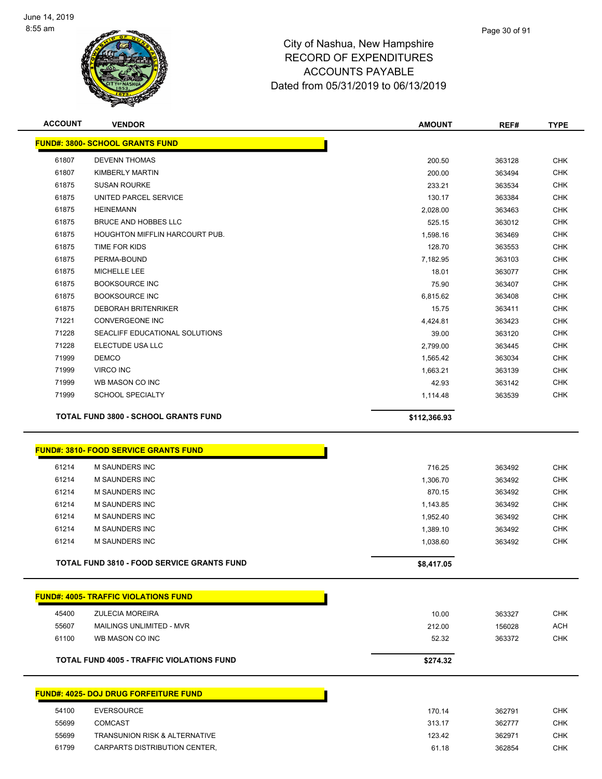

| <b>ACCOUNT</b> | <b>VENDOR</b>                                | <b>AMOUNT</b> | REF#   | <b>TYPE</b> |
|----------------|----------------------------------------------|---------------|--------|-------------|
|                | <b>FUND#: 3800- SCHOOL GRANTS FUND</b>       |               |        |             |
| 61807          | <b>DEVENN THOMAS</b>                         | 200.50        | 363128 | <b>CHK</b>  |
| 61807          | <b>KIMBERLY MARTIN</b>                       | 200.00        | 363494 | <b>CHK</b>  |
| 61875          | <b>SUSAN ROURKE</b>                          | 233.21        | 363534 | <b>CHK</b>  |
| 61875          | UNITED PARCEL SERVICE                        | 130.17        | 363384 | <b>CHK</b>  |
| 61875          | <b>HEINEMANN</b>                             | 2,028.00      | 363463 | <b>CHK</b>  |
| 61875          | <b>BRUCE AND HOBBES LLC</b>                  | 525.15        | 363012 | <b>CHK</b>  |
| 61875          | HOUGHTON MIFFLIN HARCOURT PUB.               | 1,598.16      | 363469 | <b>CHK</b>  |
| 61875          | TIME FOR KIDS                                | 128.70        | 363553 | <b>CHK</b>  |
| 61875          | PERMA-BOUND                                  | 7,182.95      | 363103 | <b>CHK</b>  |
| 61875          | MICHELLE LEE                                 | 18.01         | 363077 | <b>CHK</b>  |
| 61875          | <b>BOOKSOURCE INC</b>                        | 75.90         | 363407 | <b>CHK</b>  |
| 61875          | <b>BOOKSOURCE INC</b>                        | 6,815.62      | 363408 | <b>CHK</b>  |
| 61875          | <b>DEBORAH BRITENRIKER</b>                   | 15.75         | 363411 | <b>CHK</b>  |
| 71221          | <b>CONVERGEONE INC</b>                       | 4,424.81      | 363423 | <b>CHK</b>  |
| 71228          | SEACLIFF EDUCATIONAL SOLUTIONS               | 39.00         | 363120 | <b>CHK</b>  |
| 71228          | ELECTUDE USA LLC                             | 2,799.00      | 363445 | <b>CHK</b>  |
| 71999          | <b>DEMCO</b>                                 | 1,565.42      | 363034 | <b>CHK</b>  |
| 71999          | <b>VIRCO INC</b>                             | 1,663.21      | 363139 | <b>CHK</b>  |
| 71999          | WB MASON CO INC                              | 42.93         | 363142 | <b>CHK</b>  |
| 71999          | <b>SCHOOL SPECIALTY</b>                      | 1,114.48      | 363539 | <b>CHK</b>  |
|                | TOTAL FUND 3800 - SCHOOL GRANTS FUND         | \$112,366.93  |        |             |
|                | <b>FUND#: 3810- FOOD SERVICE GRANTS FUND</b> |               |        |             |
| 61214          | <b>M SAUNDERS INC</b>                        | 716.25        | 363492 | <b>CHK</b>  |
|                |                                              |               |        |             |

|       | <b>TOTAL FUND 3810 - FOOD SERVICE GRANTS FUND</b> | \$8,417.05 |        |            |
|-------|---------------------------------------------------|------------|--------|------------|
| 61214 | M SAUNDERS INC                                    | 1.038.60   | 363492 | <b>CHK</b> |
| 61214 | M SAUNDERS INC                                    | 1.389.10   | 363492 | <b>CHK</b> |
| 61214 | M SAUNDERS INC                                    | 1.952.40   | 363492 | <b>CHK</b> |
| 61214 | M SAUNDERS INC                                    | 1.143.85   | 363492 | <b>CHK</b> |
| 61214 | M SAUNDERS INC                                    | 870.15     | 363492 | <b>CHK</b> |
| 61214 | M SAUNDERS INC                                    | 1,306.70   | 363492 | <b>CHK</b> |
| 61214 | M SAUNDERS INC                                    | 716.25     | 363492 | CHK        |

|       | <b>FUND#: 4005- TRAFFIC VIOLATIONS FUND</b>      |          |        |     |
|-------|--------------------------------------------------|----------|--------|-----|
| 45400 | <b>ZULECIA MOREIRA</b>                           | 10.00    | 363327 | CHK |
| 55607 | MAILINGS UNLIMITED - MVR                         | 212.00   | 156028 | ACH |
| 61100 | WB MASON CO INC                                  | 52.32    | 363372 | CHK |
|       | <b>TOTAL FUND 4005 - TRAFFIC VIOLATIONS FUND</b> | \$274.32 |        |     |

| <b>FUND#: 4025- DOJ DRUG FORFEITURE FUND</b> |    |  |  |  |
|----------------------------------------------|----|--|--|--|
|                                              |    |  |  |  |
| 5.1100                                       | E[ |  |  |  |

| 54100 | <b>EVERSOURCE</b>                        | 170.14 | 362791 | <b>CHK</b> |
|-------|------------------------------------------|--------|--------|------------|
| 55699 | COMCAST                                  | 313.17 | 362777 | CHK        |
| 55699 | <b>TRANSUNION RISK &amp; ALTERNATIVE</b> | 123.42 | 362971 | CHK        |
| 61799 | CARPARTS DISTRIBUTION CENTER.            | 61.18  | 362854 | CHK        |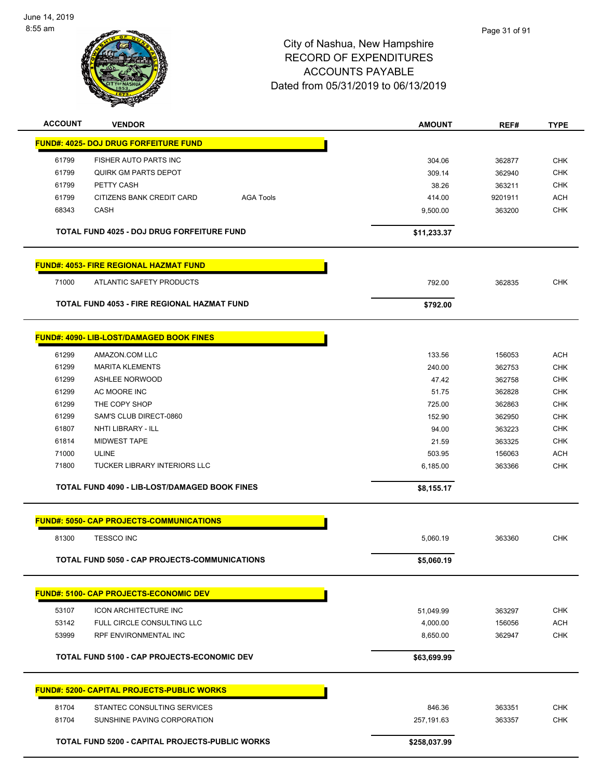

| <b>ACCOUNT</b> | <b>VENDOR</b>                                      |                  | <b>AMOUNT</b> | REF#    | <b>TYPE</b> |
|----------------|----------------------------------------------------|------------------|---------------|---------|-------------|
|                | <b>FUND#: 4025- DOJ DRUG FORFEITURE FUND</b>       |                  |               |         |             |
| 61799          | FISHER AUTO PARTS INC                              |                  | 304.06        | 362877  | <b>CHK</b>  |
| 61799          | QUIRK GM PARTS DEPOT                               |                  | 309.14        | 362940  | <b>CHK</b>  |
| 61799          | PETTY CASH                                         |                  | 38.26         | 363211  | <b>CHK</b>  |
| 61799          | CITIZENS BANK CREDIT CARD                          | <b>AGA Tools</b> | 414.00        | 9201911 | <b>ACH</b>  |
| 68343          | CASH                                               |                  | 9,500.00      | 363200  | <b>CHK</b>  |
|                |                                                    |                  |               |         |             |
|                | <b>TOTAL FUND 4025 - DOJ DRUG FORFEITURE FUND</b>  |                  | \$11,233.37   |         |             |
|                | <b>FUND#: 4053- FIRE REGIONAL HAZMAT FUND</b>      |                  |               |         |             |
| 71000          | ATLANTIC SAFETY PRODUCTS                           |                  | 792.00        | 362835  | <b>CHK</b>  |
|                | TOTAL FUND 4053 - FIRE REGIONAL HAZMAT FUND        |                  | \$792.00      |         |             |
|                | <b>FUND#: 4090- LIB-LOST/DAMAGED BOOK FINES</b>    |                  |               |         |             |
| 61299          | AMAZON.COM LLC                                     |                  | 133.56        | 156053  | <b>ACH</b>  |
| 61299          | <b>MARITA KLEMENTS</b>                             |                  | 240.00        | 362753  | <b>CHK</b>  |
| 61299          | <b>ASHLEE NORWOOD</b>                              |                  | 47.42         | 362758  | <b>CHK</b>  |
| 61299          | AC MOORE INC                                       |                  | 51.75         | 362828  | <b>CHK</b>  |
| 61299          | THE COPY SHOP                                      |                  | 725.00        | 362863  | <b>CHK</b>  |
| 61299          | SAM'S CLUB DIRECT-0860                             |                  | 152.90        | 362950  | <b>CHK</b>  |
| 61807          | NHTI LIBRARY - ILL                                 |                  | 94.00         | 363223  | <b>CHK</b>  |
| 61814          | <b>MIDWEST TAPE</b>                                |                  | 21.59         | 363325  | <b>CHK</b>  |
| 71000          | <b>ULINE</b>                                       |                  | 503.95        | 156063  | <b>ACH</b>  |
| 71800          | TUCKER LIBRARY INTERIORS LLC                       |                  | 6,185.00      | 363366  | <b>CHK</b>  |
|                |                                                    |                  |               |         |             |
|                | TOTAL FUND 4090 - LIB-LOST/DAMAGED BOOK FINES      |                  | \$8,155.17    |         |             |
|                | <u> FUND#: 5050- CAP PROJECTS-COMMUNICATIONS</u>   |                  |               |         |             |
| 81300          | <b>TESSCO INC</b>                                  |                  | 5,060.19      | 363360  | <b>CHK</b>  |
|                | TOTAL FUND 5050 - CAP PROJECTS-COMMUNICATIONS      |                  | \$5,060.19    |         |             |
|                | <b>FUND#: 5100- CAP PROJECTS-ECONOMIC DEV</b>      |                  |               |         |             |
| 53107          | <b>ICON ARCHITECTURE INC</b>                       |                  | 51,049.99     | 363297  | <b>CHK</b>  |
| 53142          | FULL CIRCLE CONSULTING LLC                         |                  | 4,000.00      | 156056  | <b>ACH</b>  |
| 53999          | RPF ENVIRONMENTAL INC                              |                  | 8,650.00      | 362947  | <b>CHK</b>  |
|                | <b>TOTAL FUND 5100 - CAP PROJECTS-ECONOMIC DEV</b> |                  | \$63,699.99   |         |             |
|                | <b>FUND#: 5200- CAPITAL PROJECTS-PUBLIC WORKS</b>  |                  |               |         |             |
|                |                                                    |                  |               |         |             |
| 81704          | STANTEC CONSULTING SERVICES                        |                  | 846.36        | 363351  | <b>CHK</b>  |
| 81704          | SUNSHINE PAVING CORPORATION                        |                  | 257,191.63    | 363357  | CHK         |
|                | TOTAL FUND 5200 - CAPITAL PROJECTS-PUBLIC WORKS    |                  | \$258,037.99  |         |             |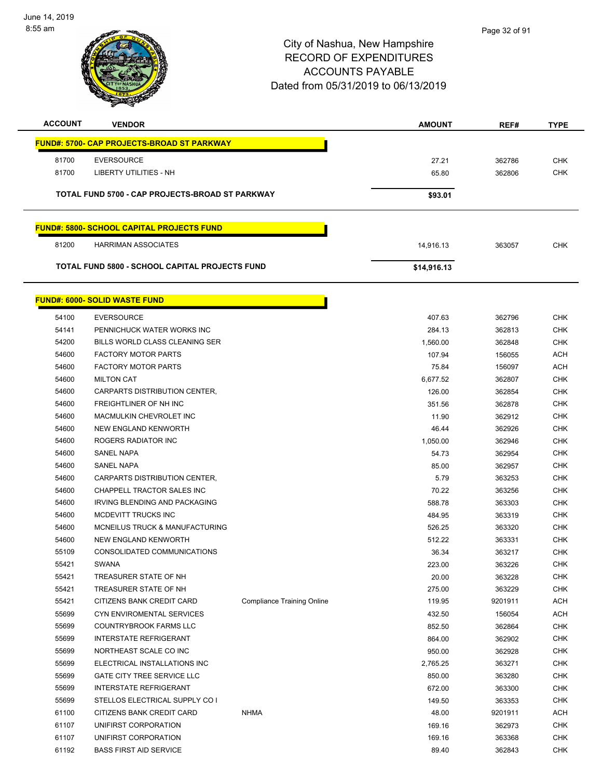

| <b>ACCOUNT</b> | <b>VENDOR</b>                                      |                                   | <b>AMOUNT</b> | REF#    | <b>TYPE</b> |
|----------------|----------------------------------------------------|-----------------------------------|---------------|---------|-------------|
|                | <u> FUND#: 5700- CAP PROJECTS-BROAD ST PARKWAY</u> |                                   |               |         |             |
| 81700          | <b>EVERSOURCE</b>                                  |                                   | 27.21         | 362786  | CHK         |
| 81700          | LIBERTY UTILITIES - NH                             |                                   | 65.80         | 362806  | <b>CHK</b>  |
|                |                                                    |                                   |               |         |             |
|                | TOTAL FUND 5700 - CAP PROJECTS-BROAD ST PARKWAY    |                                   | \$93.01       |         |             |
|                | <b>FUND#: 5800- SCHOOL CAPITAL PROJECTS FUND</b>   |                                   |               |         |             |
| 81200          | <b>HARRIMAN ASSOCIATES</b>                         |                                   | 14,916.13     | 363057  | <b>CHK</b>  |
|                | TOTAL FUND 5800 - SCHOOL CAPITAL PROJECTS FUND     |                                   | \$14,916.13   |         |             |
|                | <u> FUND#: 6000- SOLID WASTE FUND</u>              |                                   |               |         |             |
| 54100          | <b>EVERSOURCE</b>                                  |                                   | 407.63        | 362796  | <b>CHK</b>  |
| 54141          | PENNICHUCK WATER WORKS INC                         |                                   | 284.13        | 362813  | <b>CHK</b>  |
| 54200          | <b>BILLS WORLD CLASS CLEANING SER</b>              |                                   | 1,560.00      | 362848  | <b>CHK</b>  |
| 54600          | <b>FACTORY MOTOR PARTS</b>                         |                                   | 107.94        | 156055  | <b>ACH</b>  |
| 54600          | <b>FACTORY MOTOR PARTS</b>                         |                                   | 75.84         | 156097  | <b>ACH</b>  |
| 54600          | <b>MILTON CAT</b>                                  |                                   | 6.677.52      | 362807  | <b>CHK</b>  |
| 54600          | CARPARTS DISTRIBUTION CENTER,                      |                                   | 126.00        | 362854  | <b>CHK</b>  |
| 54600          | FREIGHTLINER OF NH INC                             |                                   | 351.56        | 362878  | CHK         |
| 54600          | MACMULKIN CHEVROLET INC                            |                                   | 11.90         | 362912  | <b>CHK</b>  |
| 54600          | NEW ENGLAND KENWORTH                               |                                   | 46.44         | 362926  | <b>CHK</b>  |
| 54600          | ROGERS RADIATOR INC                                |                                   | 1,050.00      | 362946  | <b>CHK</b>  |
| 54600          | <b>SANEL NAPA</b>                                  |                                   | 54.73         | 362954  | <b>CHK</b>  |
| 54600          | <b>SANEL NAPA</b>                                  |                                   | 85.00         | 362957  | CHK         |
| 54600          | CARPARTS DISTRIBUTION CENTER,                      |                                   | 5.79          | 363253  | <b>CHK</b>  |
| 54600          | CHAPPELL TRACTOR SALES INC                         |                                   | 70.22         | 363256  | <b>CHK</b>  |
| 54600          | IRVING BLENDING AND PACKAGING                      |                                   | 588.78        | 363303  | <b>CHK</b>  |
| 54600          | <b>MCDEVITT TRUCKS INC</b>                         |                                   | 484.95        | 363319  | <b>CHK</b>  |
| 54600          | MCNEILUS TRUCK & MANUFACTURING                     |                                   | 526.25        | 363320  | <b>CHK</b>  |
| 54600          | NEW ENGLAND KENWORTH                               |                                   | 512.22        | 363331  | CHK         |
| 55109          | CONSOLIDATED COMMUNICATIONS                        |                                   | 36.34         | 363217  | <b>CHK</b>  |
| 55421          | SWANA                                              |                                   | 223.00        | 363226  | CHK         |
| 55421          | TREASURER STATE OF NH                              |                                   | 20.00         | 363228  | <b>CHK</b>  |
| 55421          | TREASURER STATE OF NH                              |                                   | 275.00        | 363229  | <b>CHK</b>  |
| 55421          | CITIZENS BANK CREDIT CARD                          | <b>Compliance Training Online</b> | 119.95        | 9201911 | <b>ACH</b>  |
| 55699          | CYN ENVIROMENTAL SERVICES                          |                                   | 432.50        | 156054  | <b>ACH</b>  |
| 55699          | COUNTRYBROOK FARMS LLC                             |                                   | 852.50        | 362864  | <b>CHK</b>  |
| 55699          | <b>INTERSTATE REFRIGERANT</b>                      |                                   | 864.00        | 362902  | <b>CHK</b>  |
| 55699          | NORTHEAST SCALE CO INC                             |                                   | 950.00        | 362928  | <b>CHK</b>  |
| 55699          | ELECTRICAL INSTALLATIONS INC                       |                                   | 2,765.25      | 363271  | <b>CHK</b>  |
| 55699          | <b>GATE CITY TREE SERVICE LLC</b>                  |                                   | 850.00        | 363280  | <b>CHK</b>  |
| 55699          | <b>INTERSTATE REFRIGERANT</b>                      |                                   | 672.00        | 363300  | <b>CHK</b>  |
| 55699          | STELLOS ELECTRICAL SUPPLY CO I                     |                                   | 149.50        | 363353  | <b>CHK</b>  |
| 61100          | CITIZENS BANK CREDIT CARD                          | <b>NHMA</b>                       | 48.00         | 9201911 | <b>ACH</b>  |
| 61107          | UNIFIRST CORPORATION                               |                                   | 169.16        | 362973  | <b>CHK</b>  |
|                |                                                    |                                   |               |         |             |

et and the set of the set of the set of the set of the set of the set of the set of the set of the set of the set of the set of the set of the set of the set of the set of the set of the set of the set of the set of the se BASS FIRST AID SERVICE 89.40 362843 CHK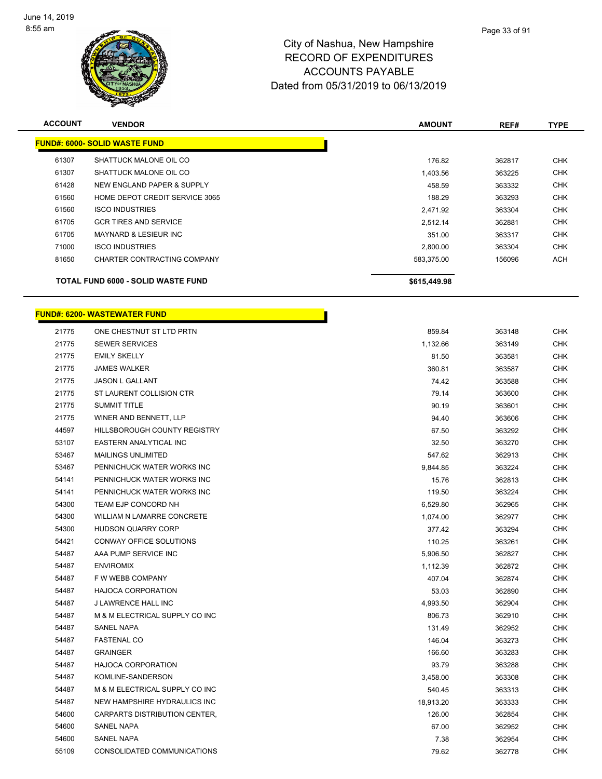

| <b>ACCOUNT</b> | <b>VENDOR</b>                        | <b>AMOUNT</b> | REF#   | <b>TYPE</b> |
|----------------|--------------------------------------|---------------|--------|-------------|
|                | <b>FUND#: 6000- SOLID WASTE FUND</b> |               |        |             |
| 61307          | SHATTUCK MALONE OIL CO               | 176.82        | 362817 | <b>CHK</b>  |
| 61307          | SHATTUCK MALONE OIL CO               | 1,403.56      | 363225 | <b>CHK</b>  |
| 61428          | NEW ENGLAND PAPER & SUPPLY           | 458.59        | 363332 | <b>CHK</b>  |
| 61560          | HOME DEPOT CREDIT SERVICE 3065       | 188.29        | 363293 | <b>CHK</b>  |
| 61560          | <b>ISCO INDUSTRIES</b>               | 2.471.92      | 363304 | <b>CHK</b>  |
| 61705          | <b>GCR TIRES AND SERVICE</b>         | 2.512.14      | 362881 | <b>CHK</b>  |
| 61705          | <b>MAYNARD &amp; LESIEUR INC</b>     | 351.00        | 363317 | <b>CHK</b>  |
| 71000          | <b>ISCO INDUSTRIES</b>               | 2,800.00      | 363304 | <b>CHK</b>  |
| 81650          | CHARTER CONTRACTING COMPANY          | 583.375.00    | 156096 | ACH         |
|                | TOTAL FUND 6000 - SOLID WASTE FUND   | \$615,449.98  |        |             |

h

| <b>FUND#: 6200- WASTEWATER FUND</b> |  |  |
|-------------------------------------|--|--|
|-------------------------------------|--|--|

| 21775 | ONE CHESTNUT ST LTD PRTN          | 859.84    | 363148 | <b>CHK</b> |
|-------|-----------------------------------|-----------|--------|------------|
| 21775 | <b>SEWER SERVICES</b>             | 1,132.66  | 363149 | <b>CHK</b> |
| 21775 | <b>EMILY SKELLY</b>               | 81.50     | 363581 | <b>CHK</b> |
| 21775 | <b>JAMES WALKER</b>               | 360.81    | 363587 | <b>CHK</b> |
| 21775 | JASON L GALLANT                   | 74.42     | 363588 | <b>CHK</b> |
| 21775 | ST LAURENT COLLISION CTR          | 79.14     | 363600 | <b>CHK</b> |
| 21775 | <b>SUMMIT TITLE</b>               | 90.19     | 363601 | <b>CHK</b> |
| 21775 | WINER AND BENNETT, LLP            | 94.40     | 363606 | <b>CHK</b> |
| 44597 | HILLSBOROUGH COUNTY REGISTRY      | 67.50     | 363292 | <b>CHK</b> |
| 53107 | <b>EASTERN ANALYTICAL INC</b>     | 32.50     | 363270 | <b>CHK</b> |
| 53467 | <b>MAILINGS UNLIMITED</b>         | 547.62    | 362913 | <b>CHK</b> |
| 53467 | PENNICHUCK WATER WORKS INC        | 9,844.85  | 363224 | <b>CHK</b> |
| 54141 | PENNICHUCK WATER WORKS INC        | 15.76     | 362813 | <b>CHK</b> |
| 54141 | PENNICHUCK WATER WORKS INC        | 119.50    | 363224 | <b>CHK</b> |
| 54300 | TEAM EJP CONCORD NH               | 6,529.80  | 362965 | <b>CHK</b> |
| 54300 | <b>WILLIAM N LAMARRE CONCRETE</b> | 1,074.00  | 362977 | CHK        |
| 54300 | <b>HUDSON QUARRY CORP</b>         | 377.42    | 363294 | <b>CHK</b> |
| 54421 | CONWAY OFFICE SOLUTIONS           | 110.25    | 363261 | <b>CHK</b> |
| 54487 | AAA PUMP SERVICE INC              | 5,906.50  | 362827 | <b>CHK</b> |
| 54487 | <b>ENVIROMIX</b>                  | 1,112.39  | 362872 | <b>CHK</b> |
| 54487 | F W WEBB COMPANY                  | 407.04    | 362874 | <b>CHK</b> |
| 54487 | <b>HAJOCA CORPORATION</b>         | 53.03     | 362890 | <b>CHK</b> |
| 54487 | J LAWRENCE HALL INC               | 4,993.50  | 362904 | <b>CHK</b> |
| 54487 | M & M ELECTRICAL SUPPLY CO INC    | 806.73    | 362910 | <b>CHK</b> |
| 54487 | <b>SANEL NAPA</b>                 | 131.49    | 362952 | <b>CHK</b> |
| 54487 | <b>FASTENAL CO</b>                | 146.04    | 363273 | <b>CHK</b> |
| 54487 | <b>GRAINGER</b>                   | 166.60    | 363283 | <b>CHK</b> |
| 54487 | <b>HAJOCA CORPORATION</b>         | 93.79     | 363288 | <b>CHK</b> |
| 54487 | KOMLINE-SANDERSON                 | 3,458.00  | 363308 | <b>CHK</b> |
| 54487 | M & M ELECTRICAL SUPPLY CO INC    | 540.45    | 363313 | <b>CHK</b> |
| 54487 | NEW HAMPSHIRE HYDRAULICS INC      | 18,913.20 | 363333 | <b>CHK</b> |
| 54600 | CARPARTS DISTRIBUTION CENTER,     | 126.00    | 362854 | <b>CHK</b> |
| 54600 | <b>SANEL NAPA</b>                 | 67.00     | 362952 | <b>CHK</b> |
| 54600 | <b>SANEL NAPA</b>                 | 7.38      | 362954 | <b>CHK</b> |
| 55109 | CONSOLIDATED COMMUNICATIONS       | 79.62     | 362778 | <b>CHK</b> |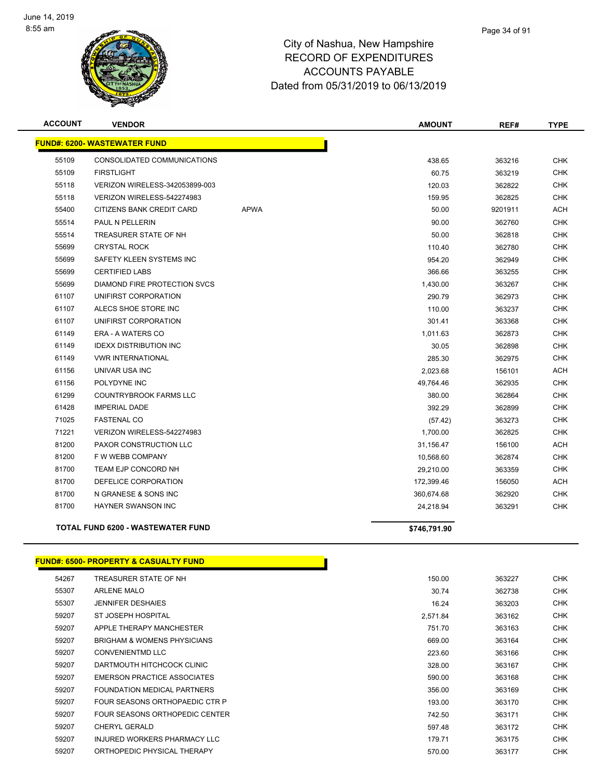

| <b>ACCOUNT</b> | <b>VENDOR</b>                            |             | <b>AMOUNT</b> | REF#    | <b>TYPE</b> |
|----------------|------------------------------------------|-------------|---------------|---------|-------------|
|                | <b>FUND#: 6200- WASTEWATER FUND</b>      |             |               |         |             |
| 55109          | CONSOLIDATED COMMUNICATIONS              |             | 438.65        | 363216  | <b>CHK</b>  |
| 55109          | <b>FIRSTLIGHT</b>                        |             | 60.75         | 363219  | <b>CHK</b>  |
| 55118          | VERIZON WIRELESS-342053899-003           |             | 120.03        | 362822  | <b>CHK</b>  |
| 55118          | VERIZON WIRELESS-542274983               |             | 159.95        | 362825  | <b>CHK</b>  |
| 55400          | <b>CITIZENS BANK CREDIT CARD</b>         | <b>APWA</b> | 50.00         | 9201911 | <b>ACH</b>  |
| 55514          | PAUL N PELLERIN                          |             | 90.00         | 362760  | <b>CHK</b>  |
| 55514          | TREASURER STATE OF NH                    |             | 50.00         | 362818  | <b>CHK</b>  |
| 55699          | <b>CRYSTAL ROCK</b>                      |             | 110.40        | 362780  | <b>CHK</b>  |
| 55699          | SAFETY KLEEN SYSTEMS INC                 |             | 954.20        | 362949  | <b>CHK</b>  |
| 55699          | <b>CERTIFIED LABS</b>                    |             | 366.66        | 363255  | <b>CHK</b>  |
| 55699          | DIAMOND FIRE PROTECTION SVCS             |             | 1,430.00      | 363267  | <b>CHK</b>  |
| 61107          | UNIFIRST CORPORATION                     |             | 290.79        | 362973  | <b>CHK</b>  |
| 61107          | ALECS SHOE STORE INC                     |             | 110.00        | 363237  | CHK         |
| 61107          | UNIFIRST CORPORATION                     |             | 301.41        | 363368  | <b>CHK</b>  |
| 61149          | ERA - A WATERS CO                        |             | 1,011.63      | 362873  | <b>CHK</b>  |
| 61149          | <b>IDEXX DISTRIBUTION INC</b>            |             | 30.05         | 362898  | <b>CHK</b>  |
| 61149          | <b>VWR INTERNATIONAL</b>                 |             | 285.30        | 362975  | <b>CHK</b>  |
| 61156          | UNIVAR USA INC                           |             | 2,023.68      | 156101  | <b>ACH</b>  |
| 61156          | POLYDYNE INC                             |             | 49,764.46     | 362935  | <b>CHK</b>  |
| 61299          | <b>COUNTRYBROOK FARMS LLC</b>            |             | 380.00        | 362864  | <b>CHK</b>  |
| 61428          | <b>IMPERIAL DADE</b>                     |             | 392.29        | 362899  | <b>CHK</b>  |
| 71025          | <b>FASTENAL CO</b>                       |             | (57.42)       | 363273  | <b>CHK</b>  |
| 71221          | VERIZON WIRELESS-542274983               |             | 1,700.00      | 362825  | <b>CHK</b>  |
| 81200          | PAXOR CONSTRUCTION LLC                   |             | 31,156.47     | 156100  | <b>ACH</b>  |
| 81200          | F W WEBB COMPANY                         |             | 10,568.60     | 362874  | <b>CHK</b>  |
| 81700          | <b>TEAM EJP CONCORD NH</b>               |             | 29,210.00     | 363359  | <b>CHK</b>  |
| 81700          | DEFELICE CORPORATION                     |             | 172,399.46    | 156050  | <b>ACH</b>  |
| 81700          | N GRANESE & SONS INC                     |             | 360,674.68    | 362920  | CHK         |
| 81700          | HAYNER SWANSON INC                       |             | 24,218.94     | 363291  | <b>CHK</b>  |
|                | <b>TOTAL FUND 6200 - WASTEWATER FUND</b> |             | \$746,791.90  |         |             |

#### **FUND#: 6500- PROPERTY & CASUALTY FUND**

| 54267 | TREASURER STATE OF NH                  | 150.00   | 363227 | <b>CHK</b> |
|-------|----------------------------------------|----------|--------|------------|
| 55307 | <b>ARLENE MALO</b>                     | 30.74    | 362738 | <b>CHK</b> |
| 55307 | <b>JENNIFER DESHAIES</b>               | 16.24    | 363203 | <b>CHK</b> |
| 59207 | ST JOSEPH HOSPITAL                     | 2,571.84 | 363162 | <b>CHK</b> |
| 59207 | APPLE THERAPY MANCHESTER               | 751.70   | 363163 | <b>CHK</b> |
| 59207 | <b>BRIGHAM &amp; WOMENS PHYSICIANS</b> | 669.00   | 363164 | <b>CHK</b> |
| 59207 | <b>CONVENIENTMD LLC</b>                | 223.60   | 363166 | <b>CHK</b> |
| 59207 | DARTMOUTH HITCHCOCK CLINIC             | 328.00   | 363167 | <b>CHK</b> |
| 59207 | <b>EMERSON PRACTICE ASSOCIATES</b>     | 590.00   | 363168 | <b>CHK</b> |
| 59207 | FOUNDATION MEDICAL PARTNERS            | 356.00   | 363169 | <b>CHK</b> |
| 59207 | FOUR SEASONS ORTHOPAEDIC CTR P         | 193.00   | 363170 | <b>CHK</b> |
| 59207 | FOUR SEASONS ORTHOPEDIC CENTER         | 742.50   | 363171 | <b>CHK</b> |
| 59207 | <b>CHERYL GERALD</b>                   | 597.48   | 363172 | <b>CHK</b> |
| 59207 | INJURED WORKERS PHARMACY LLC           | 179.71   | 363175 | <b>CHK</b> |
| 59207 | ORTHOPEDIC PHYSICAL THERAPY            | 570.00   | 363177 | <b>CHK</b> |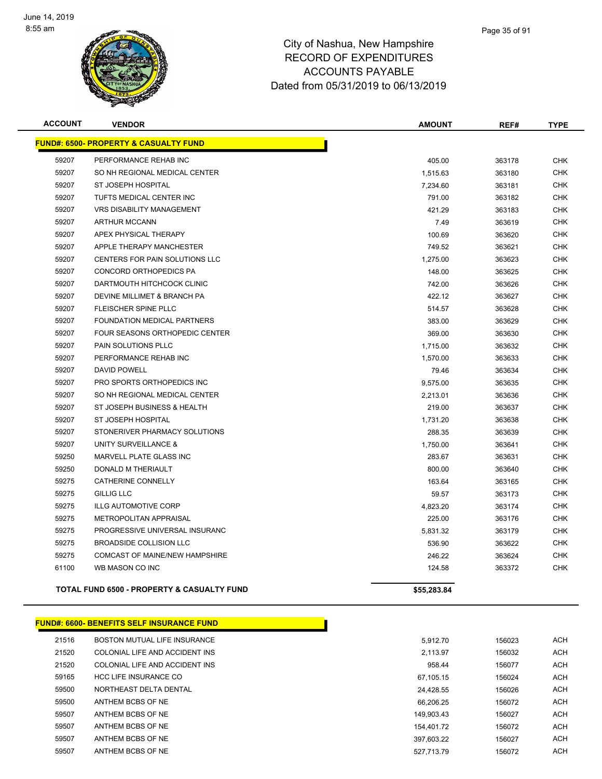

| <b>ACCOUNT</b> | <b>VENDOR</b>                                    | <b>AMOUNT</b> | REF#   | <b>TYPE</b> |
|----------------|--------------------------------------------------|---------------|--------|-------------|
|                | <b>FUND#: 6500- PROPERTY &amp; CASUALTY FUND</b> |               |        |             |
| 59207          | PERFORMANCE REHAB INC                            | 405.00        | 363178 | <b>CHK</b>  |
| 59207          | SO NH REGIONAL MEDICAL CENTER                    | 1,515.63      | 363180 | <b>CHK</b>  |
| 59207          | ST JOSEPH HOSPITAL                               | 7,234.60      | 363181 | <b>CHK</b>  |
| 59207          | TUFTS MEDICAL CENTER INC                         | 791.00        | 363182 | <b>CHK</b>  |
| 59207          | <b>VRS DISABILITY MANAGEMENT</b>                 | 421.29        | 363183 | <b>CHK</b>  |
| 59207          | <b>ARTHUR MCCANN</b>                             | 7.49          | 363619 | <b>CHK</b>  |
| 59207          | APEX PHYSICAL THERAPY                            | 100.69        | 363620 | <b>CHK</b>  |
| 59207          | APPLE THERAPY MANCHESTER                         | 749.52        | 363621 | <b>CHK</b>  |
| 59207          | <b>CENTERS FOR PAIN SOLUTIONS LLC</b>            | 1,275.00      | 363623 | <b>CHK</b>  |
| 59207          | <b>CONCORD ORTHOPEDICS PA</b>                    | 148.00        | 363625 | <b>CHK</b>  |
| 59207          | DARTMOUTH HITCHCOCK CLINIC                       | 742.00        | 363626 | <b>CHK</b>  |
| 59207          | DEVINE MILLIMET & BRANCH PA                      | 422.12        | 363627 | <b>CHK</b>  |
| 59207          | FLEISCHER SPINE PLLC                             | 514.57        | 363628 | <b>CHK</b>  |
| 59207          | FOUNDATION MEDICAL PARTNERS                      | 383.00        | 363629 | <b>CHK</b>  |
| 59207          | FOUR SEASONS ORTHOPEDIC CENTER                   | 369.00        | 363630 | <b>CHK</b>  |
| 59207          | PAIN SOLUTIONS PLLC                              | 1,715.00      | 363632 | <b>CHK</b>  |
| 59207          | PERFORMANCE REHAB INC                            | 1,570.00      | 363633 | <b>CHK</b>  |
| 59207          | <b>DAVID POWELL</b>                              | 79.46         | 363634 | <b>CHK</b>  |
| 59207          | PRO SPORTS ORTHOPEDICS INC                       | 9,575.00      | 363635 | <b>CHK</b>  |
| 59207          | SO NH REGIONAL MEDICAL CENTER                    | 2,213.01      | 363636 | <b>CHK</b>  |
| 59207          | ST JOSEPH BUSINESS & HEALTH                      | 219.00        | 363637 | <b>CHK</b>  |
| 59207          | <b>ST JOSEPH HOSPITAL</b>                        | 1,731.20      | 363638 | <b>CHK</b>  |
| 59207          | STONERIVER PHARMACY SOLUTIONS                    | 288.35        | 363639 | <b>CHK</b>  |
| 59207          | UNITY SURVEILLANCE &                             | 1,750.00      | 363641 | <b>CHK</b>  |
| 59250          | MARVELL PLATE GLASS INC                          | 283.67        | 363631 | <b>CHK</b>  |
| 59250          | DONALD M THERIAULT                               | 800.00        | 363640 | <b>CHK</b>  |
| 59275          | <b>CATHERINE CONNELLY</b>                        | 163.64        | 363165 | <b>CHK</b>  |
| 59275          | <b>GILLIG LLC</b>                                | 59.57         | 363173 | <b>CHK</b>  |
| 59275          | <b>ILLG AUTOMOTIVE CORP</b>                      | 4,823.20      | 363174 | <b>CHK</b>  |
| 59275          | METROPOLITAN APPRAISAL                           | 225.00        | 363176 | <b>CHK</b>  |
| 59275          | PROGRESSIVE UNIVERSAL INSURANC                   | 5,831.32      | 363179 | <b>CHK</b>  |
| 59275          | <b>BROADSIDE COLLISION LLC</b>                   | 536.90        | 363622 | <b>CHK</b>  |
| 59275          | COMCAST OF MAINE/NEW HAMPSHIRE                   | 246.22        | 363624 | <b>CHK</b>  |
| 61100          | WB MASON CO INC                                  | 124.58        | 363372 | <b>CHK</b>  |
|                | TOTAL FUND 6500 - PROPERTY & CASUALTY FUND       | \$55,283.84   |        |             |

| 21516 | BOSTON MUTUAL LIFE INSURANCE   | 5.912.70   | 156023 | <b>ACH</b> |
|-------|--------------------------------|------------|--------|------------|
| 21520 | COLONIAL LIFE AND ACCIDENT INS | 2.113.97   | 156032 | <b>ACH</b> |
| 21520 | COLONIAL LIFE AND ACCIDENT INS | 958.44     | 156077 | <b>ACH</b> |
| 59165 | <b>HCC LIFE INSURANCE CO</b>   | 67.105.15  | 156024 | <b>ACH</b> |
| 59500 | NORTHEAST DELTA DENTAL         | 24.428.55  | 156026 | <b>ACH</b> |
| 59500 | ANTHEM BCBS OF NE              | 66.206.25  | 156072 | <b>ACH</b> |
| 59507 | ANTHEM BCBS OF NE              | 149.903.43 | 156027 | <b>ACH</b> |
| 59507 | ANTHEM BCBS OF NE              | 154.401.72 | 156072 | <b>ACH</b> |
| 59507 | ANTHEM BCBS OF NE              | 397.603.22 | 156027 | <b>ACH</b> |
| 59507 | ANTHEM BCBS OF NE              | 527,713.79 | 156072 | <b>ACH</b> |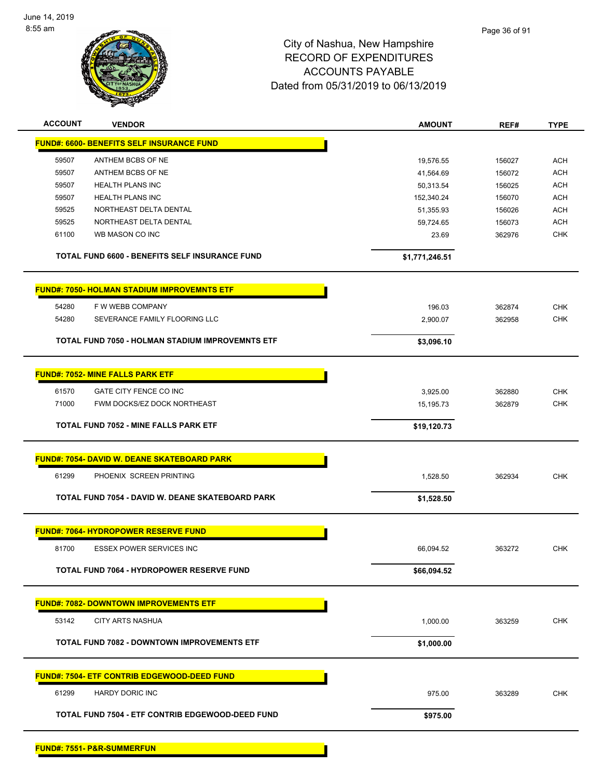

| <b>ACCOUNT</b> | <b>VENDOR</b>                                           | <b>AMOUNT</b>  | REF#   | <b>TYPE</b> |
|----------------|---------------------------------------------------------|----------------|--------|-------------|
|                | <b>FUND#: 6600- BENEFITS SELF INSURANCE FUND</b>        |                |        |             |
| 59507          | ANTHEM BCBS OF NE                                       | 19,576.55      | 156027 | <b>ACH</b>  |
| 59507          | ANTHEM BCBS OF NE                                       | 41,564.69      | 156072 | <b>ACH</b>  |
| 59507          | <b>HEALTH PLANS INC</b>                                 | 50,313.54      | 156025 | <b>ACH</b>  |
| 59507          | <b>HEALTH PLANS INC</b>                                 | 152,340.24     | 156070 | <b>ACH</b>  |
| 59525          | NORTHEAST DELTA DENTAL                                  | 51,355.93      | 156026 | <b>ACH</b>  |
| 59525          | NORTHEAST DELTA DENTAL                                  | 59,724.65      | 156073 | <b>ACH</b>  |
| 61100          | WB MASON CO INC                                         | 23.69          | 362976 | <b>CHK</b>  |
|                | <b>TOTAL FUND 6600 - BENEFITS SELF INSURANCE FUND</b>   | \$1,771,246.51 |        |             |
|                | <b>FUND#: 7050- HOLMAN STADIUM IMPROVEMNTS ETF</b>      |                |        |             |
| 54280          | F W WEBB COMPANY                                        | 196.03         | 362874 | <b>CHK</b>  |
| 54280          | SEVERANCE FAMILY FLOORING LLC                           | 2,900.07       | 362958 | <b>CHK</b>  |
|                |                                                         |                |        |             |
|                | <b>TOTAL FUND 7050 - HOLMAN STADIUM IMPROVEMNTS ETF</b> | \$3,096.10     |        |             |
|                |                                                         |                |        |             |
|                | <b>FUND#: 7052- MINE FALLS PARK ETF</b>                 |                |        |             |
| 61570          | <b>GATE CITY FENCE CO INC</b>                           | 3,925.00       | 362880 | <b>CHK</b>  |
| 71000          | FWM DOCKS/EZ DOCK NORTHEAST                             | 15,195.73      | 362879 | <b>CHK</b>  |
|                | <b>TOTAL FUND 7052 - MINE FALLS PARK ETF</b>            | \$19,120.73    |        |             |
|                | <b>FUND#: 7054- DAVID W. DEANE SKATEBOARD PARK</b>      |                |        |             |
|                |                                                         |                |        |             |
| 61299          | PHOENIX SCREEN PRINTING                                 | 1,528.50       | 362934 | <b>CHK</b>  |
|                | TOTAL FUND 7054 - DAVID W. DEANE SKATEBOARD PARK        | \$1,528.50     |        |             |
|                | <b>FUND#: 7064- HYDROPOWER RESERVE FUND</b>             |                |        |             |
| 81700          | <b>ESSEX POWER SERVICES INC</b>                         | 66,094.52      | 363272 | <b>CHK</b>  |
|                |                                                         |                |        |             |
|                | <b>TOTAL FUND 7064 - HYDROPOWER RESERVE FUND</b>        | \$66,094.52    |        |             |
|                | <b>FUND#: 7082- DOWNTOWN IMPROVEMENTS ETF</b>           |                |        |             |
| 53142          | <b>CITY ARTS NASHUA</b>                                 | 1,000.00       | 363259 | <b>CHK</b>  |
|                |                                                         |                |        |             |
|                | <b>TOTAL FUND 7082 - DOWNTOWN IMPROVEMENTS ETF</b>      | \$1,000.00     |        |             |
|                | <b>FUND#: 7504- ETF CONTRIB EDGEWOOD-DEED FUND</b>      |                |        |             |
| 61299          | <b>HARDY DORIC INC</b>                                  | 975.00         | 363289 | <b>CHK</b>  |
|                | TOTAL FUND 7504 - ETF CONTRIB EDGEWOOD-DEED FUND        | \$975.00       |        |             |
|                |                                                         |                |        |             |

**FUND#: 7551- P&R-SUMMERFUN**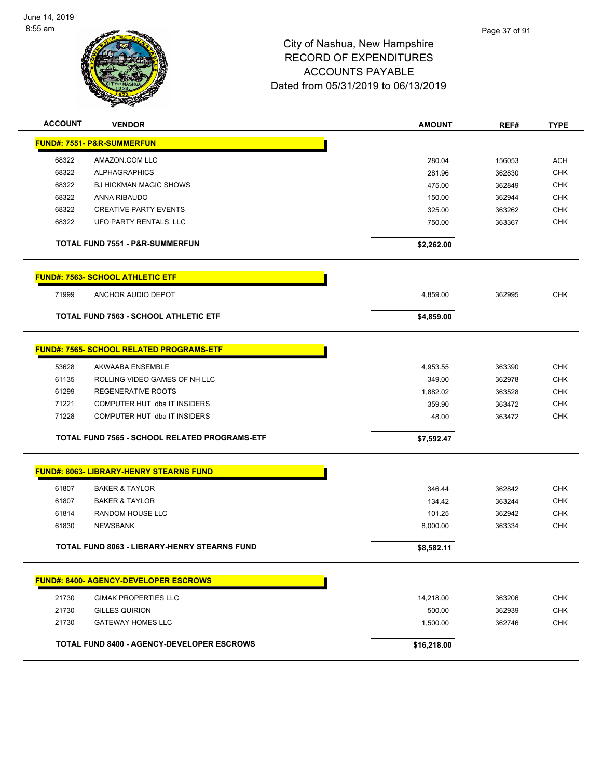

# City of Nashua, New Hampshire RECORD OF EXPENDITURES ACCOUNTS PAYABLE Dated from 05/31/2019 to 06/13/2019

| <b>ACCOUNT</b> | <b>VENDOR</b>                                        | <b>AMOUNT</b> | REF#   | <b>TYPE</b> |
|----------------|------------------------------------------------------|---------------|--------|-------------|
|                | <b>FUND#: 7551- P&amp;R-SUMMERFUN</b>                |               |        |             |
| 68322          | AMAZON.COM LLC                                       | 280.04        | 156053 | <b>ACH</b>  |
| 68322          | <b>ALPHAGRAPHICS</b>                                 | 281.96        | 362830 | <b>CHK</b>  |
| 68322          | <b>BJ HICKMAN MAGIC SHOWS</b>                        | 475.00        | 362849 | <b>CHK</b>  |
| 68322          | ANNA RIBAUDO                                         | 150.00        | 362944 | <b>CHK</b>  |
| 68322          | <b>CREATIVE PARTY EVENTS</b>                         | 325.00        | 363262 | <b>CHK</b>  |
| 68322          | UFO PARTY RENTALS, LLC                               | 750.00        | 363367 | <b>CHK</b>  |
|                | <b>TOTAL FUND 7551 - P&amp;R-SUMMERFUN</b>           | \$2,262.00    |        |             |
|                | <b>FUND#: 7563- SCHOOL ATHLETIC ETF</b>              |               |        |             |
| 71999          | ANCHOR AUDIO DEPOT                                   | 4,859.00      | 362995 | <b>CHK</b>  |
|                | <b>TOTAL FUND 7563 - SCHOOL ATHLETIC ETF</b>         | \$4,859.00    |        |             |
|                | <b>FUND#: 7565- SCHOOL RELATED PROGRAMS-ETF</b>      |               |        |             |
| 53628          | AKWAABA ENSEMBLE                                     | 4,953.55      | 363390 | <b>CHK</b>  |
| 61135          | ROLLING VIDEO GAMES OF NH LLC                        | 349.00        | 362978 | <b>CHK</b>  |
| 61299          | <b>REGENERATIVE ROOTS</b>                            | 1,882.02      | 363528 | <b>CHK</b>  |
| 71221          | COMPUTER HUT dba IT INSIDERS                         | 359.90        | 363472 | <b>CHK</b>  |
| 71228          | COMPUTER HUT dba IT INSIDERS                         | 48.00         | 363472 | <b>CHK</b>  |
|                | <b>TOTAL FUND 7565 - SCHOOL RELATED PROGRAMS-ETF</b> | \$7,592.47    |        |             |
|                | <b>FUND#: 8063- LIBRARY-HENRY STEARNS FUND</b>       |               |        |             |
| 61807          | <b>BAKER &amp; TAYLOR</b>                            | 346.44        | 362842 | <b>CHK</b>  |
| 61807          | <b>BAKER &amp; TAYLOR</b>                            | 134.42        | 363244 | <b>CHK</b>  |
| 61814          | RANDOM HOUSE LLC                                     | 101.25        | 362942 | <b>CHK</b>  |
| 61830          | <b>NEWSBANK</b>                                      | 8,000.00      | 363334 | <b>CHK</b>  |
|                | <b>TOTAL FUND 8063 - LIBRARY-HENRY STEARNS FUND</b>  | \$8,582.11    |        |             |
|                | <b>FUND#: 8400- AGENCY-DEVELOPER ESCROWS</b>         |               |        |             |
| 21730          | <b>GIMAK PROPERTIES LLC</b>                          | 14,218.00     | 363206 | <b>CHK</b>  |
| 21730          | <b>GILLES QUIRION</b>                                | 500.00        | 362939 | <b>CHK</b>  |
| 21730          | <b>GATEWAY HOMES LLC</b>                             | 1,500.00      | 362746 | <b>CHK</b>  |
|                | <b>TOTAL FUND 8400 - AGENCY-DEVELOPER ESCROWS</b>    | \$16,218.00   |        |             |
|                |                                                      |               |        |             |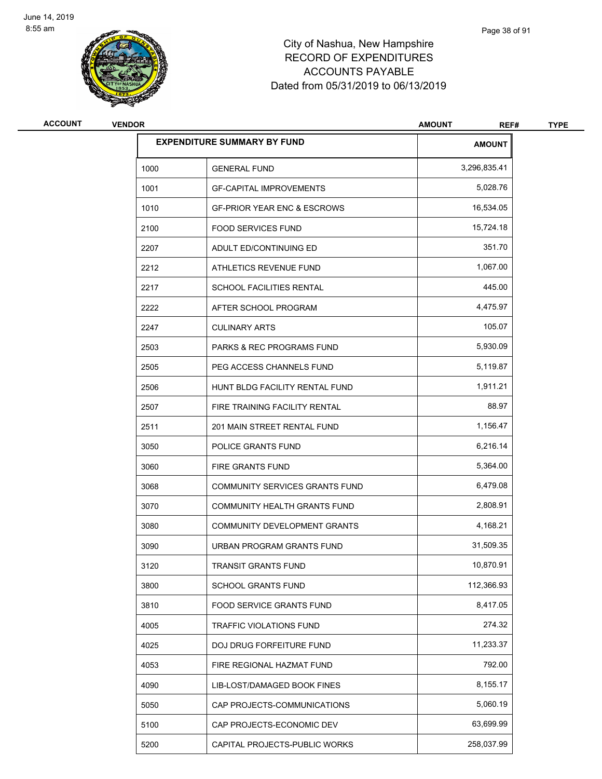

# City of Nashua, New Hampshire RECORD OF EXPENDITURES ACCOUNTS PAYABLE Dated from 05/31/2019 to 06/13/2019

| <b>ACCOUNT</b> | <b>VENDOR</b> |                                        | <b>AMOUNT</b><br>REF# | <b>TYPE</b> |
|----------------|---------------|----------------------------------------|-----------------------|-------------|
|                |               | <b>EXPENDITURE SUMMARY BY FUND</b>     | <b>AMOUNT</b>         |             |
|                | 1000          | <b>GENERAL FUND</b>                    | 3,296,835.41          |             |
|                | 1001          | <b>GF-CAPITAL IMPROVEMENTS</b>         | 5,028.76              |             |
|                | 1010          | <b>GF-PRIOR YEAR ENC &amp; ESCROWS</b> | 16,534.05             |             |
|                | 2100          | <b>FOOD SERVICES FUND</b>              | 15,724.18             |             |
|                | 2207          | ADULT ED/CONTINUING ED                 | 351.70                |             |
|                | 2212          | ATHLETICS REVENUE FUND                 | 1,067.00              |             |
|                | 2217          | SCHOOL FACILITIES RENTAL               | 445.00                |             |
|                | 2222          | AFTER SCHOOL PROGRAM                   | 4,475.97              |             |
|                | 2247          | <b>CULINARY ARTS</b>                   | 105.07                |             |
|                | 2503          | <b>PARKS &amp; REC PROGRAMS FUND</b>   | 5,930.09              |             |
|                | 2505          | PEG ACCESS CHANNELS FUND               | 5,119.87              |             |
|                | 2506          | HUNT BLDG FACILITY RENTAL FUND         | 1,911.21              |             |
|                | 2507          | FIRE TRAINING FACILITY RENTAL          | 88.97                 |             |
|                | 2511          | 201 MAIN STREET RENTAL FUND            | 1,156.47              |             |
|                | 3050          | POLICE GRANTS FUND                     | 6,216.14              |             |
|                | 3060          | FIRE GRANTS FUND                       | 5,364.00              |             |
|                | 3068          | COMMUNITY SERVICES GRANTS FUND         | 6,479.08              |             |
|                | 3070          | <b>COMMUNITY HEALTH GRANTS FUND</b>    | 2,808.91              |             |
|                | 3080          | <b>COMMUNITY DEVELOPMENT GRANTS</b>    | 4,168.21              |             |
|                | 3090          | URBAN PROGRAM GRANTS FUND              | 31,509.35             |             |
|                | 3120          | TRANSIT GRANTS FUND                    | 10,870.91             |             |
|                | 3800          | SCHOOL GRANTS FUND                     | 112,366.93            |             |
|                | 3810          | FOOD SERVICE GRANTS FUND               | 8,417.05              |             |
|                | 4005          | TRAFFIC VIOLATIONS FUND                | 274.32                |             |
|                | 4025          | DOJ DRUG FORFEITURE FUND               | 11,233.37             |             |
|                | 4053          | FIRE REGIONAL HAZMAT FUND              | 792.00                |             |
|                | 4090          | LIB-LOST/DAMAGED BOOK FINES            | 8,155.17              |             |
|                | 5050          | CAP PROJECTS-COMMUNICATIONS            | 5,060.19              |             |
|                | 5100          | CAP PROJECTS-ECONOMIC DEV              | 63,699.99             |             |
|                | 5200          | CAPITAL PROJECTS-PUBLIC WORKS          | 258,037.99            |             |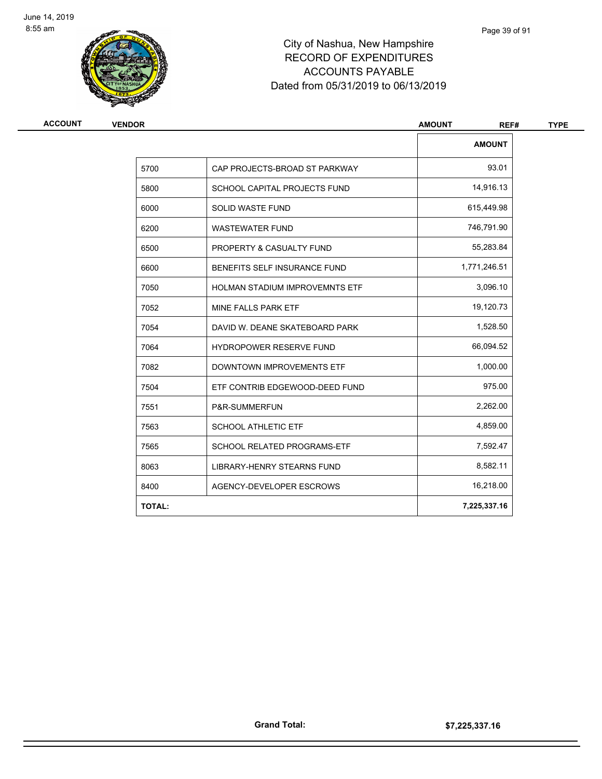

# City of Nashua, New Hampshire RECORD OF EXPENDITURES ACCOUNTS PAYABLE Dated from 05/31/2019 to 06/13/2019

| <b>VENDOR</b> |                                   |               | REF# |  |
|---------------|-----------------------------------|---------------|------|--|
|               |                                   | <b>AMOUNT</b> |      |  |
| 5700          | CAP PROJECTS-BROAD ST PARKWAY     | 93.01         |      |  |
| 5800          | SCHOOL CAPITAL PROJECTS FUND      | 14,916.13     |      |  |
| 6000          | <b>SOLID WASTE FUND</b>           | 615,449.98    |      |  |
| 6200          | <b>WASTEWATER FUND</b>            | 746,791.90    |      |  |
| 6500          | PROPERTY & CASUALTY FUND          | 55,283.84     |      |  |
| 6600          | BENEFITS SELF INSURANCE FUND      | 1,771,246.51  |      |  |
| 7050          | HOLMAN STADIUM IMPROVEMNTS ETF    | 3,096.10      |      |  |
| 7052          | MINE FALLS PARK ETF               | 19,120.73     |      |  |
| 7054          | DAVID W. DEANE SKATEBOARD PARK    | 1,528.50      |      |  |
| 7064          | HYDROPOWER RESERVE FUND           | 66,094.52     |      |  |
| 7082          | <b>DOWNTOWN IMPROVEMENTS ETF</b>  | 1,000.00      |      |  |
| 7504          | ETF CONTRIB EDGEWOOD-DEED FUND    | 975.00        |      |  |
| 7551          | P&R-SUMMERFUN                     | 2,262.00      |      |  |
| 7563          | <b>SCHOOL ATHLETIC ETF</b>        | 4,859.00      |      |  |
| 7565          | SCHOOL RELATED PROGRAMS-ETF       | 7,592.47      |      |  |
| 8063          | <b>LIBRARY-HENRY STEARNS FUND</b> | 8,582.11      |      |  |
| 8400          | AGENCY-DEVELOPER ESCROWS          | 16,218.00     |      |  |
| <b>TOTAL:</b> |                                   | 7,225,337.16  |      |  |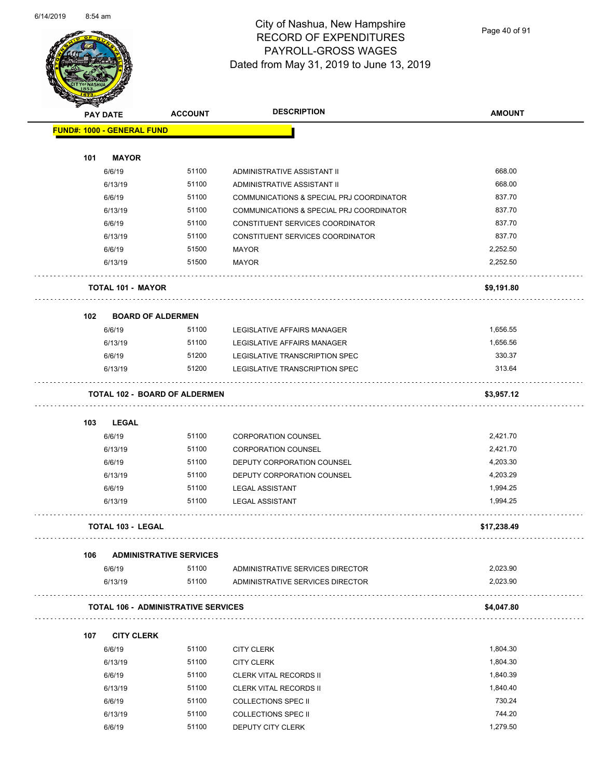

Page 40 of 91

| <b>PAY DATE</b>                   |                                            | <b>ACCOUNT</b> | <b>DESCRIPTION</b>                              | <b>AMOUNT</b>      |
|-----------------------------------|--------------------------------------------|----------------|-------------------------------------------------|--------------------|
| <b>FUND#: 1000 - GENERAL FUND</b> |                                            |                |                                                 |                    |
|                                   |                                            |                |                                                 |                    |
| 101                               | <b>MAYOR</b>                               |                |                                                 |                    |
|                                   | 6/6/19                                     | 51100          | ADMINISTRATIVE ASSISTANT II                     | 668.00             |
|                                   | 6/13/19                                    | 51100          | ADMINISTRATIVE ASSISTANT II                     | 668.00             |
|                                   | 6/6/19                                     | 51100          | COMMUNICATIONS & SPECIAL PRJ COORDINATOR        | 837.70             |
|                                   | 6/13/19                                    | 51100          | COMMUNICATIONS & SPECIAL PRJ COORDINATOR        | 837.70             |
|                                   | 6/6/19                                     | 51100          | CONSTITUENT SERVICES COORDINATOR                | 837.70             |
|                                   | 6/13/19                                    | 51100          | CONSTITUENT SERVICES COORDINATOR                | 837.70             |
|                                   | 6/6/19                                     | 51500          | <b>MAYOR</b>                                    | 2,252.50           |
|                                   | 6/13/19                                    | 51500          | <b>MAYOR</b>                                    | 2,252.50           |
|                                   | <b>TOTAL 101 - MAYOR</b>                   |                |                                                 | \$9,191.80         |
| 102                               | <b>BOARD OF ALDERMEN</b>                   |                |                                                 |                    |
|                                   | 6/6/19                                     | 51100          | LEGISLATIVE AFFAIRS MANAGER                     | 1,656.55           |
|                                   | 6/13/19                                    | 51100          | <b>LEGISLATIVE AFFAIRS MANAGER</b>              | 1,656.56           |
|                                   | 6/6/19                                     | 51200          | LEGISLATIVE TRANSCRIPTION SPEC                  | 330.37             |
|                                   | 6/13/19                                    | 51200          | LEGISLATIVE TRANSCRIPTION SPEC                  | 313.64             |
|                                   | <b>TOTAL 102 - BOARD OF ALDERMEN</b>       |                |                                                 | \$3,957.12         |
|                                   |                                            |                |                                                 |                    |
| 103                               | <b>LEGAL</b>                               |                |                                                 |                    |
|                                   | 6/6/19                                     | 51100          | <b>CORPORATION COUNSEL</b>                      | 2,421.70           |
|                                   | 6/13/19                                    | 51100          | <b>CORPORATION COUNSEL</b>                      | 2,421.70           |
|                                   | 6/6/19                                     | 51100          | DEPUTY CORPORATION COUNSEL                      | 4,203.30           |
|                                   | 6/13/19                                    | 51100          | DEPUTY CORPORATION COUNSEL                      | 4,203.29           |
|                                   | 6/6/19                                     | 51100          | <b>LEGAL ASSISTANT</b>                          | 1,994.25           |
|                                   | 6/13/19                                    | 51100          | <b>LEGAL ASSISTANT</b>                          | 1,994.25           |
|                                   | <b>TOTAL 103 - LEGAL</b>                   |                |                                                 | \$17,238.49        |
| 106                               | <b>ADMINISTRATIVE SERVICES</b>             |                |                                                 |                    |
|                                   | 6/6/19                                     | 51100          | ADMINISTRATIVE SERVICES DIRECTOR                | 2,023.90           |
|                                   | 6/13/19                                    | 51100          | ADMINISTRATIVE SERVICES DIRECTOR                | 2,023.90           |
|                                   | <b>TOTAL 106 - ADMINISTRATIVE SERVICES</b> |                |                                                 | \$4,047.80         |
| 107                               | <b>CITY CLERK</b>                          |                |                                                 |                    |
|                                   | 6/6/19                                     | 51100          | <b>CITY CLERK</b>                               | 1,804.30           |
|                                   | 6/13/19                                    | 51100          | <b>CITY CLERK</b>                               | 1,804.30           |
|                                   | 6/6/19                                     | 51100          | <b>CLERK VITAL RECORDS II</b>                   | 1,840.39           |
|                                   | 6/13/19                                    | 51100          | <b>CLERK VITAL RECORDS II</b>                   | 1,840.40           |
|                                   | 6/6/19                                     | 51100          | <b>COLLECTIONS SPEC II</b>                      | 730.24             |
|                                   |                                            |                |                                                 |                    |
|                                   |                                            |                |                                                 |                    |
|                                   | 6/13/19<br>6/6/19                          | 51100<br>51100 | <b>COLLECTIONS SPEC II</b><br>DEPUTY CITY CLERK | 744.20<br>1,279.50 |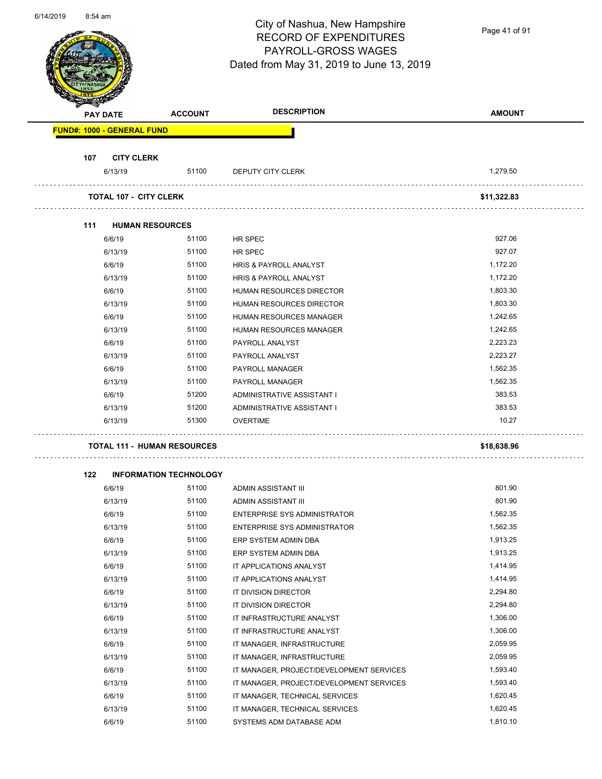Page 41 of 91

| <b>PAY DATE</b>                   | <b>ACCOUNT</b>                     | <b>DESCRIPTION</b>                       | <b>AMOUNT</b> |
|-----------------------------------|------------------------------------|------------------------------------------|---------------|
| <b>FUND#: 1000 - GENERAL FUND</b> |                                    |                                          |               |
| 107                               | <b>CITY CLERK</b>                  |                                          |               |
| 6/13/19                           | 51100                              | DEPUTY CITY CLERK                        | 1,279.50      |
|                                   | <b>TOTAL 107 - CITY CLERK</b>      |                                          | \$11,322.83   |
| 111                               | <b>HUMAN RESOURCES</b>             |                                          |               |
| 6/6/19                            | 51100                              | HR SPEC                                  | 927.06        |
| 6/13/19                           | 51100                              | HR SPEC                                  | 927.07        |
| 6/6/19                            | 51100                              | HRIS & PAYROLL ANALYST                   | 1,172.20      |
| 6/13/19                           | 51100                              | HRIS & PAYROLL ANALYST                   | 1,172.20      |
| 6/6/19                            | 51100                              | <b>HUMAN RESOURCES DIRECTOR</b>          | 1,803.30      |
| 6/13/19                           | 51100                              | <b>HUMAN RESOURCES DIRECTOR</b>          | 1,803.30      |
| 6/6/19                            | 51100                              | HUMAN RESOURCES MANAGER                  | 1,242.65      |
| 6/13/19                           | 51100                              | <b>HUMAN RESOURCES MANAGER</b>           | 1,242.65      |
| 6/6/19                            | 51100                              | PAYROLL ANALYST                          | 2,223.23      |
| 6/13/19                           | 51100                              | PAYROLL ANALYST                          | 2,223.27      |
| 6/6/19                            | 51100                              | PAYROLL MANAGER                          | 1,562.35      |
| 6/13/19                           | 51100                              | PAYROLL MANAGER                          | 1,562.35      |
| 6/6/19                            | 51200                              | ADMINISTRATIVE ASSISTANT I               | 383.53        |
| 6/13/19                           | 51200                              | ADMINISTRATIVE ASSISTANT I               | 383.53        |
| 6/13/19                           | 51300                              | <b>OVERTIME</b>                          | 10.27         |
|                                   | <b>TOTAL 111 - HUMAN RESOURCES</b> |                                          | \$18,638.96   |
|                                   |                                    |                                          |               |
| 122                               | <b>INFORMATION TECHNOLOGY</b>      |                                          |               |
| 6/6/19                            | 51100                              | ADMIN ASSISTANT III                      | 801.90        |
| 6/13/19                           | 51100                              | ADMIN ASSISTANT III                      | 801.90        |
| 6/6/19                            | 51100                              | ENTERPRISE SYS ADMINISTRATOR             | 1,562.35      |
| 6/13/19                           | 51100                              | ENTERPRISE SYS ADMINISTRATOR             | 1,562.35      |
| 6/6/19                            | 51100                              | ERP SYSTEM ADMIN DBA                     | 1,913.25      |
| 6/13/19                           | 51100                              | ERP SYSTEM ADMIN DBA                     | 1,913.25      |
| 6/6/19                            | 51100                              | IT APPLICATIONS ANALYST                  | 1,414.95      |
| 6/13/19                           | 51100                              | IT APPLICATIONS ANALYST                  | 1,414.95      |
| 6/6/19                            | 51100                              | IT DIVISION DIRECTOR                     | 2,294.80      |
| 6/13/19                           | 51100                              | IT DIVISION DIRECTOR                     | 2,294.80      |
| 6/6/19                            | 51100                              | IT INFRASTRUCTURE ANALYST                | 1,306.00      |
| 6/13/19                           | 51100                              | IT INFRASTRUCTURE ANALYST                | 1,306.00      |
|                                   | 51100                              | IT MANAGER, INFRASTRUCTURE               | 2,059.95      |
| 6/6/19                            | 51100                              | IT MANAGER, INFRASTRUCTURE               | 2,059.95      |
| 6/13/19                           |                                    |                                          | 1,593.40      |
| 6/6/19                            | 51100                              | IT MANAGER, PROJECT/DEVELOPMENT SERVICES |               |
| 6/13/19                           | 51100                              | IT MANAGER, PROJECT/DEVELOPMENT SERVICES | 1,593.40      |
| 6/6/19                            | 51100                              | IT MANAGER, TECHNICAL SERVICES           | 1,620.45      |
| 6/13/19                           | 51100                              | IT MANAGER, TECHNICAL SERVICES           | 1,620.45      |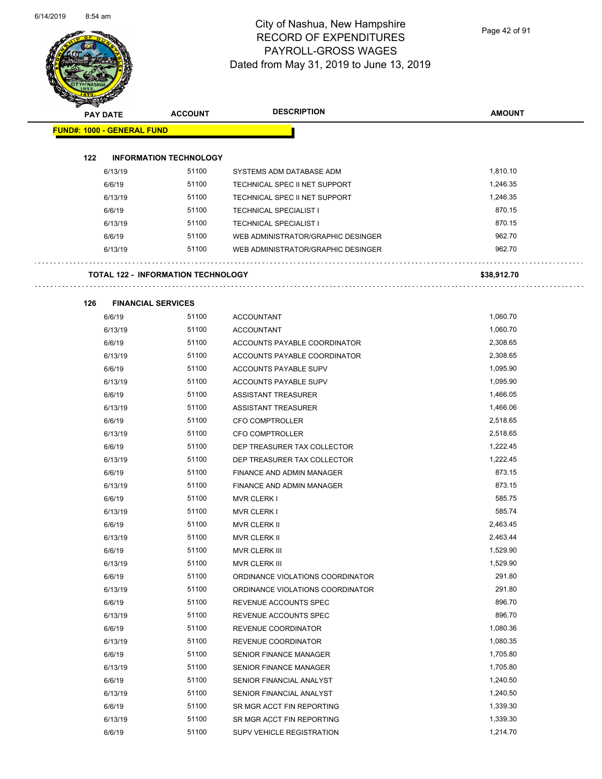

Page 42 of 91

| <b>PAY DATE</b>                   | <b>ACCOUNT</b>                            | <b>DESCRIPTION</b>                 | <b>AMOUNT</b> |
|-----------------------------------|-------------------------------------------|------------------------------------|---------------|
| <b>FUND#: 1000 - GENERAL FUND</b> |                                           |                                    |               |
| 122                               | <b>INFORMATION TECHNOLOGY</b>             |                                    |               |
| 6/13/19                           | 51100                                     | SYSTEMS ADM DATABASE ADM           | 1,810.10      |
| 6/6/19                            | 51100                                     | TECHNICAL SPEC II NET SUPPORT      | 1,246.35      |
| 6/13/19                           | 51100                                     | TECHNICAL SPEC II NET SUPPORT      | 1,246.35      |
| 6/6/19                            | 51100                                     | <b>TECHNICAL SPECIALIST I</b>      | 870.15        |
| 6/13/19                           | 51100                                     | <b>TECHNICAL SPECIALIST I</b>      | 870.15        |
| 6/6/19                            | 51100                                     | WEB ADMINISTRATOR/GRAPHIC DESINGER | 962.70        |
| 6/13/19                           | 51100                                     | WEB ADMINISTRATOR/GRAPHIC DESINGER | 962.70        |
|                                   | <b>TOTAL 122 - INFORMATION TECHNOLOGY</b> |                                    | \$38,912.70   |
|                                   |                                           |                                    |               |
| 126                               | <b>FINANCIAL SERVICES</b>                 |                                    |               |
| 6/6/19                            | 51100                                     | <b>ACCOUNTANT</b>                  | 1,060.70      |
| 6/13/19                           | 51100                                     | <b>ACCOUNTANT</b>                  | 1,060.70      |
| 6/6/19                            | 51100                                     | ACCOUNTS PAYABLE COORDINATOR       | 2,308.65      |
| 6/13/19                           | 51100                                     | ACCOUNTS PAYABLE COORDINATOR       | 2,308.65      |
| 6/6/19                            | 51100                                     | ACCOUNTS PAYABLE SUPV              | 1,095.90      |
| 6/13/19                           | 51100                                     | ACCOUNTS PAYABLE SUPV              | 1,095.90      |
| 6/6/19                            | 51100                                     | <b>ASSISTANT TREASURER</b>         | 1,466.05      |
| 6/13/19                           | 51100                                     | <b>ASSISTANT TREASURER</b>         | 1,466.06      |
| 6/6/19                            | 51100                                     | CFO COMPTROLLER                    | 2,518.65      |
| 6/13/19                           | 51100                                     | <b>CFO COMPTROLLER</b>             | 2,518.65      |
| 6/6/19                            | 51100                                     | DEP TREASURER TAX COLLECTOR        | 1,222.45      |
| 6/13/19                           | 51100                                     | DEP TREASURER TAX COLLECTOR        | 1,222.45      |
| 6/6/19                            | 51100                                     | FINANCE AND ADMIN MANAGER          | 873.15        |
| 6/13/19                           | 51100                                     | FINANCE AND ADMIN MANAGER          | 873.15        |
| 6/6/19                            | 51100                                     | <b>MVR CLERK I</b>                 | 585.75        |
| 6/13/19                           | 51100                                     | <b>MVR CLERK I</b>                 | 585.74        |
| 6/6/19                            | 51100                                     | <b>MVR CLERK II</b>                | 2,463.45      |
| 6/13/19                           | 51100                                     | MVR CLERK II                       | 2,463.44      |
| 6/6/19                            | 51100                                     | <b>MVR CLERK III</b>               | 1,529.90      |
| 6/13/19                           | 51100                                     | MVR CLERK III                      | 1,529.90      |
| 6/6/19                            | 51100                                     | ORDINANCE VIOLATIONS COORDINATOR   | 291.80        |
| 6/13/19                           | 51100                                     | ORDINANCE VIOLATIONS COORDINATOR   | 291.80        |
| 6/6/19                            | 51100                                     | REVENUE ACCOUNTS SPEC              | 896.70        |
| 6/13/19                           | 51100                                     | REVENUE ACCOUNTS SPEC              | 896.70        |
| 6/6/19                            | 51100                                     | REVENUE COORDINATOR                | 1,080.36      |
| 6/13/19                           | 51100                                     | REVENUE COORDINATOR                | 1,080.35      |
| 6/6/19                            | 51100                                     | SENIOR FINANCE MANAGER             | 1,705.80      |
| 6/13/19                           | 51100                                     | <b>SENIOR FINANCE MANAGER</b>      | 1,705.80      |
| 6/6/19                            | 51100                                     | SENIOR FINANCIAL ANALYST           | 1,240.50      |
| 6/13/19                           | 51100                                     | SENIOR FINANCIAL ANALYST           | 1,240.50      |
| 6/6/19                            | 51100                                     | SR MGR ACCT FIN REPORTING          | 1,339.30      |
| 6/13/19                           | 51100                                     | SR MGR ACCT FIN REPORTING          | 1,339.30      |
| 6/6/19                            | 51100                                     | SUPV VEHICLE REGISTRATION          | 1,214.70      |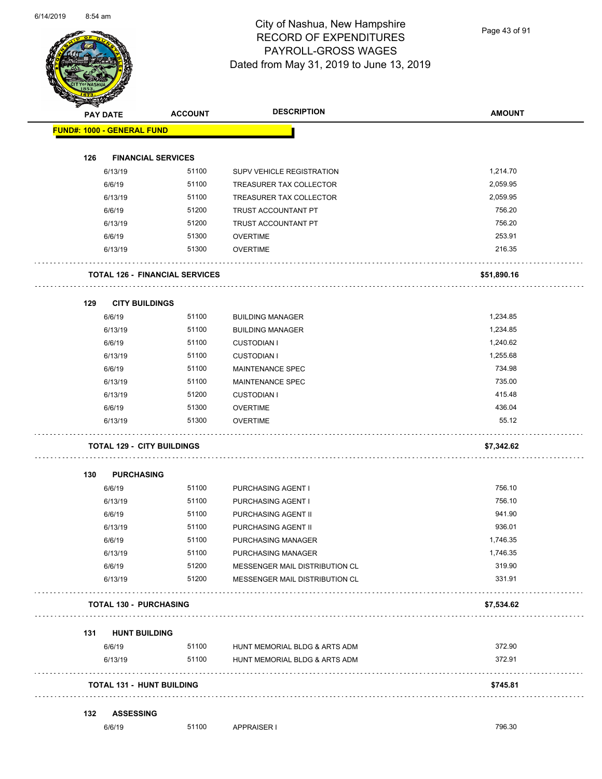

Page 43 of 91

|     | <b>PAY DATE</b>                       | <b>ACCOUNT</b> | <b>DESCRIPTION</b>             | <b>AMOUNT</b> |
|-----|---------------------------------------|----------------|--------------------------------|---------------|
|     | <b>FUND#: 1000 - GENERAL FUND</b>     |                |                                |               |
| 126 | <b>FINANCIAL SERVICES</b>             |                |                                |               |
|     | 6/13/19                               | 51100          | SUPV VEHICLE REGISTRATION      | 1,214.70      |
|     | 6/6/19                                | 51100          | TREASURER TAX COLLECTOR        | 2,059.95      |
|     | 6/13/19                               | 51100          | TREASURER TAX COLLECTOR        | 2,059.95      |
|     | 6/6/19                                | 51200          | TRUST ACCOUNTANT PT            | 756.20        |
|     | 6/13/19                               | 51200          | TRUST ACCOUNTANT PT            | 756.20        |
|     | 6/6/19                                | 51300          | <b>OVERTIME</b>                | 253.91        |
|     | 6/13/19                               | 51300          | <b>OVERTIME</b>                | 216.35        |
|     | <b>TOTAL 126 - FINANCIAL SERVICES</b> |                |                                | \$51,890.16   |
| 129 | <b>CITY BUILDINGS</b>                 |                |                                |               |
|     | 6/6/19                                | 51100          | <b>BUILDING MANAGER</b>        | 1,234.85      |
|     | 6/13/19                               | 51100          | <b>BUILDING MANAGER</b>        | 1,234.85      |
|     | 6/6/19                                | 51100          | <b>CUSTODIAN I</b>             | 1,240.62      |
|     | 6/13/19                               | 51100          | <b>CUSTODIAN I</b>             | 1,255.68      |
|     | 6/6/19                                | 51100          | <b>MAINTENANCE SPEC</b>        | 734.98        |
|     | 6/13/19                               | 51100          | <b>MAINTENANCE SPEC</b>        | 735.00        |
|     | 6/13/19                               | 51200          | <b>CUSTODIAN I</b>             | 415.48        |
|     | 6/6/19                                | 51300          | <b>OVERTIME</b>                | 436.04        |
|     | 6/13/19                               | 51300          | <b>OVERTIME</b>                | 55.12         |
|     | <b>TOTAL 129 - CITY BUILDINGS</b>     |                |                                | \$7,342.62    |
| 130 | <b>PURCHASING</b>                     |                |                                |               |
|     | 6/6/19                                | 51100          | PURCHASING AGENT I             | 756.10        |
|     | 6/13/19                               | 51100          | PURCHASING AGENT I             | 756.10        |
|     | 6/6/19                                | 51100          | PURCHASING AGENT II            | 941.90        |
|     | 6/13/19                               | 51100          | PURCHASING AGENT II            | 936.01        |
|     | 6/6/19                                | 51100          | PURCHASING MANAGER             | 1,746.35      |
|     | 6/13/19                               | 51100          | PURCHASING MANAGER             | 1,746.35      |
|     | 6/6/19                                | 51200          | MESSENGER MAIL DISTRIBUTION CL | 319.90        |
|     | 6/13/19                               | 51200          | MESSENGER MAIL DISTRIBUTION CL | 331.91        |
|     | <b>TOTAL 130 - PURCHASING</b>         |                |                                | \$7,534.62    |
| 131 | <b>HUNT BUILDING</b>                  |                |                                |               |
|     | 6/6/19                                | 51100          | HUNT MEMORIAL BLDG & ARTS ADM  | 372.90        |
|     | 6/13/19                               | 51100          | HUNT MEMORIAL BLDG & ARTS ADM  | 372.91        |
|     | <b>TOTAL 131 - HUNT BUILDING</b>      |                |                                | \$745.81      |
| 132 | <b>ASSESSING</b>                      |                |                                |               |
|     | 6/6/19                                | 51100          | <b>APPRAISER I</b>             | 796.30        |
|     |                                       |                |                                |               |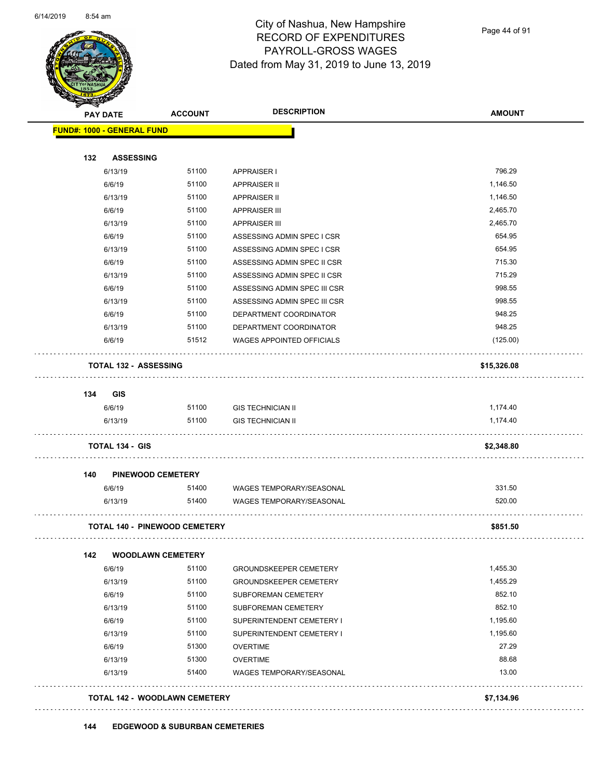

Page 44 of 91

|     | <b>PAY DATE</b>                   | <b>ACCOUNT</b>                       | <b>DESCRIPTION</b>               | <b>AMOUNT</b> |
|-----|-----------------------------------|--------------------------------------|----------------------------------|---------------|
|     | <b>FUND#: 1000 - GENERAL FUND</b> |                                      |                                  |               |
| 132 | <b>ASSESSING</b>                  |                                      |                                  |               |
|     | 6/13/19                           | 51100                                | APPRAISER I                      | 796.29        |
|     | 6/6/19                            | 51100                                | <b>APPRAISER II</b>              | 1,146.50      |
|     | 6/13/19                           | 51100                                | <b>APPRAISER II</b>              | 1,146.50      |
|     | 6/6/19                            | 51100                                | <b>APPRAISER III</b>             | 2,465.70      |
|     | 6/13/19                           | 51100                                | <b>APPRAISER III</b>             | 2,465.70      |
|     | 6/6/19                            | 51100                                | ASSESSING ADMIN SPEC I CSR       | 654.95        |
|     | 6/13/19                           | 51100                                | ASSESSING ADMIN SPEC I CSR       | 654.95        |
|     | 6/6/19                            | 51100                                | ASSESSING ADMIN SPEC II CSR      | 715.30        |
|     | 6/13/19                           | 51100                                | ASSESSING ADMIN SPEC II CSR      | 715.29        |
|     | 6/6/19                            | 51100                                | ASSESSING ADMIN SPEC III CSR     | 998.55        |
|     | 6/13/19                           | 51100                                | ASSESSING ADMIN SPEC III CSR     | 998.55        |
|     | 6/6/19                            | 51100                                | DEPARTMENT COORDINATOR           | 948.25        |
|     | 6/13/19                           | 51100                                | DEPARTMENT COORDINATOR           | 948.25        |
|     | 6/6/19                            | 51512                                | <b>WAGES APPOINTED OFFICIALS</b> | (125.00)      |
|     | <b>TOTAL 132 - ASSESSING</b>      |                                      |                                  | \$15,326.08   |
| 134 | GIS                               |                                      |                                  |               |
|     | 6/6/19                            | 51100                                | <b>GIS TECHNICIAN II</b>         | 1,174.40      |
|     | 6/13/19                           | 51100                                | <b>GIS TECHNICIAN II</b>         | 1,174.40      |
|     | <b>TOTAL 134 - GIS</b>            |                                      |                                  | \$2,348.80    |
| 140 |                                   | <b>PINEWOOD CEMETERY</b>             |                                  |               |
|     | 6/6/19                            | 51400                                | WAGES TEMPORARY/SEASONAL         | 331.50        |
|     | 6/13/19                           | 51400                                | <b>WAGES TEMPORARY/SEASONAL</b>  | 520.00        |
|     |                                   | <b>TOTAL 140 - PINEWOOD CEMETERY</b> |                                  | \$851.50      |
| 142 |                                   | <b>WOODLAWN CEMETERY</b>             |                                  |               |
|     | 6/6/19                            | 51100                                | <b>GROUNDSKEEPER CEMETERY</b>    | 1,455.30      |
|     | 6/13/19                           | 51100                                | <b>GROUNDSKEEPER CEMETERY</b>    | 1,455.29      |
|     | 6/6/19                            | 51100                                | SUBFOREMAN CEMETERY              | 852.10        |
|     | 6/13/19                           | 51100                                | SUBFOREMAN CEMETERY              | 852.10        |
|     | 6/6/19                            | 51100                                | SUPERINTENDENT CEMETERY I        | 1,195.60      |
|     | 6/13/19                           | 51100                                | SUPERINTENDENT CEMETERY I        | 1,195.60      |
|     | 6/6/19                            | 51300                                | <b>OVERTIME</b>                  | 27.29         |
|     | 6/13/19                           | 51300                                | <b>OVERTIME</b>                  | 88.68         |
|     | 6/13/19                           | 51400                                | <b>WAGES TEMPORARY/SEASONAL</b>  | 13.00         |
|     |                                   |                                      |                                  |               |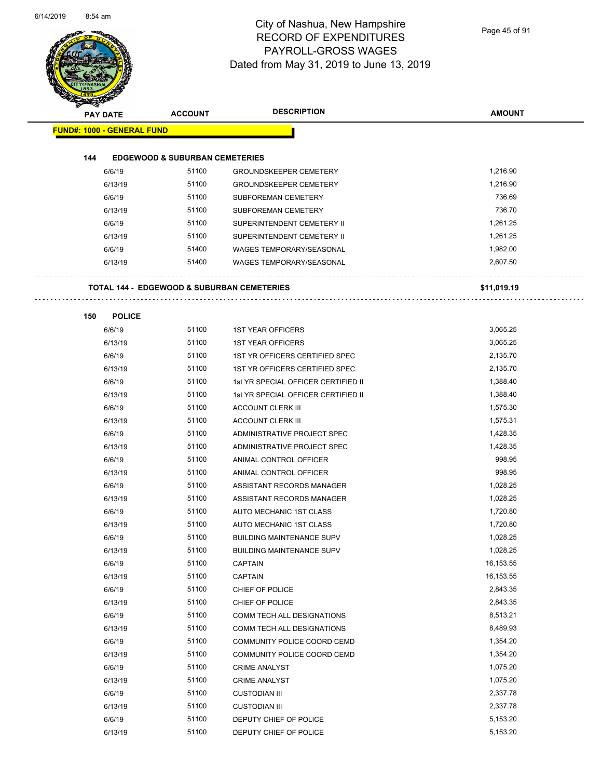÷.

### City of Nashua, New Hampshire RECORD OF EXPENDITURES PAYROLL-GROSS WAGES Dated from May 31, 2019 to June 13, 2019

Page 45 of 91

| <b>PAY DATE</b>                   | <b>ACCOUNT</b>                            | <b>DESCRIPTION</b>                                    | <b>AMOUNT</b> |
|-----------------------------------|-------------------------------------------|-------------------------------------------------------|---------------|
| <b>FUND#: 1000 - GENERAL FUND</b> |                                           |                                                       |               |
| 144                               | <b>EDGEWOOD &amp; SUBURBAN CEMETERIES</b> |                                                       |               |
| 6/6/19                            | 51100                                     | <b>GROUNDSKEEPER CEMETERY</b>                         | 1,216.90      |
| 6/13/19                           | 51100                                     | <b>GROUNDSKEEPER CEMETERY</b>                         | 1,216.90      |
| 6/6/19                            | 51100                                     | <b>SUBFOREMAN CEMETERY</b>                            | 736.69        |
| 6/13/19                           | 51100                                     | <b>SUBFOREMAN CEMETERY</b>                            | 736.70        |
| 6/6/19                            | 51100                                     | SUPERINTENDENT CEMETERY II                            | 1,261.25      |
| 6/13/19                           | 51100                                     | SUPERINTENDENT CEMETERY II                            | 1,261.25      |
| 6/6/19                            | 51400                                     | <b>WAGES TEMPORARY/SEASONAL</b>                       | 1,982.00      |
| 6/13/19                           | 51400                                     | <b>WAGES TEMPORARY/SEASONAL</b>                       | 2,607.50      |
|                                   |                                           |                                                       |               |
|                                   |                                           | <b>TOTAL 144 - EDGEWOOD &amp; SUBURBAN CEMETERIES</b> | \$11,019.19   |
|                                   |                                           |                                                       |               |
| 150<br><b>POLICE</b>              |                                           |                                                       |               |
| 6/6/19                            | 51100                                     | <b>1ST YEAR OFFICERS</b>                              | 3,065.25      |
| 6/13/19                           | 51100                                     | <b>1ST YEAR OFFICERS</b>                              | 3,065.25      |
| 6/6/19                            | 51100                                     | 1ST YR OFFICERS CERTIFIED SPEC                        | 2,135.70      |
| 6/13/19                           | 51100                                     | 1ST YR OFFICERS CERTIFIED SPEC                        | 2,135.70      |
| 6/6/19                            | 51100                                     | 1st YR SPECIAL OFFICER CERTIFIED II                   | 1,388.40      |
| 6/13/19                           | 51100                                     | 1st YR SPECIAL OFFICER CERTIFIED II                   | 1,388.40      |
| 6/6/19                            | 51100                                     | <b>ACCOUNT CLERK III</b>                              | 1,575.30      |
| 6/13/19                           | 51100                                     | <b>ACCOUNT CLERK III</b>                              | 1,575.31      |
| 6/6/19                            | 51100                                     | ADMINISTRATIVE PROJECT SPEC                           | 1,428.35      |
| 6/13/19                           | 51100                                     | ADMINISTRATIVE PROJECT SPEC                           | 1,428.35      |
| 6/6/19                            | 51100                                     | ANIMAL CONTROL OFFICER                                | 998.95        |
| 6/13/19                           | 51100                                     | ANIMAL CONTROL OFFICER                                | 998.95        |
| 6/6/19                            | 51100                                     | ASSISTANT RECORDS MANAGER                             | 1,028.25      |
| 6/13/19                           | 51100                                     | ASSISTANT RECORDS MANAGER                             | 1,028.25      |
| 6/6/19                            | 51100                                     | AUTO MECHANIC 1ST CLASS                               | 1,720.80      |
| 6/13/19                           | 51100                                     | AUTO MECHANIC 1ST CLASS                               | 1,720.80      |
| 6/6/19                            | 51100                                     | <b>BUILDING MAINTENANCE SUPV</b>                      | 1,028.25      |
| 6/13/19                           | 51100                                     | <b>BUILDING MAINTENANCE SUPV</b>                      | 1,028.25      |
| 6/6/19                            | 51100                                     | CAPTAIN                                               | 16,153.55     |
| 6/13/19                           | 51100                                     | CAPTAIN                                               | 16,153.55     |
| 6/6/19                            | 51100                                     | CHIEF OF POLICE                                       | 2,843.35      |
| 6/13/19                           | 51100                                     | CHIEF OF POLICE                                       | 2,843.35      |
| 6/6/19                            | 51100                                     | COMM TECH ALL DESIGNATIONS                            | 8,513.21      |
| 6/13/19                           | 51100                                     | COMM TECH ALL DESIGNATIONS                            | 8,489.93      |
| 6/6/19                            | 51100                                     | COMMUNITY POLICE COORD CEMD                           | 1,354.20      |
| 6/13/19                           | 51100                                     | COMMUNITY POLICE COORD CEMD                           | 1,354.20      |
| 6/6/19                            | 51100                                     | <b>CRIME ANALYST</b>                                  | 1,075.20      |
| 6/13/19                           | 51100                                     | <b>CRIME ANALYST</b>                                  | 1,075.20      |
| 6/6/19                            | 51100                                     | <b>CUSTODIAN III</b>                                  | 2,337.78      |
| 6/13/19                           | 51100                                     | <b>CUSTODIAN III</b>                                  | 2,337.78      |
| 6/6/19                            | 51100                                     | DEPUTY CHIEF OF POLICE                                | 5,153.20      |
| 6/13/19                           | 51100                                     | DEPUTY CHIEF OF POLICE                                | 5,153.20      |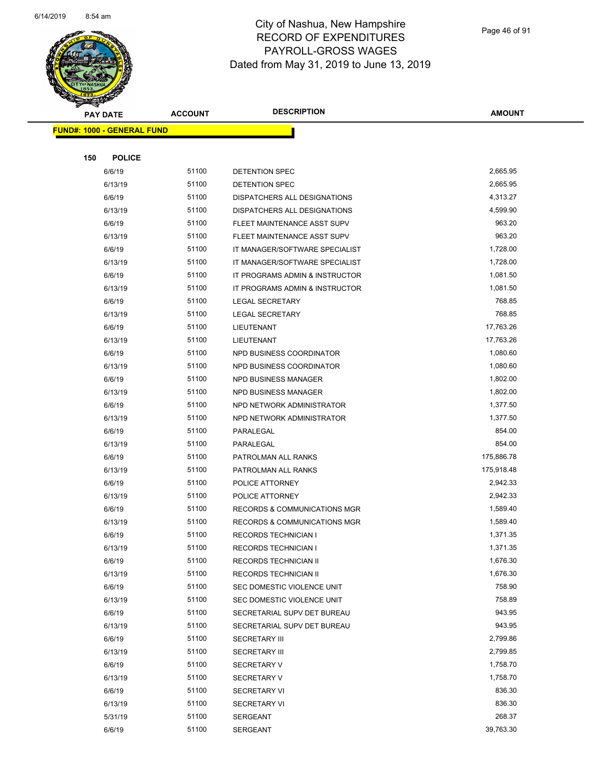

Page 46 of 91

| <b>PAY DATE</b>                   | <b>ACCOUNT</b> | <b>DESCRIPTION</b>                      | <b>AMOUNT</b>       |
|-----------------------------------|----------------|-----------------------------------------|---------------------|
| <b>FUND#: 1000 - GENERAL FUND</b> |                |                                         |                     |
|                                   |                |                                         |                     |
| 150<br><b>POLICE</b>              |                |                                         |                     |
| 6/6/19                            | 51100          | DETENTION SPEC                          | 2,665.95            |
| 6/13/19                           | 51100          | DETENTION SPEC                          | 2,665.95            |
| 6/6/19                            | 51100          | DISPATCHERS ALL DESIGNATIONS            | 4,313.27            |
| 6/13/19                           | 51100          | DISPATCHERS ALL DESIGNATIONS            | 4,599.90            |
| 6/6/19                            | 51100          | FLEET MAINTENANCE ASST SUPV             | 963.20              |
| 6/13/19                           | 51100          | FLEET MAINTENANCE ASST SUPV             | 963.20              |
| 6/6/19                            | 51100          | IT MANAGER/SOFTWARE SPECIALIST          | 1,728.00            |
| 6/13/19                           | 51100          | IT MANAGER/SOFTWARE SPECIALIST          | 1,728.00            |
| 6/6/19                            | 51100          | IT PROGRAMS ADMIN & INSTRUCTOR          | 1,081.50            |
| 6/13/19                           | 51100          | IT PROGRAMS ADMIN & INSTRUCTOR          | 1,081.50            |
| 6/6/19                            | 51100          | <b>LEGAL SECRETARY</b>                  | 768.85              |
| 6/13/19                           | 51100          | <b>LEGAL SECRETARY</b>                  | 768.85              |
| 6/6/19                            | 51100          | LIEUTENANT                              | 17,763.26           |
| 6/13/19                           | 51100          | LIEUTENANT                              | 17,763.26           |
| 6/6/19                            | 51100          | NPD BUSINESS COORDINATOR                | 1,080.60            |
| 6/13/19                           | 51100          | NPD BUSINESS COORDINATOR                | 1,080.60            |
| 6/6/19                            | 51100          | NPD BUSINESS MANAGER                    | 1,802.00            |
| 6/13/19                           | 51100          | NPD BUSINESS MANAGER                    | 1,802.00            |
| 6/6/19                            | 51100          | NPD NETWORK ADMINISTRATOR               | 1,377.50            |
| 6/13/19                           | 51100          | NPD NETWORK ADMINISTRATOR               | 1,377.50            |
| 6/6/19                            | 51100          | PARALEGAL                               | 854.00              |
| 6/13/19                           | 51100          | PARALEGAL                               | 854.00              |
| 6/6/19                            | 51100          | PATROLMAN ALL RANKS                     | 175,886.78          |
| 6/13/19                           | 51100          | PATROLMAN ALL RANKS                     | 175,918.48          |
| 6/6/19                            | 51100          | POLICE ATTORNEY                         | 2,942.33            |
| 6/13/19                           | 51100          | POLICE ATTORNEY                         | 2,942.33            |
| 6/6/19                            | 51100          | <b>RECORDS &amp; COMMUNICATIONS MGR</b> | 1,589.40            |
| 6/13/19                           | 51100          | <b>RECORDS &amp; COMMUNICATIONS MGR</b> | 1,589.40            |
| 6/6/19                            | 51100          | <b>RECORDS TECHNICIAN I</b>             | 1,371.35            |
| 6/13/19                           | 51100          | RECORDS TECHNICIAN I                    | 1,371.35            |
| 6/6/19                            | 51100          | RECORDS TECHNICIAN II                   | 1,676.30            |
| 6/13/19                           | 51100          | <b>RECORDS TECHNICIAN II</b>            | 1,676.30            |
| 6/6/19                            | 51100          | SEC DOMESTIC VIOLENCE UNIT              | 758.90              |
| 6/13/19                           | 51100          | SEC DOMESTIC VIOLENCE UNIT              | 758.89              |
| 6/6/19                            | 51100          | SECRETARIAL SUPV DET BUREAU             | 943.95              |
| 6/13/19                           | 51100          | SECRETARIAL SUPV DET BUREAU             | 943.95              |
| 6/6/19                            | 51100          | <b>SECRETARY III</b>                    | 2,799.86            |
| 6/13/19                           | 51100          | <b>SECRETARY III</b>                    | 2,799.85            |
| 6/6/19                            | 51100          | <b>SECRETARY V</b>                      | 1,758.70            |
| 6/13/19                           | 51100          | <b>SECRETARY V</b>                      | 1,758.70            |
| 6/6/19                            | 51100          | <b>SECRETARY VI</b>                     | 836.30              |
| 6/13/19                           | 51100          | <b>SECRETARY VI</b>                     | 836.30              |
| 5/31/19                           | 51100          | <b>SERGEANT</b>                         | 268.37<br>39,763.30 |
| 6/6/19                            | 51100          | <b>SERGEANT</b>                         |                     |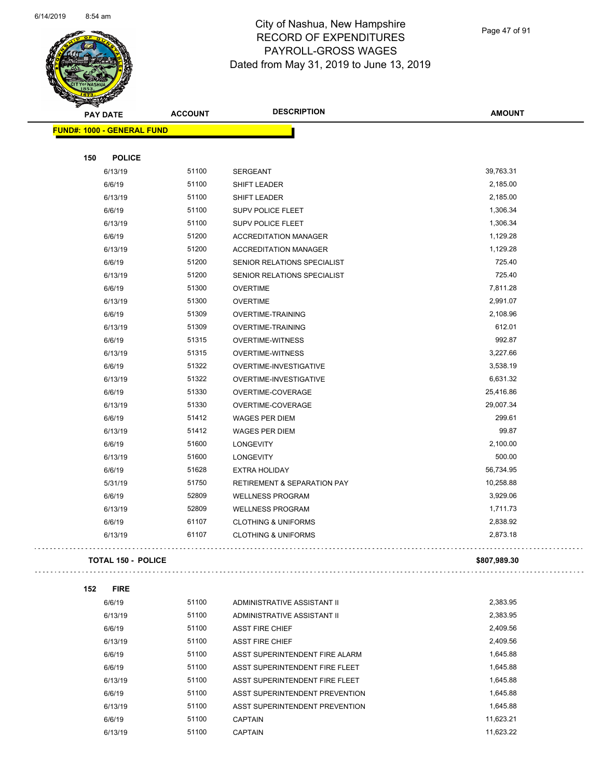

### City of Nashua, New Hampshire RECORD OF EXPENDITURES PAYROLL-GROSS WAGES Dated from May 31, 2019 to June 13, 2019

Page 47 of 91

| <b>Contract Section</b>    |                |                                        |               |
|----------------------------|----------------|----------------------------------------|---------------|
| <b>PAY DATE</b>            | <b>ACCOUNT</b> | <b>DESCRIPTION</b>                     | <b>AMOUNT</b> |
| FUND#: 1000 - GENERAL FUND |                |                                        |               |
|                            |                |                                        |               |
| <b>POLICE</b><br>150       |                |                                        |               |
| 6/13/19                    | 51100          | SERGEANT                               | 39,763.31     |
| 6/6/19                     | 51100          | <b>SHIFT LEADER</b>                    | 2,185.00      |
| 6/13/19                    | 51100          | <b>SHIFT LEADER</b>                    | 2,185.00      |
| 6/6/19                     | 51100          | <b>SUPV POLICE FLEET</b>               | 1,306.34      |
| 6/13/19                    | 51100          | <b>SUPV POLICE FLEET</b>               | 1,306.34      |
| 6/6/19                     | 51200          | <b>ACCREDITATION MANAGER</b>           | 1,129.28      |
| 6/13/19                    | 51200          | <b>ACCREDITATION MANAGER</b>           | 1,129.28      |
| 6/6/19                     | 51200          | SENIOR RELATIONS SPECIALIST            | 725.40        |
| 6/13/19                    | 51200          | SENIOR RELATIONS SPECIALIST            | 725.40        |
| 6/6/19                     | 51300          | <b>OVERTIME</b>                        | 7,811.28      |
| 6/13/19                    | 51300          | <b>OVERTIME</b>                        | 2,991.07      |
| 6/6/19                     | 51309          | <b>OVERTIME-TRAINING</b>               | 2,108.96      |
| 6/13/19                    | 51309          | <b>OVERTIME-TRAINING</b>               | 612.01        |
| 6/6/19                     | 51315          | <b>OVERTIME-WITNESS</b>                | 992.87        |
| 6/13/19                    | 51315          | <b>OVERTIME-WITNESS</b>                | 3,227.66      |
| 6/6/19                     | 51322          | OVERTIME-INVESTIGATIVE                 | 3,538.19      |
| 6/13/19                    | 51322          | OVERTIME-INVESTIGATIVE                 | 6,631.32      |
| 6/6/19                     | 51330          | OVERTIME-COVERAGE                      | 25,416.86     |
| 6/13/19                    | 51330          | OVERTIME-COVERAGE                      | 29,007.34     |
| 6/6/19                     | 51412          | <b>WAGES PER DIEM</b>                  | 299.61        |
| 6/13/19                    | 51412          | <b>WAGES PER DIEM</b>                  | 99.87         |
| 6/6/19                     | 51600          | <b>LONGEVITY</b>                       | 2,100.00      |
| 6/13/19                    | 51600          | LONGEVITY                              | 500.00        |
| 6/6/19                     | 51628          | <b>EXTRA HOLIDAY</b>                   | 56,734.95     |
| 5/31/19                    | 51750          | <b>RETIREMENT &amp; SEPARATION PAY</b> | 10,258.88     |
| 6/6/19                     | 52809          | <b>WELLNESS PROGRAM</b>                | 3,929.06      |
| 6/13/19                    | 52809          | <b>WELLNESS PROGRAM</b>                | 1,711.73      |
| 6/6/19                     | 61107          | <b>CLOTHING &amp; UNIFORMS</b>         | 2,838.92      |
| 6/13/19                    | 61107          | <b>CLOTHING &amp; UNIFORMS</b>         | 2,873.18      |
|                            |                |                                        |               |
| <b>TOTAL 150 - POLICE</b>  |                |                                        | \$807,989.30  |
|                            |                |                                        |               |
| 152<br><b>FIRE</b>         |                |                                        |               |
| 6/6/19                     | 51100          | ADMINISTRATIVE ASSISTANT II            | 2,383.95      |
| 6/13/19                    | 51100          | ADMINISTRATIVE ASSISTANT II            | 2,383.95      |
| 6/6/19                     | 51100          | <b>ASST FIRE CHIEF</b>                 | 2,409.56      |
| 6/13/19                    | 51100          | <b>ASST FIRE CHIEF</b>                 | 2,409.56      |
| 6/6/19                     | 51100          | ASST SUPERINTENDENT FIRE ALARM         | 1,645.88      |
| 6/6/19                     | 51100          | ASST SUPERINTENDENT FIRE FLEET         | 1,645.88      |
| 6/13/19                    | 51100          | ASST SUPERINTENDENT FIRE FLEET         | 1,645.88      |
| 6/6/19                     | 51100          | ASST SUPERINTENDENT PREVENTION         | 1,645.88      |
| 6/13/19                    | 51100          | ASST SUPERINTENDENT PREVENTION         | 1,645.88      |
| 6/6/19                     | 51100          | <b>CAPTAIN</b>                         | 11,623.21     |
| 6/13/19                    | 51100          | CAPTAIN                                | 11,623.22     |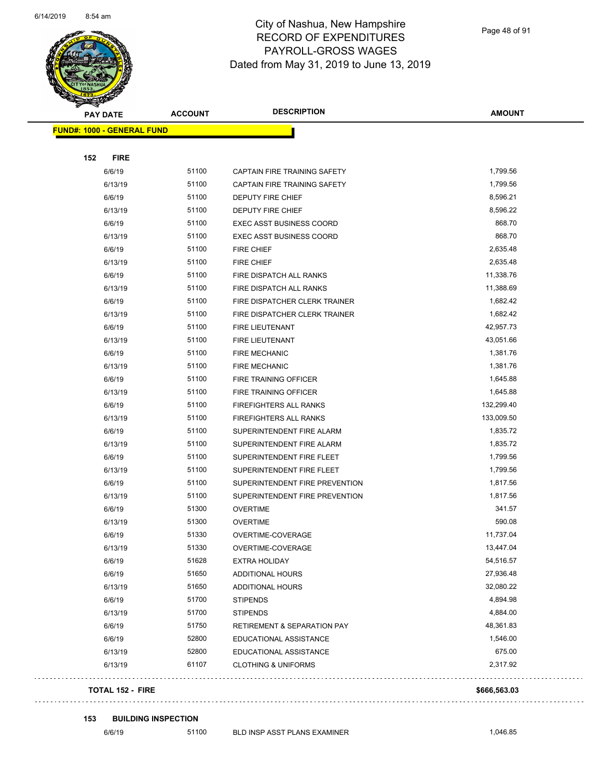

Page 48 of 91

| <b>REAL PROPERTY</b>              |                |                                        |               |
|-----------------------------------|----------------|----------------------------------------|---------------|
| <b>PAY DATE</b>                   | <b>ACCOUNT</b> | <b>DESCRIPTION</b>                     | <b>AMOUNT</b> |
| <b>FUND#: 1000 - GENERAL FUND</b> |                |                                        |               |
|                                   |                |                                        |               |
| 152<br><b>FIRE</b>                |                |                                        |               |
| 6/6/19                            | 51100          | CAPTAIN FIRE TRAINING SAFETY           | 1,799.56      |
| 6/13/19                           | 51100          | CAPTAIN FIRE TRAINING SAFETY           | 1,799.56      |
| 6/6/19                            | 51100          | <b>DEPUTY FIRE CHIEF</b>               | 8,596.21      |
| 6/13/19                           | 51100          | DEPUTY FIRE CHIEF                      | 8,596.22      |
| 6/6/19                            | 51100          | <b>EXEC ASST BUSINESS COORD</b>        | 868.70        |
| 6/13/19                           | 51100          | <b>EXEC ASST BUSINESS COORD</b>        | 868.70        |
| 6/6/19                            | 51100          | <b>FIRE CHIEF</b>                      | 2,635.48      |
| 6/13/19                           | 51100          | <b>FIRE CHIEF</b>                      | 2,635.48      |
| 6/6/19                            | 51100          | FIRE DISPATCH ALL RANKS                | 11,338.76     |
| 6/13/19                           | 51100          | FIRE DISPATCH ALL RANKS                | 11,388.69     |
| 6/6/19                            | 51100          | FIRE DISPATCHER CLERK TRAINER          | 1,682.42      |
| 6/13/19                           | 51100          | FIRE DISPATCHER CLERK TRAINER          | 1,682.42      |
| 6/6/19                            | 51100          | <b>FIRE LIEUTENANT</b>                 | 42,957.73     |
| 6/13/19                           | 51100          | FIRE LIEUTENANT                        | 43,051.66     |
| 6/6/19                            | 51100          | <b>FIRE MECHANIC</b>                   | 1,381.76      |
| 6/13/19                           | 51100          | <b>FIRE MECHANIC</b>                   | 1,381.76      |
| 6/6/19                            | 51100          | FIRE TRAINING OFFICER                  | 1,645.88      |
| 6/13/19                           | 51100          | FIRE TRAINING OFFICER                  | 1,645.88      |
| 6/6/19                            | 51100          | FIREFIGHTERS ALL RANKS                 | 132,299.40    |
| 6/13/19                           | 51100          | <b>FIREFIGHTERS ALL RANKS</b>          | 133,009.50    |
| 6/6/19                            | 51100          | SUPERINTENDENT FIRE ALARM              | 1,835.72      |
| 6/13/19                           | 51100          | SUPERINTENDENT FIRE ALARM              | 1,835.72      |
| 6/6/19                            | 51100          | SUPERINTENDENT FIRE FLEET              | 1,799.56      |
| 6/13/19                           | 51100          | SUPERINTENDENT FIRE FLEET              | 1,799.56      |
| 6/6/19                            | 51100          | SUPERINTENDENT FIRE PREVENTION         | 1,817.56      |
| 6/13/19                           | 51100          | SUPERINTENDENT FIRE PREVENTION         | 1,817.56      |
| 6/6/19                            | 51300          | <b>OVERTIME</b>                        | 341.57        |
| 6/13/19                           | 51300          | <b>OVERTIME</b>                        | 590.08        |
| 6/6/19                            | 51330          | OVERTIME-COVERAGE                      | 11,737.04     |
| 6/13/19                           | 51330          | OVERTIME-COVERAGE                      | 13,447.04     |
| 6/6/19                            | 51628          | <b>EXTRA HOLIDAY</b>                   | 54,516.57     |
| 6/6/19                            | 51650          | <b>ADDITIONAL HOURS</b>                | 27,936.48     |
| 6/13/19                           | 51650          | ADDITIONAL HOURS                       | 32,080.22     |
| 6/6/19                            | 51700          | <b>STIPENDS</b>                        | 4,894.98      |
| 6/13/19                           | 51700          | <b>STIPENDS</b>                        | 4,884.00      |
| 6/6/19                            | 51750          | <b>RETIREMENT &amp; SEPARATION PAY</b> | 48,361.83     |
| 6/6/19                            | 52800          | EDUCATIONAL ASSISTANCE                 | 1,546.00      |
| 6/13/19                           | 52800          | EDUCATIONAL ASSISTANCE                 | 675.00        |
| 6/13/19                           | 61107          | <b>CLOTHING &amp; UNIFORMS</b>         | 2,317.92      |
| <b>TOTAL 152 - FIRE</b>           |                |                                        | \$666,563.03  |

#### **153 BUILDING INSPECTION**

 $\bar{\mathbb{Z}}$  .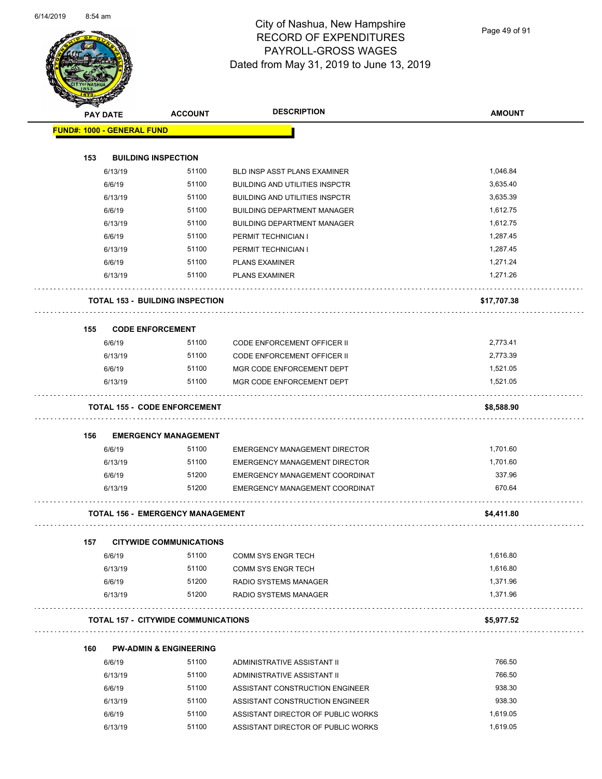Page 49 of 91

|     | <b>PAY DATE</b> | <b>ACCOUNT</b>                             | <b>DESCRIPTION</b>                    | <b>AMOUNT</b> |
|-----|-----------------|--------------------------------------------|---------------------------------------|---------------|
|     |                 | <b>FUND#: 1000 - GENERAL FUND</b>          |                                       |               |
| 153 |                 | <b>BUILDING INSPECTION</b>                 |                                       |               |
|     | 6/13/19         | 51100                                      | BLD INSP ASST PLANS EXAMINER          | 1,046.84      |
|     | 6/6/19          | 51100                                      | BUILDING AND UTILITIES INSPCTR        | 3,635.40      |
|     | 6/13/19         | 51100                                      | <b>BUILDING AND UTILITIES INSPCTR</b> | 3,635.39      |
|     | 6/6/19          | 51100                                      | <b>BUILDING DEPARTMENT MANAGER</b>    | 1,612.75      |
|     | 6/13/19         | 51100                                      | <b>BUILDING DEPARTMENT MANAGER</b>    | 1,612.75      |
|     | 6/6/19          | 51100                                      | PERMIT TECHNICIAN I                   | 1,287.45      |
|     | 6/13/19         | 51100                                      | PERMIT TECHNICIAN I                   | 1,287.45      |
|     | 6/6/19          | 51100                                      | <b>PLANS EXAMINER</b>                 | 1,271.24      |
|     | 6/13/19         | 51100                                      | <b>PLANS EXAMINER</b>                 | 1,271.26      |
|     |                 | <b>TOTAL 153 - BUILDING INSPECTION</b>     |                                       | \$17,707.38   |
|     |                 |                                            |                                       |               |
| 155 | 6/6/19          | <b>CODE ENFORCEMENT</b><br>51100           | CODE ENFORCEMENT OFFICER II           | 2,773.41      |
|     | 6/13/19         | 51100                                      | CODE ENFORCEMENT OFFICER II           | 2,773.39      |
|     | 6/6/19          | 51100                                      | MGR CODE ENFORCEMENT DEPT             | 1,521.05      |
|     | 6/13/19         | 51100                                      | MGR CODE ENFORCEMENT DEPT             | 1,521.05      |
|     |                 | <b>TOTAL 155 - CODE ENFORCEMENT</b>        |                                       | \$8,588.90    |
|     |                 |                                            |                                       |               |
| 156 | 6/6/19          | <b>EMERGENCY MANAGEMENT</b><br>51100       | <b>EMERGENCY MANAGEMENT DIRECTOR</b>  | 1,701.60      |
|     | 6/13/19         | 51100                                      | <b>EMERGENCY MANAGEMENT DIRECTOR</b>  | 1,701.60      |
|     | 6/6/19          | 51200                                      | EMERGENCY MANAGEMENT COORDINAT        | 337.96        |
|     | 6/13/19         | 51200                                      | EMERGENCY MANAGEMENT COORDINAT        | 670.64        |
|     |                 | <b>TOTAL 156 - EMERGENCY MANAGEMENT</b>    |                                       | \$4,411.80    |
| 157 |                 | <b>CITYWIDE COMMUNICATIONS</b>             |                                       |               |
|     | 6/6/19          | 51100                                      | <b>COMM SYS ENGR TECH</b>             | 1,616.80      |
|     | 6/13/19         | 51100                                      | <b>COMM SYS ENGR TECH</b>             | 1,616.80      |
|     | 6/6/19          | 51200                                      | RADIO SYSTEMS MANAGER                 | 1,371.96      |
|     | 6/13/19         | 51200                                      | RADIO SYSTEMS MANAGER<br>.            | 1,371.96      |
|     |                 | <b>TOTAL 157 - CITYWIDE COMMUNICATIONS</b> |                                       | \$5,977.52    |
| 160 |                 | <b>PW-ADMIN &amp; ENGINEERING</b>          |                                       |               |
|     | 6/6/19          | 51100                                      | ADMINISTRATIVE ASSISTANT II           | 766.50        |
|     | 6/13/19         | 51100                                      | ADMINISTRATIVE ASSISTANT II           | 766.50        |
|     | 6/6/19          | 51100                                      | ASSISTANT CONSTRUCTION ENGINEER       | 938.30        |
|     | 6/13/19         | 51100                                      | ASSISTANT CONSTRUCTION ENGINEER       | 938.30        |
|     |                 | 51100                                      | ASSISTANT DIRECTOR OF PUBLIC WORKS    | 1,619.05      |

6/13/19 51100 ASSISTANT DIRECTOR OF PUBLIC WORKS 1,619.05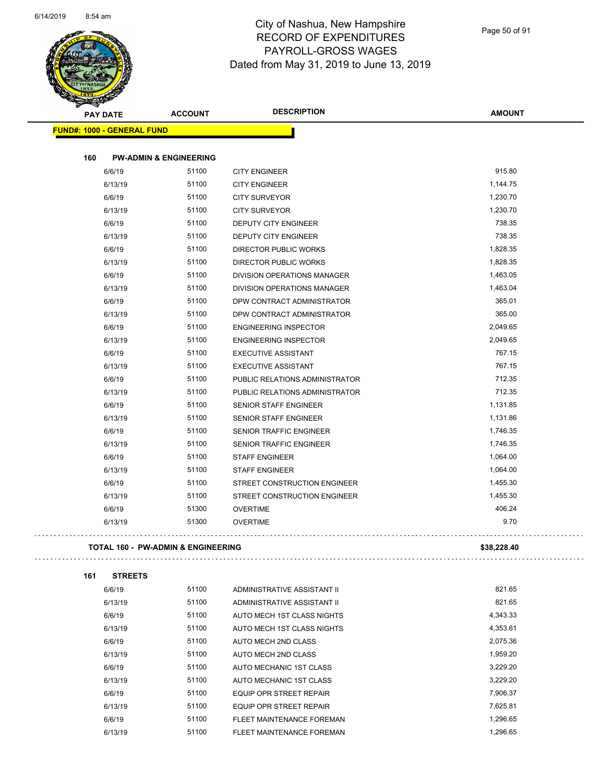

Page 50 of 91

| <b>PAY DATE</b>                   | <b>ACCOUNT</b>                                | <b>DESCRIPTION</b>             | <b>AMOUNT</b> |
|-----------------------------------|-----------------------------------------------|--------------------------------|---------------|
| <b>FUND#: 1000 - GENERAL FUND</b> |                                               |                                |               |
| 160                               | <b>PW-ADMIN &amp; ENGINEERING</b>             |                                |               |
| 6/6/19                            | 51100                                         | <b>CITY ENGINEER</b>           | 915.80        |
| 6/13/19                           | 51100                                         | <b>CITY ENGINEER</b>           | 1,144.75      |
| 6/6/19                            | 51100                                         | <b>CITY SURVEYOR</b>           | 1,230.70      |
| 6/13/19                           | 51100                                         | <b>CITY SURVEYOR</b>           | 1,230.70      |
| 6/6/19                            | 51100                                         | <b>DEPUTY CITY ENGINEER</b>    | 738.35        |
| 6/13/19                           | 51100                                         | <b>DEPUTY CITY ENGINEER</b>    | 738.35        |
| 6/6/19                            | 51100                                         | <b>DIRECTOR PUBLIC WORKS</b>   | 1,828.35      |
| 6/13/19                           | 51100                                         | <b>DIRECTOR PUBLIC WORKS</b>   | 1,828.35      |
| 6/6/19                            | 51100                                         | DIVISION OPERATIONS MANAGER    | 1,463.05      |
| 6/13/19                           | 51100                                         | DIVISION OPERATIONS MANAGER    | 1,463.04      |
| 6/6/19                            | 51100                                         | DPW CONTRACT ADMINISTRATOR     | 365.01        |
| 6/13/19                           | 51100                                         | DPW CONTRACT ADMINISTRATOR     | 365.00        |
| 6/6/19                            | 51100                                         | <b>ENGINEERING INSPECTOR</b>   | 2,049.65      |
| 6/13/19                           | 51100                                         | <b>ENGINEERING INSPECTOR</b>   | 2,049.65      |
| 6/6/19                            | 51100                                         | <b>EXECUTIVE ASSISTANT</b>     | 767.15        |
| 6/13/19                           | 51100                                         | <b>EXECUTIVE ASSISTANT</b>     | 767.15        |
| 6/6/19                            | 51100                                         | PUBLIC RELATIONS ADMINISTRATOR | 712.35        |
| 6/13/19                           | 51100                                         | PUBLIC RELATIONS ADMINISTRATOR | 712.35        |
| 6/6/19                            | 51100                                         | <b>SENIOR STAFF ENGINEER</b>   | 1,131.85      |
| 6/13/19                           | 51100                                         | <b>SENIOR STAFF ENGINEER</b>   | 1,131.86      |
| 6/6/19                            | 51100                                         | SENIOR TRAFFIC ENGINEER        | 1,746.35      |
| 6/13/19                           | 51100                                         | SENIOR TRAFFIC ENGINEER        | 1,746.35      |
| 6/6/19                            | 51100                                         | <b>STAFF ENGINEER</b>          | 1,064.00      |
| 6/13/19                           | 51100                                         | <b>STAFF ENGINEER</b>          | 1,064.00      |
| 6/6/19                            | 51100                                         | STREET CONSTRUCTION ENGINEER   | 1,455.30      |
| 6/13/19                           | 51100                                         | STREET CONSTRUCTION ENGINEER   | 1,455.30      |
| 6/6/19                            | 51300                                         | <b>OVERTIME</b>                | 406.24        |
| 6/13/19                           | 51300                                         | <b>OVERTIME</b>                | 9.70          |
|                                   | <b>TOTAL 160 - PW-ADMIN &amp; ENGINEERING</b> |                                | \$38,228.40   |

| 6/6/19  | 51100 | ADMINISTRATIVE ASSISTANT II    | 821.65   |
|---------|-------|--------------------------------|----------|
| 6/13/19 | 51100 | ADMINISTRATIVE ASSISTANT II    | 821.65   |
| 6/6/19  | 51100 | AUTO MECH 1ST CLASS NIGHTS     | 4.343.33 |
| 6/13/19 | 51100 | AUTO MECH 1ST CLASS NIGHTS     | 4,353.61 |
| 6/6/19  | 51100 | AUTO MECH 2ND CLASS            | 2,075.36 |
| 6/13/19 | 51100 | AUTO MECH 2ND CLASS            | 1.959.20 |
| 6/6/19  | 51100 | AUTO MECHANIC 1ST CLASS        | 3.229.20 |
| 6/13/19 | 51100 | AUTO MECHANIC 1ST CLASS        | 3.229.20 |
| 6/6/19  | 51100 | <b>EQUIP OPR STREET REPAIR</b> | 7.906.37 |
| 6/13/19 | 51100 | <b>EQUIP OPR STREET REPAIR</b> | 7,625.81 |
| 6/6/19  | 51100 | FLEET MAINTENANCE FOREMAN      | 1.296.65 |
| 6/13/19 | 51100 | FLEET MAINTENANCE FOREMAN      | 1.296.65 |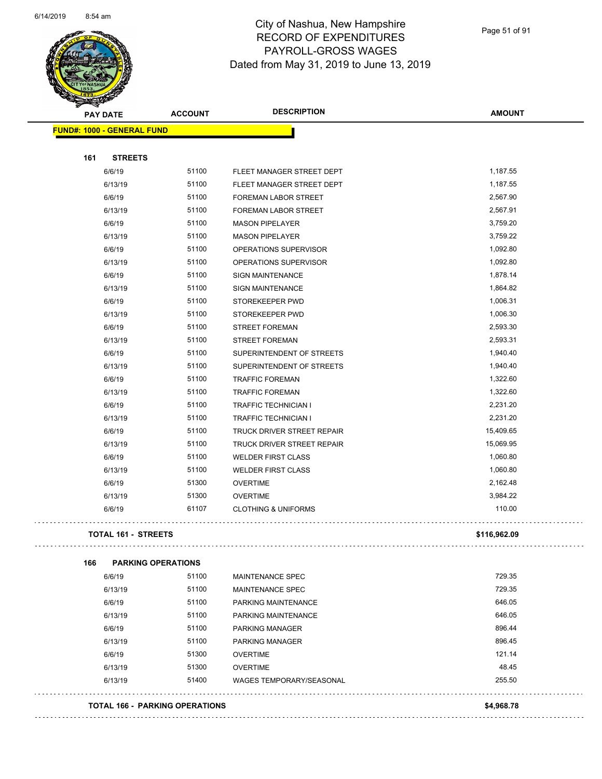$\overline{\phantom{0}}$ 



### City of Nashua, New Hampshire RECORD OF EXPENDITURES PAYROLL-GROSS WAGES Dated from May 31, 2019 to June 13, 2019

Page 51 of 91

| <b>PAY DATE</b>                   | <b>ACCOUNT</b> | <b>DESCRIPTION</b>              | <b>AMOUNT</b> |
|-----------------------------------|----------------|---------------------------------|---------------|
| <b>FUND#: 1000 - GENERAL FUND</b> |                |                                 |               |
| 161<br><b>STREETS</b>             |                |                                 |               |
| 6/6/19                            | 51100          | FLEET MANAGER STREET DEPT       | 1,187.55      |
| 6/13/19                           | 51100          | FLEET MANAGER STREET DEPT       | 1,187.55      |
| 6/6/19                            | 51100          | FOREMAN LABOR STREET            | 2,567.90      |
| 6/13/19                           | 51100          | FOREMAN LABOR STREET            | 2,567.91      |
| 6/6/19                            | 51100          | <b>MASON PIPELAYER</b>          | 3,759.20      |
| 6/13/19                           | 51100          | <b>MASON PIPELAYER</b>          | 3,759.22      |
| 6/6/19                            | 51100          | OPERATIONS SUPERVISOR           | 1,092.80      |
| 6/13/19                           | 51100          | OPERATIONS SUPERVISOR           | 1,092.80      |
| 6/6/19                            | 51100          | <b>SIGN MAINTENANCE</b>         | 1,878.14      |
| 6/13/19                           | 51100          | <b>SIGN MAINTENANCE</b>         | 1,864.82      |
| 6/6/19                            | 51100          | STOREKEEPER PWD                 | 1,006.31      |
| 6/13/19                           | 51100          | STOREKEEPER PWD                 | 1,006.30      |
| 6/6/19                            | 51100          | <b>STREET FOREMAN</b>           | 2,593.30      |
| 6/13/19                           | 51100          | <b>STREET FOREMAN</b>           | 2,593.31      |
| 6/6/19                            | 51100          | SUPERINTENDENT OF STREETS       | 1,940.40      |
| 6/13/19                           | 51100          | SUPERINTENDENT OF STREETS       | 1,940.40      |
| 6/6/19                            | 51100          | <b>TRAFFIC FOREMAN</b>          | 1,322.60      |
| 6/13/19                           | 51100          | <b>TRAFFIC FOREMAN</b>          | 1,322.60      |
| 6/6/19                            | 51100          | <b>TRAFFIC TECHNICIAN I</b>     | 2,231.20      |
| 6/13/19                           | 51100          | <b>TRAFFIC TECHNICIAN I</b>     | 2,231.20      |
| 6/6/19                            | 51100          | TRUCK DRIVER STREET REPAIR      | 15,409.65     |
| 6/13/19                           | 51100          | TRUCK DRIVER STREET REPAIR      | 15,069.95     |
| 6/6/19                            | 51100          | <b>WELDER FIRST CLASS</b>       | 1,060.80      |
| 6/13/19                           | 51100          | <b>WELDER FIRST CLASS</b>       | 1,060.80      |
| 6/6/19                            | 51300          | <b>OVERTIME</b>                 | 2,162.48      |
| 6/13/19                           | 51300          | <b>OVERTIME</b>                 | 3,984.22      |
| 6/6/19                            | 61107          | <b>CLOTHING &amp; UNIFORMS</b>  | 110.00        |
| <b>TOTAL 161 - STREETS</b>        |                |                                 | \$116,962.09  |
| <b>PARKING OPERATIONS</b><br>166  |                |                                 |               |
| 6/6/19                            | 51100          | MAINTENANCE SPEC                | 729.35        |
| 6/13/19                           | 51100          | <b>MAINTENANCE SPEC</b>         | 729.35        |
| 6/6/19                            | 51100          | PARKING MAINTENANCE             | 646.05        |
| 6/13/19                           | 51100          | PARKING MAINTENANCE             | 646.05        |
| 6/6/19                            | 51100          | <b>PARKING MANAGER</b>          | 896.44        |
| 6/13/19                           | 51100          | <b>PARKING MANAGER</b>          | 896.45        |
| 6/6/19                            | 51300          | <b>OVERTIME</b>                 | 121.14        |
| 6/13/19                           | 51300          | <b>OVERTIME</b>                 | 48.45         |
| 6/13/19                           | 51400          | <b>WAGES TEMPORARY/SEASONAL</b> | 255.50        |
|                                   |                |                                 |               |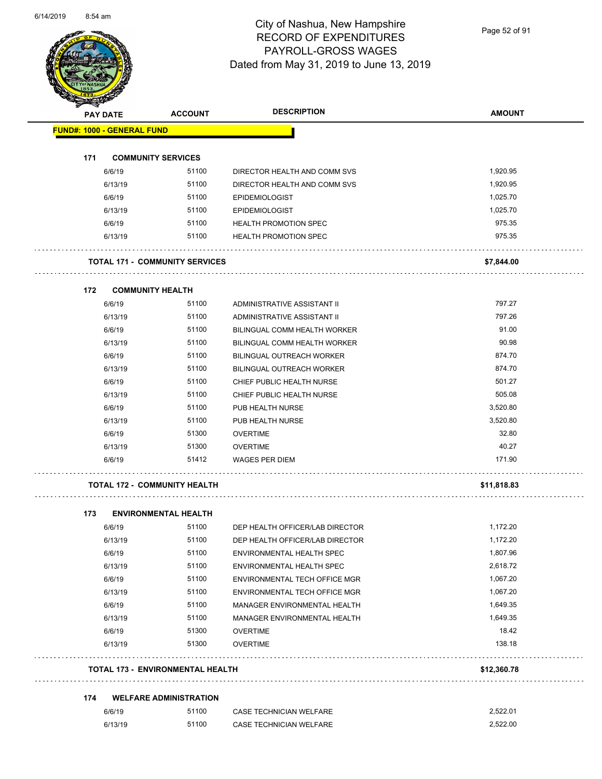

Page 52 of 91

| <b>SANGRA</b>   |         |                                         | <b>DESCRIPTION</b><br><b>ACCOUNT</b> | <b>AMOUNT</b> |
|-----------------|---------|-----------------------------------------|--------------------------------------|---------------|
| <b>PAY DATE</b> |         |                                         |                                      |               |
|                 |         | <b>FUND#: 1000 - GENERAL FUND</b>       |                                      |               |
| 171             |         | <b>COMMUNITY SERVICES</b>               |                                      |               |
|                 | 6/6/19  | 51100                                   | DIRECTOR HEALTH AND COMM SVS         | 1,920.95      |
|                 | 6/13/19 | 51100                                   | DIRECTOR HEALTH AND COMM SVS         | 1,920.95      |
|                 | 6/6/19  | 51100                                   | <b>EPIDEMIOLOGIST</b>                | 1,025.70      |
|                 | 6/13/19 | 51100                                   | <b>EPIDEMIOLOGIST</b>                | 1,025.70      |
|                 | 6/6/19  | 51100                                   | <b>HEALTH PROMOTION SPEC</b>         | 975.35        |
|                 | 6/13/19 | 51100                                   | <b>HEALTH PROMOTION SPEC</b>         | 975.35        |
|                 |         | <b>TOTAL 171 - COMMUNITY SERVICES</b>   |                                      | \$7,844.00    |
| 172             |         | <b>COMMUNITY HEALTH</b>                 |                                      |               |
|                 | 6/6/19  | 51100                                   | ADMINISTRATIVE ASSISTANT II          | 797.27        |
|                 | 6/13/19 | 51100                                   | ADMINISTRATIVE ASSISTANT II          | 797.26        |
|                 | 6/6/19  | 51100                                   | <b>BILINGUAL COMM HEALTH WORKER</b>  | 91.00         |
|                 | 6/13/19 | 51100                                   | BILINGUAL COMM HEALTH WORKER         | 90.98         |
|                 | 6/6/19  | 51100                                   | <b>BILINGUAL OUTREACH WORKER</b>     | 874.70        |
|                 | 6/13/19 | 51100                                   | <b>BILINGUAL OUTREACH WORKER</b>     | 874.70        |
|                 | 6/6/19  | 51100                                   | CHIEF PUBLIC HEALTH NURSE            | 501.27        |
|                 | 6/13/19 | 51100                                   | CHIEF PUBLIC HEALTH NURSE            | 505.08        |
|                 | 6/6/19  | 51100                                   | PUB HEALTH NURSE                     | 3,520.80      |
|                 | 6/13/19 | 51100                                   | PUB HEALTH NURSE                     | 3,520.80      |
|                 | 6/6/19  | 51300                                   | <b>OVERTIME</b>                      | 32.80         |
|                 | 6/13/19 | 51300                                   | <b>OVERTIME</b>                      | 40.27         |
|                 | 6/6/19  | 51412                                   | <b>WAGES PER DIEM</b>                | 171.90        |
|                 |         | <b>TOTAL 172 - COMMUNITY HEALTH</b>     |                                      | \$11,818.83   |
|                 |         |                                         |                                      |               |
| 173             | 6/6/19  | <b>ENVIRONMENTAL HEALTH</b><br>51100    | DEP HEALTH OFFICER/LAB DIRECTOR      | 1,172.20      |
|                 | 6/13/19 | 51100                                   | DEP HEALTH OFFICER/LAB DIRECTOR      | 1,172.20      |
|                 | 6/6/19  | 51100                                   | ENVIRONMENTAL HEALTH SPEC            | 1,807.96      |
|                 | 6/13/19 | 51100                                   | ENVIRONMENTAL HEALTH SPEC            | 2,618.72      |
|                 | 6/6/19  | 51100                                   | ENVIRONMENTAL TECH OFFICE MGR        | 1,067.20      |
|                 | 6/13/19 | 51100                                   | ENVIRONMENTAL TECH OFFICE MGR        | 1,067.20      |
|                 | 6/6/19  | 51100                                   | MANAGER ENVIRONMENTAL HEALTH         | 1,649.35      |
|                 | 6/13/19 | 51100                                   | MANAGER ENVIRONMENTAL HEALTH         | 1,649.35      |
|                 | 6/6/19  | 51300                                   | <b>OVERTIME</b>                      | 18.42         |
|                 | 6/13/19 | 51300                                   | <b>OVERTIME</b>                      | 138.18        |
|                 |         | <b>TOTAL 173 - ENVIRONMENTAL HEALTH</b> |                                      | \$12,360.78   |
|                 |         |                                         |                                      |               |
| 174             |         | <b>WELFARE ADMINISTRATION</b>           |                                      |               |
|                 | 6/6/19  | 51100                                   | CASE TECHNICIAN WELFARE              | 2,522.01      |
|                 | 6/13/19 | 51100                                   | CASE TECHNICIAN WELFARE              | 2,522.00      |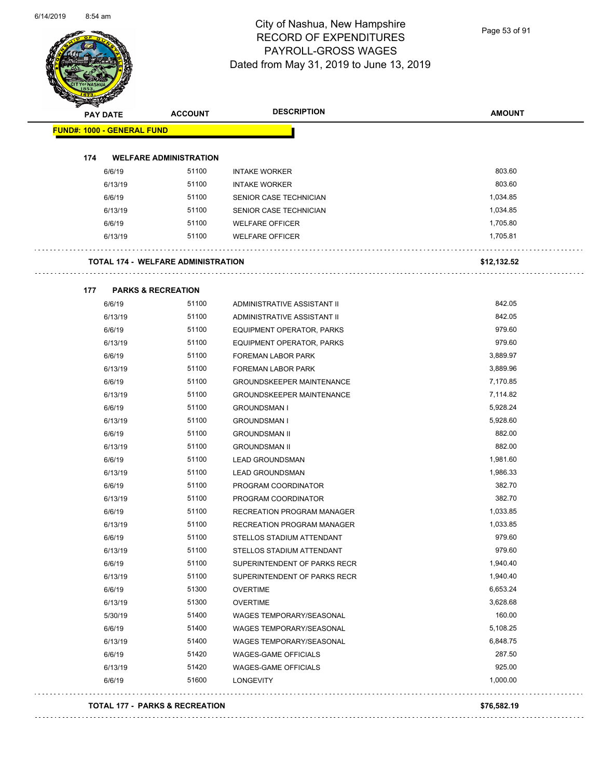

Page 53 of 91

|     | <b>PAY DATE</b>                   | <b>ACCOUNT</b>                            | <b>DESCRIPTION</b>                | <b>AMOUNT</b> |
|-----|-----------------------------------|-------------------------------------------|-----------------------------------|---------------|
|     | <b>FUND#: 1000 - GENERAL FUND</b> |                                           |                                   |               |
| 174 |                                   | <b>WELFARE ADMINISTRATION</b>             |                                   |               |
|     | 6/6/19                            | 51100                                     | <b>INTAKE WORKER</b>              | 803.60        |
|     | 6/13/19                           | 51100                                     | <b>INTAKE WORKER</b>              | 803.60        |
|     | 6/6/19                            | 51100                                     | SENIOR CASE TECHNICIAN            | 1,034.85      |
|     | 6/13/19                           | 51100                                     | SENIOR CASE TECHNICIAN            | 1,034.85      |
|     | 6/6/19                            | 51100                                     | <b>WELFARE OFFICER</b>            | 1,705.80      |
|     | 6/13/19                           | 51100                                     | <b>WELFARE OFFICER</b>            | 1,705.81      |
|     |                                   |                                           |                                   |               |
|     |                                   | <b>TOTAL 174 - WELFARE ADMINISTRATION</b> |                                   | \$12,132.52   |
| 177 |                                   | <b>PARKS &amp; RECREATION</b>             |                                   |               |
|     | 6/6/19                            | 51100                                     | ADMINISTRATIVE ASSISTANT II       | 842.05        |
|     | 6/13/19                           | 51100                                     | ADMINISTRATIVE ASSISTANT II       | 842.05        |
|     | 6/6/19                            | 51100                                     | <b>EQUIPMENT OPERATOR, PARKS</b>  | 979.60        |
|     | 6/13/19                           | 51100                                     | EQUIPMENT OPERATOR, PARKS         | 979.60        |
|     | 6/6/19                            | 51100                                     | <b>FOREMAN LABOR PARK</b>         | 3,889.97      |
|     | 6/13/19                           | 51100                                     | <b>FOREMAN LABOR PARK</b>         | 3,889.96      |
|     | 6/6/19                            | 51100                                     | <b>GROUNDSKEEPER MAINTENANCE</b>  | 7,170.85      |
|     | 6/13/19                           | 51100                                     | <b>GROUNDSKEEPER MAINTENANCE</b>  | 7,114.82      |
|     | 6/6/19                            | 51100                                     | <b>GROUNDSMAN I</b>               | 5,928.24      |
|     | 6/13/19                           | 51100                                     | <b>GROUNDSMAN I</b>               | 5,928.60      |
|     | 6/6/19                            | 51100                                     | <b>GROUNDSMAN II</b>              | 882.00        |
|     | 6/13/19                           | 51100                                     | <b>GROUNDSMAN II</b>              | 882.00        |
|     | 6/6/19                            | 51100                                     | <b>LEAD GROUNDSMAN</b>            | 1,981.60      |
|     | 6/13/19                           | 51100                                     | <b>LEAD GROUNDSMAN</b>            | 1,986.33      |
|     | 6/6/19                            | 51100                                     | PROGRAM COORDINATOR               | 382.70        |
|     | 6/13/19                           | 51100                                     | PROGRAM COORDINATOR               | 382.70        |
|     | 6/6/19                            | 51100                                     | <b>RECREATION PROGRAM MANAGER</b> | 1,033.85      |
|     | 6/13/19                           | 51100                                     | <b>RECREATION PROGRAM MANAGER</b> | 1,033.85      |
|     | 6/6/19                            | 51100                                     | STELLOS STADIUM ATTENDANT         | 979.60        |
|     | 6/13/19                           | 51100                                     | STELLOS STADIUM ATTENDANT         | 979.60        |
|     | 6/6/19                            | 51100                                     | SUPERINTENDENT OF PARKS RECR      | 1,940.40      |
|     | 6/13/19                           | 51100                                     | SUPERINTENDENT OF PARKS RECR      | 1,940.40      |
|     | 6/6/19                            | 51300                                     | <b>OVERTIME</b>                   | 6,653.24      |
|     | 6/13/19                           | 51300                                     | <b>OVERTIME</b>                   | 3,628.68      |
|     | 5/30/19                           | 51400                                     | WAGES TEMPORARY/SEASONAL          | 160.00        |
|     | 6/6/19                            | 51400                                     | <b>WAGES TEMPORARY/SEASONAL</b>   | 5,108.25      |
|     | 6/13/19                           | 51400                                     | WAGES TEMPORARY/SEASONAL          | 6,848.75      |
|     | 6/6/19                            | 51420                                     | <b>WAGES-GAME OFFICIALS</b>       | 287.50        |
|     | 6/13/19                           | 51420                                     | <b>WAGES-GAME OFFICIALS</b>       | 925.00        |
|     | 6/6/19                            | 51600                                     | LONGEVITY                         | 1,000.00      |

#### **TOTAL 177 - PARKS & RECREATION \$76,582.19**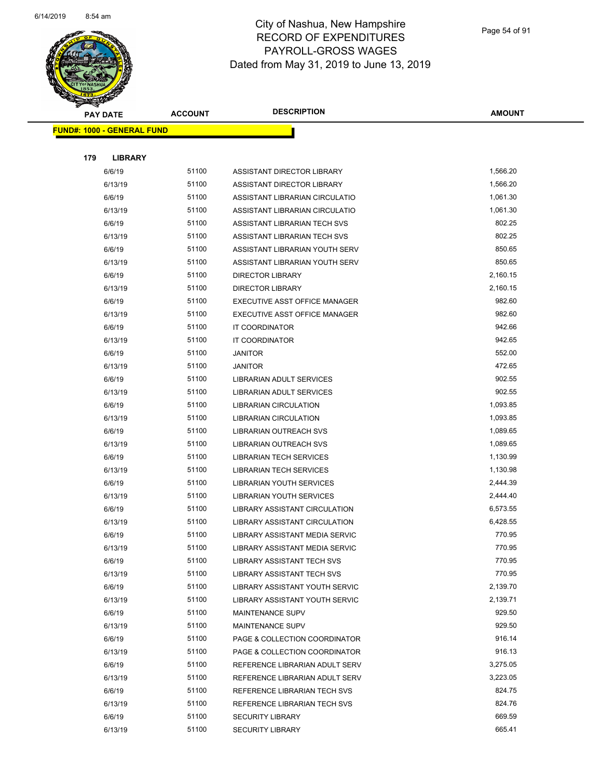

Page 54 of 91

| <b>STATER</b> |                                   |                |                                      |                    |
|---------------|-----------------------------------|----------------|--------------------------------------|--------------------|
|               | <b>PAY DATE</b>                   | <b>ACCOUNT</b> | <b>DESCRIPTION</b>                   | <b>AMOUNT</b>      |
|               | <b>FUND#: 1000 - GENERAL FUND</b> |                |                                      |                    |
|               |                                   |                |                                      |                    |
| 179           | <b>LIBRARY</b>                    |                |                                      |                    |
|               | 6/6/19                            | 51100          | ASSISTANT DIRECTOR LIBRARY           | 1,566.20           |
|               | 6/13/19                           | 51100          | ASSISTANT DIRECTOR LIBRARY           | 1,566.20           |
|               | 6/6/19                            | 51100          | ASSISTANT LIBRARIAN CIRCULATIO       | 1,061.30           |
|               | 6/13/19                           | 51100          | ASSISTANT LIBRARIAN CIRCULATIO       | 1,061.30           |
|               | 6/6/19                            | 51100          | ASSISTANT LIBRARIAN TECH SVS         | 802.25             |
|               | 6/13/19                           | 51100          | ASSISTANT LIBRARIAN TECH SVS         | 802.25             |
|               | 6/6/19                            | 51100          | ASSISTANT LIBRARIAN YOUTH SERV       | 850.65             |
|               | 6/13/19                           | 51100          | ASSISTANT LIBRARIAN YOUTH SERV       | 850.65             |
|               | 6/6/19                            | 51100          | <b>DIRECTOR LIBRARY</b>              | 2,160.15           |
|               | 6/13/19                           | 51100          | <b>DIRECTOR LIBRARY</b>              | 2,160.15           |
|               | 6/6/19                            | 51100          | <b>EXECUTIVE ASST OFFICE MANAGER</b> | 982.60             |
|               | 6/13/19                           | 51100          | EXECUTIVE ASST OFFICE MANAGER        | 982.60             |
|               | 6/6/19                            | 51100          | IT COORDINATOR                       | 942.66             |
|               | 6/13/19                           | 51100          | IT COORDINATOR                       | 942.65             |
|               | 6/6/19                            | 51100          | <b>JANITOR</b>                       | 552.00             |
|               | 6/13/19                           | 51100          | <b>JANITOR</b>                       | 472.65             |
|               | 6/6/19                            | 51100          | <b>LIBRARIAN ADULT SERVICES</b>      | 902.55             |
|               | 6/13/19                           | 51100          | LIBRARIAN ADULT SERVICES             | 902.55             |
|               | 6/6/19                            | 51100          | <b>LIBRARIAN CIRCULATION</b>         | 1,093.85           |
|               | 6/13/19                           | 51100          | <b>LIBRARIAN CIRCULATION</b>         | 1,093.85           |
|               | 6/6/19                            | 51100          | LIBRARIAN OUTREACH SVS               | 1,089.65           |
|               | 6/13/19                           | 51100          | LIBRARIAN OUTREACH SVS               | 1,089.65           |
|               | 6/6/19                            | 51100          | LIBRARIAN TECH SERVICES              | 1,130.99           |
|               | 6/13/19                           | 51100          | <b>LIBRARIAN TECH SERVICES</b>       | 1,130.98           |
|               | 6/6/19                            | 51100          | <b>LIBRARIAN YOUTH SERVICES</b>      | 2,444.39           |
|               | 6/13/19                           | 51100          | <b>LIBRARIAN YOUTH SERVICES</b>      | 2,444.40           |
|               | 6/6/19                            | 51100          | LIBRARY ASSISTANT CIRCULATION        | 6,573.55           |
|               | 6/13/19                           | 51100          | LIBRARY ASSISTANT CIRCULATION        | 6,428.55           |
|               | 6/6/19                            | 51100          | LIBRARY ASSISTANT MEDIA SERVIC       | 770.95             |
|               | 6/13/19                           | 51100          | LIBRARY ASSISTANT MEDIA SERVIC       | 770.95             |
|               | 6/6/19                            | 51100          | <b>LIBRARY ASSISTANT TECH SVS</b>    | 770.95             |
|               | 6/13/19                           | 51100          | LIBRARY ASSISTANT TECH SVS           | 770.95             |
|               | 6/6/19                            | 51100          | LIBRARY ASSISTANT YOUTH SERVIC       | 2,139.70           |
|               | 6/13/19                           | 51100          | LIBRARY ASSISTANT YOUTH SERVIC       | 2,139.71           |
|               | 6/6/19                            | 51100          | <b>MAINTENANCE SUPV</b>              | 929.50             |
|               | 6/13/19                           | 51100          | <b>MAINTENANCE SUPV</b>              | 929.50<br>916.14   |
|               | 6/6/19                            | 51100          | PAGE & COLLECTION COORDINATOR        |                    |
|               | 6/13/19<br>6/6/19                 | 51100<br>51100 | PAGE & COLLECTION COORDINATOR        | 916.13<br>3,275.05 |
|               |                                   | 51100          | REFERENCE LIBRARIAN ADULT SERV       | 3,223.05           |
|               | 6/13/19                           | 51100          | REFERENCE LIBRARIAN ADULT SERV       | 824.75             |
|               | 6/6/19                            | 51100          | REFERENCE LIBRARIAN TECH SVS         | 824.76             |
|               | 6/13/19                           | 51100          | REFERENCE LIBRARIAN TECH SVS         | 669.59             |
|               | 6/6/19                            | 51100          | <b>SECURITY LIBRARY</b>              | 665.41             |
|               | 6/13/19                           |                | <b>SECURITY LIBRARY</b>              |                    |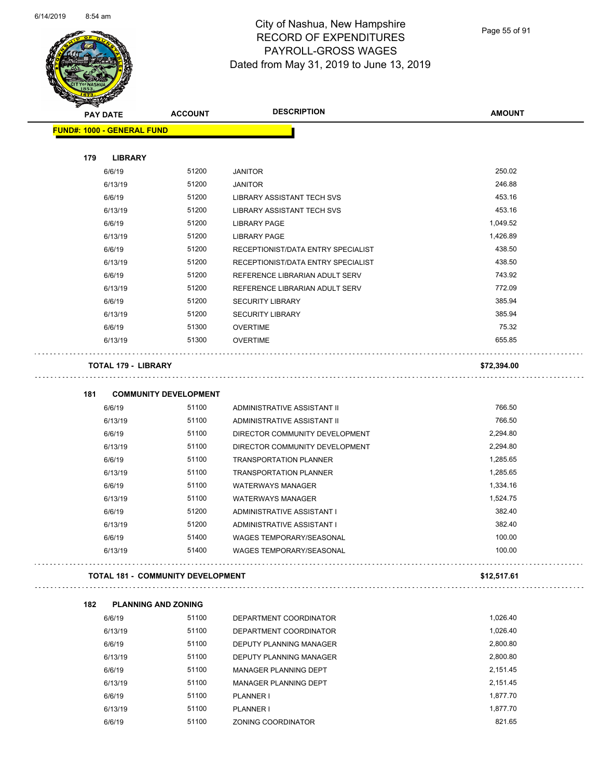

Page 55 of 91

| <b>PAY DATE</b>                   | <b>ACCOUNT</b>                           | <b>DESCRIPTION</b>                                   | <b>AMOUNT</b>        |
|-----------------------------------|------------------------------------------|------------------------------------------------------|----------------------|
| <b>FUND#: 1000 - GENERAL FUND</b> |                                          |                                                      |                      |
| 179<br><b>LIBRARY</b>             |                                          |                                                      |                      |
| 6/6/19                            | 51200                                    | <b>JANITOR</b>                                       | 250.02               |
| 6/13/19                           | 51200                                    | <b>JANITOR</b>                                       | 246.88               |
| 6/6/19                            | 51200                                    | LIBRARY ASSISTANT TECH SVS                           | 453.16               |
| 6/13/19                           | 51200                                    | <b>LIBRARY ASSISTANT TECH SVS</b>                    | 453.16               |
| 6/6/19                            | 51200                                    | <b>LIBRARY PAGE</b>                                  | 1,049.52             |
| 6/13/19                           | 51200                                    | <b>LIBRARY PAGE</b>                                  | 1,426.89             |
| 6/6/19                            | 51200                                    | RECEPTIONIST/DATA ENTRY SPECIALIST                   | 438.50               |
| 6/13/19                           | 51200                                    | RECEPTIONIST/DATA ENTRY SPECIALIST                   | 438.50               |
| 6/6/19                            | 51200                                    | REFERENCE LIBRARIAN ADULT SERV                       | 743.92               |
| 6/13/19                           | 51200                                    | REFERENCE LIBRARIAN ADULT SERV                       | 772.09               |
| 6/6/19                            | 51200                                    | <b>SECURITY LIBRARY</b>                              | 385.94               |
| 6/13/19                           | 51200                                    | <b>SECURITY LIBRARY</b>                              | 385.94               |
| 6/6/19                            | 51300                                    | <b>OVERTIME</b>                                      | 75.32                |
| 6/13/19                           | 51300                                    | <b>OVERTIME</b>                                      | 655.85               |
| <b>TOTAL 179 - LIBRARY</b>        |                                          |                                                      | \$72,394.00          |
|                                   |                                          |                                                      |                      |
| 181                               | <b>COMMUNITY DEVELOPMENT</b>             |                                                      |                      |
| 6/6/19                            | 51100                                    | ADMINISTRATIVE ASSISTANT II                          | 766.50               |
| 6/13/19                           | 51100                                    | ADMINISTRATIVE ASSISTANT II                          | 766.50               |
| 6/6/19                            | 51100                                    | DIRECTOR COMMUNITY DEVELOPMENT                       | 2,294.80             |
| 6/13/19                           | 51100                                    | DIRECTOR COMMUNITY DEVELOPMENT                       | 2,294.80             |
| 6/6/19                            | 51100                                    | <b>TRANSPORTATION PLANNER</b>                        | 1,285.65             |
| 6/13/19                           | 51100<br>51100                           | <b>TRANSPORTATION PLANNER</b>                        | 1,285.65<br>1,334.16 |
| 6/6/19<br>6/13/19                 | 51100                                    | <b>WATERWAYS MANAGER</b><br><b>WATERWAYS MANAGER</b> | 1,524.75             |
| 6/6/19                            | 51200                                    | ADMINISTRATIVE ASSISTANT I                           | 382.40               |
| 6/13/19                           | 51200                                    | ADMINISTRATIVE ASSISTANT I                           | 382.40               |
| 6/6/19                            | 51400                                    | WAGES TEMPORARY/SEASONAL                             | 100.00               |
| 6/13/19                           | 51400                                    | WAGES TEMPORARY/SEASONAL                             | 100.00               |
|                                   | <b>TOTAL 181 - COMMUNITY DEVELOPMENT</b> |                                                      | \$12,517.61          |
|                                   |                                          |                                                      |                      |
| 182<br>6/6/19                     | <b>PLANNING AND ZONING</b><br>51100      | DEPARTMENT COORDINATOR                               | 1,026.40             |
| 6/13/19                           | 51100                                    | DEPARTMENT COORDINATOR                               | 1,026.40             |
| 6/6/19                            | 51100                                    | DEPUTY PLANNING MANAGER                              | 2,800.80             |
| 6/13/19                           | 51100                                    | DEPUTY PLANNING MANAGER                              | 2,800.80             |
| 6/6/19                            | 51100                                    | MANAGER PLANNING DEPT                                | 2,151.45             |
| 6/13/19                           | 51100                                    | MANAGER PLANNING DEPT                                | 2,151.45             |
| 6/6/19                            | 51100                                    | PLANNER I                                            | 1,877.70             |
| 6/13/19                           | 51100                                    | PLANNER I                                            | 1,877.70             |

6/6/19 51100 ZONING COORDINATOR 821.65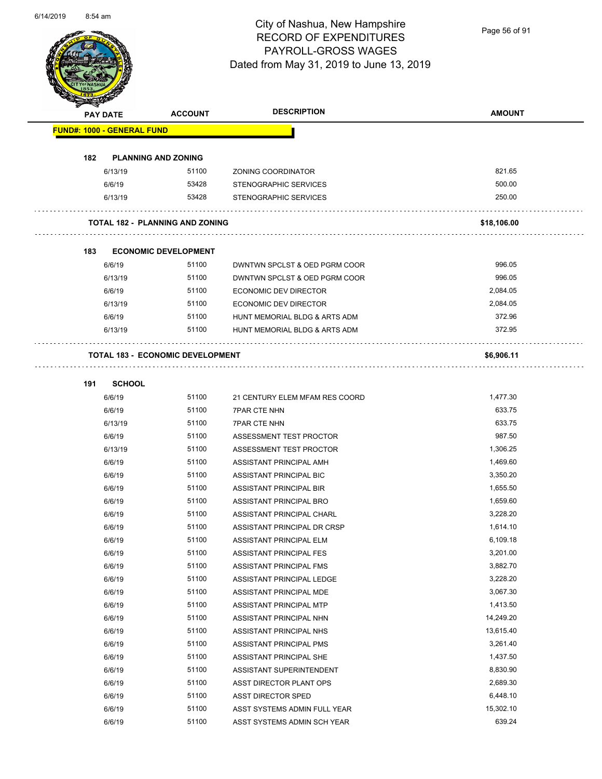

Page 56 of 91

|     | PAY DATE                          | <b>ACCOUNT</b>                          | <b>DESCRIPTION</b>             | <b>AMOUNT</b> |
|-----|-----------------------------------|-----------------------------------------|--------------------------------|---------------|
|     | <b>FUND#: 1000 - GENERAL FUND</b> |                                         |                                |               |
|     |                                   |                                         |                                |               |
| 182 |                                   | <b>PLANNING AND ZONING</b>              |                                |               |
|     | 6/13/19                           | 51100                                   | ZONING COORDINATOR             | 821.65        |
|     | 6/6/19                            | 53428                                   | <b>STENOGRAPHIC SERVICES</b>   | 500.00        |
|     | 6/13/19                           | 53428                                   | STENOGRAPHIC SERVICES          | 250.00        |
|     |                                   | <b>TOTAL 182 - PLANNING AND ZONING</b>  |                                | \$18,106.00   |
| 183 |                                   | <b>ECONOMIC DEVELOPMENT</b>             |                                |               |
|     | 6/6/19                            | 51100                                   | DWNTWN SPCLST & OED PGRM COOR  | 996.05        |
|     | 6/13/19                           | 51100                                   | DWNTWN SPCLST & OED PGRM COOR  | 996.05        |
|     | 6/6/19                            | 51100                                   | ECONOMIC DEV DIRECTOR          | 2,084.05      |
|     | 6/13/19                           | 51100                                   | <b>ECONOMIC DEV DIRECTOR</b>   | 2,084.05      |
|     | 6/6/19                            | 51100                                   | HUNT MEMORIAL BLDG & ARTS ADM  | 372.96        |
|     | 6/13/19                           | 51100                                   | HUNT MEMORIAL BLDG & ARTS ADM  | 372.95        |
|     |                                   | <b>TOTAL 183 - ECONOMIC DEVELOPMENT</b> |                                | \$6,906.11    |
| 191 | <b>SCHOOL</b>                     |                                         |                                |               |
|     | 6/6/19                            | 51100                                   | 21 CENTURY ELEM MFAM RES COORD | 1,477.30      |
|     | 6/6/19                            | 51100                                   | <b>7PAR CTE NHN</b>            | 633.75        |
|     | 6/13/19                           | 51100                                   | <b>7PAR CTE NHN</b>            | 633.75        |
|     | 6/6/19                            | 51100                                   | ASSESSMENT TEST PROCTOR        | 987.50        |
|     | 6/13/19                           | 51100                                   | ASSESSMENT TEST PROCTOR        | 1,306.25      |
|     | 6/6/19                            | 51100                                   | ASSISTANT PRINCIPAL AMH        | 1,469.60      |
|     | 6/6/19                            | 51100                                   | ASSISTANT PRINCIPAL BIC        | 3,350.20      |
|     | 6/6/19                            | 51100                                   | ASSISTANT PRINCIPAL BIR        | 1,655.50      |
|     | 6/6/19                            | 51100                                   | ASSISTANT PRINCIPAL BRO        | 1,659.60      |
|     | 6/6/19                            | 51100                                   | ASSISTANT PRINCIPAL CHARL      | 3,228.20      |
|     | 6/6/19                            | 51100                                   | ASSISTANT PRINCIPAL DR CRSP    | 1,614.10      |
|     | 6/6/19                            | 51100                                   | ASSISTANT PRINCIPAL ELM        | 6,109.18      |
|     | 6/6/19                            | 51100                                   | ASSISTANT PRINCIPAL FES        | 3,201.00      |
|     | 6/6/19                            | 51100                                   | ASSISTANT PRINCIPAL FMS        | 3,882.70      |
|     | 6/6/19                            | 51100                                   | ASSISTANT PRINCIPAL LEDGE      | 3,228.20      |
|     | 6/6/19                            | 51100                                   | ASSISTANT PRINCIPAL MDE        | 3,067.30      |
|     | 6/6/19                            | 51100                                   | ASSISTANT PRINCIPAL MTP        | 1,413.50      |
|     | 6/6/19                            | 51100                                   | ASSISTANT PRINCIPAL NHN        | 14,249.20     |
|     | 6/6/19                            | 51100                                   | ASSISTANT PRINCIPAL NHS        | 13,615.40     |
|     | 6/6/19                            | 51100                                   | ASSISTANT PRINCIPAL PMS        | 3,261.40      |
|     | 6/6/19                            | 51100                                   | ASSISTANT PRINCIPAL SHE        | 1,437.50      |
|     | 6/6/19                            | 51100                                   | ASSISTANT SUPERINTENDENT       | 8,830.90      |
|     | 6/6/19                            | 51100                                   | ASST DIRECTOR PLANT OPS        | 2,689.30      |
|     | 6/6/19                            | 51100                                   | <b>ASST DIRECTOR SPED</b>      | 6,448.10      |
|     | 6/6/19                            | 51100                                   | ASST SYSTEMS ADMIN FULL YEAR   | 15,302.10     |
|     | 6/6/19                            | 51100                                   | ASST SYSTEMS ADMIN SCH YEAR    | 639.24        |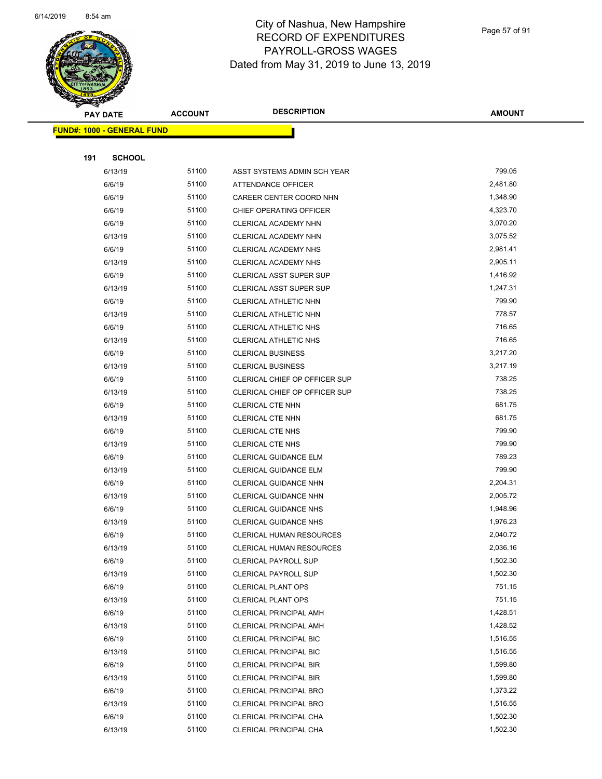

Page 57 of 91

| <b>Andri</b><br><b>PAY DATE</b>   | <b>ACCOUNT</b> | <b>DESCRIPTION</b>              | <b>AMOUNT</b> |
|-----------------------------------|----------------|---------------------------------|---------------|
| <b>FUND#: 1000 - GENERAL FUND</b> |                |                                 |               |
|                                   |                |                                 |               |
| 191<br><b>SCHOOL</b>              |                |                                 |               |
| 6/13/19                           | 51100          | ASST SYSTEMS ADMIN SCH YEAR     | 799.05        |
| 6/6/19                            | 51100          | ATTENDANCE OFFICER              | 2,481.80      |
| 6/6/19                            | 51100          | CAREER CENTER COORD NHN         | 1,348.90      |
| 6/6/19                            | 51100          | CHIEF OPERATING OFFICER         | 4,323.70      |
| 6/6/19                            | 51100          | CLERICAL ACADEMY NHN            | 3,070.20      |
| 6/13/19                           | 51100          | CLERICAL ACADEMY NHN            | 3,075.52      |
| 6/6/19                            | 51100          | CLERICAL ACADEMY NHS            | 2,981.41      |
| 6/13/19                           | 51100          | CLERICAL ACADEMY NHS            | 2,905.11      |
| 6/6/19                            | 51100          | CLERICAL ASST SUPER SUP         | 1,416.92      |
| 6/13/19                           | 51100          | CLERICAL ASST SUPER SUP         | 1,247.31      |
| 6/6/19                            | 51100          | CLERICAL ATHLETIC NHN           | 799.90        |
| 6/13/19                           | 51100          | CLERICAL ATHLETIC NHN           | 778.57        |
| 6/6/19                            | 51100          | CLERICAL ATHLETIC NHS           | 716.65        |
| 6/13/19                           | 51100          | <b>CLERICAL ATHLETIC NHS</b>    | 716.65        |
| 6/6/19                            | 51100          | <b>CLERICAL BUSINESS</b>        | 3,217.20      |
| 6/13/19                           | 51100          | <b>CLERICAL BUSINESS</b>        | 3,217.19      |
| 6/6/19                            | 51100          | CLERICAL CHIEF OP OFFICER SUP   | 738.25        |
| 6/13/19                           | 51100          | CLERICAL CHIEF OP OFFICER SUP   | 738.25        |
| 6/6/19                            | 51100          | CLERICAL CTE NHN                | 681.75        |
| 6/13/19                           | 51100          | CLERICAL CTE NHN                | 681.75        |
| 6/6/19                            | 51100          | <b>CLERICAL CTE NHS</b>         | 799.90        |
| 6/13/19                           | 51100          | <b>CLERICAL CTE NHS</b>         | 799.90        |
| 6/6/19                            | 51100          | <b>CLERICAL GUIDANCE ELM</b>    | 789.23        |
| 6/13/19                           | 51100          | CLERICAL GUIDANCE ELM           | 799.90        |
| 6/6/19                            | 51100          | CLERICAL GUIDANCE NHN           | 2,204.31      |
| 6/13/19                           | 51100          | CLERICAL GUIDANCE NHN           | 2,005.72      |
| 6/6/19                            | 51100          | <b>CLERICAL GUIDANCE NHS</b>    | 1,948.96      |
| 6/13/19                           | 51100          | <b>CLERICAL GUIDANCE NHS</b>    | 1,976.23      |
| 6/6/19                            | 51100          | <b>CLERICAL HUMAN RESOURCES</b> | 2,040.72      |
| 6/13/19                           | 51100          | <b>CLERICAL HUMAN RESOURCES</b> | 2,036.16      |
| 6/6/19                            | 51100          | <b>CLERICAL PAYROLL SUP</b>     | 1,502.30      |
| 6/13/19                           | 51100          | <b>CLERICAL PAYROLL SUP</b>     | 1,502.30      |
| 6/6/19                            | 51100          | <b>CLERICAL PLANT OPS</b>       | 751.15        |
| 6/13/19                           | 51100          | <b>CLERICAL PLANT OPS</b>       | 751.15        |
| 6/6/19                            | 51100          | CLERICAL PRINCIPAL AMH          | 1,428.51      |
| 6/13/19                           | 51100          | <b>CLERICAL PRINCIPAL AMH</b>   | 1,428.52      |
| 6/6/19                            | 51100          | <b>CLERICAL PRINCIPAL BIC</b>   | 1,516.55      |
| 6/13/19                           | 51100          | <b>CLERICAL PRINCIPAL BIC</b>   | 1,516.55      |
| 6/6/19                            | 51100          | <b>CLERICAL PRINCIPAL BIR</b>   | 1,599.80      |
| 6/13/19                           | 51100          | <b>CLERICAL PRINCIPAL BIR</b>   | 1,599.80      |
| 6/6/19                            | 51100          | <b>CLERICAL PRINCIPAL BRO</b>   | 1,373.22      |
| 6/13/19                           | 51100          | <b>CLERICAL PRINCIPAL BRO</b>   | 1,516.55      |
| 6/6/19                            | 51100          | CLERICAL PRINCIPAL CHA          | 1,502.30      |
| 6/13/19                           | 51100          | CLERICAL PRINCIPAL CHA          | 1,502.30      |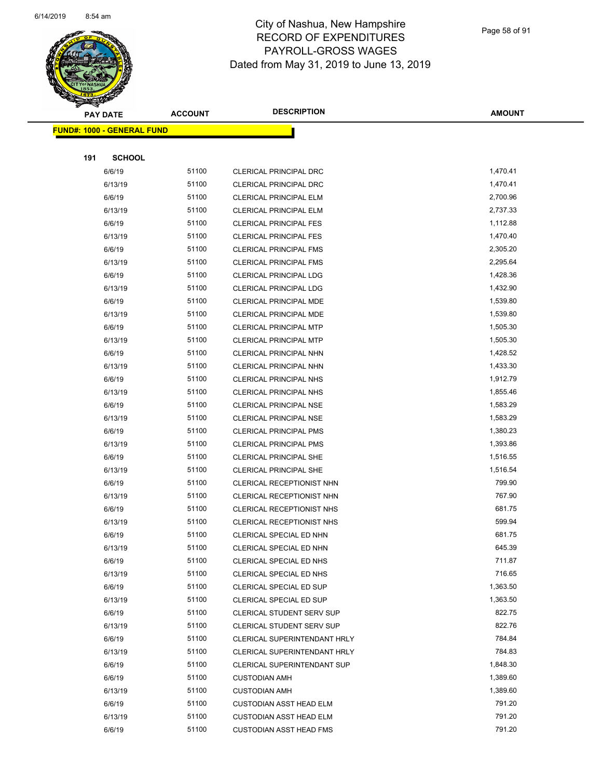

Page 58 of 91

| <b>PAY DATE</b> |                                   | <b>ACCOUNT</b> | <b>DESCRIPTION</b>                           | <b>AMOUNT</b>    |
|-----------------|-----------------------------------|----------------|----------------------------------------------|------------------|
|                 | <b>FUND#: 1000 - GENERAL FUND</b> |                |                                              |                  |
|                 |                                   |                |                                              |                  |
| 191             | <b>SCHOOL</b>                     |                |                                              |                  |
|                 | 6/6/19                            | 51100          | CLERICAL PRINCIPAL DRC                       | 1,470.41         |
|                 | 6/13/19                           | 51100          | CLERICAL PRINCIPAL DRC                       | 1,470.41         |
|                 | 6/6/19                            | 51100          | <b>CLERICAL PRINCIPAL ELM</b>                | 2,700.96         |
|                 | 6/13/19                           | 51100          | <b>CLERICAL PRINCIPAL ELM</b>                | 2,737.33         |
|                 | 6/6/19                            | 51100          | <b>CLERICAL PRINCIPAL FES</b>                | 1,112.88         |
|                 | 6/13/19                           | 51100          | <b>CLERICAL PRINCIPAL FES</b>                | 1,470.40         |
|                 | 6/6/19                            | 51100          | <b>CLERICAL PRINCIPAL FMS</b>                | 2,305.20         |
|                 | 6/13/19                           | 51100          | <b>CLERICAL PRINCIPAL FMS</b>                | 2,295.64         |
|                 | 6/6/19                            | 51100          | CLERICAL PRINCIPAL LDG                       | 1,428.36         |
|                 | 6/13/19                           | 51100          | CLERICAL PRINCIPAL LDG                       | 1,432.90         |
|                 | 6/6/19                            | 51100          | CLERICAL PRINCIPAL MDE                       | 1,539.80         |
|                 | 6/13/19                           | 51100          | CLERICAL PRINCIPAL MDE                       | 1,539.80         |
|                 | 6/6/19                            | 51100          | <b>CLERICAL PRINCIPAL MTP</b>                | 1,505.30         |
|                 | 6/13/19                           | 51100          | <b>CLERICAL PRINCIPAL MTP</b>                | 1,505.30         |
|                 | 6/6/19                            | 51100          | CLERICAL PRINCIPAL NHN                       | 1,428.52         |
|                 | 6/13/19                           | 51100          | CLERICAL PRINCIPAL NHN                       | 1,433.30         |
|                 | 6/6/19                            | 51100          | <b>CLERICAL PRINCIPAL NHS</b>                | 1,912.79         |
|                 | 6/13/19                           | 51100          | <b>CLERICAL PRINCIPAL NHS</b>                | 1,855.46         |
|                 | 6/6/19                            | 51100          | <b>CLERICAL PRINCIPAL NSE</b>                | 1,583.29         |
|                 | 6/13/19                           | 51100          | <b>CLERICAL PRINCIPAL NSE</b>                | 1,583.29         |
|                 | 6/6/19                            | 51100          | <b>CLERICAL PRINCIPAL PMS</b>                | 1,380.23         |
|                 | 6/13/19                           | 51100          | <b>CLERICAL PRINCIPAL PMS</b>                | 1,393.86         |
|                 | 6/6/19                            | 51100          | <b>CLERICAL PRINCIPAL SHE</b>                | 1,516.55         |
|                 | 6/13/19                           | 51100          | <b>CLERICAL PRINCIPAL SHE</b>                | 1,516.54         |
|                 | 6/6/19                            | 51100          | CLERICAL RECEPTIONIST NHN                    | 799.90           |
|                 | 6/13/19                           | 51100          | CLERICAL RECEPTIONIST NHN                    | 767.90           |
|                 | 6/6/19                            | 51100          | CLERICAL RECEPTIONIST NHS                    | 681.75           |
|                 | 6/13/19                           | 51100          | CLERICAL RECEPTIONIST NHS                    | 599.94           |
|                 | 6/6/19                            | 51100          | CLERICAL SPECIAL ED NHN                      | 681.75           |
|                 | 6/13/19                           | 51100          | CLERICAL SPECIAL ED NHN                      | 645.39           |
|                 | 6/6/19                            | 51100          | CLERICAL SPECIAL ED NHS                      | 711.87           |
|                 | 6/13/19                           | 51100          | CLERICAL SPECIAL ED NHS                      | 716.65           |
|                 | 6/6/19                            | 51100          | CLERICAL SPECIAL ED SUP                      | 1,363.50         |
|                 | 6/13/19                           | 51100          | CLERICAL SPECIAL ED SUP                      | 1,363.50         |
|                 | 6/6/19                            | 51100          | CLERICAL STUDENT SERV SUP                    | 822.75<br>822.76 |
|                 | 6/13/19                           | 51100          | CLERICAL STUDENT SERV SUP                    | 784.84           |
|                 | 6/6/19                            | 51100          | CLERICAL SUPERINTENDANT HRLY                 | 784.83           |
|                 | 6/13/19<br>6/6/19                 | 51100<br>51100 | CLERICAL SUPERINTENDANT HRLY                 | 1,848.30         |
|                 |                                   |                | CLERICAL SUPERINTENDANT SUP                  | 1,389.60         |
|                 | 6/6/19<br>6/13/19                 | 51100<br>51100 | <b>CUSTODIAN AMH</b><br><b>CUSTODIAN AMH</b> | 1,389.60         |
|                 | 6/6/19                            | 51100          | <b>CUSTODIAN ASST HEAD ELM</b>               | 791.20           |
|                 | 6/13/19                           | 51100          | <b>CUSTODIAN ASST HEAD ELM</b>               | 791.20           |
|                 | 6/6/19                            | 51100          | <b>CUSTODIAN ASST HEAD FMS</b>               | 791.20           |
|                 |                                   |                |                                              |                  |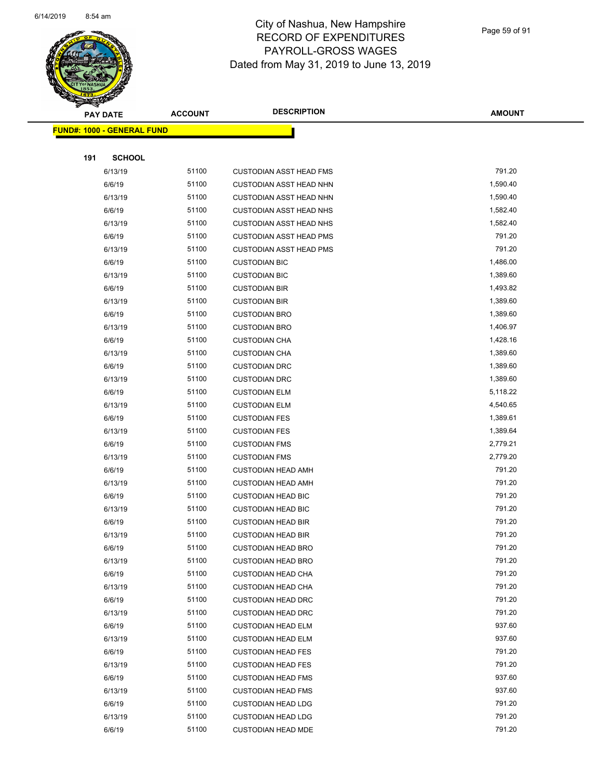

Page 59 of 91

|     | <b>PAY DATE</b>                   | <b>ACCOUNT</b> | <b>DESCRIPTION</b>             | <b>AMOUNT</b> |
|-----|-----------------------------------|----------------|--------------------------------|---------------|
|     | <b>FUND#: 1000 - GENERAL FUND</b> |                |                                |               |
|     |                                   |                |                                |               |
| 191 | <b>SCHOOL</b>                     |                |                                |               |
|     | 6/13/19                           | 51100          | <b>CUSTODIAN ASST HEAD FMS</b> | 791.20        |
|     | 6/6/19                            | 51100          | <b>CUSTODIAN ASST HEAD NHN</b> | 1,590.40      |
|     | 6/13/19                           | 51100          | <b>CUSTODIAN ASST HEAD NHN</b> | 1,590.40      |
|     | 6/6/19                            | 51100          | <b>CUSTODIAN ASST HEAD NHS</b> | 1,582.40      |
|     | 6/13/19                           | 51100          | <b>CUSTODIAN ASST HEAD NHS</b> | 1,582.40      |
|     | 6/6/19                            | 51100          | <b>CUSTODIAN ASST HEAD PMS</b> | 791.20        |
|     | 6/13/19                           | 51100          | CUSTODIAN ASST HEAD PMS        | 791.20        |
|     | 6/6/19                            | 51100          | <b>CUSTODIAN BIC</b>           | 1,486.00      |
|     | 6/13/19                           | 51100          | <b>CUSTODIAN BIC</b>           | 1,389.60      |
|     | 6/6/19                            | 51100          | <b>CUSTODIAN BIR</b>           | 1,493.82      |
|     | 6/13/19                           | 51100          | <b>CUSTODIAN BIR</b>           | 1,389.60      |
|     | 6/6/19                            | 51100          | <b>CUSTODIAN BRO</b>           | 1,389.60      |
|     | 6/13/19                           | 51100          | <b>CUSTODIAN BRO</b>           | 1,406.97      |
|     | 6/6/19                            | 51100          | <b>CUSTODIAN CHA</b>           | 1,428.16      |
|     | 6/13/19                           | 51100          | <b>CUSTODIAN CHA</b>           | 1,389.60      |
|     | 6/6/19                            | 51100          | <b>CUSTODIAN DRC</b>           | 1,389.60      |
|     | 6/13/19                           | 51100          | <b>CUSTODIAN DRC</b>           | 1,389.60      |
|     | 6/6/19                            | 51100          | <b>CUSTODIAN ELM</b>           | 5,118.22      |
|     | 6/13/19                           | 51100          | <b>CUSTODIAN ELM</b>           | 4,540.65      |
|     | 6/6/19                            | 51100          | <b>CUSTODIAN FES</b>           | 1,389.61      |
|     | 6/13/19                           | 51100          | <b>CUSTODIAN FES</b>           | 1,389.64      |
|     | 6/6/19                            | 51100          | <b>CUSTODIAN FMS</b>           | 2,779.21      |
|     | 6/13/19                           | 51100          | <b>CUSTODIAN FMS</b>           | 2,779.20      |
|     | 6/6/19                            | 51100          | <b>CUSTODIAN HEAD AMH</b>      | 791.20        |
|     | 6/13/19                           | 51100          | <b>CUSTODIAN HEAD AMH</b>      | 791.20        |
|     | 6/6/19                            | 51100          | <b>CUSTODIAN HEAD BIC</b>      | 791.20        |
|     | 6/13/19                           | 51100          | <b>CUSTODIAN HEAD BIC</b>      | 791.20        |
|     | 6/6/19                            | 51100          | <b>CUSTODIAN HEAD BIR</b>      | 791.20        |
|     | 6/13/19                           | 51100          | <b>CUSTODIAN HEAD BIR</b>      | 791.20        |
|     | 6/6/19                            | 51100          | <b>CUSTODIAN HEAD BRO</b>      | 791.20        |
|     | 6/13/19                           | 51100          | <b>CUSTODIAN HEAD BRO</b>      | 791.20        |
|     | 6/6/19                            | 51100          | <b>CUSTODIAN HEAD CHA</b>      | 791.20        |
|     | 6/13/19                           | 51100          | <b>CUSTODIAN HEAD CHA</b>      | 791.20        |
|     | 6/6/19                            | 51100          | <b>CUSTODIAN HEAD DRC</b>      | 791.20        |
|     | 6/13/19                           | 51100          | <b>CUSTODIAN HEAD DRC</b>      | 791.20        |
|     | 6/6/19                            | 51100          | <b>CUSTODIAN HEAD ELM</b>      | 937.60        |
|     | 6/13/19                           | 51100          | <b>CUSTODIAN HEAD ELM</b>      | 937.60        |
|     | 6/6/19                            | 51100          | <b>CUSTODIAN HEAD FES</b>      | 791.20        |
|     | 6/13/19                           | 51100          | <b>CUSTODIAN HEAD FES</b>      | 791.20        |
|     | 6/6/19                            | 51100          | <b>CUSTODIAN HEAD FMS</b>      | 937.60        |
|     | 6/13/19                           | 51100          | <b>CUSTODIAN HEAD FMS</b>      | 937.60        |
|     | 6/6/19                            | 51100          | <b>CUSTODIAN HEAD LDG</b>      | 791.20        |
|     | 6/13/19                           | 51100          | <b>CUSTODIAN HEAD LDG</b>      | 791.20        |
|     | 6/6/19                            | 51100          | <b>CUSTODIAN HEAD MDE</b>      | 791.20        |
|     |                                   |                |                                |               |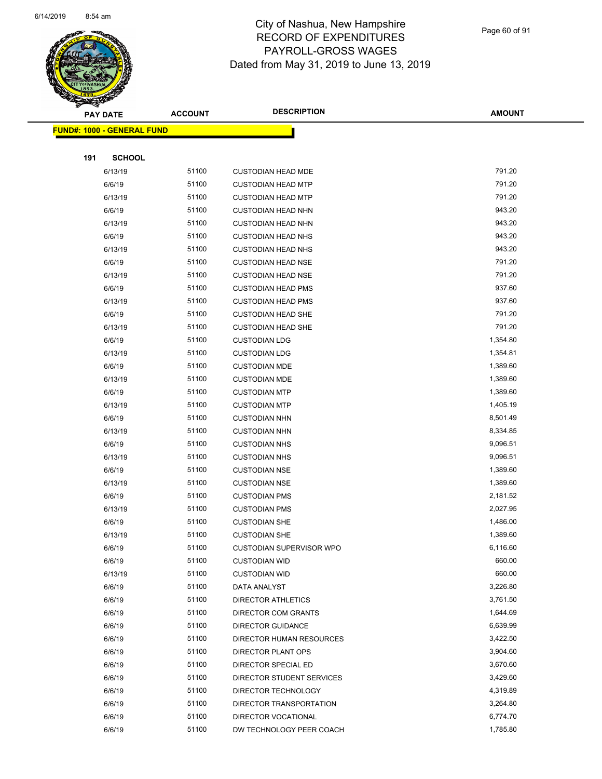

Page 60 of 91

| <b>STATERS</b>                    |                |                                 |               |
|-----------------------------------|----------------|---------------------------------|---------------|
| <b>PAY DATE</b>                   | <b>ACCOUNT</b> | <b>DESCRIPTION</b>              | <b>AMOUNT</b> |
| <b>FUND#: 1000 - GENERAL FUND</b> |                |                                 |               |
|                                   |                |                                 |               |
| 191<br><b>SCHOOL</b>              |                |                                 |               |
| 6/13/19                           | 51100          | <b>CUSTODIAN HEAD MDE</b>       | 791.20        |
| 6/6/19                            | 51100          | <b>CUSTODIAN HEAD MTP</b>       | 791.20        |
| 6/13/19                           | 51100          | <b>CUSTODIAN HEAD MTP</b>       | 791.20        |
| 6/6/19                            | 51100          | <b>CUSTODIAN HEAD NHN</b>       | 943.20        |
| 6/13/19                           | 51100          | <b>CUSTODIAN HEAD NHN</b>       | 943.20        |
| 6/6/19                            | 51100          | <b>CUSTODIAN HEAD NHS</b>       | 943.20        |
| 6/13/19                           | 51100          | <b>CUSTODIAN HEAD NHS</b>       | 943.20        |
| 6/6/19                            | 51100          | <b>CUSTODIAN HEAD NSE</b>       | 791.20        |
| 6/13/19                           | 51100          | <b>CUSTODIAN HEAD NSE</b>       | 791.20        |
| 6/6/19                            | 51100          | <b>CUSTODIAN HEAD PMS</b>       | 937.60        |
| 6/13/19                           | 51100          | <b>CUSTODIAN HEAD PMS</b>       | 937.60        |
| 6/6/19                            | 51100          | <b>CUSTODIAN HEAD SHE</b>       | 791.20        |
| 6/13/19                           | 51100          | <b>CUSTODIAN HEAD SHE</b>       | 791.20        |
| 6/6/19                            | 51100          | <b>CUSTODIAN LDG</b>            | 1,354.80      |
| 6/13/19                           | 51100          | <b>CUSTODIAN LDG</b>            | 1,354.81      |
| 6/6/19                            | 51100          | <b>CUSTODIAN MDE</b>            | 1,389.60      |
| 6/13/19                           | 51100          | <b>CUSTODIAN MDE</b>            | 1,389.60      |
| 6/6/19                            | 51100          | <b>CUSTODIAN MTP</b>            | 1,389.60      |
| 6/13/19                           | 51100          | <b>CUSTODIAN MTP</b>            | 1,405.19      |
| 6/6/19                            | 51100          | <b>CUSTODIAN NHN</b>            | 8,501.49      |
| 6/13/19                           | 51100          | <b>CUSTODIAN NHN</b>            | 8,334.85      |
| 6/6/19                            | 51100          | <b>CUSTODIAN NHS</b>            | 9,096.51      |
| 6/13/19                           | 51100          | <b>CUSTODIAN NHS</b>            | 9,096.51      |
| 6/6/19                            | 51100          | <b>CUSTODIAN NSE</b>            | 1,389.60      |
| 6/13/19                           | 51100          | <b>CUSTODIAN NSE</b>            | 1,389.60      |
| 6/6/19                            | 51100          | <b>CUSTODIAN PMS</b>            | 2,181.52      |
| 6/13/19                           | 51100          | <b>CUSTODIAN PMS</b>            | 2,027.95      |
| 6/6/19                            | 51100          | <b>CUSTODIAN SHE</b>            | 1,486.00      |
| 6/13/19                           | 51100          | <b>CUSTODIAN SHE</b>            | 1,389.60      |
| 6/6/19                            | 51100          | <b>CUSTODIAN SUPERVISOR WPO</b> | 6,116.60      |
| 6/6/19                            | 51100          | <b>CUSTODIAN WID</b>            | 660.00        |
| 6/13/19                           | 51100          | <b>CUSTODIAN WID</b>            | 660.00        |
| 6/6/19                            | 51100          | DATA ANALYST                    | 3,226.80      |
| 6/6/19                            | 51100          | <b>DIRECTOR ATHLETICS</b>       | 3,761.50      |
| 6/6/19                            | 51100          | DIRECTOR COM GRANTS             | 1,644.69      |
| 6/6/19                            | 51100          | <b>DIRECTOR GUIDANCE</b>        | 6,639.99      |
| 6/6/19                            | 51100          | <b>DIRECTOR HUMAN RESOURCES</b> | 3,422.50      |
| 6/6/19                            | 51100          | <b>DIRECTOR PLANT OPS</b>       | 3,904.60      |
| 6/6/19                            | 51100          | DIRECTOR SPECIAL ED             | 3,670.60      |
| 6/6/19                            | 51100          | DIRECTOR STUDENT SERVICES       | 3,429.60      |
| 6/6/19                            | 51100          | DIRECTOR TECHNOLOGY             | 4,319.89      |
| 6/6/19                            | 51100          | DIRECTOR TRANSPORTATION         | 3,264.80      |
| 6/6/19                            | 51100          | DIRECTOR VOCATIONAL             | 6,774.70      |
| 6/6/19                            | 51100          | DW TECHNOLOGY PEER COACH        | 1,785.80      |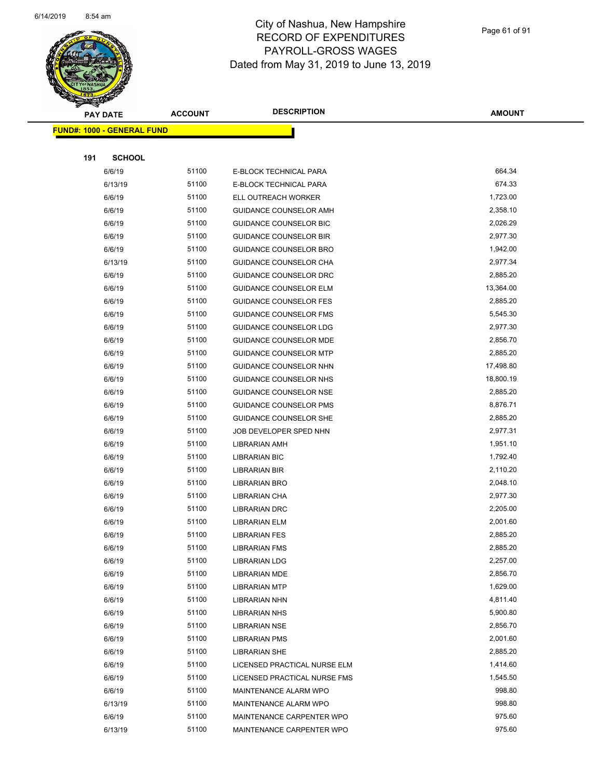

Page 61 of 91

| <b>RANGARA</b> |                                   |                |                               |               |
|----------------|-----------------------------------|----------------|-------------------------------|---------------|
|                | <b>PAY DATE</b>                   | <b>ACCOUNT</b> | <b>DESCRIPTION</b>            | <b>AMOUNT</b> |
|                | <b>FUND#: 1000 - GENERAL FUND</b> |                |                               |               |
|                |                                   |                |                               |               |
| 191            | <b>SCHOOL</b>                     |                |                               |               |
|                | 6/6/19                            | 51100          | E-BLOCK TECHNICAL PARA        | 664.34        |
|                | 6/13/19                           | 51100          | E-BLOCK TECHNICAL PARA        | 674.33        |
|                | 6/6/19                            | 51100          | ELL OUTREACH WORKER           | 1,723.00      |
|                | 6/6/19                            | 51100          | GUIDANCE COUNSELOR AMH        | 2,358.10      |
|                | 6/6/19                            | 51100          | <b>GUIDANCE COUNSELOR BIC</b> | 2,026.29      |
|                | 6/6/19                            | 51100          | <b>GUIDANCE COUNSELOR BIR</b> | 2,977.30      |
|                | 6/6/19                            | 51100          | <b>GUIDANCE COUNSELOR BRO</b> | 1,942.00      |
|                | 6/13/19                           | 51100          | <b>GUIDANCE COUNSELOR CHA</b> | 2,977.34      |
|                | 6/6/19                            | 51100          | GUIDANCE COUNSELOR DRC        | 2,885.20      |
|                | 6/6/19                            | 51100          | GUIDANCE COUNSELOR ELM        | 13,364.00     |
|                | 6/6/19                            | 51100          | <b>GUIDANCE COUNSELOR FES</b> | 2,885.20      |
|                | 6/6/19                            | 51100          | <b>GUIDANCE COUNSELOR FMS</b> | 5,545.30      |
|                | 6/6/19                            | 51100          | <b>GUIDANCE COUNSELOR LDG</b> | 2,977.30      |
|                | 6/6/19                            | 51100          | <b>GUIDANCE COUNSELOR MDE</b> | 2,856.70      |
|                | 6/6/19                            | 51100          | <b>GUIDANCE COUNSELOR MTP</b> | 2,885.20      |
|                | 6/6/19                            | 51100          | GUIDANCE COUNSELOR NHN        | 17,498.80     |
|                | 6/6/19                            | 51100          | <b>GUIDANCE COUNSELOR NHS</b> | 18,800.19     |
|                | 6/6/19                            | 51100          | <b>GUIDANCE COUNSELOR NSE</b> | 2,885.20      |
|                | 6/6/19                            | 51100          | <b>GUIDANCE COUNSELOR PMS</b> | 8,876.71      |
|                | 6/6/19                            | 51100          | GUIDANCE COUNSELOR SHE        | 2,885.20      |
|                | 6/6/19                            | 51100          | JOB DEVELOPER SPED NHN        | 2,977.31      |
|                | 6/6/19                            | 51100          | <b>LIBRARIAN AMH</b>          | 1,951.10      |
|                | 6/6/19                            | 51100          | <b>LIBRARIAN BIC</b>          | 1,792.40      |
|                | 6/6/19                            | 51100          | <b>LIBRARIAN BIR</b>          | 2,110.20      |
|                | 6/6/19                            | 51100          | LIBRARIAN BRO                 | 2,048.10      |
|                | 6/6/19                            | 51100          | <b>LIBRARIAN CHA</b>          | 2,977.30      |
|                | 6/6/19                            | 51100          | <b>LIBRARIAN DRC</b>          | 2,205.00      |
|                | 6/6/19                            | 51100          | <b>LIBRARIAN ELM</b>          | 2,001.60      |
|                | 6/6/19                            | 51100          | <b>LIBRARIAN FES</b>          | 2,885.20      |
|                | 6/6/19                            | 51100          | <b>LIBRARIAN FMS</b>          | 2,885.20      |
|                | 6/6/19                            | 51100          | <b>LIBRARIAN LDG</b>          | 2,257.00      |
|                | 6/6/19                            | 51100          | <b>LIBRARIAN MDE</b>          | 2,856.70      |
|                | 6/6/19                            | 51100          | <b>LIBRARIAN MTP</b>          | 1,629.00      |
|                | 6/6/19                            | 51100          | <b>LIBRARIAN NHN</b>          | 4,811.40      |
|                | 6/6/19                            | 51100          | <b>LIBRARIAN NHS</b>          | 5,900.80      |
|                | 6/6/19                            | 51100          | LIBRARIAN NSE                 | 2,856.70      |
|                | 6/6/19                            | 51100          | <b>LIBRARIAN PMS</b>          | 2,001.60      |
|                | 6/6/19                            | 51100          | <b>LIBRARIAN SHE</b>          | 2,885.20      |
|                | 6/6/19                            | 51100          | LICENSED PRACTICAL NURSE ELM  | 1,414.60      |
|                | 6/6/19                            | 51100          | LICENSED PRACTICAL NURSE FMS  | 1,545.50      |
|                | 6/6/19                            | 51100          | MAINTENANCE ALARM WPO         | 998.80        |
|                | 6/13/19                           | 51100          | MAINTENANCE ALARM WPO         | 998.80        |
|                | 6/6/19                            | 51100          | MAINTENANCE CARPENTER WPO     | 975.60        |
|                | 6/13/19                           | 51100          | MAINTENANCE CARPENTER WPO     | 975.60        |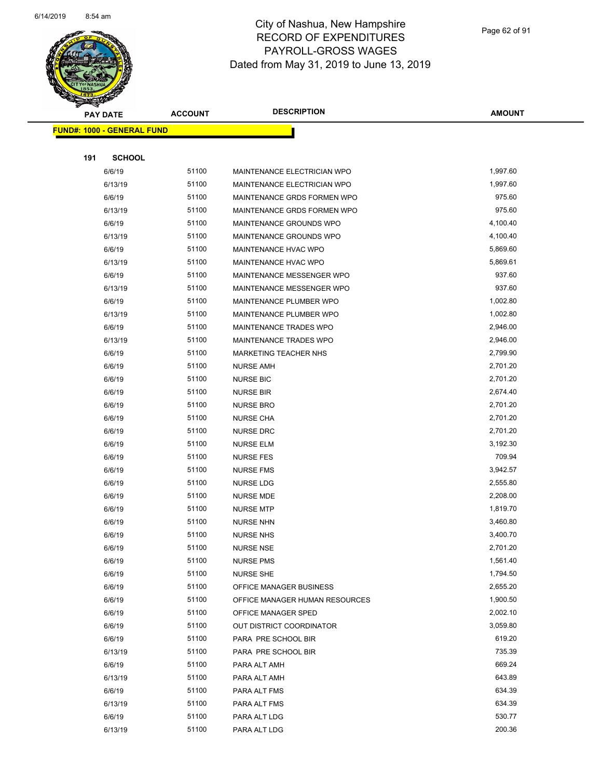

| <b>Andrew</b> | <b>PAY DATE</b>                   | <b>ACCOUNT</b> | <b>DESCRIPTION</b>             | <b>AMOUNT</b> |  |
|---------------|-----------------------------------|----------------|--------------------------------|---------------|--|
|               | <b>FUND#: 1000 - GENERAL FUND</b> |                |                                |               |  |
|               |                                   |                |                                |               |  |
| 191           | <b>SCHOOL</b>                     |                |                                |               |  |
|               | 6/6/19                            | 51100          | MAINTENANCE ELECTRICIAN WPO    | 1,997.60      |  |
|               | 6/13/19                           | 51100          | MAINTENANCE ELECTRICIAN WPO    | 1,997.60      |  |
|               | 6/6/19                            | 51100          | MAINTENANCE GRDS FORMEN WPO    | 975.60        |  |
|               | 6/13/19                           | 51100          | MAINTENANCE GRDS FORMEN WPO    | 975.60        |  |
|               | 6/6/19                            | 51100          | MAINTENANCE GROUNDS WPO        | 4,100.40      |  |
|               | 6/13/19                           | 51100          | MAINTENANCE GROUNDS WPO        | 4,100.40      |  |
|               | 6/6/19                            | 51100          | MAINTENANCE HVAC WPO           | 5,869.60      |  |
|               | 6/13/19                           | 51100          | MAINTENANCE HVAC WPO           | 5,869.61      |  |
|               | 6/6/19                            | 51100          | MAINTENANCE MESSENGER WPO      | 937.60        |  |
|               | 6/13/19                           | 51100          | MAINTENANCE MESSENGER WPO      | 937.60        |  |
|               | 6/6/19                            | 51100          | MAINTENANCE PLUMBER WPO        | 1,002.80      |  |
|               | 6/13/19                           | 51100          | MAINTENANCE PLUMBER WPO        | 1,002.80      |  |
|               | 6/6/19                            | 51100          | MAINTENANCE TRADES WPO         | 2,946.00      |  |
|               | 6/13/19                           | 51100          | MAINTENANCE TRADES WPO         | 2,946.00      |  |
|               | 6/6/19                            | 51100          | <b>MARKETING TEACHER NHS</b>   | 2,799.90      |  |
|               | 6/6/19                            | 51100          | <b>NURSE AMH</b>               | 2,701.20      |  |
|               | 6/6/19                            | 51100          | <b>NURSE BIC</b>               | 2,701.20      |  |
|               | 6/6/19                            | 51100          | <b>NURSE BIR</b>               | 2,674.40      |  |
|               | 6/6/19                            | 51100          | <b>NURSE BRO</b>               | 2,701.20      |  |
|               | 6/6/19                            | 51100          | <b>NURSE CHA</b>               | 2,701.20      |  |
|               | 6/6/19                            | 51100          | <b>NURSE DRC</b>               | 2,701.20      |  |
|               | 6/6/19                            | 51100          | <b>NURSE ELM</b>               | 3,192.30      |  |
|               | 6/6/19                            | 51100          | <b>NURSE FES</b>               | 709.94        |  |
|               | 6/6/19                            | 51100          | <b>NURSE FMS</b>               | 3,942.57      |  |
|               | 6/6/19                            | 51100          | <b>NURSE LDG</b>               | 2,555.80      |  |
|               | 6/6/19                            | 51100          | <b>NURSE MDE</b>               | 2,208.00      |  |
|               | 6/6/19                            | 51100          | <b>NURSE MTP</b>               | 1,819.70      |  |
|               | 6/6/19                            | 51100          | <b>NURSE NHN</b>               | 3,460.80      |  |
|               | 6/6/19                            | 51100          | <b>NURSE NHS</b>               | 3,400.70      |  |
|               | 6/6/19                            | 51100          | <b>NURSE NSE</b>               | 2,701.20      |  |
|               | 6/6/19                            | 51100          | <b>NURSE PMS</b>               | 1,561.40      |  |
|               | 6/6/19                            | 51100          | <b>NURSE SHE</b>               | 1,794.50      |  |
|               | 6/6/19                            | 51100          | OFFICE MANAGER BUSINESS        | 2,655.20      |  |
|               | 6/6/19                            | 51100          | OFFICE MANAGER HUMAN RESOURCES | 1,900.50      |  |
|               | 6/6/19                            | 51100          | OFFICE MANAGER SPED            | 2,002.10      |  |
|               | 6/6/19                            | 51100          | OUT DISTRICT COORDINATOR       | 3,059.80      |  |
|               | 6/6/19                            | 51100          | PARA PRE SCHOOL BIR            | 619.20        |  |
|               | 6/13/19                           | 51100          | PARA PRE SCHOOL BIR            | 735.39        |  |
|               | 6/6/19                            | 51100          | PARA ALT AMH                   | 669.24        |  |
|               | 6/13/19                           | 51100          | PARA ALT AMH                   | 643.89        |  |
|               | 6/6/19                            | 51100          | PARA ALT FMS                   | 634.39        |  |
|               | 6/13/19                           | 51100          | PARA ALT FMS                   | 634.39        |  |
|               | 6/6/19                            | 51100          | PARA ALT LDG                   | 530.77        |  |
|               | 6/13/19                           | 51100          | PARA ALT LDG                   | 200.36        |  |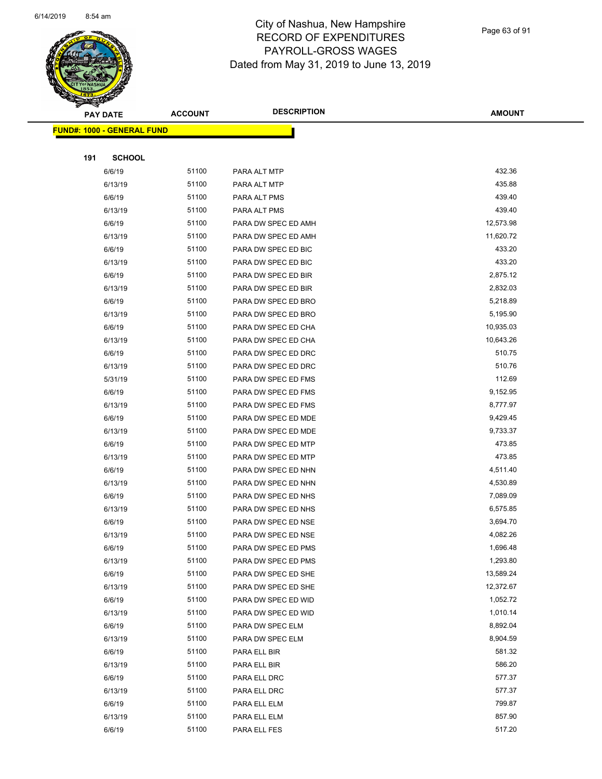

Page 63 of 91

|     | <b>PAY DATE</b>                   | <b>ACCOUNT</b> | <b>DESCRIPTION</b>  | <b>AMOUNT</b> |
|-----|-----------------------------------|----------------|---------------------|---------------|
|     | <b>FUND#: 1000 - GENERAL FUND</b> |                |                     |               |
|     |                                   |                |                     |               |
| 191 | <b>SCHOOL</b>                     |                |                     |               |
|     | 6/6/19                            | 51100          | PARA ALT MTP        | 432.36        |
|     | 6/13/19                           | 51100          | PARA ALT MTP        | 435.88        |
|     | 6/6/19                            | 51100          | PARA ALT PMS        | 439.40        |
|     | 6/13/19                           | 51100          | PARA ALT PMS        | 439.40        |
|     | 6/6/19                            | 51100          | PARA DW SPEC ED AMH | 12,573.98     |
|     | 6/13/19                           | 51100          | PARA DW SPEC ED AMH | 11,620.72     |
|     | 6/6/19                            | 51100          | PARA DW SPEC ED BIC | 433.20        |
|     | 6/13/19                           | 51100          | PARA DW SPEC ED BIC | 433.20        |
|     | 6/6/19                            | 51100          | PARA DW SPEC ED BIR | 2,875.12      |
|     | 6/13/19                           | 51100          | PARA DW SPEC ED BIR | 2,832.03      |
|     | 6/6/19                            | 51100          | PARA DW SPEC ED BRO | 5,218.89      |
|     | 6/13/19                           | 51100          | PARA DW SPEC ED BRO | 5,195.90      |
|     | 6/6/19                            | 51100          | PARA DW SPEC ED CHA | 10,935.03     |
|     | 6/13/19                           | 51100          | PARA DW SPEC ED CHA | 10,643.26     |
|     | 6/6/19                            | 51100          | PARA DW SPEC ED DRC | 510.75        |
|     | 6/13/19                           | 51100          | PARA DW SPEC ED DRC | 510.76        |
|     | 5/31/19                           | 51100          | PARA DW SPEC ED FMS | 112.69        |
|     | 6/6/19                            | 51100          | PARA DW SPEC ED FMS | 9,152.95      |
|     | 6/13/19                           | 51100          | PARA DW SPEC ED FMS | 8,777.97      |
|     | 6/6/19                            | 51100          | PARA DW SPEC ED MDE | 9,429.45      |
|     | 6/13/19                           | 51100          | PARA DW SPEC ED MDE | 9,733.37      |
|     | 6/6/19                            | 51100          | PARA DW SPEC ED MTP | 473.85        |
|     | 6/13/19                           | 51100          | PARA DW SPEC ED MTP | 473.85        |
|     | 6/6/19                            | 51100          | PARA DW SPEC ED NHN | 4,511.40      |
|     | 6/13/19                           | 51100          | PARA DW SPEC ED NHN | 4,530.89      |
|     | 6/6/19                            | 51100          | PARA DW SPEC ED NHS | 7,089.09      |
|     | 6/13/19                           | 51100          | PARA DW SPEC ED NHS | 6,575.85      |
|     | 6/6/19                            | 51100          | PARA DW SPEC ED NSE | 3,694.70      |
|     | 6/13/19                           | 51100          | PARA DW SPEC ED NSE | 4,082.26      |
|     | 6/6/19                            | 51100          | PARA DW SPEC ED PMS | 1,696.48      |
|     | 6/13/19                           | 51100          | PARA DW SPEC ED PMS | 1,293.80      |
|     | 6/6/19                            | 51100          | PARA DW SPEC ED SHE | 13,589.24     |
|     | 6/13/19                           | 51100          | PARA DW SPEC ED SHE | 12,372.67     |
|     | 6/6/19                            | 51100          | PARA DW SPEC ED WID | 1,052.72      |
|     | 6/13/19                           | 51100          | PARA DW SPEC ED WID | 1,010.14      |
|     | 6/6/19                            | 51100          | PARA DW SPEC ELM    | 8,892.04      |
|     | 6/13/19                           | 51100          | PARA DW SPEC ELM    | 8,904.59      |
|     | 6/6/19                            | 51100          | PARA ELL BIR        | 581.32        |
|     | 6/13/19                           | 51100          | PARA ELL BIR        | 586.20        |
|     | 6/6/19                            | 51100          | PARA ELL DRC        | 577.37        |
|     | 6/13/19                           | 51100          | PARA ELL DRC        | 577.37        |
|     | 6/6/19                            | 51100          | PARA ELL ELM        | 799.87        |
|     | 6/13/19                           | 51100          | PARA ELL ELM        | 857.90        |
|     | 6/6/19                            | 51100          | PARA ELL FES        | 517.20        |
|     |                                   |                |                     |               |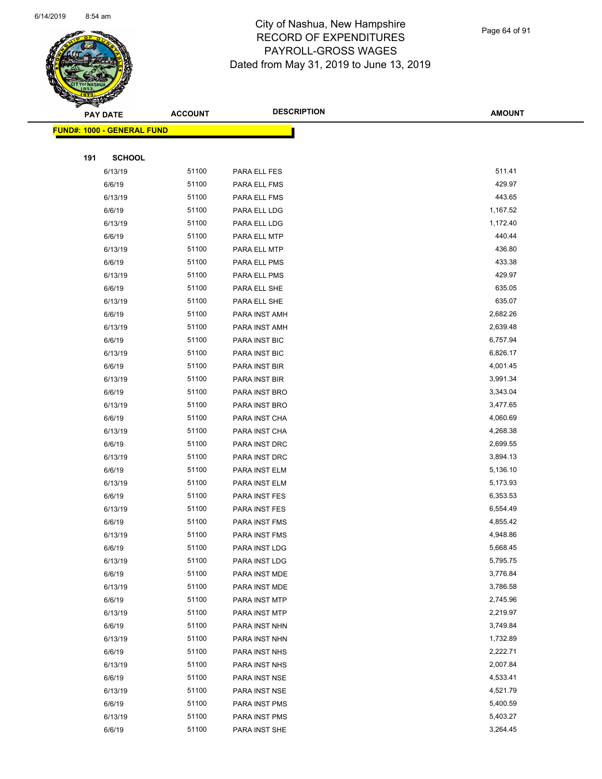

Page 64 of 91

| Sean Change | <b>PAY DATE</b>                   | <b>ACCOUNT</b> | <b>DESCRIPTION</b> | <b>AMOUNT</b> |
|-------------|-----------------------------------|----------------|--------------------|---------------|
|             | <b>FUND#: 1000 - GENERAL FUND</b> |                |                    |               |
|             |                                   |                |                    |               |
| 191         | <b>SCHOOL</b>                     |                |                    |               |
|             | 6/13/19                           | 51100          | PARA ELL FES       | 511.41        |
|             | 6/6/19                            | 51100          | PARA ELL FMS       | 429.97        |
|             | 6/13/19                           | 51100          | PARA ELL FMS       | 443.65        |
|             | 6/6/19                            | 51100          | PARA ELL LDG       | 1,167.52      |
|             | 6/13/19                           | 51100          | PARA ELL LDG       | 1,172.40      |
|             | 6/6/19                            | 51100          | PARA ELL MTP       | 440.44        |
|             | 6/13/19                           | 51100          | PARA ELL MTP       | 436.80        |
|             | 6/6/19                            | 51100          | PARA ELL PMS       | 433.38        |
|             | 6/13/19                           | 51100          | PARA ELL PMS       | 429.97        |
|             | 6/6/19                            | 51100          | PARA ELL SHE       | 635.05        |
|             | 6/13/19                           | 51100          | PARA ELL SHE       | 635.07        |
|             | 6/6/19                            | 51100          | PARA INST AMH      | 2,682.26      |
|             | 6/13/19                           | 51100          | PARA INST AMH      | 2,639.48      |
|             | 6/6/19                            | 51100          | PARA INST BIC      | 6,757.94      |
|             | 6/13/19                           | 51100          | PARA INST BIC      | 6,826.17      |
|             | 6/6/19                            | 51100          | PARA INST BIR      | 4,001.45      |
|             | 6/13/19                           | 51100          | PARA INST BIR      | 3,991.34      |
|             | 6/6/19                            | 51100          | PARA INST BRO      | 3,343.04      |
|             | 6/13/19                           | 51100          | PARA INST BRO      | 3,477.65      |
|             | 6/6/19                            | 51100          | PARA INST CHA      | 4,060.69      |
|             | 6/13/19                           | 51100          | PARA INST CHA      | 4,268.38      |
|             | 6/6/19                            | 51100          | PARA INST DRC      | 2,699.55      |
|             | 6/13/19                           | 51100          | PARA INST DRC      | 3,894.13      |
|             | 6/6/19                            | 51100          | PARA INST ELM      | 5,136.10      |
|             | 6/13/19                           | 51100          | PARA INST ELM      | 5,173.93      |
|             | 6/6/19                            | 51100          | PARA INST FES      | 6,353.53      |
|             | 6/13/19                           | 51100          | PARA INST FES      | 6,554.49      |
|             | 6/6/19                            | 51100          | PARA INST FMS      | 4,855.42      |
|             | 6/13/19                           | 51100          | PARA INST FMS      | 4,948.86      |
|             | 6/6/19                            | 51100          | PARA INST LDG      | 5,668.45      |
|             | 6/13/19                           | 51100          | PARA INST LDG      | 5,795.75      |
|             | 6/6/19                            | 51100          | PARA INST MDE      | 3,776.84      |
|             | 6/13/19                           | 51100          | PARA INST MDE      | 3,786.58      |
|             | 6/6/19                            | 51100          | PARA INST MTP      | 2,745.96      |
|             | 6/13/19                           | 51100          | PARA INST MTP      | 2,219.97      |
|             | 6/6/19                            | 51100          | PARA INST NHN      | 3,749.84      |
|             | 6/13/19                           | 51100          | PARA INST NHN      | 1,732.89      |
|             | 6/6/19                            | 51100          | PARA INST NHS      | 2,222.71      |
|             | 6/13/19                           | 51100          | PARA INST NHS      | 2,007.84      |
|             | 6/6/19                            | 51100          | PARA INST NSE      | 4,533.41      |
|             | 6/13/19                           | 51100          | PARA INST NSE      | 4,521.79      |
|             | 6/6/19                            | 51100          | PARA INST PMS      | 5,400.59      |
|             | 6/13/19                           | 51100          | PARA INST PMS      | 5,403.27      |
|             | 6/6/19                            | 51100          | PARA INST SHE      | 3,264.45      |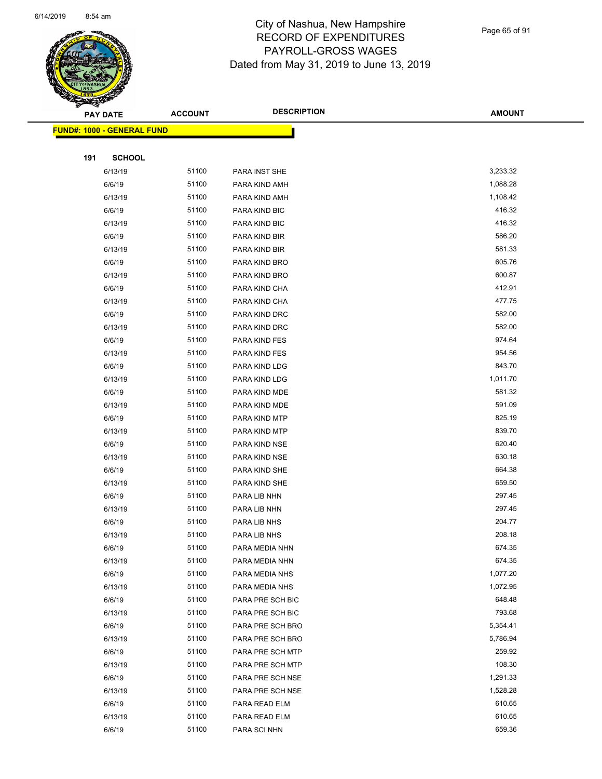

Page 65 of 91

| $\tilde{\phantom{a}}$ | <b>PAY DATE</b>                   | <b>ACCOUNT</b> | <b>DESCRIPTION</b> | <b>AMOUNT</b> |
|-----------------------|-----------------------------------|----------------|--------------------|---------------|
|                       | <b>FUND#: 1000 - GENERAL FUND</b> |                |                    |               |
|                       |                                   |                |                    |               |
| 191                   | <b>SCHOOL</b>                     |                |                    |               |
|                       | 6/13/19                           | 51100          | PARA INST SHE      | 3,233.32      |
|                       | 6/6/19                            | 51100          | PARA KIND AMH      | 1,088.28      |
|                       | 6/13/19                           | 51100          | PARA KIND AMH      | 1,108.42      |
|                       | 6/6/19                            | 51100          | PARA KIND BIC      | 416.32        |
|                       | 6/13/19                           | 51100          | PARA KIND BIC      | 416.32        |
|                       | 6/6/19                            | 51100          | PARA KIND BIR      | 586.20        |
|                       | 6/13/19                           | 51100          | PARA KIND BIR      | 581.33        |
|                       | 6/6/19                            | 51100          | PARA KIND BRO      | 605.76        |
|                       | 6/13/19                           | 51100          | PARA KIND BRO      | 600.87        |
|                       | 6/6/19                            | 51100          | PARA KIND CHA      | 412.91        |
|                       | 6/13/19                           | 51100          | PARA KIND CHA      | 477.75        |
|                       | 6/6/19                            | 51100          | PARA KIND DRC      | 582.00        |
|                       | 6/13/19                           | 51100          | PARA KIND DRC      | 582.00        |
|                       | 6/6/19                            | 51100          | PARA KIND FES      | 974.64        |
|                       | 6/13/19                           | 51100          | PARA KIND FES      | 954.56        |
|                       | 6/6/19                            | 51100          | PARA KIND LDG      | 843.70        |
|                       | 6/13/19                           | 51100          | PARA KIND LDG      | 1,011.70      |
|                       | 6/6/19                            | 51100          | PARA KIND MDE      | 581.32        |
|                       | 6/13/19                           | 51100          | PARA KIND MDE      | 591.09        |
|                       | 6/6/19                            | 51100          | PARA KIND MTP      | 825.19        |
|                       | 6/13/19                           | 51100          | PARA KIND MTP      | 839.70        |
|                       | 6/6/19                            | 51100          | PARA KIND NSE      | 620.40        |
|                       | 6/13/19                           | 51100          | PARA KIND NSE      | 630.18        |
|                       | 6/6/19                            | 51100          | PARA KIND SHE      | 664.38        |
|                       | 6/13/19                           | 51100          | PARA KIND SHE      | 659.50        |
|                       | 6/6/19                            | 51100          | PARA LIB NHN       | 297.45        |
|                       | 6/13/19                           | 51100          | PARA LIB NHN       | 297.45        |
|                       | 6/6/19                            | 51100          | PARA LIB NHS       | 204.77        |
|                       | 6/13/19                           | 51100          | PARA LIB NHS       | 208.18        |
|                       | 6/6/19                            | 51100          | PARA MEDIA NHN     | 674.35        |
|                       | 6/13/19                           | 51100          | PARA MEDIA NHN     | 674.35        |
|                       | 6/6/19                            | 51100          | PARA MEDIA NHS     | 1,077.20      |
|                       | 6/13/19                           | 51100          | PARA MEDIA NHS     | 1,072.95      |
|                       | 6/6/19                            | 51100          | PARA PRE SCH BIC   | 648.48        |
|                       | 6/13/19                           | 51100          | PARA PRE SCH BIC   | 793.68        |
|                       | 6/6/19                            | 51100          | PARA PRE SCH BRO   | 5,354.41      |
|                       | 6/13/19                           | 51100          | PARA PRE SCH BRO   | 5,786.94      |
|                       | 6/6/19                            | 51100          | PARA PRE SCH MTP   | 259.92        |
|                       | 6/13/19                           | 51100          | PARA PRE SCH MTP   | 108.30        |
|                       | 6/6/19                            | 51100          | PARA PRE SCH NSE   | 1,291.33      |
|                       | 6/13/19                           | 51100          | PARA PRE SCH NSE   | 1,528.28      |
|                       | 6/6/19                            | 51100          | PARA READ ELM      | 610.65        |
|                       | 6/13/19                           | 51100          | PARA READ ELM      | 610.65        |
|                       | 6/6/19                            | 51100          | PARA SCI NHN       | 659.36        |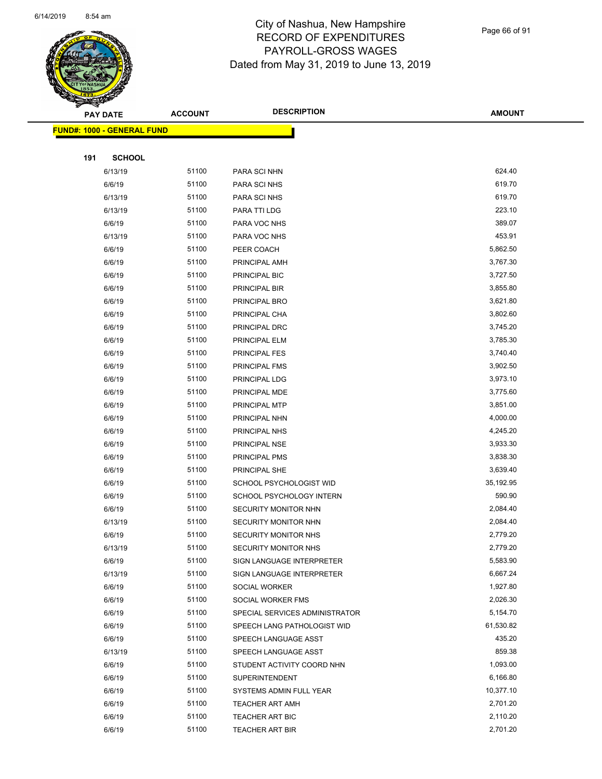

Page 66 of 91

| <b>PAY DATE</b> |                                   | <b>ACCOUNT</b> | <b>DESCRIPTION</b>                                 | <b>AMOUNT</b>       |
|-----------------|-----------------------------------|----------------|----------------------------------------------------|---------------------|
|                 | <b>FUND#: 1000 - GENERAL FUND</b> |                |                                                    |                     |
|                 |                                   |                |                                                    |                     |
| 191             | <b>SCHOOL</b>                     |                |                                                    |                     |
|                 | 6/13/19                           | 51100          | PARA SCI NHN                                       | 624.40              |
|                 | 6/6/19                            | 51100          | PARA SCI NHS                                       | 619.70              |
|                 | 6/13/19                           | 51100          | PARA SCI NHS                                       | 619.70              |
|                 | 6/13/19                           | 51100          | PARA TTI LDG                                       | 223.10              |
|                 | 6/6/19                            | 51100          | PARA VOC NHS                                       | 389.07              |
|                 | 6/13/19                           | 51100          | PARA VOC NHS                                       | 453.91              |
|                 | 6/6/19                            | 51100          | PEER COACH                                         | 5,862.50            |
|                 | 6/6/19                            | 51100          | PRINCIPAL AMH                                      | 3,767.30            |
|                 | 6/6/19                            | 51100          | PRINCIPAL BIC                                      | 3,727.50            |
|                 | 6/6/19                            | 51100          | PRINCIPAL BIR                                      | 3,855.80            |
|                 | 6/6/19                            | 51100          | PRINCIPAL BRO                                      | 3,621.80            |
|                 | 6/6/19                            | 51100          | PRINCIPAL CHA                                      | 3,802.60            |
|                 | 6/6/19                            | 51100          | PRINCIPAL DRC                                      | 3,745.20            |
|                 | 6/6/19                            | 51100          | PRINCIPAL ELM                                      | 3,785.30            |
|                 | 6/6/19                            | 51100          | <b>PRINCIPAL FES</b>                               | 3,740.40            |
|                 | 6/6/19                            | 51100          | PRINCIPAL FMS                                      | 3,902.50            |
|                 | 6/6/19                            | 51100          | PRINCIPAL LDG                                      | 3,973.10            |
|                 | 6/6/19                            | 51100          | PRINCIPAL MDE                                      | 3,775.60            |
|                 | 6/6/19                            | 51100          | PRINCIPAL MTP                                      | 3,851.00            |
|                 | 6/6/19                            | 51100          | PRINCIPAL NHN                                      | 4,000.00            |
|                 | 6/6/19                            | 51100          | PRINCIPAL NHS                                      | 4,245.20            |
|                 | 6/6/19                            | 51100          | PRINCIPAL NSE                                      | 3,933.30            |
|                 | 6/6/19                            | 51100          | PRINCIPAL PMS                                      | 3,838.30            |
|                 | 6/6/19                            | 51100          | PRINCIPAL SHE                                      | 3,639.40            |
|                 | 6/6/19                            | 51100          | SCHOOL PSYCHOLOGIST WID                            | 35,192.95           |
|                 | 6/6/19                            | 51100          | SCHOOL PSYCHOLOGY INTERN                           | 590.90              |
|                 | 6/6/19                            | 51100          | SECURITY MONITOR NHN                               | 2,084.40            |
|                 | 6/13/19                           | 51100          | SECURITY MONITOR NHN                               | 2,084.40            |
|                 | 6/6/19                            | 51100          | SECURITY MONITOR NHS                               | 2,779.20            |
|                 | 6/13/19                           | 51100          | SECURITY MONITOR NHS                               | 2,779.20            |
|                 | 6/6/19                            | 51100          | SIGN LANGUAGE INTERPRETER                          | 5,583.90            |
|                 | 6/13/19                           | 51100          | SIGN LANGUAGE INTERPRETER                          | 6,667.24            |
|                 | 6/6/19                            | 51100          | SOCIAL WORKER                                      | 1,927.80            |
|                 | 6/6/19                            | 51100          | SOCIAL WORKER FMS                                  | 2,026.30            |
|                 | 6/6/19                            | 51100          | SPECIAL SERVICES ADMINISTRATOR                     | 5,154.70            |
|                 | 6/6/19                            | 51100          | SPEECH LANG PATHOLOGIST WID                        | 61,530.82<br>435.20 |
|                 | 6/6/19                            | 51100          | SPEECH LANGUAGE ASST                               | 859.38              |
|                 | 6/13/19<br>6/6/19                 | 51100<br>51100 | SPEECH LANGUAGE ASST<br>STUDENT ACTIVITY COORD NHN | 1,093.00            |
|                 |                                   | 51100          |                                                    | 6,166.80            |
|                 | 6/6/19                            | 51100          | <b>SUPERINTENDENT</b>                              | 10,377.10           |
|                 | 6/6/19<br>6/6/19                  | 51100          | SYSTEMS ADMIN FULL YEAR                            | 2,701.20            |
|                 | 6/6/19                            | 51100          | <b>TEACHER ART AMH</b><br>TEACHER ART BIC          | 2,110.20            |
|                 | 6/6/19                            | 51100          | <b>TEACHER ART BIR</b>                             | 2,701.20            |
|                 |                                   |                |                                                    |                     |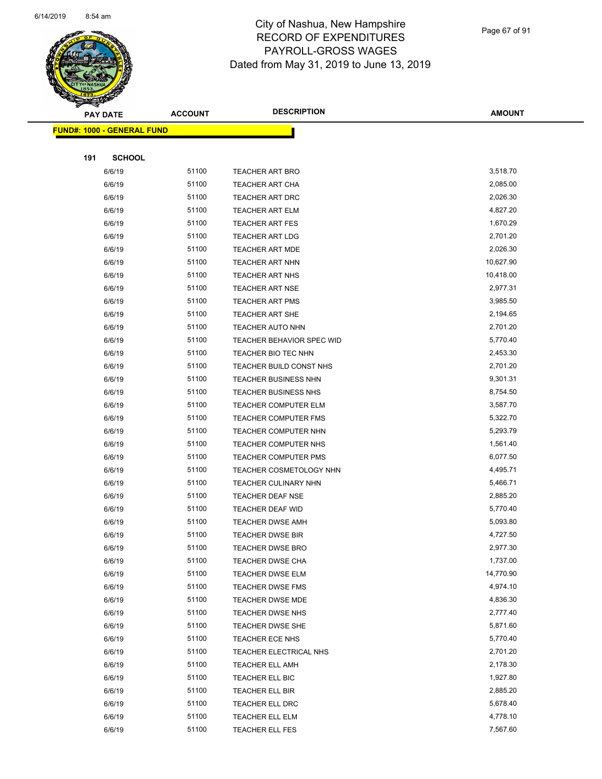

Page 67 of 91

|     | <b>PAY DATE</b>                    | <b>ACCOUNT</b> | <b>DESCRIPTION</b>          | <b>AMOUNT</b> |
|-----|------------------------------------|----------------|-----------------------------|---------------|
|     | <u> FUND#: 1000 - GENERAL FUND</u> |                |                             |               |
|     |                                    |                |                             |               |
| 191 | <b>SCHOOL</b>                      |                |                             |               |
|     | 6/6/19                             | 51100          | <b>TEACHER ART BRO</b>      | 3,518.70      |
|     | 6/6/19                             | 51100          | TEACHER ART CHA             | 2,085.00      |
|     | 6/6/19                             | 51100          | TEACHER ART DRC             | 2,026.30      |
|     | 6/6/19                             | 51100          | TEACHER ART ELM             | 4,827.20      |
|     | 6/6/19                             | 51100          | <b>TEACHER ART FES</b>      | 1,670.29      |
|     | 6/6/19                             | 51100          | <b>TEACHER ART LDG</b>      | 2,701.20      |
|     | 6/6/19                             | 51100          | <b>TEACHER ART MDE</b>      | 2,026.30      |
|     | 6/6/19                             | 51100          | TEACHER ART NHN             | 10,627.90     |
|     | 6/6/19                             | 51100          | TEACHER ART NHS             | 10,418.00     |
|     | 6/6/19                             | 51100          | <b>TEACHER ART NSE</b>      | 2,977.31      |
|     | 6/6/19                             | 51100          | <b>TEACHER ART PMS</b>      | 3,985.50      |
|     | 6/6/19                             | 51100          | <b>TEACHER ART SHE</b>      | 2,194.65      |
|     | 6/6/19                             | 51100          | <b>TEACHER AUTO NHN</b>     | 2,701.20      |
|     | 6/6/19                             | 51100          | TEACHER BEHAVIOR SPEC WID   | 5,770.40      |
|     | 6/6/19                             | 51100          | <b>TEACHER BIO TEC NHN</b>  | 2,453.30      |
|     | 6/6/19                             | 51100          | TEACHER BUILD CONST NHS     | 2,701.20      |
|     | 6/6/19                             | 51100          | <b>TEACHER BUSINESS NHN</b> | 9,301.31      |
|     | 6/6/19                             | 51100          | <b>TEACHER BUSINESS NHS</b> | 8,754.50      |
|     | 6/6/19                             | 51100          | TEACHER COMPUTER ELM        | 3,587.70      |
|     | 6/6/19                             | 51100          | TEACHER COMPUTER FMS        | 5,322.70      |
|     | 6/6/19                             | 51100          | TEACHER COMPUTER NHN        | 5,293.79      |
|     | 6/6/19                             | 51100          | <b>TEACHER COMPUTER NHS</b> | 1,561.40      |
|     | 6/6/19                             | 51100          | <b>TEACHER COMPUTER PMS</b> | 6,077.50      |
|     | 6/6/19                             | 51100          | TEACHER COSMETOLOGY NHN     | 4,495.71      |
|     | 6/6/19                             | 51100          | <b>TEACHER CULINARY NHN</b> | 5,466.71      |
|     | 6/6/19                             | 51100          | <b>TEACHER DEAF NSE</b>     | 2,885.20      |
|     | 6/6/19                             | 51100          | TEACHER DEAF WID            | 5,770.40      |
|     | 6/6/19                             | 51100          | <b>TEACHER DWSE AMH</b>     | 5,093.80      |
|     | 6/6/19                             | 51100          | <b>TEACHER DWSE BIR</b>     | 4,727.50      |
|     | 6/6/19                             | 51100          | <b>TEACHER DWSE BRO</b>     | 2,977.30      |
|     | 6/6/19                             | 51100          | <b>TEACHER DWSE CHA</b>     | 1,737.00      |
|     | 6/6/19                             | 51100          | <b>TEACHER DWSE ELM</b>     | 14,770.90     |
|     | 6/6/19                             | 51100          | <b>TEACHER DWSE FMS</b>     | 4,974.10      |
|     | 6/6/19                             | 51100          | <b>TEACHER DWSE MDE</b>     | 4,836.30      |
|     | 6/6/19                             | 51100          | TEACHER DWSE NHS            | 2,777.40      |
|     | 6/6/19                             | 51100          | <b>TEACHER DWSE SHE</b>     | 5,871.60      |
|     | 6/6/19                             | 51100          | TEACHER ECE NHS             | 5,770.40      |
|     | 6/6/19                             | 51100          | TEACHER ELECTRICAL NHS      | 2,701.20      |
|     | 6/6/19                             | 51100          | TEACHER ELL AMH             | 2,178.30      |
|     | 6/6/19                             | 51100          | TEACHER ELL BIC             | 1,927.80      |
|     | 6/6/19                             | 51100          | TEACHER ELL BIR             | 2,885.20      |
|     | 6/6/19                             | 51100          | TEACHER ELL DRC             | 5,678.40      |
|     | 6/6/19                             | 51100          | TEACHER ELL ELM             | 4,778.10      |
|     | 6/6/19                             | 51100          | TEACHER ELL FES             | 7,567.60      |
|     |                                    |                |                             |               |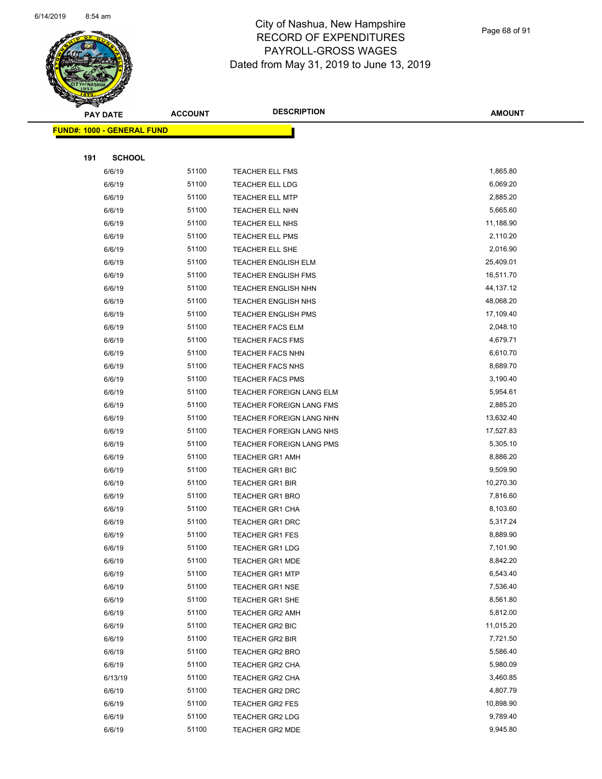

Page 68 of 91

|     | <b>PAY DATE</b>                   | <b>ACCOUNT</b> | <b>DESCRIPTION</b>                        | <b>AMOUNT</b>         |
|-----|-----------------------------------|----------------|-------------------------------------------|-----------------------|
|     | <b>FUND#: 1000 - GENERAL FUND</b> |                |                                           |                       |
|     |                                   |                |                                           |                       |
| 191 | <b>SCHOOL</b>                     |                |                                           |                       |
|     | 6/6/19                            | 51100          | <b>TEACHER ELL FMS</b>                    | 1,865.80              |
|     | 6/6/19                            | 51100          | TEACHER ELL LDG                           | 6,069.20              |
|     | 6/6/19                            | 51100          | <b>TEACHER ELL MTP</b>                    | 2,885.20              |
|     | 6/6/19                            | 51100          | TEACHER ELL NHN                           | 5,665.60              |
|     | 6/6/19                            | 51100          | <b>TEACHER ELL NHS</b>                    | 11,188.90             |
|     | 6/6/19                            | 51100          | <b>TEACHER ELL PMS</b>                    | 2,110.20              |
|     | 6/6/19                            | 51100          | <b>TEACHER ELL SHE</b>                    | 2,016.90              |
|     | 6/6/19                            | 51100          | <b>TEACHER ENGLISH ELM</b>                | 25,409.01             |
|     | 6/6/19                            | 51100          | <b>TEACHER ENGLISH FMS</b>                | 16,511.70             |
|     | 6/6/19                            | 51100          | <b>TEACHER ENGLISH NHN</b>                | 44,137.12             |
|     | 6/6/19                            | 51100          | TEACHER ENGLISH NHS                       | 48,068.20             |
|     | 6/6/19                            | 51100          | <b>TEACHER ENGLISH PMS</b>                | 17,109.40             |
|     | 6/6/19                            | 51100          | <b>TEACHER FACS ELM</b>                   | 2,048.10              |
|     | 6/6/19                            | 51100          | <b>TEACHER FACS FMS</b>                   | 4,679.71              |
|     | 6/6/19                            | 51100          | <b>TEACHER FACS NHN</b>                   | 6,610.70              |
|     | 6/6/19                            | 51100          | <b>TEACHER FACS NHS</b>                   | 8,689.70              |
|     | 6/6/19                            | 51100          | <b>TEACHER FACS PMS</b>                   | 3,190.40              |
|     | 6/6/19                            | 51100          | TEACHER FOREIGN LANG ELM                  | 5,954.61              |
|     | 6/6/19                            | 51100          | TEACHER FOREIGN LANG FMS                  | 2,885.20              |
|     | 6/6/19                            | 51100          | TEACHER FOREIGN LANG NHN                  | 13,632.40             |
|     | 6/6/19                            | 51100          | TEACHER FOREIGN LANG NHS                  | 17,527.83             |
|     | 6/6/19                            | 51100          | TEACHER FOREIGN LANG PMS                  | 5,305.10              |
|     | 6/6/19                            | 51100          | <b>TEACHER GR1 AMH</b>                    | 8,886.20              |
|     | 6/6/19                            | 51100          | TEACHER GR1 BIC                           | 9,509.90              |
|     | 6/6/19                            | 51100          | <b>TEACHER GR1 BIR</b>                    | 10,270.30             |
|     | 6/6/19                            | 51100          | <b>TEACHER GR1 BRO</b>                    | 7,816.60              |
|     | 6/6/19                            | 51100          | <b>TEACHER GR1 CHA</b>                    | 8,103.60              |
|     | 6/6/19                            | 51100          | <b>TEACHER GR1 DRC</b>                    | 5,317.24              |
|     | 6/6/19                            | 51100          | <b>TEACHER GR1 FES</b>                    | 8,889.90              |
|     | 6/6/19                            | 51100          | <b>TEACHER GR1 LDG</b>                    | 7,101.90              |
|     | 6/6/19                            | 51100          | <b>TEACHER GR1 MDE</b>                    | 8,842.20              |
|     | 6/6/19                            | 51100          | <b>TEACHER GR1 MTP</b>                    | 6,543.40              |
|     | 6/6/19                            | 51100          | <b>TEACHER GR1 NSE</b>                    | 7,536.40              |
|     | 6/6/19                            | 51100          | <b>TEACHER GR1 SHE</b>                    | 8,561.80<br>5,812.00  |
|     | 6/6/19                            | 51100<br>51100 | <b>TEACHER GR2 AMH</b>                    |                       |
|     | 6/6/19                            | 51100          | TEACHER GR2 BIC                           | 11,015.20<br>7,721.50 |
|     | 6/6/19                            | 51100          | TEACHER GR2 BIR<br><b>TEACHER GR2 BRO</b> | 5,586.40              |
|     | 6/6/19<br>6/6/19                  | 51100          | TEACHER GR2 CHA                           | 5,980.09              |
|     | 6/13/19                           | 51100          | TEACHER GR2 CHA                           | 3,460.85              |
|     | 6/6/19                            | 51100          | TEACHER GR2 DRC                           | 4,807.79              |
|     | 6/6/19                            | 51100          | <b>TEACHER GR2 FES</b>                    | 10,898.90             |
|     | 6/6/19                            | 51100          | <b>TEACHER GR2 LDG</b>                    | 9,789.40              |
|     | 6/6/19                            | 51100          | <b>TEACHER GR2 MDE</b>                    | 9,945.80              |
|     |                                   |                |                                           |                       |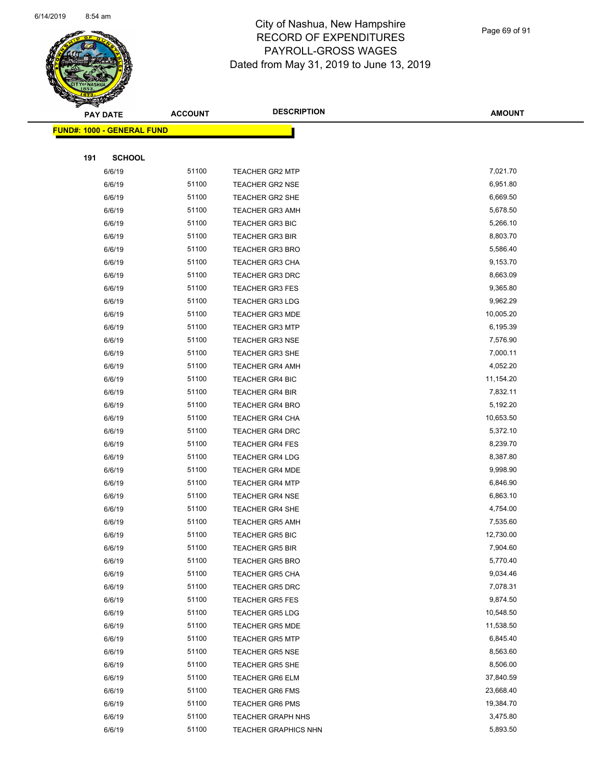

Page 69 of 91

|     | <b>PAY DATE</b>                    | <b>ACCOUNT</b> | <b>DESCRIPTION</b>          | <b>AMOUNT</b> |
|-----|------------------------------------|----------------|-----------------------------|---------------|
|     | <u> FUND#: 1000 - GENERAL FUND</u> |                |                             |               |
|     |                                    |                |                             |               |
| 191 | <b>SCHOOL</b>                      |                |                             |               |
|     | 6/6/19                             | 51100          | <b>TEACHER GR2 MTP</b>      | 7,021.70      |
|     | 6/6/19                             | 51100          | <b>TEACHER GR2 NSE</b>      | 6,951.80      |
|     | 6/6/19                             | 51100          | <b>TEACHER GR2 SHE</b>      | 6,669.50      |
|     | 6/6/19                             | 51100          | <b>TEACHER GR3 AMH</b>      | 5,678.50      |
|     | 6/6/19                             | 51100          | <b>TEACHER GR3 BIC</b>      | 5,266.10      |
|     | 6/6/19                             | 51100          | <b>TEACHER GR3 BIR</b>      | 8,803.70      |
|     | 6/6/19                             | 51100          | <b>TEACHER GR3 BRO</b>      | 5,586.40      |
|     | 6/6/19                             | 51100          | <b>TEACHER GR3 CHA</b>      | 9,153.70      |
|     | 6/6/19                             | 51100          | <b>TEACHER GR3 DRC</b>      | 8,663.09      |
|     | 6/6/19                             | 51100          | <b>TEACHER GR3 FES</b>      | 9,365.80      |
|     | 6/6/19                             | 51100          | <b>TEACHER GR3 LDG</b>      | 9,962.29      |
|     | 6/6/19                             | 51100          | <b>TEACHER GR3 MDE</b>      | 10,005.20     |
|     | 6/6/19                             | 51100          | <b>TEACHER GR3 MTP</b>      | 6,195.39      |
|     | 6/6/19                             | 51100          | <b>TEACHER GR3 NSE</b>      | 7,576.90      |
|     | 6/6/19                             | 51100          | <b>TEACHER GR3 SHE</b>      | 7,000.11      |
|     | 6/6/19                             | 51100          | <b>TEACHER GR4 AMH</b>      | 4,052.20      |
|     | 6/6/19                             | 51100          | <b>TEACHER GR4 BIC</b>      | 11,154.20     |
|     | 6/6/19                             | 51100          | <b>TEACHER GR4 BIR</b>      | 7,832.11      |
|     | 6/6/19                             | 51100          | <b>TEACHER GR4 BRO</b>      | 5,192.20      |
|     | 6/6/19                             | 51100          | <b>TEACHER GR4 CHA</b>      | 10,653.50     |
|     | 6/6/19                             | 51100          | TEACHER GR4 DRC             | 5,372.10      |
|     | 6/6/19                             | 51100          | <b>TEACHER GR4 FES</b>      | 8,239.70      |
|     | 6/6/19                             | 51100          | <b>TEACHER GR4 LDG</b>      | 8,387.80      |
|     | 6/6/19                             | 51100          | <b>TEACHER GR4 MDE</b>      | 9,998.90      |
|     | 6/6/19                             | 51100          | <b>TEACHER GR4 MTP</b>      | 6,846.90      |
|     | 6/6/19                             | 51100          | <b>TEACHER GR4 NSE</b>      | 6,863.10      |
|     | 6/6/19                             | 51100          | <b>TEACHER GR4 SHE</b>      | 4,754.00      |
|     | 6/6/19                             | 51100          | <b>TEACHER GR5 AMH</b>      | 7,535.60      |
|     | 6/6/19                             | 51100          | <b>TEACHER GR5 BIC</b>      | 12,730.00     |
|     | 6/6/19                             | 51100          | <b>TEACHER GR5 BIR</b>      | 7,904.60      |
|     | 6/6/19                             | 51100          | <b>TEACHER GR5 BRO</b>      | 5,770.40      |
|     | 6/6/19                             | 51100          | <b>TEACHER GR5 CHA</b>      | 9,034.46      |
|     | 6/6/19                             | 51100          | <b>TEACHER GR5 DRC</b>      | 7,078.31      |
|     | 6/6/19                             | 51100          | <b>TEACHER GR5 FES</b>      | 9,874.50      |
|     | 6/6/19                             | 51100          | <b>TEACHER GR5 LDG</b>      | 10,548.50     |
|     | 6/6/19                             | 51100          | <b>TEACHER GR5 MDE</b>      | 11,538.50     |
|     | 6/6/19                             | 51100          | <b>TEACHER GR5 MTP</b>      | 6,845.40      |
|     | 6/6/19                             | 51100          | <b>TEACHER GR5 NSE</b>      | 8,563.60      |
|     | 6/6/19                             | 51100          | TEACHER GR5 SHE             | 8,506.00      |
|     | 6/6/19                             | 51100          | <b>TEACHER GR6 ELM</b>      | 37,840.59     |
|     | 6/6/19                             | 51100          | <b>TEACHER GR6 FMS</b>      | 23,668.40     |
|     | 6/6/19                             | 51100          | <b>TEACHER GR6 PMS</b>      | 19,384.70     |
|     | 6/6/19                             | 51100          | <b>TEACHER GRAPH NHS</b>    | 3,475.80      |
|     | 6/6/19                             | 51100          | <b>TEACHER GRAPHICS NHN</b> | 5,893.50      |
|     |                                    |                |                             |               |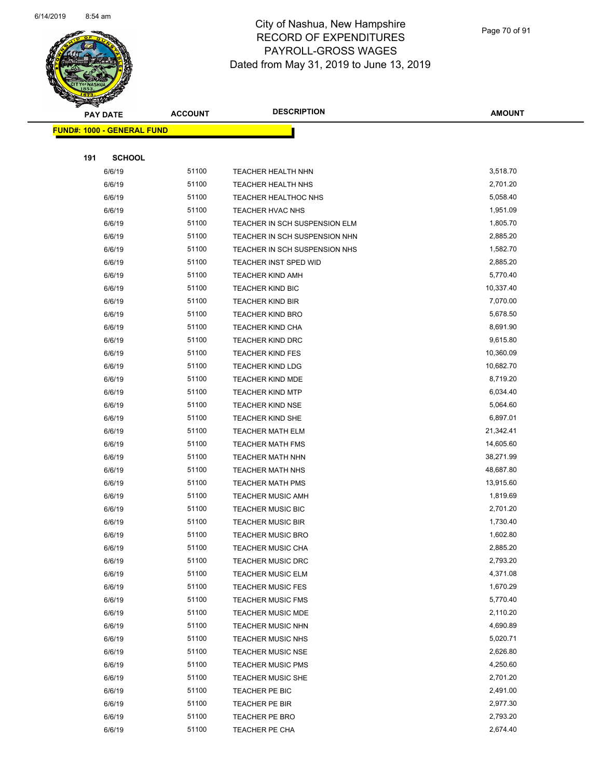

Page 70 of 91

|     | <b>PAY DATE</b>                   | <b>ACCOUNT</b> | <b>DESCRIPTION</b>            | <b>AMOUNT</b> |
|-----|-----------------------------------|----------------|-------------------------------|---------------|
|     | <b>FUND#: 1000 - GENERAL FUND</b> |                |                               |               |
|     |                                   |                |                               |               |
| 191 | <b>SCHOOL</b>                     |                |                               |               |
|     | 6/6/19                            | 51100          | TEACHER HEALTH NHN            | 3,518.70      |
|     | 6/6/19                            | 51100          | TEACHER HEALTH NHS            | 2,701.20      |
|     | 6/6/19                            | 51100          | TEACHER HEALTHOC NHS          | 5,058.40      |
|     | 6/6/19                            | 51100          | TEACHER HVAC NHS              | 1,951.09      |
|     | 6/6/19                            | 51100          | TEACHER IN SCH SUSPENSION ELM | 1,805.70      |
|     | 6/6/19                            | 51100          | TEACHER IN SCH SUSPENSION NHN | 2,885.20      |
|     | 6/6/19                            | 51100          | TEACHER IN SCH SUSPENSION NHS | 1,582.70      |
|     | 6/6/19                            | 51100          | TEACHER INST SPED WID         | 2,885.20      |
|     | 6/6/19                            | 51100          | <b>TEACHER KIND AMH</b>       | 5,770.40      |
|     | 6/6/19                            | 51100          | TEACHER KIND BIC              | 10,337.40     |
|     | 6/6/19                            | 51100          | <b>TEACHER KIND BIR</b>       | 7,070.00      |
|     | 6/6/19                            | 51100          | <b>TEACHER KIND BRO</b>       | 5,678.50      |
|     | 6/6/19                            | 51100          | <b>TEACHER KIND CHA</b>       | 8,691.90      |
|     | 6/6/19                            | 51100          | TEACHER KIND DRC              | 9,615.80      |
|     | 6/6/19                            | 51100          | <b>TEACHER KIND FES</b>       | 10,360.09     |
|     | 6/6/19                            | 51100          | <b>TEACHER KIND LDG</b>       | 10,682.70     |
|     | 6/6/19                            | 51100          | <b>TEACHER KIND MDE</b>       | 8,719.20      |
|     | 6/6/19                            | 51100          | <b>TEACHER KIND MTP</b>       | 6,034.40      |
|     | 6/6/19                            | 51100          | <b>TEACHER KIND NSE</b>       | 5,064.60      |
|     | 6/6/19                            | 51100          | TEACHER KIND SHE              | 6,897.01      |
|     | 6/6/19                            | 51100          | <b>TEACHER MATH ELM</b>       | 21,342.41     |
|     | 6/6/19                            | 51100          | <b>TEACHER MATH FMS</b>       | 14,605.60     |
|     | 6/6/19                            | 51100          | <b>TEACHER MATH NHN</b>       | 38,271.99     |
|     | 6/6/19                            | 51100          | <b>TEACHER MATH NHS</b>       | 48,687.80     |
|     | 6/6/19                            | 51100          | TEACHER MATH PMS              | 13,915.60     |
|     | 6/6/19                            | 51100          | <b>TEACHER MUSIC AMH</b>      | 1,819.69      |
|     | 6/6/19                            | 51100          | <b>TEACHER MUSIC BIC</b>      | 2,701.20      |
|     | 6/6/19                            | 51100          | <b>TEACHER MUSIC BIR</b>      | 1,730.40      |
|     | 6/6/19                            | 51100          | <b>TEACHER MUSIC BRO</b>      | 1,602.80      |
|     | 6/6/19                            | 51100          | TEACHER MUSIC CHA             | 2,885.20      |
|     | 6/6/19                            | 51100          | <b>TEACHER MUSIC DRC</b>      | 2,793.20      |
|     | 6/6/19                            | 51100          | TEACHER MUSIC ELM             | 4,371.08      |
|     | 6/6/19                            | 51100          | <b>TEACHER MUSIC FES</b>      | 1,670.29      |
|     | 6/6/19                            | 51100          | <b>TEACHER MUSIC FMS</b>      | 5,770.40      |
|     | 6/6/19                            | 51100          | <b>TEACHER MUSIC MDE</b>      | 2,110.20      |
|     | 6/6/19                            | 51100          | TEACHER MUSIC NHN             | 4,690.89      |
|     | 6/6/19                            | 51100          | <b>TEACHER MUSIC NHS</b>      | 5,020.71      |
|     | 6/6/19                            | 51100          | <b>TEACHER MUSIC NSE</b>      | 2,626.80      |
|     | 6/6/19                            | 51100          | <b>TEACHER MUSIC PMS</b>      | 4,250.60      |
|     | 6/6/19                            | 51100          | TEACHER MUSIC SHE             | 2,701.20      |
|     | 6/6/19                            | 51100          | TEACHER PE BIC                | 2,491.00      |
|     | 6/6/19                            | 51100          | TEACHER PE BIR                | 2,977.30      |
|     | 6/6/19                            | 51100          | TEACHER PE BRO                | 2,793.20      |
|     | 6/6/19                            | 51100          | TEACHER PE CHA                | 2,674.40      |
|     |                                   |                |                               |               |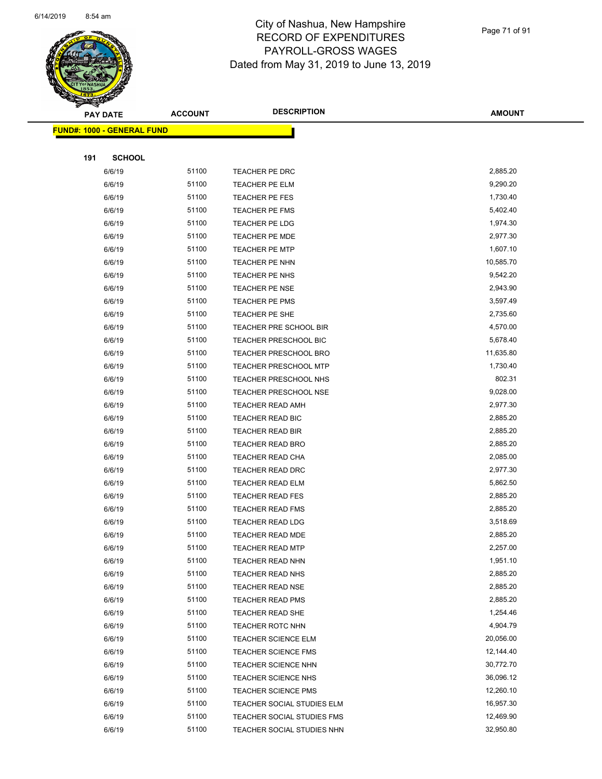

Page 71 of 91

|     | <b>PAY DATE</b>                    | <b>ACCOUNT</b> | <b>DESCRIPTION</b>           | <b>AMOUNT</b> |  |
|-----|------------------------------------|----------------|------------------------------|---------------|--|
|     | <u> FUND#: 1000 - GENERAL FUND</u> |                |                              |               |  |
|     |                                    |                |                              |               |  |
| 191 | <b>SCHOOL</b>                      |                |                              |               |  |
|     | 6/6/19                             | 51100          | TEACHER PE DRC               | 2,885.20      |  |
|     | 6/6/19                             | 51100          | <b>TEACHER PE ELM</b>        | 9,290.20      |  |
|     | 6/6/19                             | 51100          | TEACHER PE FES               | 1,730.40      |  |
|     | 6/6/19                             | 51100          | <b>TEACHER PE FMS</b>        | 5,402.40      |  |
|     | 6/6/19                             | 51100          | TEACHER PE LDG               | 1,974.30      |  |
|     | 6/6/19                             | 51100          | TEACHER PE MDE               | 2,977.30      |  |
|     | 6/6/19                             | 51100          | <b>TEACHER PE MTP</b>        | 1,607.10      |  |
|     | 6/6/19                             | 51100          | TEACHER PE NHN               | 10,585.70     |  |
|     | 6/6/19                             | 51100          | TEACHER PE NHS               | 9,542.20      |  |
|     | 6/6/19                             | 51100          | <b>TEACHER PE NSE</b>        | 2,943.90      |  |
|     | 6/6/19                             | 51100          | TEACHER PE PMS               | 3,597.49      |  |
|     | 6/6/19                             | 51100          | TEACHER PE SHE               | 2,735.60      |  |
|     | 6/6/19                             | 51100          | TEACHER PRE SCHOOL BIR       | 4,570.00      |  |
|     | 6/6/19                             | 51100          | <b>TEACHER PRESCHOOL BIC</b> | 5,678.40      |  |
|     | 6/6/19                             | 51100          | <b>TEACHER PRESCHOOL BRO</b> | 11,635.80     |  |
|     | 6/6/19                             | 51100          | <b>TEACHER PRESCHOOL MTP</b> | 1,730.40      |  |
|     | 6/6/19                             | 51100          | <b>TEACHER PRESCHOOL NHS</b> | 802.31        |  |
|     | 6/6/19                             | 51100          | TEACHER PRESCHOOL NSE        | 9,028.00      |  |
|     | 6/6/19                             | 51100          | <b>TEACHER READ AMH</b>      | 2,977.30      |  |
|     | 6/6/19                             | 51100          | TEACHER READ BIC             | 2,885.20      |  |
|     | 6/6/19                             | 51100          | TEACHER READ BIR             | 2,885.20      |  |
|     | 6/6/19                             | 51100          | <b>TEACHER READ BRO</b>      | 2,885.20      |  |
|     | 6/6/19                             | 51100          | <b>TEACHER READ CHA</b>      | 2,085.00      |  |
|     | 6/6/19                             | 51100          | <b>TEACHER READ DRC</b>      | 2,977.30      |  |
|     | 6/6/19                             | 51100          | <b>TEACHER READ ELM</b>      | 5,862.50      |  |
|     | 6/6/19                             | 51100          | <b>TEACHER READ FES</b>      | 2,885.20      |  |
|     | 6/6/19                             | 51100          | <b>TEACHER READ FMS</b>      | 2,885.20      |  |
|     | 6/6/19                             | 51100          | <b>TEACHER READ LDG</b>      | 3,518.69      |  |
|     | 6/6/19                             | 51100          | <b>TEACHER READ MDE</b>      | 2,885.20      |  |
|     | 6/6/19                             | 51100          | <b>TEACHER READ MTP</b>      | 2,257.00      |  |
|     | 6/6/19                             | 51100          | TEACHER READ NHN             | 1,951.10      |  |
|     | 6/6/19                             | 51100          | <b>TEACHER READ NHS</b>      | 2,885.20      |  |
|     | 6/6/19                             | 51100          | <b>TEACHER READ NSE</b>      | 2,885.20      |  |
|     | 6/6/19                             | 51100          | <b>TEACHER READ PMS</b>      | 2,885.20      |  |
|     | 6/6/19                             | 51100          | <b>TEACHER READ SHE</b>      | 1,254.46      |  |
|     | 6/6/19                             | 51100          | TEACHER ROTC NHN             | 4,904.79      |  |
|     | 6/6/19                             | 51100          | <b>TEACHER SCIENCE ELM</b>   | 20,056.00     |  |
|     | 6/6/19                             | 51100          | <b>TEACHER SCIENCE FMS</b>   | 12,144.40     |  |
|     | 6/6/19                             | 51100          | <b>TEACHER SCIENCE NHN</b>   | 30,772.70     |  |
|     | 6/6/19                             | 51100          | <b>TEACHER SCIENCE NHS</b>   | 36,096.12     |  |
|     | 6/6/19                             | 51100          | TEACHER SCIENCE PMS          | 12,260.10     |  |
|     | 6/6/19                             | 51100          | TEACHER SOCIAL STUDIES ELM   | 16,957.30     |  |
|     | 6/6/19                             | 51100          | TEACHER SOCIAL STUDIES FMS   | 12,469.90     |  |
|     | 6/6/19                             | 51100          | TEACHER SOCIAL STUDIES NHN   | 32,950.80     |  |
|     |                                    |                |                              |               |  |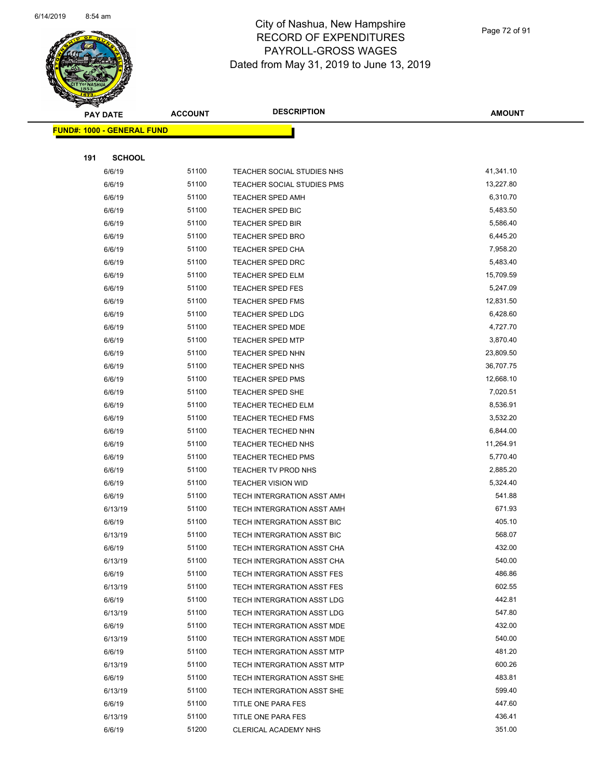

Page 72 of 91

|     | <b>PAY DATE</b>                   | <b>ACCOUNT</b> | <b>DESCRIPTION</b>         | <b>AMOUNT</b> |
|-----|-----------------------------------|----------------|----------------------------|---------------|
|     | <b>FUND#: 1000 - GENERAL FUND</b> |                |                            |               |
|     |                                   |                |                            |               |
| 191 | <b>SCHOOL</b>                     |                |                            |               |
|     | 6/6/19                            | 51100          | TEACHER SOCIAL STUDIES NHS | 41,341.10     |
|     | 6/6/19                            | 51100          | TEACHER SOCIAL STUDIES PMS | 13,227.80     |
|     | 6/6/19                            | 51100          | <b>TEACHER SPED AMH</b>    | 6,310.70      |
|     | 6/6/19                            | 51100          | TEACHER SPED BIC           | 5,483.50      |
|     | 6/6/19                            | 51100          | <b>TEACHER SPED BIR</b>    | 5,586.40      |
|     | 6/6/19                            | 51100          | <b>TEACHER SPED BRO</b>    | 6,445.20      |
|     | 6/6/19                            | 51100          | <b>TEACHER SPED CHA</b>    | 7,958.20      |
|     | 6/6/19                            | 51100          | <b>TEACHER SPED DRC</b>    | 5,483.40      |
|     | 6/6/19                            | 51100          | <b>TEACHER SPED ELM</b>    | 15,709.59     |
|     | 6/6/19                            | 51100          | <b>TEACHER SPED FES</b>    | 5,247.09      |
|     | 6/6/19                            | 51100          | TEACHER SPED FMS           | 12,831.50     |
|     | 6/6/19                            | 51100          | <b>TEACHER SPED LDG</b>    | 6,428.60      |
|     | 6/6/19                            | 51100          | <b>TEACHER SPED MDE</b>    | 4,727.70      |
|     | 6/6/19                            | 51100          | TEACHER SPED MTP           | 3,870.40      |
|     | 6/6/19                            | 51100          | <b>TEACHER SPED NHN</b>    | 23,809.50     |
|     | 6/6/19                            | 51100          | TEACHER SPED NHS           | 36,707.75     |
|     | 6/6/19                            | 51100          | TEACHER SPED PMS           | 12,668.10     |
|     | 6/6/19                            | 51100          | TEACHER SPED SHE           | 7,020.51      |
|     | 6/6/19                            | 51100          | <b>TEACHER TECHED ELM</b>  | 8,536.91      |
|     | 6/6/19                            | 51100          | <b>TEACHER TECHED FMS</b>  | 3,532.20      |
|     | 6/6/19                            | 51100          | TEACHER TECHED NHN         | 6,844.00      |
|     | 6/6/19                            | 51100          | <b>TEACHER TECHED NHS</b>  | 11,264.91     |
|     | 6/6/19                            | 51100          | <b>TEACHER TECHED PMS</b>  | 5,770.40      |
|     | 6/6/19                            | 51100          | TEACHER TV PROD NHS        | 2,885.20      |
|     | 6/6/19                            | 51100          | <b>TEACHER VISION WID</b>  | 5,324.40      |
|     | 6/6/19                            | 51100          | TECH INTERGRATION ASST AMH | 541.88        |
|     | 6/13/19                           | 51100          | TECH INTERGRATION ASST AMH | 671.93        |
|     | 6/6/19                            | 51100          | TECH INTERGRATION ASST BIC | 405.10        |
|     | 6/13/19                           | 51100          | TECH INTERGRATION ASST BIC | 568.07        |
|     | 6/6/19                            | 51100          | TECH INTERGRATION ASST CHA | 432.00        |
|     | 6/13/19                           | 51100          | TECH INTERGRATION ASST CHA | 540.00        |
|     | 6/6/19                            | 51100          | TECH INTERGRATION ASST FES | 486.86        |
|     | 6/13/19                           | 51100          | TECH INTERGRATION ASST FES | 602.55        |
|     | 6/6/19                            | 51100          | TECH INTERGRATION ASST LDG | 442.81        |
|     | 6/13/19                           | 51100          | TECH INTERGRATION ASST LDG | 547.80        |
|     | 6/6/19                            | 51100          | TECH INTERGRATION ASST MDE | 432.00        |
|     | 6/13/19                           | 51100          | TECH INTERGRATION ASST MDE | 540.00        |
|     | 6/6/19                            | 51100          | TECH INTERGRATION ASST MTP | 481.20        |
|     | 6/13/19                           | 51100          | TECH INTERGRATION ASST MTP | 600.26        |
|     | 6/6/19                            | 51100          | TECH INTERGRATION ASST SHE | 483.81        |
|     | 6/13/19                           | 51100          | TECH INTERGRATION ASST SHE | 599.40        |
|     | 6/6/19                            | 51100          | TITLE ONE PARA FES         | 447.60        |
|     | 6/13/19                           | 51100          | TITLE ONE PARA FES         | 436.41        |
|     | 6/6/19                            | 51200          | CLERICAL ACADEMY NHS       | 351.00        |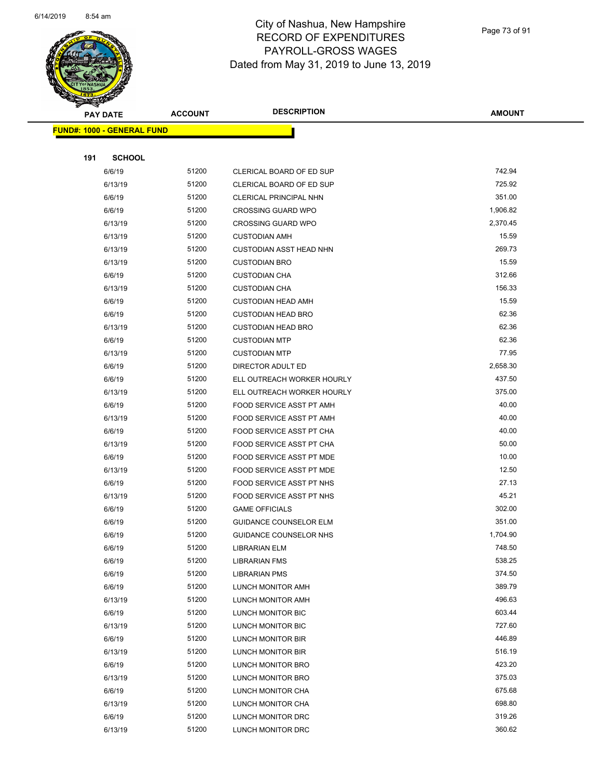

Page 73 of 91

| <b>STAR SERRE</b>                 |                |                                |               |
|-----------------------------------|----------------|--------------------------------|---------------|
| <b>PAY DATE</b>                   | <b>ACCOUNT</b> | <b>DESCRIPTION</b>             | <b>AMOUNT</b> |
| <b>FUND#: 1000 - GENERAL FUND</b> |                |                                |               |
|                                   |                |                                |               |
| 191<br><b>SCHOOL</b>              |                |                                |               |
| 6/6/19                            | 51200          | CLERICAL BOARD OF ED SUP       | 742.94        |
| 6/13/19                           | 51200          | CLERICAL BOARD OF ED SUP       | 725.92        |
| 6/6/19                            | 51200          | CLERICAL PRINCIPAL NHN         | 351.00        |
| 6/6/19                            | 51200          | <b>CROSSING GUARD WPO</b>      | 1,906.82      |
| 6/13/19                           | 51200          | <b>CROSSING GUARD WPO</b>      | 2,370.45      |
| 6/13/19                           | 51200          | <b>CUSTODIAN AMH</b>           | 15.59         |
| 6/13/19                           | 51200          | <b>CUSTODIAN ASST HEAD NHN</b> | 269.73        |
| 6/13/19                           | 51200          | <b>CUSTODIAN BRO</b>           | 15.59         |
| 6/6/19                            | 51200          | <b>CUSTODIAN CHA</b>           | 312.66        |
| 6/13/19                           | 51200          | <b>CUSTODIAN CHA</b>           | 156.33        |
| 6/6/19                            | 51200          | <b>CUSTODIAN HEAD AMH</b>      | 15.59         |
| 6/6/19                            | 51200          | <b>CUSTODIAN HEAD BRO</b>      | 62.36         |
| 6/13/19                           | 51200          | <b>CUSTODIAN HEAD BRO</b>      | 62.36         |
| 6/6/19                            | 51200          | <b>CUSTODIAN MTP</b>           | 62.36         |
| 6/13/19                           | 51200          | <b>CUSTODIAN MTP</b>           | 77.95         |
| 6/6/19                            | 51200          | DIRECTOR ADULT ED              | 2,658.30      |
| 6/6/19                            | 51200          | ELL OUTREACH WORKER HOURLY     | 437.50        |
| 6/13/19                           | 51200          | ELL OUTREACH WORKER HOURLY     | 375.00        |
| 6/6/19                            | 51200          | FOOD SERVICE ASST PT AMH       | 40.00         |
| 6/13/19                           | 51200          | FOOD SERVICE ASST PT AMH       | 40.00         |
| 6/6/19                            | 51200          | FOOD SERVICE ASST PT CHA       | 40.00         |
| 6/13/19                           | 51200          | FOOD SERVICE ASST PT CHA       | 50.00         |
| 6/6/19                            | 51200          | FOOD SERVICE ASST PT MDE       | 10.00         |
| 6/13/19                           | 51200          | FOOD SERVICE ASST PT MDE       | 12.50         |
| 6/6/19                            | 51200          | FOOD SERVICE ASST PT NHS       | 27.13         |
| 6/13/19                           | 51200          | FOOD SERVICE ASST PT NHS       | 45.21         |
| 6/6/19                            | 51200          | <b>GAME OFFICIALS</b>          | 302.00        |
| 6/6/19                            | 51200          | <b>GUIDANCE COUNSELOR ELM</b>  | 351.00        |
| 6/6/19                            | 51200          | GUIDANCE COUNSELOR NHS         | 1,704.90      |
| 6/6/19                            | 51200          | <b>LIBRARIAN ELM</b>           | 748.50        |
| 6/6/19                            | 51200          | <b>LIBRARIAN FMS</b>           | 538.25        |
| 6/6/19                            | 51200          | <b>LIBRARIAN PMS</b>           | 374.50        |
| 6/6/19                            | 51200          | LUNCH MONITOR AMH              | 389.79        |
| 6/13/19                           | 51200          | LUNCH MONITOR AMH              | 496.63        |
| 6/6/19                            | 51200          | LUNCH MONITOR BIC              | 603.44        |
| 6/13/19                           | 51200          | LUNCH MONITOR BIC              | 727.60        |
| 6/6/19                            | 51200          | LUNCH MONITOR BIR              | 446.89        |
| 6/13/19                           | 51200          | LUNCH MONITOR BIR              | 516.19        |
| 6/6/19                            | 51200          | LUNCH MONITOR BRO              | 423.20        |
| 6/13/19                           | 51200          | LUNCH MONITOR BRO              | 375.03        |
| 6/6/19                            | 51200          | LUNCH MONITOR CHA              | 675.68        |
| 6/13/19                           | 51200          | LUNCH MONITOR CHA              | 698.80        |
| 6/6/19                            | 51200          | LUNCH MONITOR DRC              | 319.26        |
| 6/13/19                           | 51200          | LUNCH MONITOR DRC              | 360.62        |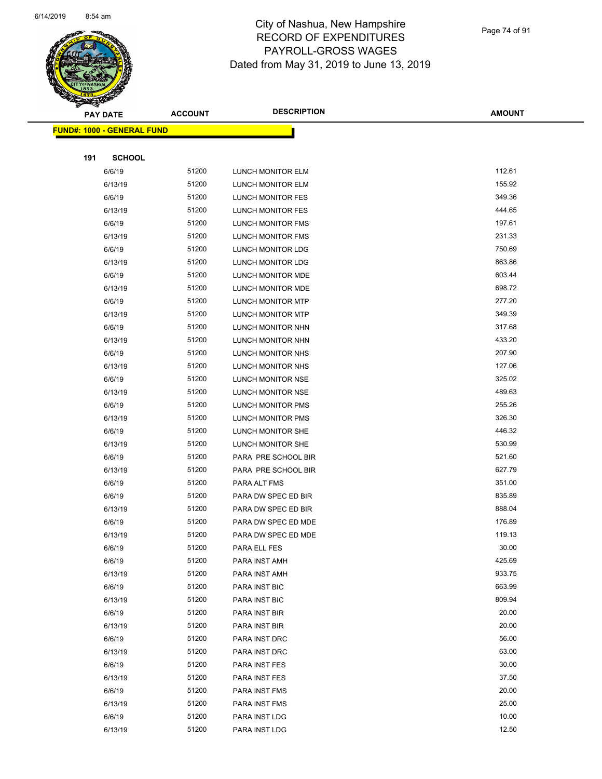

Page 74 of 91

|     | <b>PAY DATE</b>                   | <b>ACCOUNT</b> | <b>DESCRIPTION</b>             | <b>AMOUNT</b>    |
|-----|-----------------------------------|----------------|--------------------------------|------------------|
|     | <b>FUND#: 1000 - GENERAL FUND</b> |                |                                |                  |
|     |                                   |                |                                |                  |
| 191 | <b>SCHOOL</b>                     |                |                                |                  |
|     | 6/6/19                            | 51200          | LUNCH MONITOR ELM              | 112.61           |
|     | 6/13/19                           | 51200          | LUNCH MONITOR ELM              | 155.92           |
|     | 6/6/19                            | 51200          | LUNCH MONITOR FES              | 349.36           |
|     | 6/13/19                           | 51200          | LUNCH MONITOR FES              | 444.65           |
|     | 6/6/19                            | 51200          | LUNCH MONITOR FMS              | 197.61           |
|     | 6/13/19                           | 51200          | <b>LUNCH MONITOR FMS</b>       | 231.33           |
|     | 6/6/19                            | 51200          | LUNCH MONITOR LDG              | 750.69           |
|     | 6/13/19                           | 51200          | LUNCH MONITOR LDG              | 863.86           |
|     | 6/6/19                            | 51200          | LUNCH MONITOR MDE              | 603.44           |
|     | 6/13/19                           | 51200          | LUNCH MONITOR MDE              | 698.72           |
|     | 6/6/19                            | 51200          | <b>LUNCH MONITOR MTP</b>       | 277.20           |
|     | 6/13/19                           | 51200          | LUNCH MONITOR MTP              | 349.39           |
|     | 6/6/19                            | 51200          | LUNCH MONITOR NHN              | 317.68           |
|     | 6/13/19                           | 51200          | LUNCH MONITOR NHN              | 433.20           |
|     | 6/6/19                            | 51200          | LUNCH MONITOR NHS              | 207.90           |
|     | 6/13/19                           | 51200          | LUNCH MONITOR NHS              | 127.06           |
|     | 6/6/19                            | 51200          | LUNCH MONITOR NSE              | 325.02           |
|     | 6/13/19                           | 51200          | LUNCH MONITOR NSE              | 489.63           |
|     | 6/6/19                            | 51200          | LUNCH MONITOR PMS              | 255.26           |
|     | 6/13/19                           | 51200          | LUNCH MONITOR PMS              | 326.30           |
|     | 6/6/19                            | 51200          | LUNCH MONITOR SHE              | 446.32           |
|     | 6/13/19                           | 51200          | LUNCH MONITOR SHE              | 530.99           |
|     | 6/6/19                            | 51200          | PARA PRE SCHOOL BIR            | 521.60           |
|     | 6/13/19                           | 51200          | PARA PRE SCHOOL BIR            | 627.79           |
|     | 6/6/19                            | 51200          | PARA ALT FMS                   | 351.00           |
|     | 6/6/19                            | 51200          | PARA DW SPEC ED BIR            | 835.89           |
|     | 6/13/19                           | 51200          | PARA DW SPEC ED BIR            | 888.04           |
|     | 6/6/19                            | 51200          | PARA DW SPEC ED MDE            | 176.89           |
|     | 6/13/19                           | 51200          | PARA DW SPEC ED MDE            | 119.13           |
|     | 6/6/19                            | 51200          | PARA ELL FES                   | 30.00            |
|     | 6/6/19                            | 51200          | PARA INST AMH                  | 425.69           |
|     | 6/13/19                           | 51200          | PARA INST AMH                  | 933.75           |
|     | 6/6/19                            | 51200          | PARA INST BIC                  | 663.99<br>809.94 |
|     | 6/13/19                           | 51200<br>51200 | PARA INST BIC<br>PARA INST BIR | 20.00            |
|     | 6/6/19<br>6/13/19                 | 51200          | PARA INST BIR                  | 20.00            |
|     | 6/6/19                            | 51200          | PARA INST DRC                  | 56.00            |
|     | 6/13/19                           | 51200          | PARA INST DRC                  | 63.00            |
|     | 6/6/19                            | 51200          | PARA INST FES                  | 30.00            |
|     | 6/13/19                           | 51200          | PARA INST FES                  | 37.50            |
|     | 6/6/19                            | 51200          | PARA INST FMS                  | 20.00            |
|     | 6/13/19                           | 51200          | PARA INST FMS                  | 25.00            |
|     | 6/6/19                            | 51200          | PARA INST LDG                  | 10.00            |
|     | 6/13/19                           | 51200          | PARA INST LDG                  | 12.50            |
|     |                                   |                |                                |                  |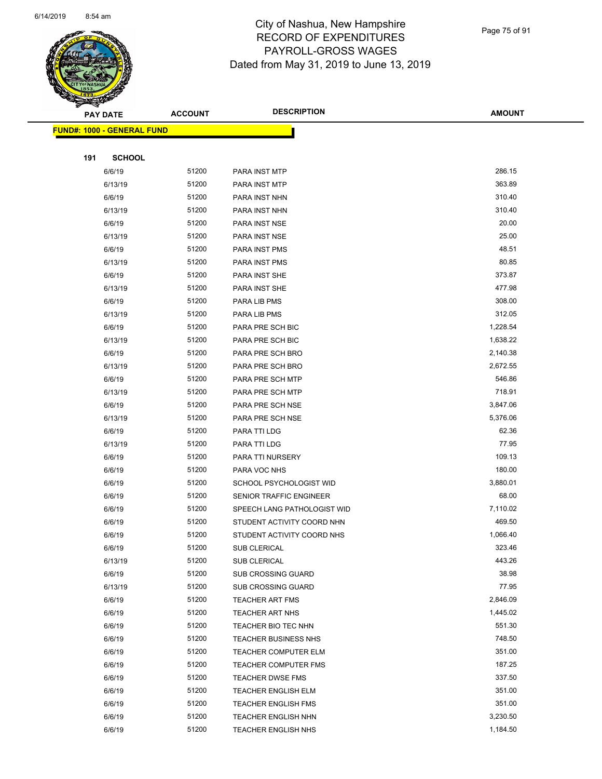

Page 75 of 91

|     | <b>PAY DATE</b>                   | <b>ACCOUNT</b> | <b>DESCRIPTION</b>          | <b>AMOUNT</b> |  |
|-----|-----------------------------------|----------------|-----------------------------|---------------|--|
|     | <b>FUND#: 1000 - GENERAL FUND</b> |                |                             |               |  |
|     |                                   |                |                             |               |  |
| 191 | <b>SCHOOL</b>                     |                |                             |               |  |
|     | 6/6/19                            | 51200          | PARA INST MTP               | 286.15        |  |
|     | 6/13/19                           | 51200          | PARA INST MTP               | 363.89        |  |
|     | 6/6/19                            | 51200          | PARA INST NHN               | 310.40        |  |
|     | 6/13/19                           | 51200          | PARA INST NHN               | 310.40        |  |
|     | 6/6/19                            | 51200          | PARA INST NSE               | 20.00         |  |
|     | 6/13/19                           | 51200          | PARA INST NSE               | 25.00         |  |
|     | 6/6/19                            | 51200          | PARA INST PMS               | 48.51         |  |
|     | 6/13/19                           | 51200          | PARA INST PMS               | 80.85         |  |
|     | 6/6/19                            | 51200          | PARA INST SHE               | 373.87        |  |
|     | 6/13/19                           | 51200          | PARA INST SHE               | 477.98        |  |
|     | 6/6/19                            | 51200          | PARA LIB PMS                | 308.00        |  |
|     | 6/13/19                           | 51200          | PARA LIB PMS                | 312.05        |  |
|     | 6/6/19                            | 51200          | PARA PRE SCH BIC            | 1,228.54      |  |
|     | 6/13/19                           | 51200          | PARA PRE SCH BIC            | 1,638.22      |  |
|     | 6/6/19                            | 51200          | PARA PRE SCH BRO            | 2,140.38      |  |
|     | 6/13/19                           | 51200          | PARA PRE SCH BRO            | 2,672.55      |  |
|     | 6/6/19                            | 51200          | PARA PRE SCH MTP            | 546.86        |  |
|     | 6/13/19                           | 51200          | PARA PRE SCH MTP            | 718.91        |  |
|     | 6/6/19                            | 51200          | PARA PRE SCH NSE            | 3,847.06      |  |
|     | 6/13/19                           | 51200          | PARA PRE SCH NSE            | 5,376.06      |  |
|     | 6/6/19                            | 51200          | PARA TTI LDG                | 62.36         |  |
|     | 6/13/19                           | 51200          | PARA TTI LDG                | 77.95         |  |
|     | 6/6/19                            | 51200          | PARA TTI NURSERY            | 109.13        |  |
|     | 6/6/19                            | 51200          | PARA VOC NHS                | 180.00        |  |
|     | 6/6/19                            | 51200          | SCHOOL PSYCHOLOGIST WID     | 3,880.01      |  |
|     | 6/6/19                            | 51200          | SENIOR TRAFFIC ENGINEER     | 68.00         |  |
|     | 6/6/19                            | 51200          | SPEECH LANG PATHOLOGIST WID | 7,110.02      |  |
|     | 6/6/19                            | 51200          | STUDENT ACTIVITY COORD NHN  | 469.50        |  |
|     | 6/6/19                            | 51200          | STUDENT ACTIVITY COORD NHS  | 1,066.40      |  |
|     | 6/6/19                            | 51200          | SUB CLERICAL                | 323.46        |  |
|     | 6/13/19                           | 51200          | <b>SUB CLERICAL</b>         | 443.26        |  |
|     | 6/6/19                            | 51200          | <b>SUB CROSSING GUARD</b>   | 38.98         |  |
|     | 6/13/19                           | 51200          | <b>SUB CROSSING GUARD</b>   | 77.95         |  |
|     | 6/6/19                            | 51200          | <b>TEACHER ART FMS</b>      | 2,846.09      |  |
|     | 6/6/19                            | 51200          | TEACHER ART NHS             | 1,445.02      |  |
|     | 6/6/19                            | 51200          | TEACHER BIO TEC NHN         | 551.30        |  |
|     | 6/6/19                            | 51200          | <b>TEACHER BUSINESS NHS</b> | 748.50        |  |
|     | 6/6/19                            | 51200          | TEACHER COMPUTER ELM        | 351.00        |  |
|     | 6/6/19                            | 51200          | <b>TEACHER COMPUTER FMS</b> | 187.25        |  |
|     | 6/6/19                            | 51200          | TEACHER DWSE FMS            | 337.50        |  |
|     | 6/6/19                            | 51200          | <b>TEACHER ENGLISH ELM</b>  | 351.00        |  |
|     | 6/6/19                            | 51200          | <b>TEACHER ENGLISH FMS</b>  | 351.00        |  |
|     | 6/6/19                            | 51200          | <b>TEACHER ENGLISH NHN</b>  | 3,230.50      |  |
|     | 6/6/19                            | 51200          | <b>TEACHER ENGLISH NHS</b>  | 1,184.50      |  |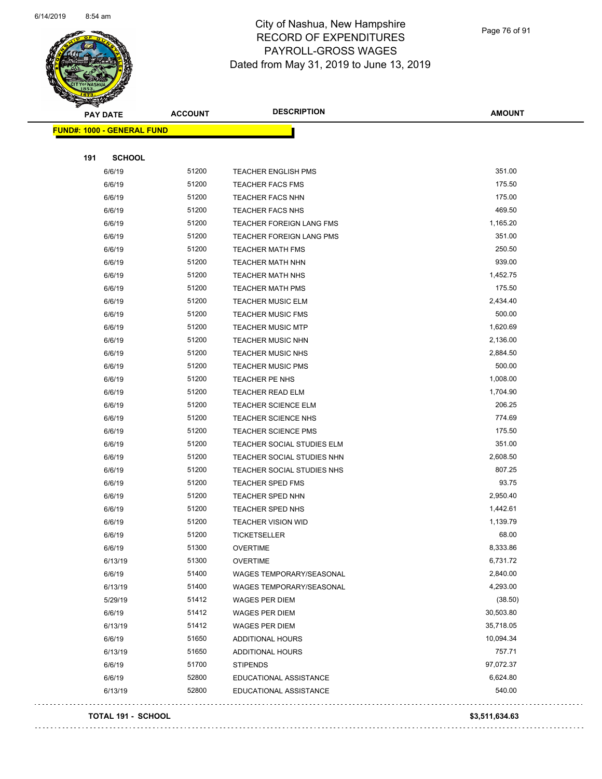

Page 76 of 91

| $\tilde{\phantom{a}}$<br><b>PAY DATE</b> |                                   | <b>ACCOUNT</b> | <b>DESCRIPTION</b>         | <b>AMOUNT</b> |
|------------------------------------------|-----------------------------------|----------------|----------------------------|---------------|
|                                          | <b>FUND#: 1000 - GENERAL FUND</b> |                |                            |               |
|                                          |                                   |                |                            |               |
| 191                                      | <b>SCHOOL</b>                     |                |                            |               |
|                                          | 6/6/19                            | 51200          | <b>TEACHER ENGLISH PMS</b> | 351.00        |
|                                          | 6/6/19                            | 51200          | <b>TEACHER FACS FMS</b>    | 175.50        |
|                                          | 6/6/19                            | 51200          | <b>TEACHER FACS NHN</b>    | 175.00        |
|                                          | 6/6/19                            | 51200          | <b>TEACHER FACS NHS</b>    | 469.50        |
|                                          | 6/6/19                            | 51200          | TEACHER FOREIGN LANG FMS   | 1,165.20      |
|                                          | 6/6/19                            | 51200          | TEACHER FOREIGN LANG PMS   | 351.00        |
|                                          | 6/6/19                            | 51200          | TEACHER MATH FMS           | 250.50        |
|                                          | 6/6/19                            | 51200          | TEACHER MATH NHN           | 939.00        |
|                                          | 6/6/19                            | 51200          | TEACHER MATH NHS           | 1,452.75      |
|                                          | 6/6/19                            | 51200          | <b>TEACHER MATH PMS</b>    | 175.50        |
|                                          | 6/6/19                            | 51200          | <b>TEACHER MUSIC ELM</b>   | 2,434.40      |
|                                          | 6/6/19                            | 51200          | <b>TEACHER MUSIC FMS</b>   | 500.00        |
|                                          | 6/6/19                            | 51200          | <b>TEACHER MUSIC MTP</b>   | 1,620.69      |
|                                          | 6/6/19                            | 51200          | <b>TEACHER MUSIC NHN</b>   | 2,136.00      |
|                                          | 6/6/19                            | 51200          | <b>TEACHER MUSIC NHS</b>   | 2,884.50      |
|                                          | 6/6/19                            | 51200          | <b>TEACHER MUSIC PMS</b>   | 500.00        |
|                                          | 6/6/19                            | 51200          | TEACHER PE NHS             | 1,008.00      |
|                                          | 6/6/19                            | 51200          | <b>TEACHER READ ELM</b>    | 1,704.90      |
|                                          | 6/6/19                            | 51200          | <b>TEACHER SCIENCE ELM</b> | 206.25        |
|                                          | 6/6/19                            | 51200          | TEACHER SCIENCE NHS        | 774.69        |
|                                          | 6/6/19                            | 51200          | TEACHER SCIENCE PMS        | 175.50        |
|                                          | 6/6/19                            | 51200          | TEACHER SOCIAL STUDIES ELM | 351.00        |
|                                          | 6/6/19                            | 51200          | TEACHER SOCIAL STUDIES NHN | 2,608.50      |
|                                          | 6/6/19                            | 51200          | TEACHER SOCIAL STUDIES NHS | 807.25        |
|                                          | 6/6/19                            | 51200          | TEACHER SPED FMS           | 93.75         |
|                                          | 6/6/19                            | 51200          | TEACHER SPED NHN           | 2,950.40      |
|                                          | 6/6/19                            | 51200          | TEACHER SPED NHS           | 1,442.61      |
|                                          | 6/6/19                            | 51200          | <b>TEACHER VISION WID</b>  | 1,139.79      |
|                                          | 6/6/19                            | 51200          | <b>TICKETSELLER</b>        | 68.00         |
|                                          | 6/6/19                            | 51300          | <b>OVERTIME</b>            | 8,333.86      |
|                                          | 6/13/19                           | 51300          | <b>OVERTIME</b>            | 6,731.72      |
|                                          | 6/6/19                            | 51400          | WAGES TEMPORARY/SEASONAL   | 2,840.00      |
|                                          | 6/13/19                           | 51400          | WAGES TEMPORARY/SEASONAL   | 4,293.00      |
|                                          | 5/29/19                           | 51412          | <b>WAGES PER DIEM</b>      | (38.50)       |
|                                          | 6/6/19                            | 51412          | WAGES PER DIEM             | 30,503.80     |
|                                          | 6/13/19                           | 51412          | <b>WAGES PER DIEM</b>      | 35,718.05     |
|                                          | 6/6/19                            | 51650          | <b>ADDITIONAL HOURS</b>    | 10,094.34     |
|                                          | 6/13/19                           | 51650          | <b>ADDITIONAL HOURS</b>    | 757.71        |
|                                          | 6/6/19                            | 51700          | <b>STIPENDS</b>            | 97,072.37     |
|                                          | 6/6/19                            | 52800          | EDUCATIONAL ASSISTANCE     | 6,624.80      |
|                                          | 6/13/19                           | 52800          | EDUCATIONAL ASSISTANCE     | 540.00        |
|                                          |                                   |                |                            |               |

#### **TOTAL 191 - SCHOOL \$3,511,634.63**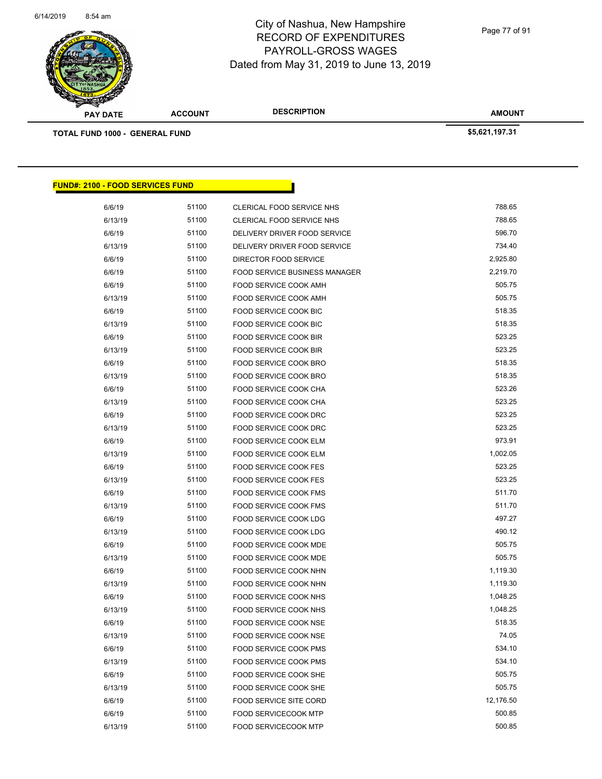

Page 77 of 91

| <b>PAY DATE</b>                         | <b>ACCOUNT</b> | <b>DESCRIPTION</b>                   | <b>AMOUNT</b>  |  |
|-----------------------------------------|----------------|--------------------------------------|----------------|--|
| <b>TOTAL FUND 1000 - GENERAL FUND</b>   |                |                                      | \$5,621,197.31 |  |
|                                         |                |                                      |                |  |
|                                         |                |                                      |                |  |
|                                         |                |                                      |                |  |
| <b>FUND#: 2100 - FOOD SERVICES FUND</b> |                |                                      |                |  |
| 6/6/19                                  | 51100          | CLERICAL FOOD SERVICE NHS            | 788.65         |  |
| 6/13/19                                 | 51100          | CLERICAL FOOD SERVICE NHS            | 788.65         |  |
| 6/6/19                                  | 51100          | DELIVERY DRIVER FOOD SERVICE         | 596.70         |  |
| 6/13/19                                 | 51100          | DELIVERY DRIVER FOOD SERVICE         | 734.40         |  |
| 6/6/19                                  | 51100          | DIRECTOR FOOD SERVICE                | 2,925.80       |  |
| 6/6/19                                  | 51100          | <b>FOOD SERVICE BUSINESS MANAGER</b> | 2,219.70       |  |
| 6/6/19                                  | 51100          | FOOD SERVICE COOK AMH                | 505.75         |  |
| 6/13/19                                 | 51100          | FOOD SERVICE COOK AMH                | 505.75         |  |
| 6/6/19                                  | 51100          | FOOD SERVICE COOK BIC                | 518.35         |  |
| 6/13/19                                 | 51100          | FOOD SERVICE COOK BIC                | 518.35         |  |
| 6/6/19                                  | 51100          | FOOD SERVICE COOK BIR                | 523.25         |  |
| 6/13/19                                 | 51100          | FOOD SERVICE COOK BIR                | 523.25         |  |
| 6/6/19                                  | 51100          | FOOD SERVICE COOK BRO                | 518.35         |  |
| 6/13/19                                 | 51100          | FOOD SERVICE COOK BRO                | 518.35         |  |
| 6/6/19                                  | 51100          | FOOD SERVICE COOK CHA                | 523.26         |  |
| 6/13/19                                 | 51100          | FOOD SERVICE COOK CHA                | 523.25         |  |
| 6/6/19                                  | 51100          | FOOD SERVICE COOK DRC                | 523.25         |  |
| 6/13/19                                 | 51100          | FOOD SERVICE COOK DRC                | 523.25         |  |
| 6/6/19                                  | 51100          | FOOD SERVICE COOK ELM                | 973.91         |  |
| 6/13/19                                 | 51100          | FOOD SERVICE COOK ELM                | 1,002.05       |  |
| 6/6/19                                  | 51100          | FOOD SERVICE COOK FES                | 523.25         |  |
| 6/13/19                                 | 51100          | <b>FOOD SERVICE COOK FES</b>         | 523.25         |  |
| 6/6/19                                  | 51100          | FOOD SERVICE COOK FMS                | 511.70         |  |
| 6/13/19                                 | 51100          | FOOD SERVICE COOK FMS                | 511.70         |  |
| 6/6/19                                  | 51100          | FOOD SERVICE COOK LDG                | 497.27         |  |
| 6/13/19                                 | 51100          | FOOD SERVICE COOK LDG                | 490.12         |  |
| 6/6/19                                  | 51100          | <b>FOOD SERVICE COOK MDE</b>         | 505.75         |  |
| 6/13/19                                 | 51100          | FOOD SERVICE COOK MDE                | 505.75         |  |
| 6/6/19                                  | 51100          | FOOD SERVICE COOK NHN                | 1,119.30       |  |
| 6/13/19                                 | 51100          | FOOD SERVICE COOK NHN                | 1,119.30       |  |
| 6/6/19                                  | 51100          | FOOD SERVICE COOK NHS                | 1,048.25       |  |
| 6/13/19                                 | 51100          | FOOD SERVICE COOK NHS                | 1,048.25       |  |
| 6/6/19                                  | 51100          | FOOD SERVICE COOK NSE                | 518.35         |  |
| 6/13/19                                 | 51100          | FOOD SERVICE COOK NSE                | 74.05          |  |
| 6/6/19                                  | 51100          | FOOD SERVICE COOK PMS                | 534.10         |  |
| 6/13/19                                 | 51100          | FOOD SERVICE COOK PMS                | 534.10         |  |
| 6/6/19                                  | 51100          | FOOD SERVICE COOK SHE                | 505.75         |  |
| 6/13/19                                 | 51100          | FOOD SERVICE COOK SHE                | 505.75         |  |
| 6/6/19                                  | 51100          | <b>FOOD SERVICE SITE CORD</b>        | 12,176.50      |  |
| 6/6/19                                  | 51100          | <b>FOOD SERVICECOOK MTP</b>          | 500.85         |  |
| 6/13/19                                 | 51100          | FOOD SERVICECOOK MTP                 | 500.85         |  |
|                                         |                |                                      |                |  |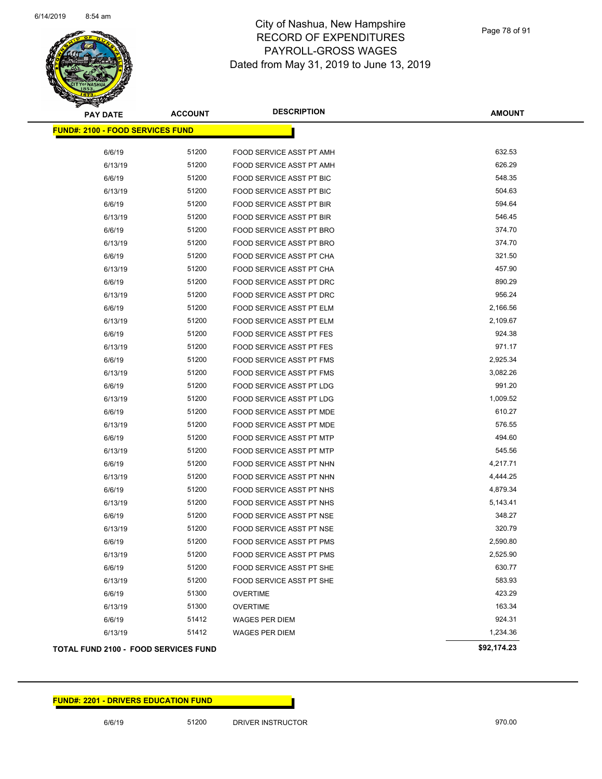

| <b>PAY DATE</b>                         | <b>ACCOUNT</b> | <b>DESCRIPTION</b>              | <b>AMOUNT</b> |
|-----------------------------------------|----------------|---------------------------------|---------------|
| <b>FUND#: 2100 - FOOD SERVICES FUND</b> |                |                                 |               |
| 6/6/19                                  | 51200          | FOOD SERVICE ASST PT AMH        | 632.53        |
| 6/13/19                                 | 51200          | FOOD SERVICE ASST PT AMH        | 626.29        |
| 6/6/19                                  | 51200          | <b>FOOD SERVICE ASST PT BIC</b> | 548.35        |
| 6/13/19                                 | 51200          | FOOD SERVICE ASST PT BIC        | 504.63        |
| 6/6/19                                  | 51200          | <b>FOOD SERVICE ASST PT BIR</b> | 594.64        |
| 6/13/19                                 | 51200          | <b>FOOD SERVICE ASST PT BIR</b> | 546.45        |
| 6/6/19                                  | 51200          | FOOD SERVICE ASST PT BRO        | 374.70        |
| 6/13/19                                 | 51200          | FOOD SERVICE ASST PT BRO        | 374.70        |
| 6/6/19                                  | 51200          | FOOD SERVICE ASST PT CHA        | 321.50        |
| 6/13/19                                 | 51200          | FOOD SERVICE ASST PT CHA        | 457.90        |
| 6/6/19                                  | 51200          | FOOD SERVICE ASST PT DRC        | 890.29        |
| 6/13/19                                 | 51200          | FOOD SERVICE ASST PT DRC        | 956.24        |
| 6/6/19                                  | 51200          | FOOD SERVICE ASST PT ELM        | 2,166.56      |
| 6/13/19                                 | 51200          | FOOD SERVICE ASST PT ELM        | 2,109.67      |
| 6/6/19                                  | 51200          | FOOD SERVICE ASST PT FES        | 924.38        |
| 6/13/19                                 | 51200          | <b>FOOD SERVICE ASST PT FES</b> | 971.17        |
| 6/6/19                                  | 51200          | FOOD SERVICE ASST PT FMS        | 2,925.34      |
| 6/13/19                                 | 51200          | FOOD SERVICE ASST PT FMS        | 3,082.26      |
| 6/6/19                                  | 51200          | FOOD SERVICE ASST PT LDG        | 991.20        |
| 6/13/19                                 | 51200          | FOOD SERVICE ASST PT LDG        | 1,009.52      |
| 6/6/19                                  | 51200          | FOOD SERVICE ASST PT MDE        | 610.27        |
| 6/13/19                                 | 51200          | FOOD SERVICE ASST PT MDE        | 576.55        |
| 6/6/19                                  | 51200          | FOOD SERVICE ASST PT MTP        | 494.60        |
| 6/13/19                                 | 51200          | FOOD SERVICE ASST PT MTP        | 545.56        |
| 6/6/19                                  | 51200          | FOOD SERVICE ASST PT NHN        | 4,217.71      |
| 6/13/19                                 | 51200          | FOOD SERVICE ASST PT NHN        | 4,444.25      |
| 6/6/19                                  | 51200          | FOOD SERVICE ASST PT NHS        | 4,879.34      |
| 6/13/19                                 | 51200          | FOOD SERVICE ASST PT NHS        | 5,143.41      |
| 6/6/19                                  | 51200          | FOOD SERVICE ASST PT NSE        | 348.27        |
| 6/13/19                                 | 51200          | FOOD SERVICE ASST PT NSE        | 320.79        |
| 6/6/19                                  | 51200          | FOOD SERVICE ASST PT PMS        | 2,590.80      |
| 6/13/19                                 | 51200          | FOOD SERVICE ASST PT PMS        | 2,525.90      |
| 6/6/19                                  | 51200          | FOOD SERVICE ASST PT SHE        | 630.77        |
| 6/13/19                                 | 51200          | FOOD SERVICE ASST PT SHE        | 583.93        |
| 6/6/19                                  | 51300          | <b>OVERTIME</b>                 | 423.29        |
| 6/13/19                                 | 51300          | <b>OVERTIME</b>                 | 163.34        |
| 6/6/19                                  | 51412          | <b>WAGES PER DIEM</b>           | 924.31        |
| 6/13/19                                 | 51412          | <b>WAGES PER DIEM</b>           | 1,234.36      |
| TOTAL FUND 2100 - FOOD SERVICES FUND    |                |                                 | \$92,174.23   |

#### **FUND#: 2201 - DRIVERS EDUCATION FUND**

6/6/19 51200 DRIVER INSTRUCTOR 970.00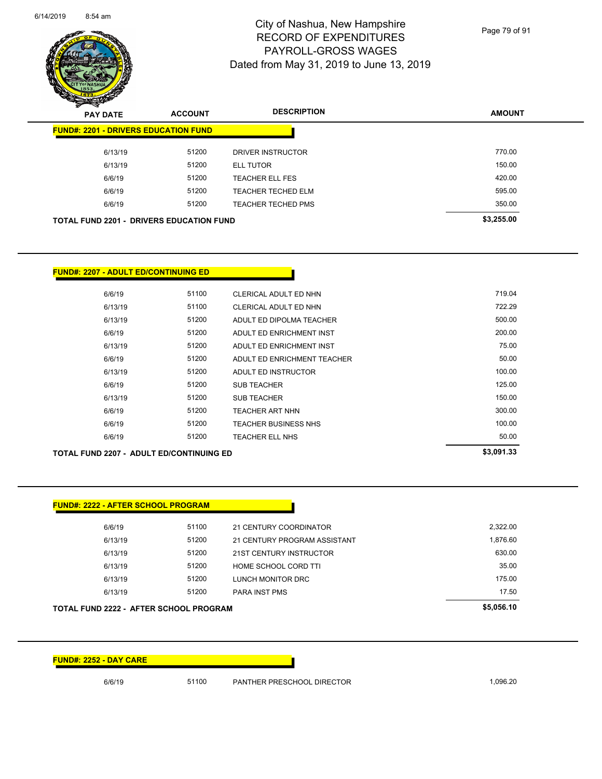

Page 79 of 91

| z<br>$\tilde{\phantom{a}}$<br><b>PAY DATE</b>   | <b>ACCOUNT</b> | <b>DESCRIPTION</b>        | <b>AMOUNT</b> |
|-------------------------------------------------|----------------|---------------------------|---------------|
| <b>FUND#: 2201 - DRIVERS EDUCATION FUND</b>     |                |                           |               |
| 6/13/19                                         | 51200          | <b>DRIVER INSTRUCTOR</b>  | 770.00        |
| 6/13/19                                         | 51200          | <b>ELL TUTOR</b>          | 150.00        |
| 6/6/19                                          | 51200          | <b>TEACHER ELL FES</b>    | 420.00        |
| 6/6/19                                          | 51200          | <b>TEACHER TECHED ELM</b> | 595.00        |
| 6/6/19                                          | 51200          | <b>TEACHER TECHED PMS</b> | 350.00        |
| <b>TOTAL FUND 2201 - DRIVERS EDUCATION FUND</b> |                |                           | \$3,255.00    |

#### **FUND#: 2207 - ADULT ED/CONTINUING ED**

|         |       |                             | .      |
|---------|-------|-----------------------------|--------|
| 6/6/19  | 51200 | TEACHER ELL NHS             | 50.00  |
| 6/6/19  | 51200 | <b>TEACHER BUSINESS NHS</b> | 100.00 |
| 6/6/19  | 51200 | TEACHER ART NHN             | 300.00 |
| 6/13/19 | 51200 | <b>SUB TEACHER</b>          | 150.00 |
| 6/6/19  | 51200 | <b>SUB TEACHER</b>          | 125.00 |
| 6/13/19 | 51200 | ADULT ED INSTRUCTOR         | 100.00 |
| 6/6/19  | 51200 | ADULT ED ENRICHMENT TEACHER | 50.00  |
| 6/13/19 | 51200 | ADULT ED ENRICHMENT INST    | 75.00  |
| 6/6/19  | 51200 | ADULT ED ENRICHMENT INST    | 200.00 |
| 6/13/19 | 51200 | ADULT ED DIPOLMA TEACHER    | 500.00 |
| 6/13/19 | 51100 | CLERICAL ADULT ED NHN       | 722.29 |
| 6/6/19  | 51100 | CLERICAL ADULT ED NHN       | 719.04 |
|         |       |                             |        |

**TOTAL FUND 2207 - ADULT ED/CONTINUING ED \$3,091.33** 

**FUND#: 2222 - AFTER SCHOOL PROGRAM** 6/6/19 51100 21 CENTURY COORDINATOR 2,322.00 6/13/19 51200 21 CENTURY PROGRAM ASSISTANT 6/13/19 1,876.60 6/13/19 51200 21ST CENTURY INSTRUCTOR 630.00 6/13/19 51200 HOME SCHOOL CORD TTI 35.00 6/13/19 51200 LUNCH MONITOR DRC 175.00 6/13/19 51200 PARA INST PMS 17.50 **TOTAL FUND 2222 - AFTER SCHOOL PROGRAM \$5,056.10** 

**FUND#: 2252 - DAY CARE**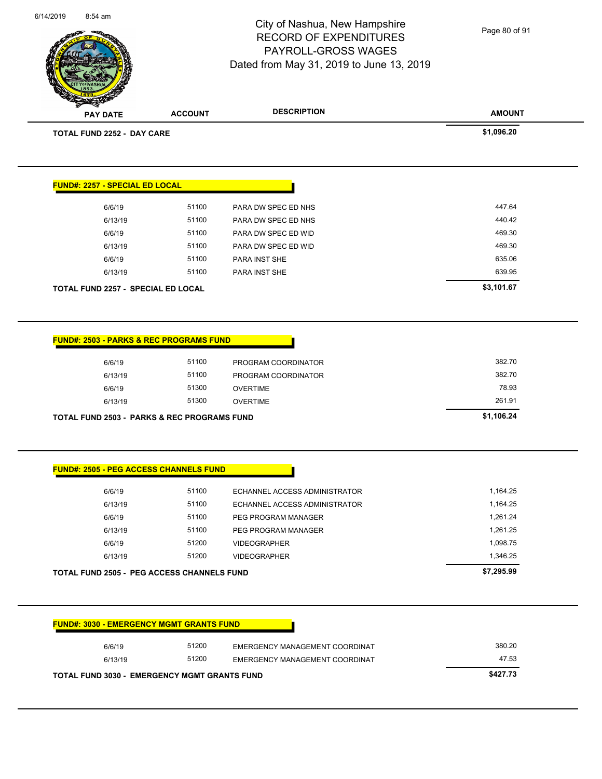6/14/2019 8:54 am

## City of Nashua, New Hampshire RECORD OF EXPENDITURES PAYROLL-GROSS WAGES Dated from May 31, 2019 to June 13, 2019

Page 80 of 91

| <b>PAY DATE</b>                                                                                      | <b>ACCOUNT</b> | <b>DESCRIPTION</b>             | <b>AMOUNT</b> |
|------------------------------------------------------------------------------------------------------|----------------|--------------------------------|---------------|
| <b>TOTAL FUND 2252 - DAY CARE</b>                                                                    |                |                                | \$1,096.20    |
|                                                                                                      |                |                                |               |
| <b>FUND#: 2257 - SPECIAL ED LOCAL</b>                                                                |                |                                |               |
| 6/6/19                                                                                               | 51100          | PARA DW SPEC ED NHS            | 447.64        |
| 6/13/19                                                                                              | 51100          | PARA DW SPEC ED NHS            | 440.42        |
| 6/6/19                                                                                               | 51100          | PARA DW SPEC ED WID            | 469.30        |
| 6/13/19                                                                                              | 51100          | PARA DW SPEC ED WID            | 469.30        |
| 6/6/19                                                                                               | 51100          | PARA INST SHE                  | 635.06        |
| 6/13/19                                                                                              | 51100          | PARA INST SHE                  | 639.95        |
| TOTAL FUND 2257 - SPECIAL ED LOCAL                                                                   |                |                                | \$3,101.67    |
| <b>FUND#: 2503 - PARKS &amp; REC PROGRAMS FUND</b><br>6/6/19                                         | 51100          | PROGRAM COORDINATOR            | 382.70        |
| 6/13/19                                                                                              |                |                                |               |
|                                                                                                      | 51100          | PROGRAM COORDINATOR            | 382.70        |
| 6/6/19                                                                                               | 51300          | <b>OVERTIME</b>                | 78.93         |
| 6/13/19                                                                                              | 51300          | <b>OVERTIME</b>                | 261.91        |
| <b>TOTAL FUND 2503 - PARKS &amp; REC PROGRAMS FUND</b>                                               |                |                                | \$1,106.24    |
| <b>FUND#: 2505 - PEG ACCESS CHANNELS FUND</b>                                                        |                |                                |               |
| 6/6/19                                                                                               | 51100          | ECHANNEL ACCESS ADMINISTRATOR  | 1,164.25      |
| 6/13/19                                                                                              | 51100          | ECHANNEL ACCESS ADMINISTRATOR  | 1,164.25      |
| 6/6/19                                                                                               | 51100          | PEG PROGRAM MANAGER            | 1,261.24      |
| 6/13/19                                                                                              | 51100          | PEG PROGRAM MANAGER            | 1,261.25      |
| 6/6/19                                                                                               | 51200          | <b>VIDEOGRAPHER</b>            | 1,098.75      |
| 6/13/19                                                                                              | 51200          | <b>VIDEOGRAPHER</b>            | 1,346.25      |
|                                                                                                      |                |                                | \$7,295.99    |
| <b>TOTAL FUND 2505 - PEG ACCESS CHANNELS FUND</b><br><b>FUND#: 3030 - EMERGENCY MGMT GRANTS FUND</b> |                |                                |               |
| 6/6/19                                                                                               | 51200          | EMERGENCY MANAGEMENT COORDINAT | 380.20        |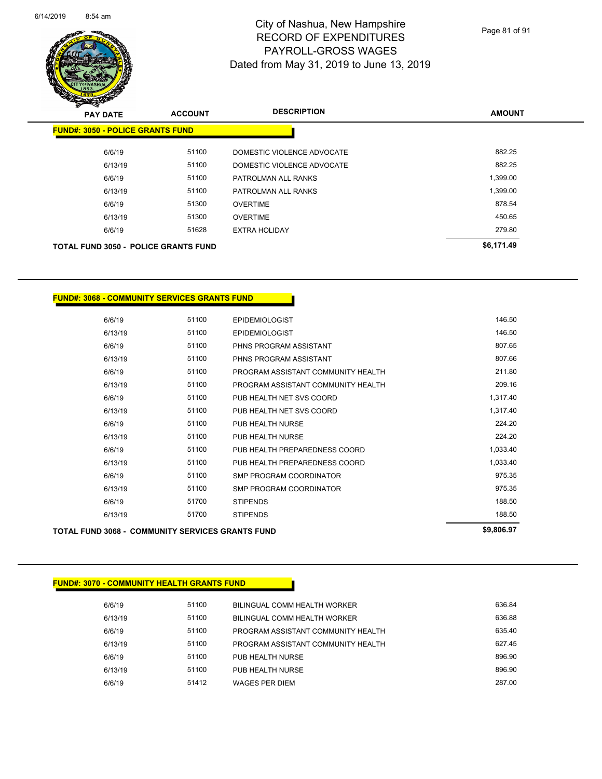

| ~<br><b>PAY DATE</b>                        | <b>ACCOUNT</b> | <b>DESCRIPTION</b>         | <b>AMOUNT</b> |
|---------------------------------------------|----------------|----------------------------|---------------|
| <b>FUND#: 3050 - POLICE GRANTS FUND</b>     |                |                            |               |
| 6/6/19                                      | 51100          | DOMESTIC VIOLENCE ADVOCATE | 882.25        |
| 6/13/19                                     | 51100          | DOMESTIC VIOLENCE ADVOCATE | 882.25        |
| 6/6/19                                      | 51100          | PATROLMAN ALL RANKS        | 1,399.00      |
| 6/13/19                                     | 51100          | PATROLMAN ALL RANKS        | 1,399.00      |
| 6/6/19                                      | 51300          | <b>OVERTIME</b>            | 878.54        |
| 6/13/19                                     | 51300          | <b>OVERTIME</b>            | 450.65        |
| 6/6/19                                      | 51628          | <b>EXTRA HOLIDAY</b>       | 279.80        |
| <b>TOTAL FUND 3050 - POLICE GRANTS FUND</b> |                |                            | \$6,171.49    |

#### **FUND#: 3068 - COMMUNITY SERVICES GRANTS FUND**

| <b>TOTAL FUND 3068 - COMMUNITY SERVICES GRANTS FUND</b> |       |                                    | \$9,806.97 |
|---------------------------------------------------------|-------|------------------------------------|------------|
| 6/13/19                                                 | 51700 | <b>STIPENDS</b>                    | 188.50     |
| 6/6/19                                                  | 51700 | <b>STIPENDS</b>                    | 188.50     |
| 6/13/19                                                 | 51100 | SMP PROGRAM COORDINATOR            | 975.35     |
| 6/6/19                                                  | 51100 | SMP PROGRAM COORDINATOR            | 975.35     |
| 6/13/19                                                 | 51100 | PUB HEALTH PREPAREDNESS COORD      | 1,033.40   |
| 6/6/19                                                  | 51100 | PUB HEALTH PREPAREDNESS COORD      | 1,033.40   |
| 6/13/19                                                 | 51100 | PUB HEALTH NURSE                   | 224.20     |
| 6/6/19                                                  | 51100 | PUB HEALTH NURSE                   | 224.20     |
| 6/13/19                                                 | 51100 | PUB HEALTH NET SVS COORD           | 1,317.40   |
| 6/6/19                                                  | 51100 | PUB HEALTH NET SVS COORD           | 1,317.40   |
| 6/13/19                                                 | 51100 | PROGRAM ASSISTANT COMMUNITY HEALTH | 209.16     |
| 6/6/19                                                  | 51100 | PROGRAM ASSISTANT COMMUNITY HEALTH | 211.80     |
| 6/13/19                                                 | 51100 | PHNS PROGRAM ASSISTANT             | 807.66     |
| 6/6/19                                                  | 51100 | PHNS PROGRAM ASSISTANT             | 807.65     |
| 6/13/19                                                 | 51100 | <b>EPIDEMIOLOGIST</b>              | 146.50     |
| 6/6/19                                                  | 51100 | <b>EPIDEMIOLOGIST</b>              | 146.50     |

#### **FUND#: 3070 - COMMUNITY HEALTH GRANTS FUND**

| 6/6/19  | 51100 | BILINGUAL COMM HEALTH WORKER       | 636.84 |
|---------|-------|------------------------------------|--------|
| 6/13/19 | 51100 | BILINGUAL COMM HEALTH WORKER       | 636.88 |
| 6/6/19  | 51100 | PROGRAM ASSISTANT COMMUNITY HEALTH | 635.40 |
| 6/13/19 | 51100 | PROGRAM ASSISTANT COMMUNITY HEALTH | 627.45 |
| 6/6/19  | 51100 | PUB HEALTH NURSE                   | 896.90 |
| 6/13/19 | 51100 | PUB HEALTH NURSE                   | 896.90 |
| 6/6/19  | 51412 | WAGES PER DIEM                     | 287.00 |
|         |       |                                    |        |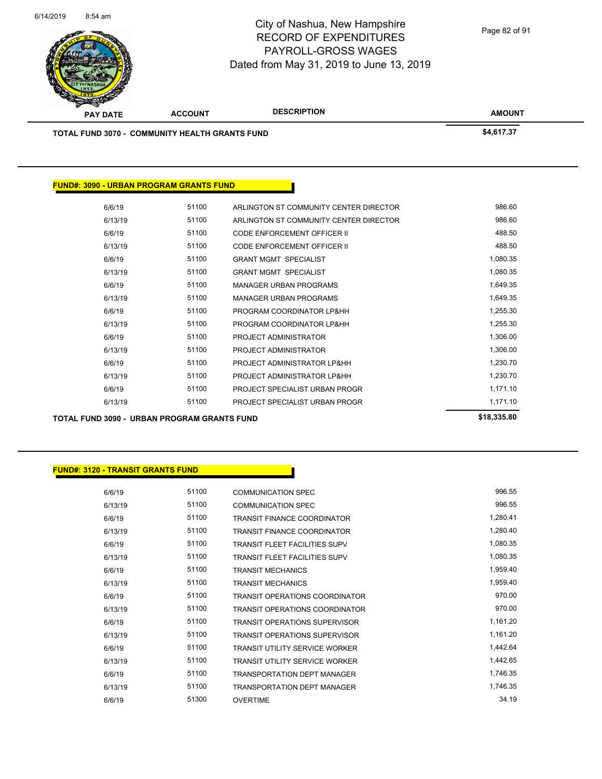

Page 82 of 91

| <b>TOTAL FUND 3070 - COMMUNITY HEALTH GRANTS FUND</b> |       |                                        | \$4,617.37 |
|-------------------------------------------------------|-------|----------------------------------------|------------|
|                                                       |       |                                        |            |
| <b>FUND#: 3090 - URBAN PROGRAM GRANTS FUND</b>        |       |                                        |            |
| 6/6/19                                                | 51100 | ARLINGTON ST COMMUNITY CENTER DIRECTOR | 986.60     |
| 6/13/19                                               | 51100 | ARLINGTON ST COMMUNITY CENTER DIRECTOR | 986.60     |
| 6/6/19                                                | 51100 | <b>CODE ENFORCEMENT OFFICER II</b>     | 488.50     |
| 6/13/19                                               | 51100 | <b>CODE ENFORCEMENT OFFICER II</b>     | 488.50     |
| 6/6/19                                                | 51100 | <b>GRANT MGMT SPECIALIST</b>           | 1,080.35   |
| 6/13/19                                               | 51100 | <b>GRANT MGMT SPECIALIST</b>           | 1,080.35   |
| 6/6/19                                                | 51100 | <b>MANAGER URBAN PROGRAMS</b>          | 1,649.35   |
| 6/13/19                                               | 51100 | <b>MANAGER URBAN PROGRAMS</b>          | 1,649.35   |
| 6/6/19                                                | 51100 | PROGRAM COORDINATOR LP&HH              | 1,255.30   |
| 6/13/19                                               | 51100 | PROGRAM COORDINATOR LP&HH              | 1,255.30   |
| 6/6/19                                                | 51100 | PROJECT ADMINISTRATOR                  | 1,306.00   |
| 6/13/19                                               | 51100 | PROJECT ADMINISTRATOR                  | 1,306.00   |
| 6/6/19                                                | 51100 | PROJECT ADMINISTRATOR LP&HH            | 1,230.70   |
| 6/13/19                                               | 51100 | PROJECT ADMINISTRATOR LP&HH            | 1,230.70   |
| 6/6/19                                                | 51100 | PROJECT SPECIALIST URBAN PROGR         | 1,171.10   |
| 6/13/19                                               | 51100 | PROJECT SPECIALIST URBAN PROGR         | 1,171.10   |
|                                                       |       |                                        |            |

| 6/6/19  | 51100 | COMMUNICATION SPEC                    | 996.55   |
|---------|-------|---------------------------------------|----------|
| 6/13/19 | 51100 | <b>COMMUNICATION SPEC</b>             | 996.55   |
| 6/6/19  | 51100 | TRANSIT FINANCE COORDINATOR           | 1,280.41 |
| 6/13/19 | 51100 | TRANSIT FINANCE COORDINATOR           | 1,280.40 |
| 6/6/19  | 51100 | TRANSIT FLEET FACILITIES SUPV         | 1,080.35 |
| 6/13/19 | 51100 | <b>TRANSIT FLEET FACILITIES SUPV</b>  | 1,080.35 |
| 6/6/19  | 51100 | <b>TRANSIT MECHANICS</b>              | 1,959.40 |
| 6/13/19 | 51100 | <b>TRANSIT MECHANICS</b>              | 1,959.40 |
| 6/6/19  | 51100 | TRANSIT OPERATIONS COORDINATOR        | 970.00   |
| 6/13/19 | 51100 | TRANSIT OPERATIONS COORDINATOR        | 970.00   |
| 6/6/19  | 51100 | <b>TRANSIT OPERATIONS SUPERVISOR</b>  | 1,161.20 |
| 6/13/19 | 51100 | <b>TRANSIT OPERATIONS SUPERVISOR</b>  | 1,161.20 |
| 6/6/19  | 51100 | <b>TRANSIT UTILITY SERVICE WORKER</b> | 1,442.64 |
| 6/13/19 | 51100 | TRANSIT UTILITY SERVICE WORKER        | 1,442.65 |
| 6/6/19  | 51100 | <b>TRANSPORTATION DEPT MANAGER</b>    | 1,746.35 |
| 6/13/19 | 51100 | <b>TRANSPORTATION DEPT MANAGER</b>    | 1,746.35 |
| 6/6/19  | 51300 | <b>OVERTIME</b>                       | 34.19    |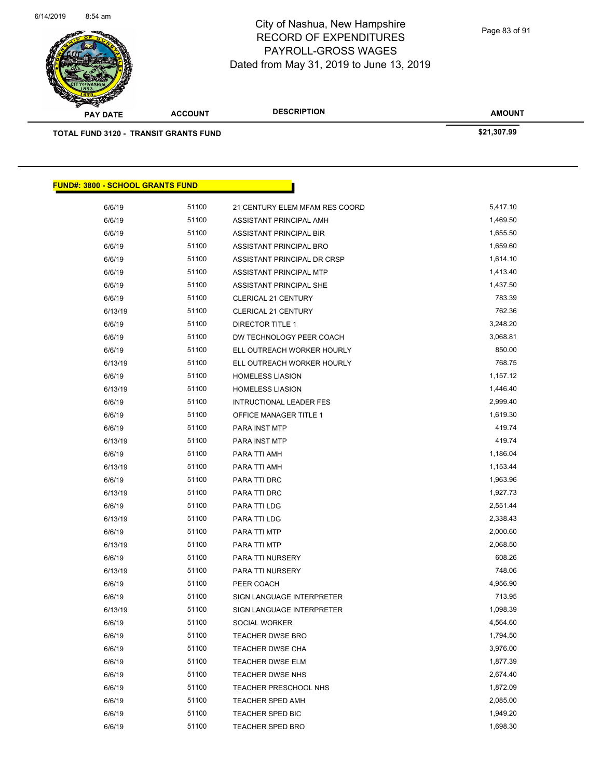

Page 83 of 91

**AMOUNT**

| <b>TOTAL FUND 3120 - TRANSIT GRANTS FUND</b> |       |                                | \$21,307.99 |
|----------------------------------------------|-------|--------------------------------|-------------|
|                                              |       |                                |             |
| <b>FUND#: 3800 - SCHOOL GRANTS FUND</b>      |       |                                |             |
| 6/6/19                                       | 51100 | 21 CENTURY ELEM MFAM RES COORD | 5,417.10    |
| 6/6/19                                       | 51100 | ASSISTANT PRINCIPAL AMH        | 1,469.50    |
| 6/6/19                                       | 51100 | ASSISTANT PRINCIPAL BIR        | 1,655.50    |
| 6/6/19                                       | 51100 | ASSISTANT PRINCIPAL BRO        | 1,659.60    |
| 6/6/19                                       | 51100 | ASSISTANT PRINCIPAL DR CRSP    | 1,614.10    |
| 6/6/19                                       | 51100 | ASSISTANT PRINCIPAL MTP        | 1,413.40    |
| 6/6/19                                       | 51100 | ASSISTANT PRINCIPAL SHE        | 1,437.50    |
| 6/6/19                                       | 51100 | <b>CLERICAL 21 CENTURY</b>     | 783.39      |
| 6/13/19                                      | 51100 | <b>CLERICAL 21 CENTURY</b>     | 762.36      |
| 6/6/19                                       | 51100 | <b>DIRECTOR TITLE 1</b>        | 3,248.20    |
| 6/6/19                                       | 51100 | DW TECHNOLOGY PEER COACH       | 3,068.81    |
| 6/6/19                                       | 51100 | ELL OUTREACH WORKER HOURLY     | 850.00      |
| 6/13/19                                      | 51100 | ELL OUTREACH WORKER HOURLY     | 768.75      |
| 6/6/19                                       | 51100 | <b>HOMELESS LIASION</b>        | 1,157.12    |
| 6/13/19                                      | 51100 | <b>HOMELESS LIASION</b>        | 1,446.40    |
| 6/6/19                                       | 51100 | INTRUCTIONAL LEADER FES        | 2,999.40    |
| 6/6/19                                       | 51100 | OFFICE MANAGER TITLE 1         | 1,619.30    |
| 6/6/19                                       | 51100 | PARA INST MTP                  | 419.74      |
| 6/13/19                                      | 51100 | PARA INST MTP                  | 419.74      |
| 6/6/19                                       | 51100 | PARA TTI AMH                   | 1,186.04    |
| 6/13/19                                      | 51100 | PARA TTI AMH                   | 1,153.44    |
| 6/6/19                                       | 51100 | PARA TTI DRC                   | 1,963.96    |
| 6/13/19                                      | 51100 | PARA TTI DRC                   | 1,927.73    |
| 6/6/19                                       | 51100 | PARA TTI LDG                   | 2,551.44    |
| 6/13/19                                      | 51100 | PARA TTI LDG                   | 2,338.43    |
| 6/6/19                                       | 51100 | PARA TTI MTP                   | 2,000.60    |
| 6/13/19                                      | 51100 | PARA TTI MTP                   | 2,068.50    |
| 6/6/19                                       | 51100 | PARA TTI NURSERY               | 608.26      |
| 6/13/19                                      | 51100 | PARA TTI NURSERY               | 748.06      |
| 6/6/19                                       | 51100 | PEER COACH                     | 4,956.90    |
| 6/6/19                                       | 51100 | SIGN LANGUAGE INTERPRETER      | 713.95      |
| 6/13/19                                      | 51100 | SIGN LANGUAGE INTERPRETER      | 1,098.39    |
| 6/6/19                                       | 51100 | SOCIAL WORKER                  | 4,564.60    |
| 6/6/19                                       | 51100 | TEACHER DWSE BRO               | 1,794.50    |
| 6/6/19                                       | 51100 | <b>TEACHER DWSE CHA</b>        | 3,976.00    |
| 6/6/19                                       | 51100 | <b>TEACHER DWSE ELM</b>        | 1,877.39    |
| 6/6/19                                       | 51100 | <b>TEACHER DWSE NHS</b>        | 2,674.40    |
| 6/6/19                                       | 51100 | TEACHER PRESCHOOL NHS          | 1,872.09    |
| 6/6/19                                       | 51100 | <b>TEACHER SPED AMH</b>        | 2,085.00    |
| 6/6/19                                       | 51100 | TEACHER SPED BIC               | 1,949.20    |
| 6/6/19                                       | 51100 | <b>TEACHER SPED BRO</b>        | 1,698.30    |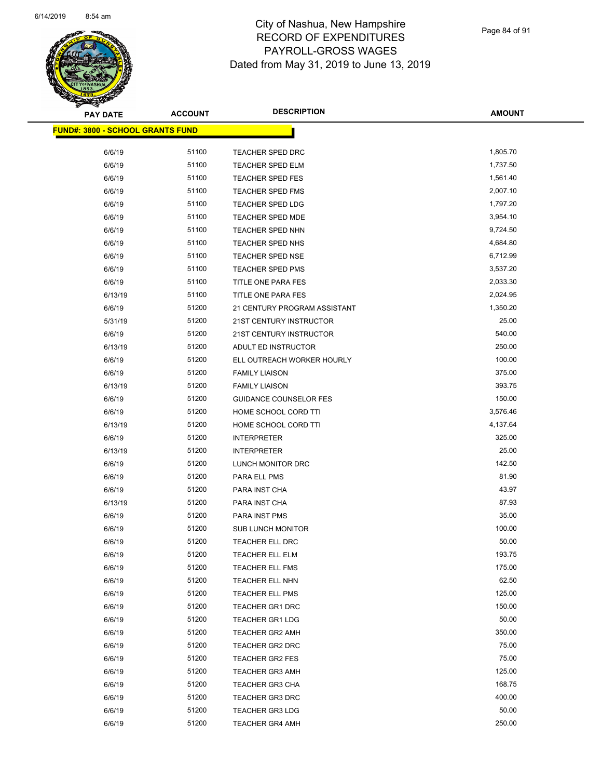

Page 84 of 91

| <b>PAY DATE</b>                         | <b>ACCOUNT</b> | <b>DESCRIPTION</b>            | <b>AMOUNT</b> |
|-----------------------------------------|----------------|-------------------------------|---------------|
| <b>FUND#: 3800 - SCHOOL GRANTS FUND</b> |                |                               |               |
| 6/6/19                                  | 51100          | <b>TEACHER SPED DRC</b>       | 1,805.70      |
| 6/6/19                                  | 51100          | <b>TEACHER SPED ELM</b>       | 1,737.50      |
| 6/6/19                                  | 51100          | <b>TEACHER SPED FES</b>       | 1,561.40      |
| 6/6/19                                  | 51100          | <b>TEACHER SPED FMS</b>       | 2,007.10      |
| 6/6/19                                  | 51100          | TEACHER SPED LDG              | 1,797.20      |
| 6/6/19                                  | 51100          | <b>TEACHER SPED MDE</b>       | 3,954.10      |
| 6/6/19                                  | 51100          | <b>TEACHER SPED NHN</b>       | 9,724.50      |
| 6/6/19                                  | 51100          | <b>TEACHER SPED NHS</b>       | 4,684.80      |
| 6/6/19                                  | 51100          | <b>TEACHER SPED NSE</b>       | 6,712.99      |
| 6/6/19                                  | 51100          | <b>TEACHER SPED PMS</b>       | 3,537.20      |
| 6/6/19                                  | 51100          | TITLE ONE PARA FES            | 2,033.30      |
| 6/13/19                                 | 51100          | TITLE ONE PARA FES            | 2,024.95      |
| 6/6/19                                  | 51200          | 21 CENTURY PROGRAM ASSISTANT  | 1,350.20      |
| 5/31/19                                 | 51200          | 21ST CENTURY INSTRUCTOR       | 25.00         |
| 6/6/19                                  | 51200          | 21ST CENTURY INSTRUCTOR       | 540.00        |
| 6/13/19                                 | 51200          | ADULT ED INSTRUCTOR           | 250.00        |
| 6/6/19                                  | 51200          | ELL OUTREACH WORKER HOURLY    | 100.00        |
| 6/6/19                                  | 51200          | <b>FAMILY LIAISON</b>         | 375.00        |
| 6/13/19                                 | 51200          | <b>FAMILY LIAISON</b>         | 393.75        |
| 6/6/19                                  | 51200          | <b>GUIDANCE COUNSELOR FES</b> | 150.00        |
| 6/6/19                                  | 51200          | HOME SCHOOL CORD TTI          | 3,576.46      |
| 6/13/19                                 | 51200          | HOME SCHOOL CORD TTI          | 4,137.64      |
| 6/6/19                                  | 51200          | <b>INTERPRETER</b>            | 325.00        |
| 6/13/19                                 | 51200          | <b>INTERPRETER</b>            | 25.00         |
| 6/6/19                                  | 51200          | LUNCH MONITOR DRC             | 142.50        |
| 6/6/19                                  | 51200          | PARA ELL PMS                  | 81.90         |
| 6/6/19                                  | 51200          | PARA INST CHA                 | 43.97         |
| 6/13/19                                 | 51200          | PARA INST CHA                 | 87.93         |
| 6/6/19                                  | 51200          | PARA INST PMS                 | 35.00         |
| 6/6/19                                  | 51200          | <b>SUB LUNCH MONITOR</b>      | 100.00        |
| 6/6/19                                  | 51200          | <b>TEACHER ELL DRC</b>        | 50.00         |
| 6/6/19                                  | 51200          | TEACHER ELL ELM               | 193.75        |
| 6/6/19                                  | 51200          | <b>TEACHER ELL FMS</b>        | 175.00        |
| 6/6/19                                  | 51200          | TEACHER ELL NHN               | 62.50         |
| 6/6/19                                  | 51200          | TEACHER ELL PMS               | 125.00        |
| 6/6/19                                  | 51200          | <b>TEACHER GR1 DRC</b>        | 150.00        |
| 6/6/19                                  | 51200          | <b>TEACHER GR1 LDG</b>        | 50.00         |
| 6/6/19                                  | 51200          | <b>TEACHER GR2 AMH</b>        | 350.00        |
| 6/6/19                                  | 51200          | TEACHER GR2 DRC               | 75.00         |
| 6/6/19                                  | 51200          | TEACHER GR2 FES               | 75.00         |
| 6/6/19                                  | 51200          | <b>TEACHER GR3 AMH</b>        | 125.00        |
| 6/6/19                                  | 51200          | <b>TEACHER GR3 CHA</b>        | 168.75        |
| 6/6/19                                  | 51200          | <b>TEACHER GR3 DRC</b>        | 400.00        |
| 6/6/19                                  | 51200          | <b>TEACHER GR3 LDG</b>        | 50.00         |
| 6/6/19                                  | 51200          | <b>TEACHER GR4 AMH</b>        | 250.00        |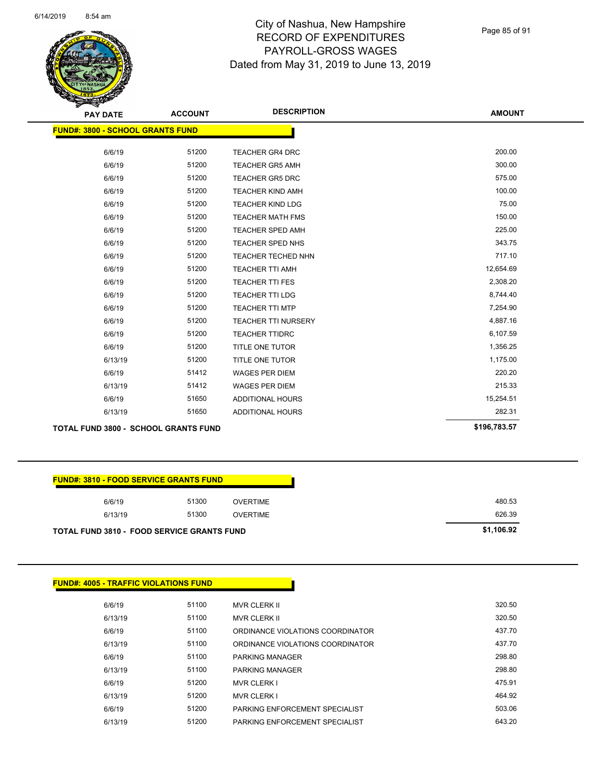

Page 85 of 91

| <b>PAY DATE</b>                         | <b>ACCOUNT</b> | <b>DESCRIPTION</b>         | <b>AMOUNT</b> |
|-----------------------------------------|----------------|----------------------------|---------------|
| <b>FUND#: 3800 - SCHOOL GRANTS FUND</b> |                |                            |               |
|                                         |                |                            |               |
| 6/6/19                                  | 51200          | <b>TEACHER GR4 DRC</b>     | 200.00        |
| 6/6/19                                  | 51200          | <b>TEACHER GR5 AMH</b>     | 300.00        |
| 6/6/19                                  | 51200          | <b>TEACHER GR5 DRC</b>     | 575.00        |
| 6/6/19                                  | 51200          | <b>TEACHER KIND AMH</b>    | 100.00        |
| 6/6/19                                  | 51200          | <b>TEACHER KIND LDG</b>    | 75.00         |
| 6/6/19                                  | 51200          | <b>TEACHER MATH FMS</b>    | 150.00        |
| 6/6/19                                  | 51200          | <b>TEACHER SPED AMH</b>    | 225.00        |
| 6/6/19                                  | 51200          | <b>TEACHER SPED NHS</b>    | 343.75        |
| 6/6/19                                  | 51200          | <b>TEACHER TECHED NHN</b>  | 717.10        |
| 6/6/19                                  | 51200          | <b>TEACHER TTI AMH</b>     | 12,654.69     |
| 6/6/19                                  | 51200          | <b>TEACHER TTI FES</b>     | 2,308.20      |
| 6/6/19                                  | 51200          | <b>TEACHER TTI LDG</b>     | 8,744.40      |
| 6/6/19                                  | 51200          | <b>TEACHER TTI MTP</b>     | 7,254.90      |
| 6/6/19                                  | 51200          | <b>TEACHER TTI NURSERY</b> | 4,887.16      |
| 6/6/19                                  | 51200          | <b>TEACHER TTIDRC</b>      | 6,107.59      |
| 6/6/19                                  | 51200          | TITLE ONE TUTOR            | 1,356.25      |
| 6/13/19                                 | 51200          | TITLE ONE TUTOR            | 1,175.00      |
| 6/6/19                                  | 51412          | <b>WAGES PER DIEM</b>      | 220.20        |
| 6/13/19                                 | 51412          | <b>WAGES PER DIEM</b>      | 215.33        |
| 6/6/19                                  | 51650          | ADDITIONAL HOURS           | 15,254.51     |
| 6/13/19                                 | 51650          | ADDITIONAL HOURS           | 282.31        |
| TOTAL FUND 3800 - SCHOOL GRANTS FUND    |                |                            | \$196,783.57  |

# **FUND#: 3810 - FOOD SERVICE GRANTS FUND** 6/6/19 51300 OVERTIME 480.53 6/13/19 51300 OVERTIME 626.39 **TOTAL FUND 3810 - FOOD SERVICE GRANTS FUND \$1,106.92**

|         | <b>FUND#: 4005 - TRAFFIC VIOLATIONS FUND</b> |                                  |
|---------|----------------------------------------------|----------------------------------|
|         |                                              |                                  |
| 6/6/19  | 51100                                        | <b>MVR CLERK II</b>              |
| 6/13/19 | 51100                                        | <b>MVR CLERK II</b>              |
| 6/6/19  | 51100                                        | ORDINANCE VIOLATIONS COORDINATOR |
| 6/13/19 | 51100                                        | ORDINANCE VIOLATIONS COORDINATOR |
| 6/6/19  | 51100                                        | <b>PARKING MANAGER</b>           |
| 6/13/19 | 51100                                        | <b>PARKING MANAGER</b>           |
| 6/6/19  | 51200                                        | <b>MVR CLERK I</b>               |
| 6/13/19 | 51200                                        | <b>MVR CLERK I</b>               |
| 6/6/19  | 51200                                        | PARKING ENFORCEMENT SPECIALIST   |
| 6/13/19 | 51200                                        | PARKING ENFORCEMENT SPECIALIST   |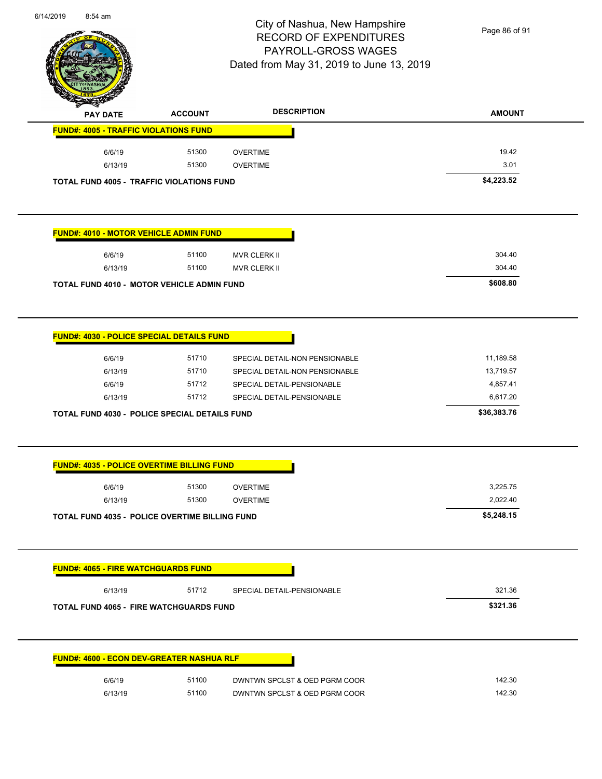

Page 86 of 91

| <b>PAY DATE</b>                                                                                                                                | <b>ACCOUNT</b> | <b>DESCRIPTION</b>                                               | <b>AMOUNT</b>                       |
|------------------------------------------------------------------------------------------------------------------------------------------------|----------------|------------------------------------------------------------------|-------------------------------------|
| <b>FUND#: 4005 - TRAFFIC VIOLATIONS FUND</b>                                                                                                   |                |                                                                  |                                     |
| 6/6/19                                                                                                                                         | 51300          | <b>OVERTIME</b>                                                  | 19.42                               |
| 6/13/19                                                                                                                                        | 51300          | <b>OVERTIME</b>                                                  | 3.01                                |
| <b>TOTAL FUND 4005 - TRAFFIC VIOLATIONS FUND</b>                                                                                               |                |                                                                  | \$4,223.52                          |
| <b>FUND#: 4010 - MOTOR VEHICLE ADMIN FUND</b>                                                                                                  |                |                                                                  |                                     |
| 6/6/19                                                                                                                                         | 51100          | MVR CLERK II                                                     | 304.40                              |
| 6/13/19                                                                                                                                        | 51100          | <b>MVR CLERK II</b>                                              | 304.40                              |
| TOTAL FUND 4010 - MOTOR VEHICLE ADMIN FUND                                                                                                     |                |                                                                  | \$608.80                            |
| 6/6/19<br>6/13/19                                                                                                                              | 51710<br>51710 | SPECIAL DETAIL-NON PENSIONABLE<br>SPECIAL DETAIL-NON PENSIONABLE | 11,189.58<br>13,719.57              |
| 6/6/19<br>6/13/19                                                                                                                              | 51712<br>51712 | SPECIAL DETAIL-PENSIONABLE<br>SPECIAL DETAIL-PENSIONABLE         | 4,857.41<br>6,617.20<br>\$36,383.76 |
| TOTAL FUND 4030 - POLICE SPECIAL DETAILS FUND<br><b>FUND#: 4035 - POLICE OVERTIME BILLING FUND</b>                                             |                |                                                                  |                                     |
| 6/6/19                                                                                                                                         | 51300          | <b>OVERTIME</b>                                                  | 3,225.75                            |
| 6/13/19                                                                                                                                        | 51300          | <b>OVERTIME</b>                                                  | 2,022.40                            |
|                                                                                                                                                |                |                                                                  | \$5,248.15                          |
|                                                                                                                                                |                |                                                                  |                                     |
| 6/13/19                                                                                                                                        | 51712          | SPECIAL DETAIL-PENSIONABLE                                       | 321.36                              |
|                                                                                                                                                |                |                                                                  | \$321.36                            |
| TOTAL FUND 4035 - POLICE OVERTIME BILLING FUND<br><b>FUND#: 4065 - FIRE WATCHGUARDS FUND</b><br><b>TOTAL FUND 4065 - FIRE WATCHGUARDS FUND</b> |                |                                                                  |                                     |
| <b>FUND#: 4600 - ECON DEV-GREATER NASHUA RLF</b><br>6/6/19                                                                                     | 51100          | DWNTWN SPCLST & OED PGRM COOR                                    | 142.30                              |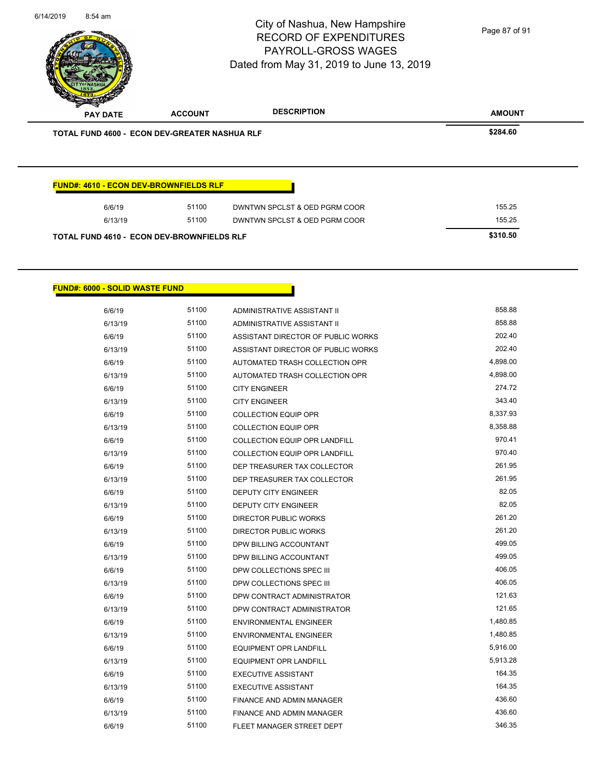**AMOUNT** City of Nashua, New Hampshire RECORD OF EXPENDITURES PAYROLL-GROSS WAGES Dated from May 31, 2019 to June 13, 2019 **PAY DATE ACCOUNT DESCRIPTION** 6/14/2019 8:54 am **TOTAL FUND 4600 - ECON DEV-GREATER NASHUA RLF \$284.60**  Page 87 of 91

| 6/6/19  | 51100 | DWNTWN SPCLST & OED PGRM COOR | 155.25 |
|---------|-------|-------------------------------|--------|
| 6/13/19 | 51100 | DWNTWN SPCLST & OED PGRM COOR | 155.25 |

#### **FUND#: 6000 - SOLID WASTE FUND**

| 6/6/19  | 51100 | ADMINISTRATIVE ASSISTANT II          | 858.88   |
|---------|-------|--------------------------------------|----------|
| 6/13/19 | 51100 | ADMINISTRATIVE ASSISTANT II          | 858.88   |
| 6/6/19  | 51100 | ASSISTANT DIRECTOR OF PUBLIC WORKS   | 202.40   |
| 6/13/19 | 51100 | ASSISTANT DIRECTOR OF PUBLIC WORKS   | 202.40   |
| 6/6/19  | 51100 | AUTOMATED TRASH COLLECTION OPR       | 4,898.00 |
| 6/13/19 | 51100 | AUTOMATED TRASH COLLECTION OPR       | 4,898.00 |
| 6/6/19  | 51100 | <b>CITY ENGINEER</b>                 | 274.72   |
| 6/13/19 | 51100 | <b>CITY ENGINEER</b>                 | 343.40   |
| 6/6/19  | 51100 | <b>COLLECTION EQUIP OPR</b>          | 8,337.93 |
| 6/13/19 | 51100 | <b>COLLECTION EQUIP OPR</b>          | 8,358.88 |
| 6/6/19  | 51100 | COLLECTION EQUIP OPR LANDFILL        | 970.41   |
| 6/13/19 | 51100 | <b>COLLECTION EQUIP OPR LANDFILL</b> | 970.40   |
| 6/6/19  | 51100 | DEP TREASURER TAX COLLECTOR          | 261.95   |
| 6/13/19 | 51100 | DEP TREASURER TAX COLLECTOR          | 261.95   |
| 6/6/19  | 51100 | <b>DEPUTY CITY ENGINEER</b>          | 82.05    |
| 6/13/19 | 51100 | <b>DEPUTY CITY ENGINEER</b>          | 82.05    |
| 6/6/19  | 51100 | <b>DIRECTOR PUBLIC WORKS</b>         | 261.20   |
| 6/13/19 | 51100 | DIRECTOR PUBLIC WORKS                | 261.20   |
| 6/6/19  | 51100 | DPW BILLING ACCOUNTANT               | 499.05   |
| 6/13/19 | 51100 | DPW BILLING ACCOUNTANT               | 499.05   |
| 6/6/19  | 51100 | DPW COLLECTIONS SPEC III             | 406.05   |
| 6/13/19 | 51100 | DPW COLLECTIONS SPEC III             | 406.05   |
| 6/6/19  | 51100 | DPW CONTRACT ADMINISTRATOR           | 121.63   |
| 6/13/19 | 51100 | DPW CONTRACT ADMINISTRATOR           | 121.65   |
| 6/6/19  | 51100 | <b>ENVIRONMENTAL ENGINEER</b>        | 1,480.85 |
| 6/13/19 | 51100 | <b>ENVIRONMENTAL ENGINEER</b>        | 1,480.85 |
| 6/6/19  | 51100 | <b>EQUIPMENT OPR LANDFILL</b>        | 5,916.00 |
| 6/13/19 | 51100 | <b>EQUIPMENT OPR LANDFILL</b>        | 5,913.28 |
| 6/6/19  | 51100 | <b>EXECUTIVE ASSISTANT</b>           | 164.35   |
| 6/13/19 | 51100 | <b>EXECUTIVE ASSISTANT</b>           | 164.35   |
| 6/6/19  | 51100 | FINANCE AND ADMIN MANAGER            | 436.60   |
| 6/13/19 | 51100 | FINANCE AND ADMIN MANAGER            | 436.60   |
| 6/6/19  | 51100 | FLEET MANAGER STREET DEPT            | 346.35   |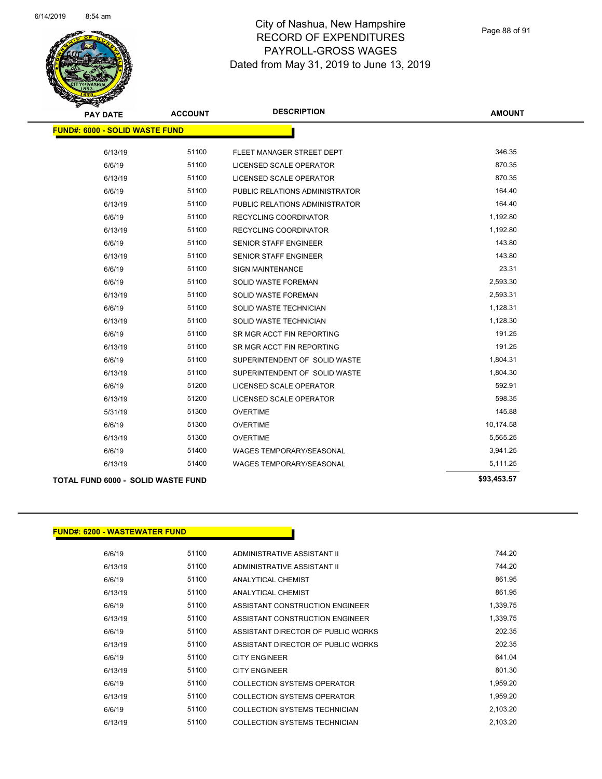

Page 88 of 91

| <b>PAY DATE</b>                       | <b>ACCOUNT</b> | <b>DESCRIPTION</b>              | <b>AMOUNT</b> |
|---------------------------------------|----------------|---------------------------------|---------------|
| <b>FUND#: 6000 - SOLID WASTE FUND</b> |                |                                 |               |
|                                       |                |                                 |               |
| 6/13/19                               | 51100          | FLEET MANAGER STREET DEPT       | 346.35        |
| 6/6/19                                | 51100          | LICENSED SCALE OPERATOR         | 870.35        |
| 6/13/19                               | 51100          | <b>LICENSED SCALE OPERATOR</b>  | 870.35        |
| 6/6/19                                | 51100          | PUBLIC RELATIONS ADMINISTRATOR  | 164.40        |
| 6/13/19                               | 51100          | PUBLIC RELATIONS ADMINISTRATOR  | 164.40        |
| 6/6/19                                | 51100          | RECYCLING COORDINATOR           | 1,192.80      |
| 6/13/19                               | 51100          | RECYCLING COORDINATOR           | 1,192.80      |
| 6/6/19                                | 51100          | <b>SENIOR STAFF ENGINEER</b>    | 143.80        |
| 6/13/19                               | 51100          | SENIOR STAFF ENGINEER           | 143.80        |
| 6/6/19                                | 51100          | <b>SIGN MAINTENANCE</b>         | 23.31         |
| 6/6/19                                | 51100          | SOLID WASTE FOREMAN             | 2,593.30      |
| 6/13/19                               | 51100          | SOLID WASTE FOREMAN             | 2,593.31      |
| 6/6/19                                | 51100          | SOLID WASTE TECHNICIAN          | 1,128.31      |
| 6/13/19                               | 51100          | SOLID WASTE TECHNICIAN          | 1,128.30      |
| 6/6/19                                | 51100          | SR MGR ACCT FIN REPORTING       | 191.25        |
| 6/13/19                               | 51100          | SR MGR ACCT FIN REPORTING       | 191.25        |
| 6/6/19                                | 51100          | SUPERINTENDENT OF SOLID WASTE   | 1,804.31      |
| 6/13/19                               | 51100          | SUPERINTENDENT OF SOLID WASTE   | 1,804.30      |
| 6/6/19                                | 51200          | LICENSED SCALE OPERATOR         | 592.91        |
| 6/13/19                               | 51200          | LICENSED SCALE OPERATOR         | 598.35        |
| 5/31/19                               | 51300          | <b>OVERTIME</b>                 | 145.88        |
| 6/6/19                                | 51300          | <b>OVERTIME</b>                 | 10,174.58     |
| 6/13/19                               | 51300          | <b>OVERTIME</b>                 | 5,565.25      |
| 6/6/19                                | 51400          | <b>WAGES TEMPORARY/SEASONAL</b> | 3,941.25      |
| 6/13/19                               | 51400          | <b>WAGES TEMPORARY/SEASONAL</b> | 5,111.25      |
|                                       |                |                                 | $\cdots$      |

#### **TOTAL FUND 6000 - SOLID WASTE FUND \$93,453.57**

| <b>FUND#: 6200 - WASTEWATER FUND</b> |
|--------------------------------------|
|--------------------------------------|

| 6/6/19  | 51100 | ADMINISTRATIVE ASSISTANT II        | 744.20   |
|---------|-------|------------------------------------|----------|
| 6/13/19 | 51100 | ADMINISTRATIVE ASSISTANT II        | 744.20   |
| 6/6/19  | 51100 | ANALYTICAL CHEMIST                 | 861.95   |
| 6/13/19 | 51100 | ANALYTICAL CHEMIST                 | 861.95   |
| 6/6/19  | 51100 | ASSISTANT CONSTRUCTION ENGINEER    | 1,339.75 |
| 6/13/19 | 51100 | ASSISTANT CONSTRUCTION ENGINEER    | 1,339.75 |
| 6/6/19  | 51100 | ASSISTANT DIRECTOR OF PUBLIC WORKS | 202.35   |
| 6/13/19 | 51100 | ASSISTANT DIRECTOR OF PUBLIC WORKS | 202.35   |
| 6/6/19  | 51100 | <b>CITY ENGINEER</b>               | 641.04   |
| 6/13/19 | 51100 | <b>CITY ENGINEER</b>               | 801.30   |
| 6/6/19  | 51100 | COLLECTION SYSTEMS OPERATOR        | 1,959.20 |
| 6/13/19 | 51100 | COLLECTION SYSTEMS OPERATOR        | 1,959.20 |
| 6/6/19  | 51100 | COLLECTION SYSTEMS TECHNICIAN      | 2,103.20 |
| 6/13/19 | 51100 | COLLECTION SYSTEMS TECHNICIAN      | 2.103.20 |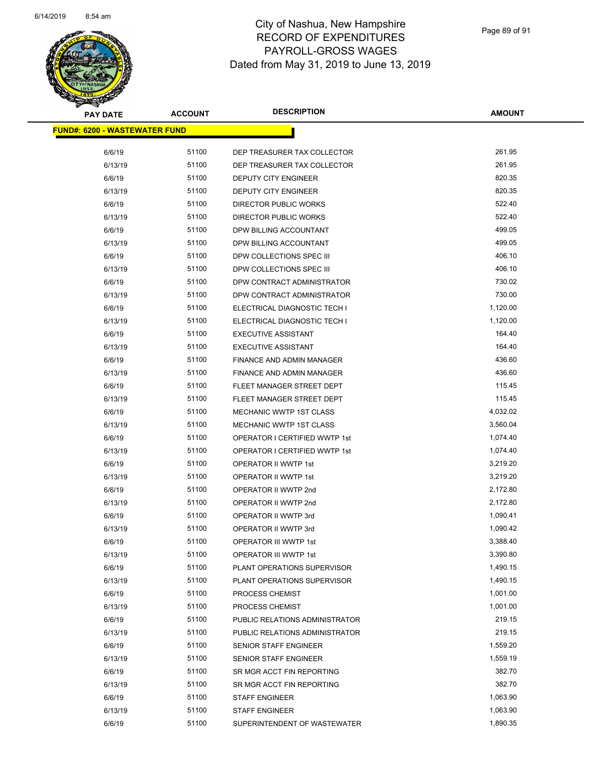

| <b>PAY DATE</b>                       | <b>ACCOUNT</b> | <b>DESCRIPTION</b>             | <b>AMOUNT</b> |
|---------------------------------------|----------------|--------------------------------|---------------|
| <u> FUND#: 6200 - WASTEWATER FUND</u> |                |                                |               |
| 6/6/19                                | 51100          | DEP TREASURER TAX COLLECTOR    | 261.95        |
| 6/13/19                               | 51100          | DEP TREASURER TAX COLLECTOR    | 261.95        |
| 6/6/19                                | 51100          | DEPUTY CITY ENGINEER           | 820.35        |
| 6/13/19                               | 51100          | DEPUTY CITY ENGINEER           | 820.35        |
| 6/6/19                                | 51100          | DIRECTOR PUBLIC WORKS          | 522.40        |
| 6/13/19                               | 51100          | <b>DIRECTOR PUBLIC WORKS</b>   | 522.40        |
| 6/6/19                                | 51100          | DPW BILLING ACCOUNTANT         | 499.05        |
| 6/13/19                               | 51100          | DPW BILLING ACCOUNTANT         | 499.05        |
| 6/6/19                                | 51100          | DPW COLLECTIONS SPEC III       | 406.10        |
| 6/13/19                               | 51100          | DPW COLLECTIONS SPEC III       | 406.10        |
| 6/6/19                                | 51100          | DPW CONTRACT ADMINISTRATOR     | 730.02        |
| 6/13/19                               | 51100          | DPW CONTRACT ADMINISTRATOR     | 730.00        |
| 6/6/19                                | 51100          | ELECTRICAL DIAGNOSTIC TECH I   | 1,120.00      |
| 6/13/19                               | 51100          | ELECTRICAL DIAGNOSTIC TECH I   | 1,120.00      |
| 6/6/19                                | 51100          | <b>EXECUTIVE ASSISTANT</b>     | 164.40        |
| 6/13/19                               | 51100          | <b>EXECUTIVE ASSISTANT</b>     | 164.40        |
| 6/6/19                                | 51100          | FINANCE AND ADMIN MANAGER      | 436.60        |
| 6/13/19                               | 51100          | FINANCE AND ADMIN MANAGER      | 436.60        |
| 6/6/19                                | 51100          | FLEET MANAGER STREET DEPT      | 115.45        |
| 6/13/19                               | 51100          | FLEET MANAGER STREET DEPT      | 115.45        |
| 6/6/19                                | 51100          | <b>MECHANIC WWTP 1ST CLASS</b> | 4,032.02      |
| 6/13/19                               | 51100          | MECHANIC WWTP 1ST CLASS        | 3,560.04      |
| 6/6/19                                | 51100          | OPERATOR I CERTIFIED WWTP 1st  | 1,074.40      |
| 6/13/19                               | 51100          | OPERATOR I CERTIFIED WWTP 1st  | 1,074.40      |
| 6/6/19                                | 51100          | OPERATOR II WWTP 1st           | 3,219.20      |
| 6/13/19                               | 51100          | OPERATOR II WWTP 1st           | 3,219.20      |
| 6/6/19                                | 51100          | OPERATOR II WWTP 2nd           | 2,172.80      |
| 6/13/19                               | 51100          | OPERATOR II WWTP 2nd           | 2,172.80      |
| 6/6/19                                | 51100          | OPERATOR II WWTP 3rd           | 1,090.41      |
| 6/13/19                               | 51100          | OPERATOR II WWTP 3rd           | 1,090.42      |
| 6/6/19                                | 51100          | OPERATOR III WWTP 1st          | 3,388.40      |
| 6/13/19                               | 51100          | OPERATOR III WWTP 1st          | 3,390.80      |
| 6/6/19                                | 51100          | PLANT OPERATIONS SUPERVISOR    | 1,490.15      |
| 6/13/19                               | 51100          | PLANT OPERATIONS SUPERVISOR    | 1,490.15      |
| 6/6/19                                | 51100          | PROCESS CHEMIST                | 1,001.00      |
| 6/13/19                               | 51100          | PROCESS CHEMIST                | 1,001.00      |
| 6/6/19                                | 51100          | PUBLIC RELATIONS ADMINISTRATOR | 219.15        |
| 6/13/19                               | 51100          | PUBLIC RELATIONS ADMINISTRATOR | 219.15        |
| 6/6/19                                | 51100          | <b>SENIOR STAFF ENGINEER</b>   | 1,559.20      |
| 6/13/19                               | 51100          | <b>SENIOR STAFF ENGINEER</b>   | 1,559.19      |
| 6/6/19                                | 51100          | SR MGR ACCT FIN REPORTING      | 382.70        |
| 6/13/19                               | 51100          | SR MGR ACCT FIN REPORTING      | 382.70        |
| 6/6/19                                | 51100          | <b>STAFF ENGINEER</b>          | 1,063.90      |
| 6/13/19                               | 51100          | <b>STAFF ENGINEER</b>          | 1,063.90      |
| 6/6/19                                | 51100          | SUPERINTENDENT OF WASTEWATER   | 1,890.35      |
|                                       |                |                                |               |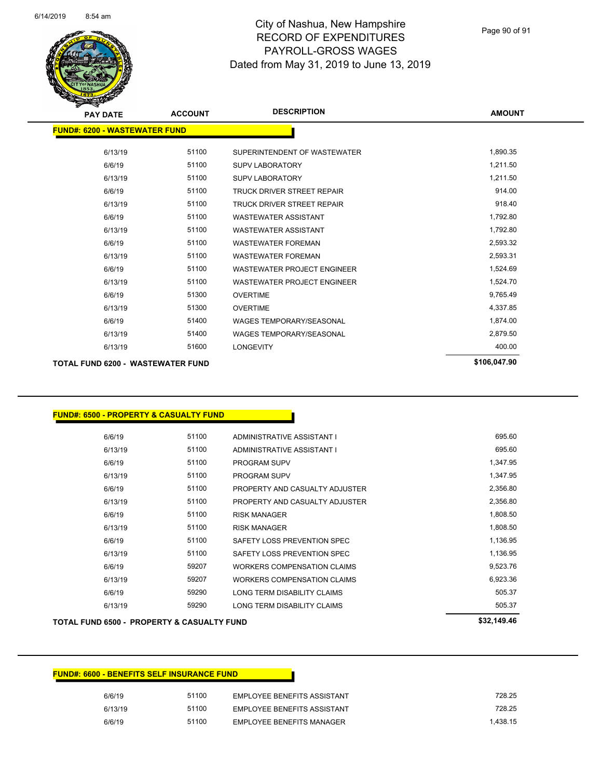

| <b>PAY DATE</b>                      | <b>ACCOUNT</b> | <b>DESCRIPTION</b>                 | <b>AMOUNT</b> |
|--------------------------------------|----------------|------------------------------------|---------------|
| <b>FUND#: 6200 - WASTEWATER FUND</b> |                |                                    |               |
| 6/13/19                              | 51100          | SUPERINTENDENT OF WASTEWATER       | 1,890.35      |
| 6/6/19                               | 51100          | <b>SUPV LABORATORY</b>             | 1,211.50      |
| 6/13/19                              | 51100          | <b>SUPV LABORATORY</b>             | 1,211.50      |
| 6/6/19                               | 51100          | TRUCK DRIVER STREET REPAIR         | 914.00        |
| 6/13/19                              | 51100          | TRUCK DRIVER STREET REPAIR         | 918.40        |
| 6/6/19                               | 51100          | <b>WASTEWATER ASSISTANT</b>        | 1,792.80      |
| 6/13/19                              | 51100          | <b>WASTEWATER ASSISTANT</b>        | 1,792.80      |
| 6/6/19                               | 51100          | <b>WASTEWATER FOREMAN</b>          | 2,593.32      |
| 6/13/19                              | 51100          | <b>WASTEWATER FOREMAN</b>          | 2,593.31      |
| 6/6/19                               | 51100          | <b>WASTEWATER PROJECT ENGINEER</b> | 1,524.69      |
| 6/13/19                              | 51100          | <b>WASTEWATER PROJECT ENGINEER</b> | 1,524.70      |
| 6/6/19                               | 51300          | <b>OVERTIME</b>                    | 9,765.49      |
| 6/13/19                              | 51300          | <b>OVERTIME</b>                    | 4,337.85      |
| 6/6/19                               | 51400          | <b>WAGES TEMPORARY/SEASONAL</b>    | 1,874.00      |
| 6/13/19                              | 51400          | <b>WAGES TEMPORARY/SEASONAL</b>    | 2,879.50      |
| 6/13/19                              | 51600          | <b>LONGEVITY</b>                   | 400.00        |
| TOTAL FUND 6200 - WASTEWATER FUND    |                |                                    | \$106,047.90  |

#### **FUND#: 6500 - PROPERTY & CASUALTY FUND**

| 6/13/19 | 59290 | LONG TERM DISABILITY CLAIMS        | 505.37   |
|---------|-------|------------------------------------|----------|
| 6/6/19  | 59290 | LONG TERM DISABILITY CLAIMS        | 505.37   |
| 6/13/19 | 59207 | <b>WORKERS COMPENSATION CLAIMS</b> | 6,923.36 |
| 6/6/19  | 59207 | WORKERS COMPENSATION CLAIMS        | 9,523.76 |
| 6/13/19 | 51100 | SAFETY LOSS PREVENTION SPEC        | 1,136.95 |
| 6/6/19  | 51100 | SAFETY LOSS PREVENTION SPEC        | 1,136.95 |
| 6/13/19 | 51100 | <b>RISK MANAGER</b>                | 1,808.50 |
| 6/6/19  | 51100 | <b>RISK MANAGER</b>                | 1,808.50 |
| 6/13/19 | 51100 | PROPERTY AND CASUALTY ADJUSTER     | 2,356.80 |
| 6/6/19  | 51100 | PROPERTY AND CASUALTY ADJUSTER     | 2,356.80 |
| 6/13/19 | 51100 | <b>PROGRAM SUPV</b>                | 1.347.95 |
| 6/6/19  | 51100 | <b>PROGRAM SUPV</b>                | 1,347.95 |
| 6/13/19 | 51100 | ADMINISTRATIVE ASSISTANT I         | 695.60   |
| 6/6/19  | 51100 | ADMINISTRATIVE ASSISTANT I         | 695.60   |

#### **TOTAL FUND 6500 - PROPERTY & CASUALTY FUND \$32,149.46**

| <b>FUND#: 6600 - BENEFITS SELF INSURANCE FUND</b> |       |                                    |          |
|---------------------------------------------------|-------|------------------------------------|----------|
| 6/6/19                                            | 51100 | <b>EMPLOYEE BENEFITS ASSISTANT</b> | 728.25   |
| 6/13/19                                           | 51100 | <b>EMPLOYEE BENEFITS ASSISTANT</b> | 728.25   |
| 6/6/19                                            | 51100 | EMPLOYEE BENEFITS MANAGER          | 1.438.15 |